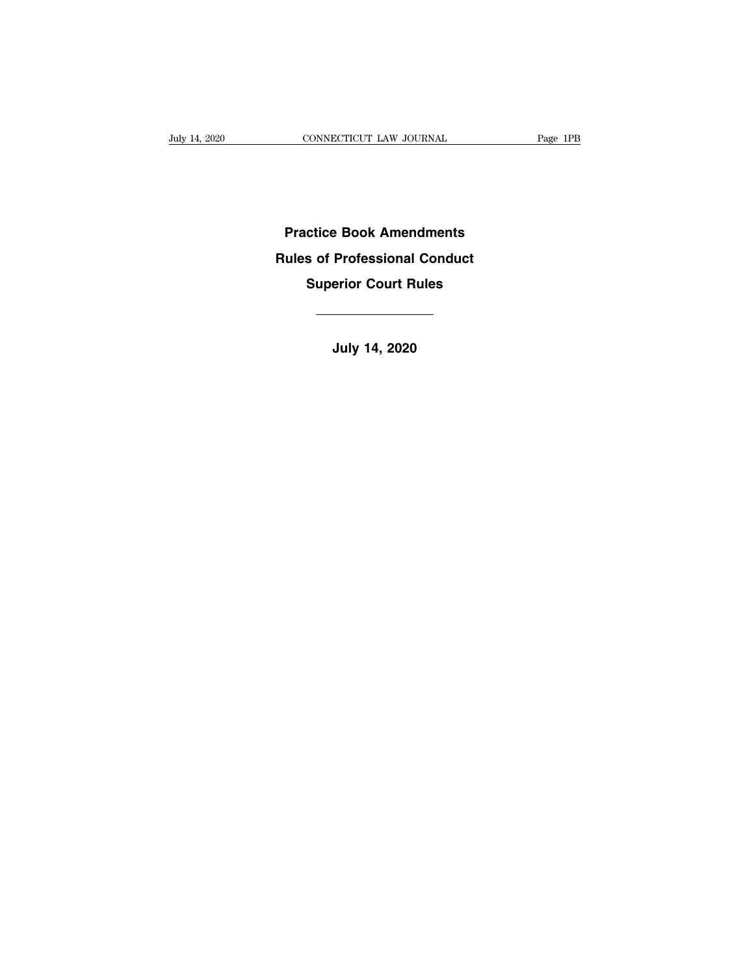**Practice Book Amendments Practice Book Amendments<br>Rules of Professional Conduct<br>Superior Court Rules Superior Court Rules Rules of Professional Conduct<br>
Superior Court Rules<br>
The Superior Court Rules<br>
July 14, 2020**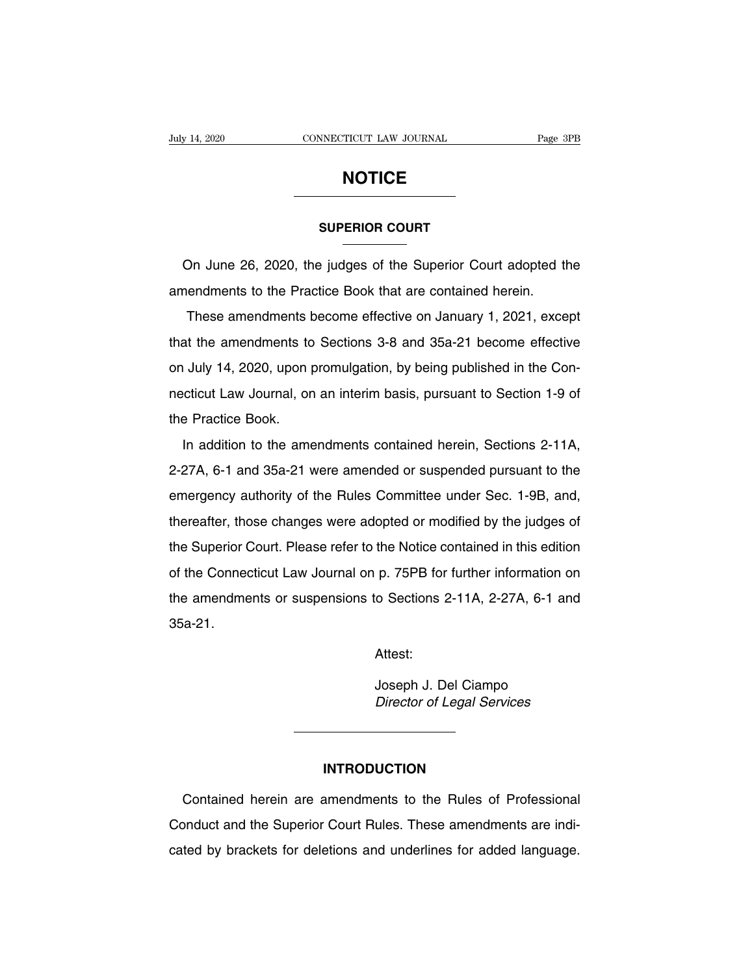## **NOTICE**

# **SUPERIOR COURT**

**NOTICE**<br>
SUPERIOR COURT<br>
On June 26, 2020, the judges of the Superior Court adopted the<br>
nendments to the Practice Book that are contained herein. SUPERIOR COURT<br>
On June 26, 2020, the judges of the Superior Court adopted the<br>
amendments to the Practice Book that are contained herein.<br>
These amendments become effective on January 1, 2021, exce

SUPERIOR COURT<br>
These amendments become effective on January 1, 2021, except<br>
the amendments become effective on January 1, 2021, except<br>
the amendments become effective on January 1, 2021, except<br>
the amendments to Sectio On June 26, 2020, the judges of the Superior Court adopted the<br>amendments to the Practice Book that are contained herein.<br>These amendments become effective on January 1, 2021, except<br>that the amendments to Sections 3-8 and on July 14, 2020, the Judges of the Superior Sourt duspled the<br>amendments to the Practice Book that are contained herein.<br>These amendments become effective on January 1, 2021, except<br>that the amendments to Sections 3-8 and These amendments become effective on January 1, 2021, except<br>that the amendments to Sections 3-8 and 35a-21 become effective<br>on July 14, 2020, upon promulgation, by being published in the Con-<br>necticut Law Journal, on an i that the amendments to<br>on July 14, 2020, upon p<br>necticut Law Journal, or<br>the Practice Book.<br>In addition to the ame In addition to the amendments contained herein, Section 1-9 of<br>In addition to the amendments contained herein, Section 1-9 of<br>In addition to the amendments contained herein, Sections 2-11A,<br>27A, 6-1 and 35a-21 were amended

2-27A, 6-1 and 35a-21 were amended or suspended pursuant to the emergency authority of the Rules Committee under Sec. 1-9B, and, the Practice Book.<br>In addition to the amendments contained herein, Sections 2-11A,<br>2-27A, 6-1 and 35a-21 were amended or suspended pursuant to the<br>emergency authority of the Rules Committee under Sec. 1-9B, and,<br>thereafter In addition to the amendments contained herein, Sections 2-11A,<br>2-27A, 6-1 and 35a-21 were amended or suspended pursuant to the<br>emergency authority of the Rules Committee under Sec. 1-9B, and,<br>thereafter, those changes wer 1. 2-27A, 6-1 and 35a-21 were amended or suspended pursuant to the emergency authority of the Rules Committee under Sec. 1-9B, and, thereafter, those changes were adopted or modified by the judges of the Superior Court. P E ETT, of the Connection of the Committee under Sec. 1-9B, and,<br>thereafter, those changes were adopted or modified by the judges of<br>the Superior Court. Please refer to the Notice contained in this edition<br>of the Connecticu thereafter, those changes were adopted or modified by the judges of<br>the Superior Court. Please refer to the Notice contained in this edition<br>of the Connecticut Law Journal on p. 75PB for further information on<br>the amendmen 35a-21. o Sections 2-11A, 2-27A, 6-1 and<br>Attest:<br>Joseph J. Del Ciampo<br>*Director of Legal Services* Broadway Linny Linny Single<br>Attest:<br>Joseph J. Del Ciampo<br>Director of Legal Services

Attest:

## **INTRODUCTION**

Director of Legal Services<br>
MTRODUCTION<br>
Contained herein are amendments to the Rules of Professional<br>
Direction<br>
Contained herein are amendments to the Rules of Professional<br>
Direction Court Rules. These amendments are in INTRODUCTION<br>Contained herein are amendments to the Rules of Professional<br>Conduct and the Superior Court Rules. These amendments are indi-<br>cated by brackets for deletions and underlines for added language. INTRODUCTION<br>Contained herein are amendments to the Rules of Professional<br>Conduct and the Superior Court Rules. These amendments are indi-<br>cated by brackets for deletions and underlines for added language.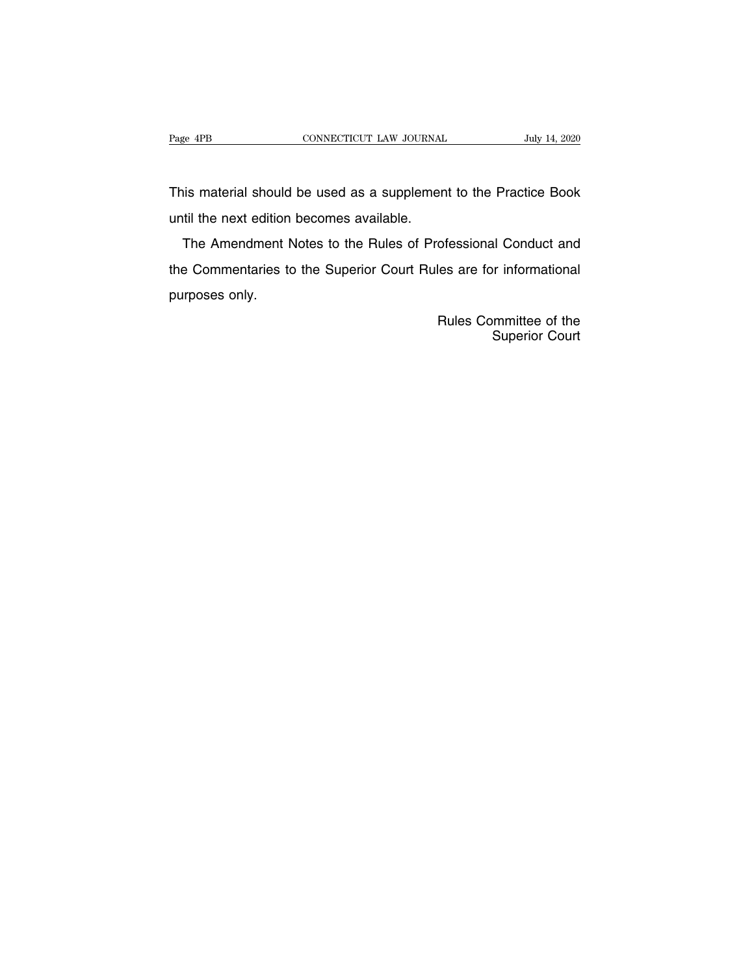Page 4PB<br>
CONNECTICUT LAW JOURNAL<br>
This material should be used as a supplement to the Practice Book<br>
until the next edition becomes available. Page 4PB<br>
CONNECTICUT LAW JOURNAL<br>
This material should be used as a supplemer<br>
until the next edition becomes available.<br>
The Amendment Notes to the Rules of Pro

is material should be used as a supplement to the Practice Book<br>til the next edition becomes available.<br>The Amendment Notes to the Rules of Professional Conduct and<br>e Commentaries to the Superior Court Rules are for inform This material should be used as a supplement to the Practice Book<br>until the next edition becomes available.<br>The Amendment Notes to the Rules of Professional Conduct and<br>the Commentaries to the Superior Court Rules are for Find matcher chods<br>until the next edition<br>The Amendment I<br>the Commentaries to<br>purposes only. ofessional Conduct and<br>les are for informational<br>Rules Committee of the<br>Superior Court di Conduct and<br>or informational<br>or Superior Court<br>Superior Court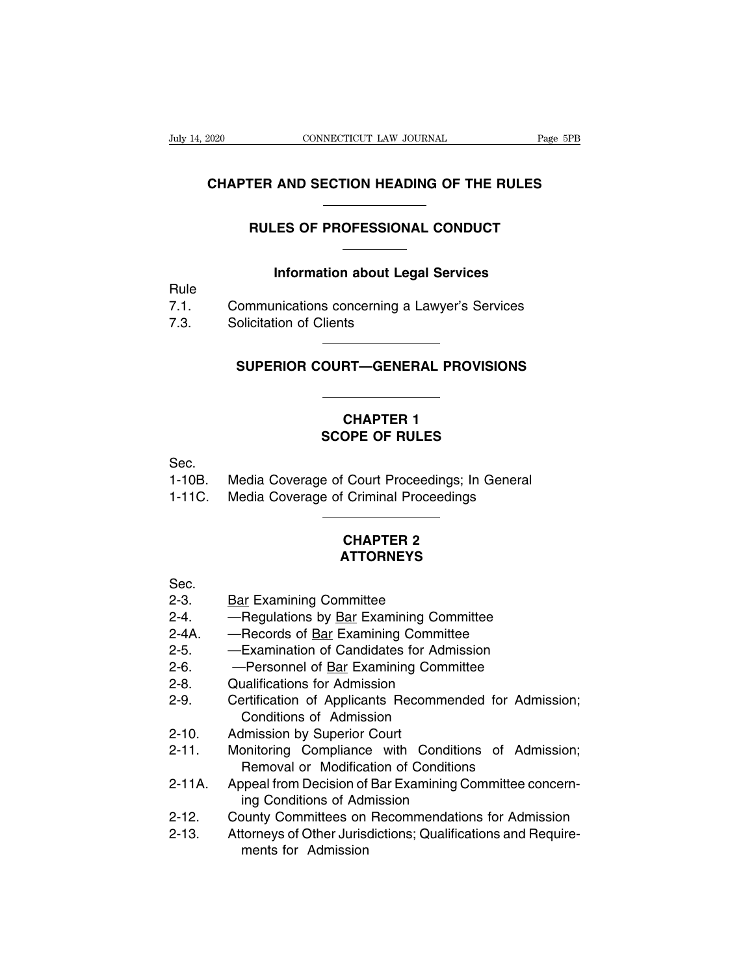## **CONNECTICUT LAW JOURNAL** Page 5PB<br> **CHAPTER AND SECTION HEADING OF THE RULES** CONNECTICUT LAW JOURNAL Page 5P.<br> **FER AND SECTION HEADING OF THE RULES**<br>
RULES OF PROFESSIONAL CONDUCT **IND SECTION HEADING OF THE RULES<br>
IS OF PROFESSIONAL CONDUCT<br>
Information about Legal Services<br>
Pications concerning a Lawyer's Services**

|              | <b>RULES OF PROFESSIONAL CONDUCT</b>                                     |  |
|--------------|--------------------------------------------------------------------------|--|
| Rule         | <b>Information about Legal Services</b>                                  |  |
| 7.1.<br>7.3. | Communications concerning a Lawyer's Services<br>Solicitation of Clients |  |
|              | SUPERIOR COURT—GENERAL PROVISIONS                                        |  |
|              |                                                                          |  |

# **CHAPTER 1 SACAL SCOPE OF RULES**<br>
SCOPE OF RULES<br>
SCOPE OF RULES

|          | <b>CHAPTER 1</b><br><b>SCOPE OF RULES</b>       |
|----------|-------------------------------------------------|
|          |                                                 |
| Sec.     |                                                 |
| 1-10B.   | Media Coverage of Court Proceedings; In General |
| $1-11C.$ | Media Coverage of Criminal Proceedings          |
|          |                                                 |

## Court Proceedings; In Court Proceedings<br>
Criminal Proceedings<br>
CHAPTER 2<br> **ATTORNEYS ATTORNEYS**

- 
- CHAPTER 2<br>
CHAPTER 2<br>
CHAPTER 2<br>
2-3. Bar Examining Committee<br>
2-4. Regulations by <u>Bar</u> Examining Committee<br>
2-4. Regulations by <u>Bar</u> Examining Committee CHAPTER 2<br>
Sec.<br>
2-3. Bar Examining Committee<br>
2-4. — Regulations by <u>Bar</u> Examining Committee<br>
2-4A. — Records of <u>Bar</u> Examining Committee<br>
2-5. — Examination of Candidates for Admission CHAPTER 2<br>
Sec.<br>
2-3. Bar Examining Committee<br>
2-4. — Regulations by <u>Bar</u> Examining Committee<br>
2-4A. — Records of <u>Bar</u> Examining Committee<br>
2-5. — Examination of Candidates for Admission<br>
2-6. — Personnel of Bar Examinin **ATTORNEYS**<br>
2-3. **Examining Committee**<br>
2-4. — Regulations by <u>Bar</u> Examining Committee<br>
2-4A. — Records of <u>Bar</u> Examining Committee<br>
2-5. — Examination of Candidates for Admission<br>
2-6. — Personnel of <u>Bar</u> Examining Co Sec.<br>
2-3. Dear Examining Committee<br>
2-4. — Regulations by <u>Bar</u> Examining Committee<br>
2-4A. — Records of <u>Bar</u> Examining Committee<br>
2-5. — Examination of Candidates for Admission<br>
2-6. — Personnel of <u>Bar</u> Examining Commit
- 
- 
- 
- 
- 2-3. Bar Examining Committee<br>
2-4. Regulations by <u>Bar</u> Examining Comm<br>
2-4A. Records of <u>Bar</u> Examining Committe<br>
2-5. Examination of Candidates for Admis<br>
2-6. Personnel of <u>Bar</u> Examining Commi<br>
2-8. Qualificati 2-3. **Examining Committee**<br>
2-4. — Regulations by <u>Bar</u> Examining Committee<br>
2-4A. — Records of <u>Bar</u> Examining Committee<br>
2-5. — Examination of Candidates for Admission<br>
2-6. — Personnel of <u>Bar</u> Examining Committee<br>
2-8. Regulations by <u>Bar</u> Examining Committe<br>Records of <u>Bar</u> Examining Committe<br>Examination of Candidates for Admi<br>Personnel of <u>Bar</u> Examining Comm<br>ualifications for Admission<br>ertification of Admission<br>Imission by Superior Co 2-4A. — Hecords of <u>Bar</u> Examining Comm<br>2-5. — Examination of Candidates for A<br>2-6. — Personnel of <u>Bar</u> Examining Co<br>2-8. Qualifications for Admission<br>2-9. Certification of Applicants Recom<br>2-10. Admission by Superior Cou -Personnel of <u>Bar</u> Examining Committee<br>ualifications for Admission<br>ertification of Applicants Recommended for Adn<br>Conditions of Admission<br>Imission by Superior Court<br>notions of Admission<br>ppeal from Decision of Bar Examinin 2-6. Cutaling Calculations for Admission<br>2-9. Certification of Applicants Recommended for Admission;<br>2-10. Admission by Superior Court<br>2-11. Monitoring Compliance with Conditions of Admission;<br>8-11A. Appeal from Decision o
- 
- 2-5. Examination of Candidates for Admission<br>2-6. Personnel of <u>Bar</u> Examining Committee<br>2-8. Qualifications for Admission<br>2-9. Certification of Applicants Recommended for Admission;<br>2-10. Admission by Superior Court<br>2 Francation of Applicarits Recommende<br>Conditions of Admission<br>Imission by Superior Court<br>Dinitioning Compliance with Conditions<br>Removal or Modification of Bar Examining Co<br>ing Conditions of Admission<br>Dunty Committees on Rec 2-10. Admission by Superior Court<br>2-11. Monitoring Compliance with Conditions of Admission;<br>2-11A. Appeal from Decision of Bar Examining Committee concern-<br>ing Conditions of Admission<br>2-12. County Committees on Recommendat 2-10. Attrinssion by Superior Court<br>2-11. Monitoring Compliance with Conditions of Admission;<br>Removal or Modification of Conditions<br>2-11A. Appeal from Decision of Bar Examining Committee concern-<br>ing Conditions of Admissio
- Removal or Modification of Conditions<br>Appeal from Decision of Bar Examining Committee concerning<br>Conditions of Admission<br>County Committees on Recommendations for Admission<br>Attorneys of Other Jurisdictions; Qualifications a
- 
-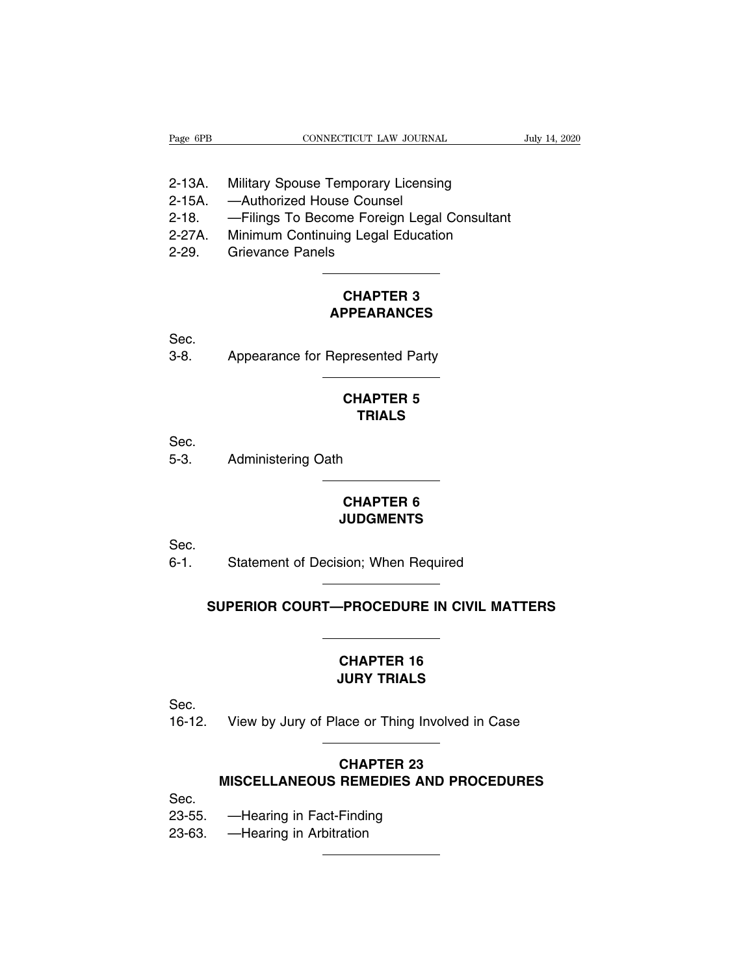| Page 6PB | CONNECTICUT LAW JOURNAL                     | July 14, 2020 |  |
|----------|---------------------------------------------|---------------|--|
|          |                                             |               |  |
| 2-13A.   | <b>Military Spouse Temporary Licensing</b>  |               |  |
| 2-15A.   | -Authorized House Counsel                   |               |  |
| 2-18.    | -Filings To Become Foreign Legal Consultant |               |  |
| 2-27A.   | Minimum Continuing Legal Education          |               |  |
| חמ מ     | Criovanoo Danolo                            |               |  |

- 
- 
- Page 6PB<br>
2-13A. Military Spouse Temporary Licensing<br>
2-15A. —Authorized House Counsel<br>
2-18. —Filings To Become Foreign Legal Consultant<br>
2-27A. Minimum Continuing Legal Education<br>
2-29. Grievance Panels **CHAPTER 3**
- 2-13A. Military Spouse Temporary<br>2-15A. —Authorized House Counse<br>2-18. —Filings To Become Foreig<br>2-27A. Minimum Continuing Legal I<br>2-29. Grievance Panels
- 

## **APPEARANCES**

Sec.

CHAPTER 3<br>
CHAPTER 3<br>
Sec.<br>
3-8. Appearance for Represented Party

## PPEARANCES<br>
presented Party<br>
CHAPTER 5<br>
TRIALS **TRIALS**

Sec.

CHAPTER<br>CHAPTER<br>Sec.<br>5-3. Administering Oath

## **CHAPTER 6<br>
CHAPTER 6<br>
JUDGMENTS JUDGMENTS**

Sec.

CHAPTER 6<br>
CHAPTER 6<br>
Sec.<br>
6-1. Statement of Decision; When Required

# **SUPERIOR COURT—PROCEDURE IN CIVIL MATTERS**

# **CHAPTER 16<br>
CHAPTER 16<br>
CHAPTER 16<br>
CHAPTER 16<br>
JURY TRIALS JURY TRIALS**

Sec.

CHAPTER 16<br>
JURY TRIALS<br>
Sec.<br>
16-12. View by Jury of Place or Thing Involved in Case

## **CHAPTER 16<br>
JURY TRIALS<br>
View by Jury of Place or Thing Involved in Case<br>
CHAPTER 23<br>
MISCELLANEOUS REMEDIES AND PROCEDURES** View by Jury of Place or Thing Involved in Case<br> **CHAPTER 23**<br>
MISCELLANEOUS REMEDIES AND PROCEDURES<br>
Hearing in East Einding 16-12. View by Jury of Place or Thing Involvent CHAPTER 23<br>
MISCELLANEOUS REMEDIES AND I<br>
Sec.<br>
23-55. —Hearing in Fact-Finding<br>
23-63. —Hearing in Arbitration CHA<br>
MISCELLANEOUS REM<br>
Sec.<br>
23-55. —Hearing in Fact-Findii<br>
23-63. —Hearing in Arbitration

Sec.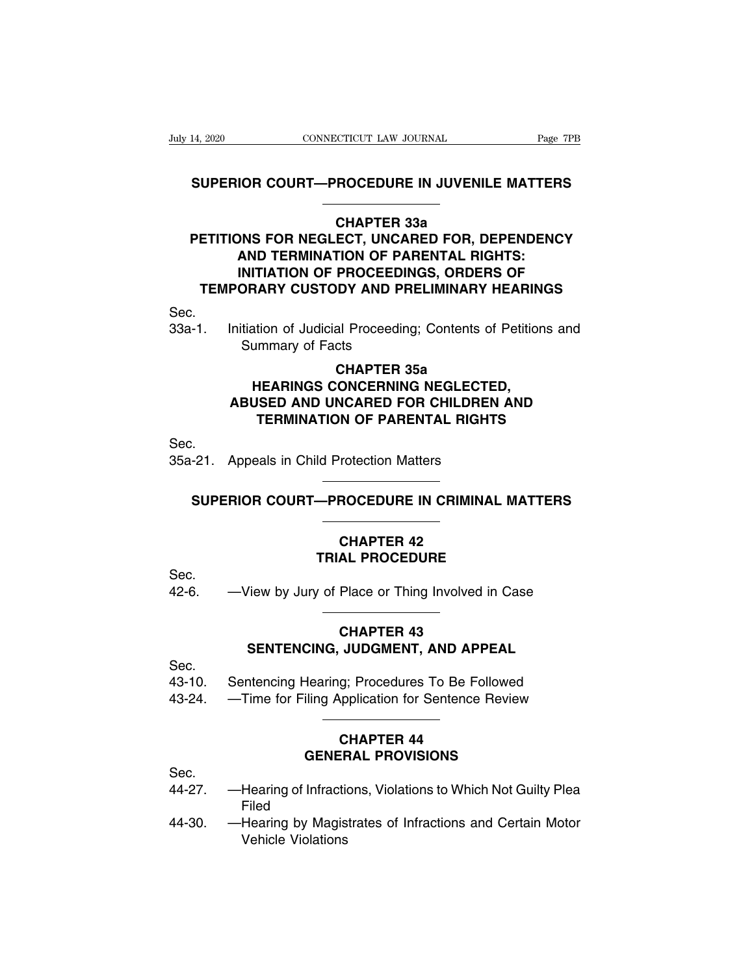# **SUPERIOR COURT—PROCEDURE IN JUVENILE MATTERS**

## **CHAPTER 338<br>
CHAPTER 338<br>
CHAPTER 338<br>
CHAPTER 338<br>
ECT, UNCARED FOR, DE<br>
FION OF PARENTAL RIG PARAGEMETRIC PROCEDURE IN JUVENILE MATTERS<br>
PETITIONS FOR NEGLECT, UNCARED FOR, DEPENDENCY<br>
AND TERMINATION OF PARENTAL RIGHTS:<br>
INITIATION OF PROCEFOINGS OPDERS OF AND TERMINATION COURT—PROCEDURE IN JUVENILE MATTERS<br>
CHAPTER 33a<br>
DNS FOR NEGLECT, UNCARED FOR, DEPENDENC<br>
AND TERMINATION OF PARENTAL RIGHTS:<br>
INITIATION OF PROCEEDINGS, ORDERS OF<br>
ORARY CUSTODY AND PRELIMINARY HEARINGS IOR COURT—PROCEDURE IN JUVENILE MATTERS<br>
CHAPTER 33a<br>
DNS FOR NEGLECT, UNCARED FOR, DEPENDENCY<br>
AND TERMINATION OF PARENTAL RIGHTS:<br>
INITIATION OF PROCEEDINGS, ORDERS OF<br>
ORARY CUSTODY AND PRELIMINARY HEARINGS TERMINATER 338**<br>
TERMINATION OF PARENTAL RIGHTS:<br>
INITIATION OF PROCEEDINGS, ORDERS OF<br>
TEMPORARY CUSTODY AND PRELIMINARY HEARINGS PETITIONS FOR NEGLECT, UNCARED FOR, DEPENDENCY<br>
AND TERMINATION OF PARENTAL RIGHTS:<br>
INITIATION OF PROCEEDINGS, ORDERS OF<br>
TEMPORARY CUSTODY AND PRELIMINARY HEARINGS<br>
Sec.<br>
33a-1. Initiation of Judicial Proceeding; Content **AND TERMINATION OF PAINITIATION OF PROCEEDIN<br>DRARY CUSTODY AND PR<br>THARY CUSTODY AND PR<br>THARY OF Judicial Proceeding<br>Summary of Facts<br>CHAPTER 3**

## Sec.

## PROCEEDINGS, ORDER:<br>DY AND PRELIMINARY I<br>al Proceeding; Contents of<br>cts<br>CHAPTER 35a<br>CONCERNING NEGLECTE<br>NCARED FOR CHILDBEN **HEARING CUSTODY AND PRELIMINARY HEARING**<br>Ation of Judicial Proceeding; Contents of Petition<br>ummary of Facts<br>**CHAPTER 35a<br>HEARINGS CONCERNING NEGLECTED,<br>JSED AND UNCARED FOR CHILDREN AND<br>TERMINATION OF PARENTAL RIGHTS** Initiation of Judicial Proceeding; Contents of Petitions and<br>
Summary of Facts<br> **CHAPTER 35a<br>
HEARINGS CONCERNING NEGLECTED,<br>
ABUSED AND UNCARED FOR CHILDREN AND<br>
TERMINATION OF PARENTAL RIGHTS THEAT IS SAMPLE ASSEMUTE AND MANUTERMINATION OF PARENTAL RIGHTS**<br> **TEARINGS CONCERNING NEGLECTED,<br>
SED AND UNCARED FOR CHILDREN AND<br>
TERMINATION OF PARENTAL RIGHTS** CHAPTER 35a<br>HEARINGS CONCERNING NEGLECTEI<br>ABUSED AND UNCARED FOR CHILDREN<br>TERMINATION OF PARENTAL RIGHTS<br>Sec.<br>35a-21. Appeals in Child Protection Matters ABUSED AND UNCARED FOR CHILDREN AND<br>
TERMINATION OF PARENTAL RIGHTS<br>
-21. Appeals in Child Protection Matters<br>
SUPERIOR COURT—PROCEDURE IN CRIMINAL MATTERS

Sec.

# 42-6. —View by Jury of Place or Thing Involved in Case

# Trotection Matters<br> **CHAPTER 42<br>
CHAPTER 42<br>
AL PROCEDURE TRIAL PROCEDURE**

Sec.

## **CHAPTER 43 TRIAL PROCEDURE**<br>
View by Jury of Place or Thing Involved in Case<br> **CHAPTER 43**<br> **SENTENCING, JUDGMENT, AND APPEAL**<br> **RENTENCING, JUDGMENT, AND APPEAL** 42-6. —View by Jury of Place or Thing Involved in Case<br> **CHAPTER 43**<br> **SENTENCING, JUDGMENT, AND APPEAL**<br>
Sec.<br>
43-10. Sentencing Hearing; Procedures To Be Followed<br>
43-24. —Time for Filing Application for Sentence Review CHAPTER 43<br>
SENTENCING, JUDGMENT, AND APPEAL<br>
Sec.<br>
43-10. Sentencing Hearing; Procedures To Be Followed<br>
43-24. —Time for Filing Application for Sentence Review

Sec.

- 
- 

# **JUDGMENT, AND APPI**<br>g; Procedures To Be Foll<br>pplication for Sentence F<br>**CHAPTER 44**<br>**ERAL PROVISIONS FROMERAL PROVISIONS**<br> **GENERAL PROVISIONS**<br> **GENERAL PROVISIONS**<br> **GENERAL PROVISIONS**

Sec.

- 43-24. —Time for Filing Application for Sentence Review<br>
CHAPTER 44<br>
GENERAL PROVISIONS<br>
44-27. —Hearing of Infractions, Violations to Which Not Guilty Plea<br>
Filed<br>
44-30. —Hearing by Magistrates of Infractions and Certain Filed
- CHAPTER 44<br>
Sec.<br>
44-27. —Hearing of Infractions, Violations to Which Not Guilty Plea<br>
Filed<br>
44-30. —Hearing by Magistrates of Infractions and Certain Motor<br>
Vehicle Violations **GENEF**<br>Hearing of Infraction<br>Filed<br>Hearing by Magis<br>Vehicle Violations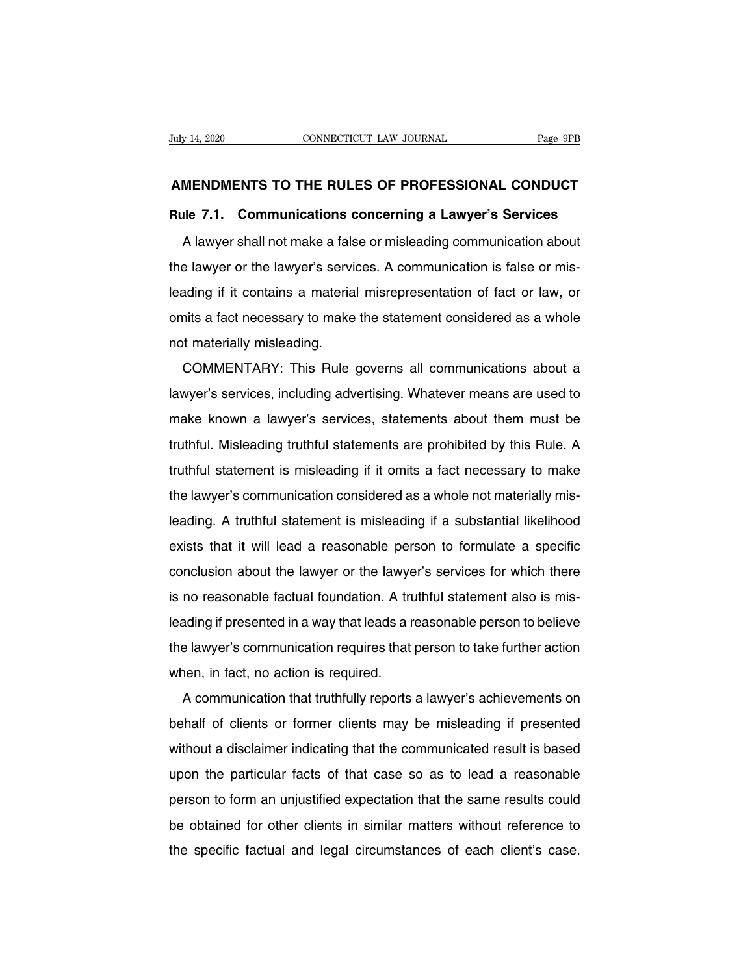# **AMENDMENTS TO THE RULES OF PROFESSIONAL CONDUCT**<br> **AMENDMENTS TO THE RULES OF PROFESSIONAL CONDUCT**<br>
Rule 7.1. Communications concerning a Lawver's Services

**Ruly 14, 2020** CONNECTICUT LAW JOURNAL Page 9PB<br> **AMENDMENTS TO THE RULES OF PROFESSIONAL CONDUCT**<br> **Rule 7.1. Communications concerning a Lawyer's Services**<br>
A lawyer shall not make a false or misleading communication ab MENDMENTS TO THE RULES OF PROFESSIONAL CONDUCT<br>The 7.1. Communications concerning a Lawyer's Services<br>A lawyer shall not make a false or misleading communication about<br>a lawyer or the lawyer's services. A communication is AMENDMENTS TO THE RULES OF PROFESSIONAL CONDUCT<br>Rule 7.1. Communications concerning a Lawyer's Services<br>A lawyer shall not make a false or misleading communication about<br>the lawyer or the lawyer's services. A communication Rule 7.1. Communications concerning a Lawyer's Services<br>A lawyer shall not make a false or misleading communication about<br>the lawyer or the lawyer's services. A communication is false or mis-<br>leading if it contains a mater A lawyer shall not make a false or misleading communication about<br>the lawyer or the lawyer's services. A communication is false or mis-<br>leading if it contains a material misrepresentation of fact or law, or<br>omits a fact ne A lawyer shall not make a laist<br>the lawyer or the lawyer's servi-<br>leading. if it contains a materia<br>omits a fact necessary to make<br>not materially misleading.<br>COMMENTARY: This Rule Elawyer of the lawyer's services. A communication is take of mis-<br>ading if it contains a material misrepresentation of fact or law, or<br>nits a fact necessary to make the statement considered as a whole<br>t materially misleadi

leading if it contains a material mistepresentation of fact of law, of<br>omits a fact necessary to make the statement considered as a whole<br>not materially misleading.<br>COMMENTARY: This Rule governs all communications about a<br> orints a fact necessary to make the statement considered as a whole<br>not materially misleading.<br>COMMENTARY: This Rule governs all communications about a<br>lawyer's services, including advertising. Whatever means are used to<br>m The materiary misleading.<br>
COMMENTARY: This Rule governs all communications about a<br>
lawyer's services, including advertising. Whatever means are used to<br>
make known a lawyer's services, statements about them must be<br>
trut Experiences, including advertising. Whatever means are used to make known a lawyer's services, statements about them must be truthful. Misleading truthful statements are prohibited by this Rule. A truthful statement is mis hawyer's services, including advertising. Whatever means are used to<br>make known a lawyer's services, statements about them must be<br>truthful. Misleading truthful statements are prohibited by this Rule. A<br>truthful statement Inake Khown a lawyer's services, statements about them must be<br>truthful. Misleading truthful statements are prohibited by this Rule. A<br>truthful statement is misleading if it omits a fact necessary to make<br>the lawyer's comm ruthful statement is misleading if it omits a fact necessary to make<br>the lawyer's communication considered as a whole not materially mis-<br>leading. A truthful statement is misleading if a substantial likelihood<br>exists that the lawyer's communication considered as a whole not materially mis-<br>leading. A truthful statement is misleading if a substantial likelihood<br>exists that it will lead a reasonable person to formulate a specific<br>conclusion a ine lawyer s communication considered as a whole not materially mis-<br>leading. A truthful statement is misleading if a substantial likelihood<br>exists that it will lead a reasonable person to formulate a specific<br>conclusion a eading. A truthful statement is inisteading it a substantial intermoder<br>exists that it will lead a reasonable person to formulate a specific<br>conclusion about the lawyer or the lawyer's services for which there<br>is no reason exists that it will lead a reasonable person to formulate a specific<br>conclusion about the lawyer or the lawyer's services for which there<br>is no reasonable factual foundation. A truthful statement also is mis-<br>leading if pr conclusion about the lawyer of the lawyer<br>is no reasonable factual foundation. A tru<br>leading if presented in a way that leads a rife lawyer's communication requires that<br>when, in fact, no action is required.<br>A communicatio A communication truthfully reports a lawyer's achievements on the lawyer's communication requires that person to take further action<br>nen, in fact, no action is required.<br>A communication that truthfully reports a lawyer's a

behalf of presented in a way that leads a reasonable person to believe<br>the lawyer's communication required.<br>A communication that truthfully reports a lawyer's achievements on<br>behalf of clients or former clients may be misl when, in fact, no action is required.<br>A communication that truthfully reports a lawyer's achievements on<br>behalf of clients or former clients may be misleading if presented<br>without a disclaimer indicating that the communica Mieri, in fact, no action is required.<br>A communication that truthfully reports a lawyer's achievements on<br>behalf of clients or former clients may be misleading if presented<br>without a disclaimer indicating that the communic A communication that truthday reports a lawyer s achievements on<br>behalf of clients or former clients may be misleading if presented<br>without a disclaimer indicating that the communicated result is based<br>upon the particular without a disclaimer indicating that the communicated result is based<br>upon the particular facts of that case so as to lead a reasonable<br>person to form an unjustified expectation that the same results could<br>be obtained for whild a disclaimer indicating that the communicated result is based<br>upon the particular facts of that case so as to lead a reasonable<br>person to form an unjustified expectation that the same results could<br>be obtained for ot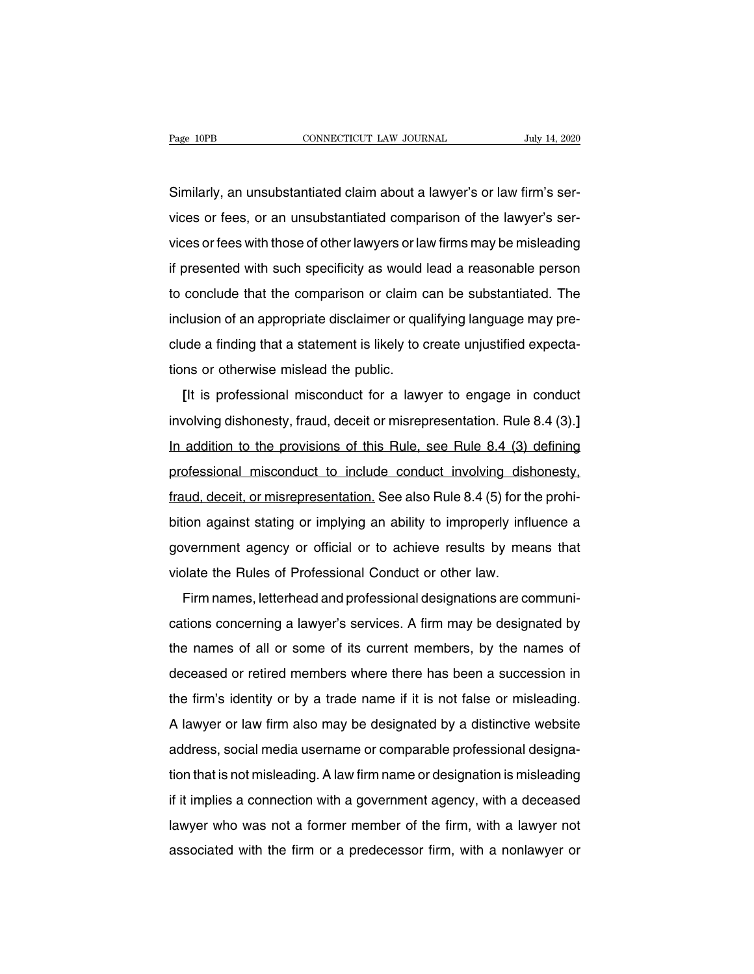Page 10PB<br>CONNECTICUT LAW JOURNAL July 14, 2020<br>Similarly, an unsubstantiated claim about a lawyer's or law firm's ser-<br>Vices or fees, or an unsubstantiated comparison of the lawyer's ser-Page 10PB CONNECTICUT LAW JOURNAL July 14, 2020<br>Similarly, an unsubstantiated claim about a lawyer's or law firm's ser-<br>vices or fees, or an unsubstantiated comparison of the lawyer's ser-<br>vices or fees with those of other Similarly, an unsubstantiated claim about a lawyer's or law firm's services or fees, or an unsubstantiated comparison of the lawyer's services or fees with those of other lawyers or law firms may be misleading if presented Similarly, an unsubstantiated claim about a lawyer's or law firm's services or fees, or an unsubstantiated comparison of the lawyer's services or fees with those of other lawyers or law firms may be misleading if presented binnariy, an disubstantiated claim about a lawyer's or law limits services or fees, or an unsubstantiated comparison of the lawyer's services or fees with those of other lawyers or law firms may be misleading if presented vices or rees, or an ansubstantiated comparison or the lawyer's services or fees with those of other lawyers or law firms may be misleading if presented with such specificity as would lead a reasonable person to conclude t if presented with such specificity as would lead a reasonable person<br>to conclude that the comparison or claim can be substantiated. The<br>inclusion of an appropriate disclaimer or qualifying language may pre-<br>clude a finding It presented with such specificity as would<br>to conclude that the comparison or claim c<br>inclusion of an appropriate disclaimer or qua<br>clude a finding that a statement is likely to c<br>tions or otherwise mislead the public.<br>[I Elusion of an appropriate disclaimer or qualifying language may pre-<br>
Ilusion of an appropriate disclaimer or qualifying language may pre-<br>
Ide a finding that a statement is likely to create unjustified expecta-<br>
In the se

inclusion of an appropriate disclaimer or qualitying language may pre-<br>clude a finding that a statement is likely to create unjustified expecta-<br>tions or otherwise mislead the public.<br>**[It is professional misconduct for a** Endions or otherwise mislead the public.<br>
It is professional misconduct for a lawyer to engage in conduct<br>
involving dishonesty, fraud, deceit or misrepresentation. Rule 8.4 (3).]<br>
In addition to the provisions of this Rul It is professional misconduct for a lawyer to engage in conduct<br>involving dishonesty, fraud, deceit or misrepresentation. Rule 8.4 (3).]<br>In addition to the provisions of this Rule, see Rule 8.4 (3) defining<br>professional mi [It is professional misconduct for a lawyer to engage in conduct<br>involving dishonesty, fraud, deceit or misrepresentation. Rule 8.4 (3).]<br>In addition to the provisions of this Rule, see Rule 8.4 (3) defining<br>professional m In addition to the provisions of this Rule, see Rule 8.4 (3) defining<br>professional misconduct to include conduct involving dishonesty,<br>fraud, deceit, or misrepresentation. See also Rule 8.4 (5) for the prohi-<br>bition agains are addition to the provisions of this Fidie, see Fidie 0.4 (5) defining<br>professional misconduct to include conduct involving dishonesty,<br>fraud, deceit, or misrepresentation. See also Rule 8.4 (5) for the prohi-<br>bition aga Fraud, deceit, or misrepresentation. See also Rule 8.4 (5) for the bition against stating or implying an ability to improperly influgovernment agency or official or to achieve results by mean violate the Rules of Professio Firm names, letterhead and professional designations are communi-<br>Firm names, letterhead and professional designations are communi-<br>Firm names, letterhead and professional designations are communi-<br>tions concerning a lawye

bluon against stating or implying an ability to implopeny inhuence a<br>government agency or official or to achieve results by means that<br>violate the Rules of Professional Conduct or other law.<br>Firm names, letterhead and prof yovernment agency or omclar or to achieve results by means that<br>violate the Rules of Professional Conduct or other law.<br>Firm names, letterhead and professional designations are communi-<br>cations concerning a lawyer's servic Firm names, letterhead and professional designations are communi-<br>cations concerning a lawyer's services. A firm may be designated by<br>the names of all or some of its current members, by the names of<br>deceased or retired mem The firm and statemead and professional designations are communi-<br>cations concerning a lawyer's services. A firm may be designated by<br>the names of all or some of its current members, by the names of<br>deceased or retired mem Exailors concerning a lawyer's services. A limit may be designated by<br>the names of all or some of its current members, by the names of<br>deceased or retired members where there has been a succession in<br>the firm's identity or deceased or retired members where there has been a succession in<br>the firm's identity or by a trade name if it is not false or misleading.<br>A lawyer or law firm also may be designated by a distinctive website<br>address, social the firm's identity or by a trade name if it is not false or misleading.<br>A lawyer or law firm also may be designated by a distinctive website<br>address, social media username or comparable professional designa-<br>tion that is In this identity of by a trade hanne in it is not take of misleading.<br>A lawyer or law firm also may be designated by a distinctive website<br>address, social media username or comparable professional designa-<br>tion that is not A lawyer of law limit also hay be designated by a distinctive website<br>address, social media username or comparable professional designa-<br>tion that is not misleading. A law firm name or designation is misleading<br>if it impli address, social media username or comparable professional designation that is not misleading. A law firm name or designation is misleading if it implies a connection with a government agency, with a deceased lawyer who was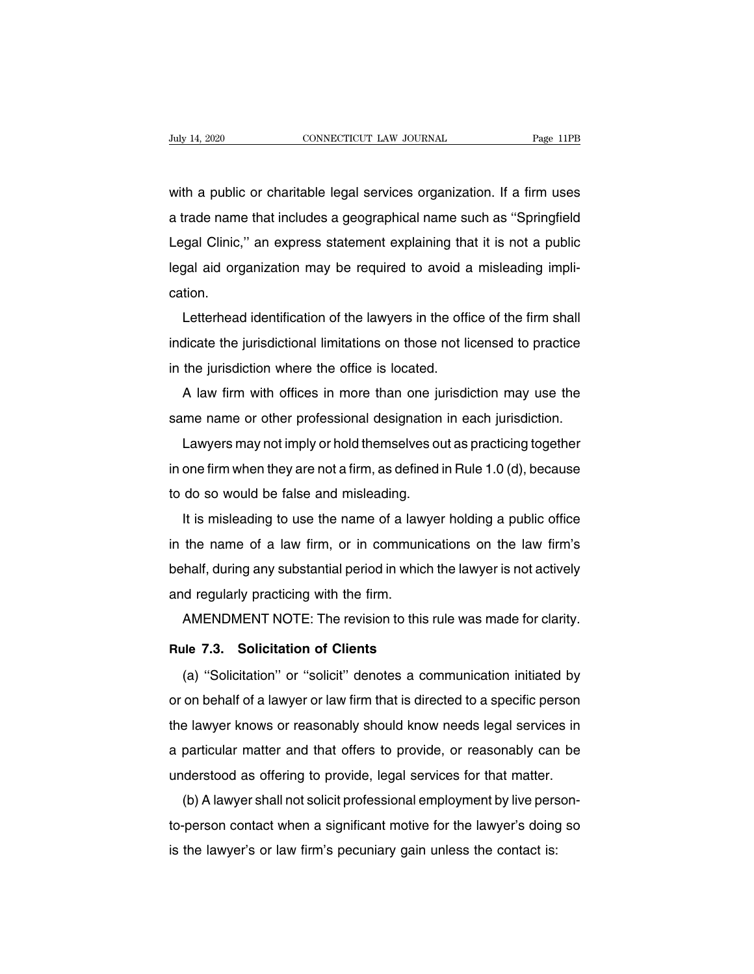Valy 14, 2020 CONNECTICUT LAW JOURNAL Page 11PB<br>with a public or charitable legal services organization. If a firm uses<br>a trade name that includes a geographical name such as "Springfield Fage 11PB<br>with a public or charitable legal services organization. If a firm uses<br>a trade name that includes a geographical name such as "Springfield<br>Legal Clinic," an express statement explaining that it is not a public with a public or charitable legal services organization. If a firm uses<br>a trade name that includes a geographical name such as "Springfield<br>Legal Clinic," an express statement explaining that it is not a public<br>legal aid o with a public or charitable legal services organization. If a firm uses<br>a trade name that includes a geographical name such as "Springfield<br>Legal Clinic," an express statement explaining that it is not a public<br>legal aid o cation. Trade harification of the lawyers in the office of the firm shall<br>gal clinic," an express statement explaining that it is not a public<br>gal aid organization may be required to avoid a misleading impli-<br>tion.<br>Letterhead iden

Legal Clinic, an express statement explaining that it is not a public<br>legal aid organization may be required to avoid a misleading impli-<br>cation.<br>Letterhead identification of the lawyers in the office of the firm shall<br>ind in the jurisdiction in the fiequired to avoid a<br>cation.<br>Letterhead identification of the lawyers in the officindicate the jurisdictional limitations on those not lis<br>in the jurisdiction where the office is located.<br>A law f Letterhead identification of the lawyers in the office of the firm shall<br>dicate the jurisdictional limitations on those not licensed to practice<br>the jurisdiction where the office is located.<br>A law firm with offices in more Letternead identification of the lawyers in the office of the firm shall<br>indicate the jurisdictional limitations on those not licensed to practice<br>in the jurisdiction where the office is located.<br>A law firm with offices in

The jurisdiction where the office is located.<br>A law firm with offices in more than one jurisdiction may use the<br>me name or other professional designation in each jurisdiction.<br>Lawyers may not imply or hold themselves out a In the jurisdiction where the onice is located.<br>A law firm with offices in more than one jurisdiction may use the<br>same name or other professional designation in each jurisdiction.<br>Lawyers may not imply or hold themselves o A law firm with offices in note than one ju<br>same name or other professional designation<br>Lawyers may not imply or hold themselves ou<br>in one firm when they are not a firm, as defined i<br>to do so would be false and misleading. It is misleading to use the name of a law firm, as defined in Rule 1.0 (d), because<br>do so would be false and misleading.<br>It is misleading to use the name of a lawyer holding a public office<br>the name of a law firm, or in co

Lawyers may not imply of nota themselves out as practicing together<br>in one firm when they are not a firm, as defined in Rule 1.0 (d), because<br>to do so would be false and misleading.<br>It is misleading to use the name of a la behalf, during any substantial period in which the lawyer holding a public office<br>in the name of a law firm, or in communications on the law firm's<br>behalf, during any substantial period in which the lawyer is not actively<br> to do so would be false and misleading.<br>It is misleading to use the name of a law<br>in the name of a law firm, or in communi<br>behalf, during any substantial period in whic<br>and regularly practicing with the firm.<br>AMENDMENT NOT It is misleading to use the name of a law yer holding a public office<br>the name of a law firm, or in communications on the law firm's<br>half, during any substantial period in which the lawyer is not actively<br>d regularly pract **Rule Matter of Client Matter of Client Controllers**<br> **Rule 7.3. Solicitation of Clients**<br>
(a) "Solicitation" or "solicit" denotes a com-

(a) regularly practicing with the firm.<br>
AMENDMENT NOTE: The revision to this rule was made for clarity.<br>
(a) "Solicitation" or "solicit" denotes a communication initiated by<br>
on behalf of a lawyer or law firm that is dire AMENDMENT NOTE: The revision to this rule was made for clarity.<br> **Rule 7.3. Solicitation of Clients**<br>
(a) "Solicitation" or "solicit" denotes a communication initiated by<br>
or on behalf of a lawyer or law firm that is direc Rule 7.3. Solicitation of Clients<br>
(a) "Solicitation" or "solicit" denotes a communication initiated by<br>
or on behalf of a lawyer or law firm that is directed to a specific person<br>
the lawyer knows or reasonably should kno (a) "Solicitation" or "solicit" denotes a communication initiated by<br>or on behalf of a lawyer or law firm that is directed to a specific person<br>the lawyer knows or reasonably should know needs legal services in<br>a particula (a) Solicitation or solicit deriotes a communication initiated by<br>or on behalf of a lawyer or law firm that is directed to a specific person<br>the lawyer knows or reasonably should know needs legal services in<br>a particular m on benall or a lawyer or law limit that is directed to a specific person<br>e lawyer knows or reasonably should know needs legal services in<br>particular matter and that offers to provide, or reasonably can be<br>derstood as offer

the lawyer knows or reasonably should know heeds legal services in<br>a particular matter and that offers to provide, or reasonably can be<br>understood as offering to provide, legal services for that matter.<br>(b) A lawyer shall a particular matter and that oners to provide, or reasonably can<br>understood as offering to provide, legal services for that matter.<br>(b) A lawyer shall not solicit professional employment by live pers<br>to-person contact when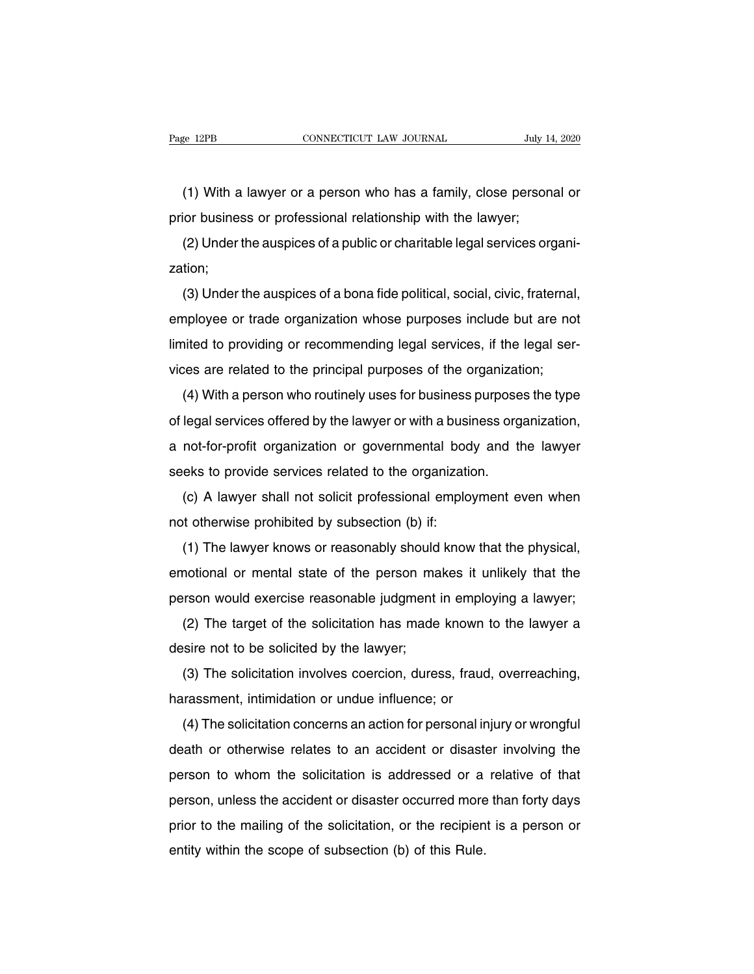(1) With a lawyer or a person who has a family, close personal or<br>
(1) With a lawyer or a person who has a family, close personal or<br>
ior business or professional relationship with the lawyer; Page 12PB CONNECTICUT LAW JOURNAL July 14<br>
(1) With a lawyer or a person who has a family, close person<br>
prior business or professional relationship with the lawyer;<br>
(2) Under the auspices of a public or charitable legal

(1) With a lawyer or a person who has a family, close personal or<br>ior business or professional relationship with the lawyer;<br>(2) Under the auspices of a public or charitable legal services organi-<br>tion; zation;

(1) With a lawyer of a person who has a family, close personal of<br>ior business or professional relationship with the lawyer;<br>(2) Under the auspices of a public or charitable legal services organi-<br>tion;<br>(3) Under the auspi prior business or professional relationship with the lawyer,<br>
(2) Under the auspices of a public or charitable legal services organi-<br>
zation;<br>
(3) Under the auspices of a bona fide political, social, civic, fraternal,<br>
em (2) Onder the auspices or a public of chandable legal services organization;<br>
(3) Under the auspices of a bona fide political, social, civic, fraternal,<br>
employee or trade organization whose purposes include but are not<br> (3) Under the auspices of a bona fide political, social, civic, fraternal<br>employee or trade organization whose purposes include but are no<br>limited to providing or recommending legal services, if the legal ser-<br>vices are re (5) Onder the adspices of a bona hde pointcar, sociar, civic, haternar,<br>nployee or trade organization whose purposes include but are not<br>ited to providing or recommending legal services, if the legal ser-<br>ces are related t

employee of trade organization whose purposes include but are not<br>limited to providing or recommending legal services, if the legal ser-<br>vices are related to the principal purposes of the organization;<br>(4) With a person wh mined to providing or recommentally regal services, if the regal services are related to the principal purposes of the organization;<br>(4) With a person who routinely uses for business purposes the type<br>of legal services off (4) With a person who routinely uses for business purpose<br>of legal services offered by the lawyer or with a business org<br>a not-for-profit organization or governmental body and th<br>seeks to provide services related to the or (4) With a person who fountiery uses for business purposes the type<br>legal services offered by the lawyer or with a business organization,<br>not-for-profit organization or governmental body and the lawyer<br>eks to provide servi of legal services offered by the lawyer of with a bust<br>a not-for-profit organization or governmental boc<br>seeks to provide services related to the organizati<br>(c) A lawyer shall not solicit professional emplo<br>not otherwise p

Frot-profit organization of governmentar body and the lawyer<br>eks to provide services related to the organization.<br>(c) A lawyer shall not solicit professional employment even when<br>it otherwise prohibited by subsection (b) i emotional or mental state of the personal employment even when<br>not otherwise prohibited by subsection (b) if:<br>(1) The lawyer knows or reasonably should know that the physical,<br>emotional or mental state of the person makes pot otherwise prohibited by subsection (b) if:<br>
(1) The lawyer knows or reasonably should know that the physical,<br>
emotional or mental state of the person makes it unlikely that the<br>
person would exercise reasonable judgm (1) The lawyer knows or reasonably should know that the physical,<br>notional or mental state of the person makes it unlikely that the<br>rson would exercise reasonable judgment in employing a lawyer;<br>(2) The target of the soli (1) The lawyer Kriows of reasonably should<br>emotional or mental state of the person ma<br>person would exercise reasonable judgment<br>(2) The target of the solicitation has made<br>desire not to be solicited by the lawyer;<br>(3) The

Frontonial of memal state of the person makes it unifiely that the<br>rison would exercise reasonable judgment in employing a lawyer;<br>(2) The target of the solicitation has made known to the lawyer a<br>sire not to be solicited (2) The target of the solicitation has made known the desire not to be solicited by the lawyer;<br>(3) The solicitation involves coercion, duress, fraud, harassment, intimidation or undue influence; or (4) The solicitation co

(2) The target of the solicitation rias made Khown to the lawyer a<br>sire not to be solicited by the lawyer;<br>(3) The solicitation involves coercion, duress, fraud, overreaching,<br>rrassment, intimidation or undue influence; o (3) The solicitation involves coercion, duress, fraud, overreaching,<br>harassment, intimidation or undue influence; or<br>(4) The solicitation concerns an action for personal injury or wrongful<br>death or otherwise relates to an (3) The solicitation involves coefcion, duress, fraud, overfeading,<br>harassment, intimidation or undue influence; or<br>(4) The solicitation concerns an action for personal injury or wrongful<br>death or otherwise relates to an a ranassiment, infinimation or undue inhuence, or<br>
(4) The solicitation concerns an action for personal injury or wrongful<br>
death or otherwise relates to an accident or disaster involving the<br>
person to whom the solicitation (4) The solicitation concerns an action for personal injury or wiongital<br>death or otherwise relates to an accident or disaster involving the<br>person, unless the accident or disaster occurred more than forty days<br>prior to th death of otherwise relates to an accident of disaste<br>person to whom the solicitation is addressed or a<br>person, unless the accident or disaster occurred more<br>prior to the mailing of the solicitation, or the recipien<br>entity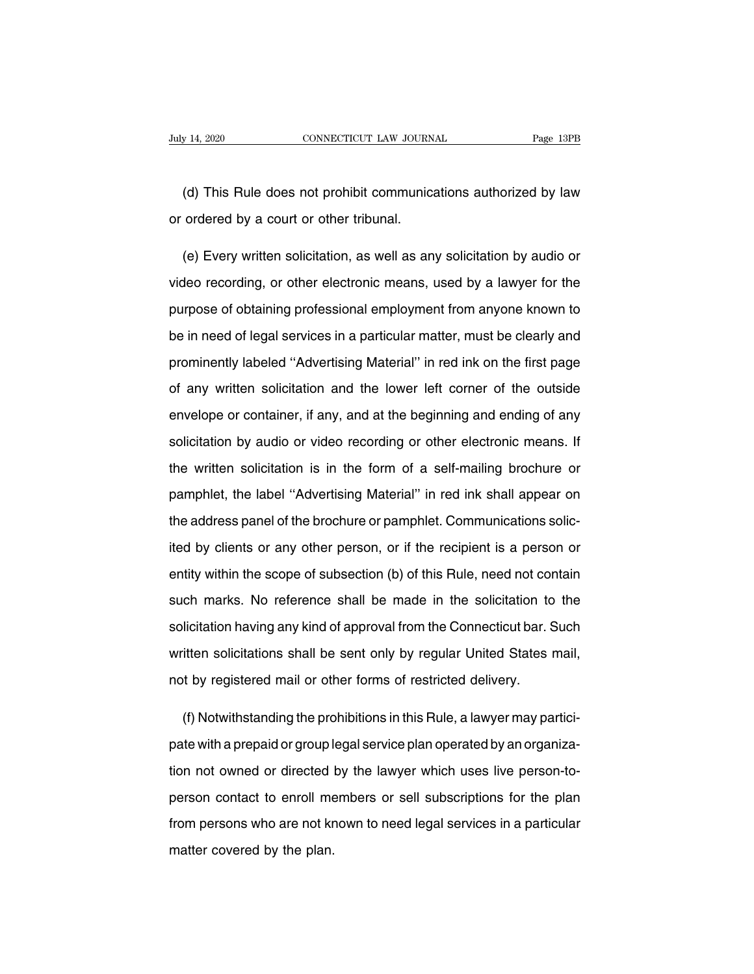Vert 14, 2020 CONNECTICUT LAW JOURNAL Page 13PB<br>(d) This Rule does not prohibit communications authorized by law<br>ordered by a court or other tribunal. July 14, 2020 CONNECTICUT LAW JOURN<br>
(d) This Rule does not prohibit communication<br>
or ordered by a court or other tribunal.

(d) This Rule does not prohibit communications authorized by law<br>ordered by a court or other tribunal.<br>(e) Every written solicitation, as well as any solicitation by audio or<br>deo recording, or other electronic means, used (d) This Rule does not prohibit communications authorized by law<br>or ordered by a court or other tribunal.<br>(e) Every written solicitation, as well as any solicitation by audio or<br>video recording, or other electronic means, or ordered by a court or other tribunal.<br>
(e) Every written solicitation, as well as any solicitation by audio or<br>
video recording, or other electronic means, used by a lawyer for the<br>
purpose of obtaining professional emp (e) Every written solicitation, as well as any solicitation by audio or<br>video recording, or other electronic means, used by a lawyer for the<br>purpose of obtaining professional employment from anyone known to<br>be in need of l video recording, or other electronic means, used by a lawyer for the purpose of obtaining professional employment from anyone known to be in need of legal services in a particular matter, must be clearly and prominently la purpose of obtaining professional employment from anyone known to<br>be in need of legal services in a particular matter, must be clearly and<br>prominently labeled "Advertising Material" in red ink on the first page<br>of any writ be in need of legal services in a particular matter, must be clearly and<br>prominently labeled "Advertising Material" in red ink on the first page<br>of any written solicitation and the lower left corner of the outside<br>envelope prominently labeled "Advertising Material" in red ink on the first page<br>of any written solicitation and the lower left corner of the outside<br>envelope or container, if any, and at the beginning and ending of any<br>solicitatio of any written solicitation and the lower left corner of the outside<br>envelope or container, if any, and at the beginning and ending of any<br>solicitation by audio or video recording or other electronic means. If<br>the written envelope or container, if any, and at the beginning and ending of any<br>solicitation by audio or video recording or other electronic means. If<br>the written solicitation is in the form of a self-mailing brochure or<br>pamphlet, t solicitation by audio or video recording or other electronic means. If<br>the written solicitation is in the form of a self-mailing brochure or<br>pamphlet, the label "Advertising Material" in red ink shall appear on<br>the address the written solicitation is in the form of a self-mailing brochure or<br>pamphlet, the label "Advertising Material" in red ink shall appear on<br>the address panel of the brochure or pamphlet. Communications solic-<br>ited by clien pamphlet, the label "Advertising Material" in red ink shall appear on<br>the address panel of the brochure or pamphlet. Communications solic-<br>ited by clients or any other person, or if the recipient is a person or<br>entity with the address panel of the brochure or pamphlet. Communications solicited by clients or any other person, or if the recipient is a person or entity within the scope of subsection (b) of this Rule, need not contain such marks ited by clients or any other person, or if the recipient is a person or<br>entity within the scope of subsection (b) of this Rule, need not contain<br>such marks. No reference shall be made in the solicitation to the<br>solicitatio entity within the scope of subsection (b) of this Rule, need not contain<br>such marks. No reference shall be made in the solicitation to the<br>solicitation having any kind of approval from the Connecticut bar. Such<br>written sol such marks. No reference shall be made in the solicitation to solicitation having any kind of approval from the Connecticut bar. S written solicitations shall be sent only by regular United States in not by registered mail licitation having any kind of approval from the Connecticut bar. Such<br>itten solicitations shall be sent only by regular United States mail,<br>it by registered mail or other forms of restricted delivery.<br>(f) Notwithstanding t

written solicitations shall be sent only by regular United States mail,<br>not by registered mail or other forms of restricted delivery.<br>(f) Notwithstanding the prohibitions in this Rule, a lawyer may partici-<br>pate with a pre the not by registered mail or other forms of restricted delivery.<br>
(f) Notwithstanding the prohibitions in this Rule, a lawyer may partici-<br>
pate with a prepaid or group legal service plan operated by an organiza-<br>
tion no (f) Notwithstanding the prohibitions in this Rule, a lawyer may partici-<br>pate with a prepaid or group legal service plan operated by an organiza-<br>tion not owned or directed by the lawyer which uses live person-to-<br>person c pate with a prepaid or group legal service plan operated by an organization not owned or directed by the lawyer which uses live person-to-<br>person contact to enroll members or sell subscriptions for the plan<br>from persons wh matter covered or directed by the plan.<br>
from persons who are not know the plan.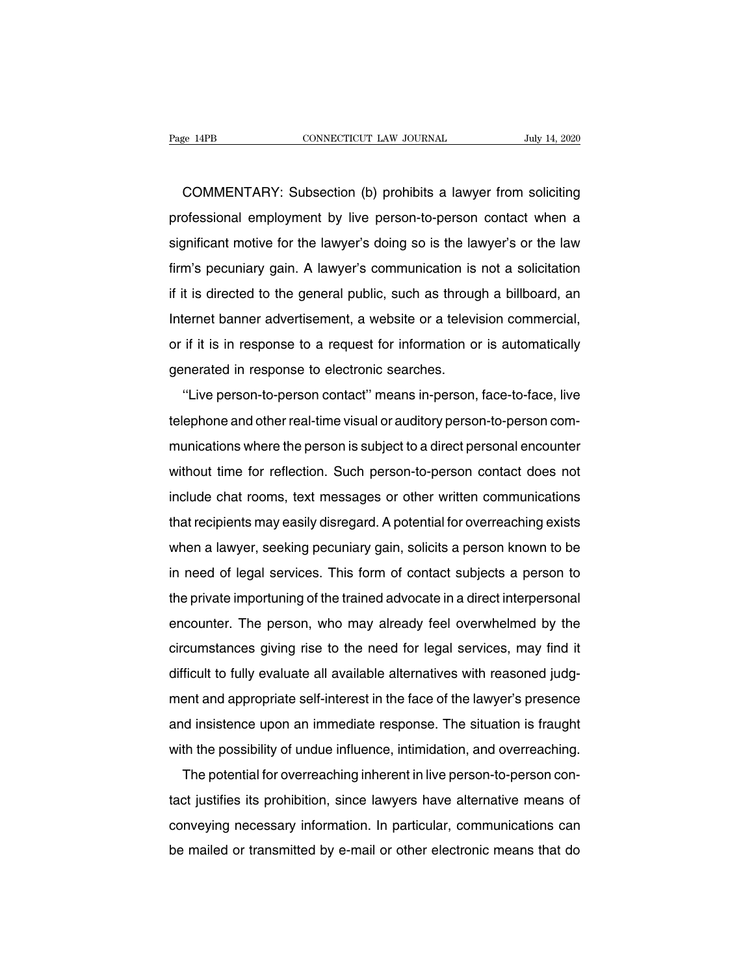COMMENTARY: Subsection (b) prohibits a lawyer from soliciting<br>COMMENTARY: Subsection (b) prohibits a lawyer from soliciting<br>ofessional employment by live person-to-person contact when a Page 14PB CONNECTICUT LAW JOURNAL July 14, 2020<br>
COMMENTARY: Subsection (b) prohibits a lawyer from soliciting<br>
professional employment by live person-to-person contact when a<br>
significant motive for the lawyer's doing so COMMENTARY: Subsection (b) prohibits a lawyer from soliciting<br>professional employment by live person-to-person contact when a<br>significant motive for the lawyer's doing so is the lawyer's or the law<br>firm's pecuniary gain. A COMMENTARY: Subsection (b) prohibits a lawyer from soliciting<br>professional employment by live person-to-person contact when a<br>significant motive for the lawyer's doing so is the lawyer's or the law<br>firm's pecuniary gain. A professional employment by live person-to-person contact when a<br>significant motive for the lawyer's doing so is the lawyer's or the law<br>firm's pecuniary gain. A lawyer's communication is not a solicitation<br>if it is directe Brotessional employment by tive person-to-person contact when a<br>significant motive for the lawyer's doing so is the lawyer's or the law<br>firm's pecuniary gain. A lawyer's communication is not a solicitation<br>if it is directe signmeant motive for the lawyer's doing so is the lawyer's of the law<br>firm's pecuniary gain. A lawyer's communication is not a solicitation<br>if it is directed to the general public, such as through a billboard, an<br>Internet if it is directed to the general public, such as throughternet banner advertisement, a website or a televior if it is in response to a request for information of generated in response to electronic searches.<br>"Live person-t The state of the general public, such as throught a biliboard, and<br>
liernet banner advertisement, a website or a television commercial,<br>
if it is in response to a request for information or is automatically<br>
inerated in re

the the transfer advertisement, a website of a television commercial,<br>or if it is in response to a request for information or is automatically<br>generated in response to electronic searches.<br>"Live person-to-person contact" m generated in response to a request for information of is automatically<br>generated in response to electronic searches.<br>"Live person-to-person contact" means in-person, face-to-face, live<br>telephone and other real-time visual "Live person-to-person contact" means in-person, face-to-face, live<br>telephone and other real-time visual or auditory person-to-person com-<br>munications where the person is subject to a direct personal encounter<br>without time Live person-to-person contact "means in-person, race-to-race, live<br>telephone and other real-time visual or auditory person-to-person com-<br>munications where the person is subject to a direct personal encounter<br>without time telephone and other real-time visual or additiory person-to-person com-<br>munications where the person is subject to a direct personal encounter<br>without time for reflection. Such person-to-person contact does not<br>include cha manications where the person is stupect to a direct personal encounter<br>without time for reflection. Such person-to-person contact does not<br>include chat rooms, text messages or other written communications<br>that recipients m include chat rooms, text messages or other written communications<br>that recipients may easily disregard. A potential for overreaching exists<br>when a lawyer, seeking pecuniary gain, solicits a person known to be<br>in need of le that recipients may easily disregard. A potential for overreaching exists<br>when a lawyer, seeking pecuniary gain, solicits a person known to be<br>in need of legal services. This form of contact subjects a person to<br>the privat mat recipients may easily distegatd. A potential for overreacting exists<br>when a lawyer, seeking pecuniary gain, solicits a person known to be<br>in need of legal services. This form of contact subjects a person to<br>the private when a lawyer, seeking pecuritary gain, solicits a person known to be<br>in need of legal services. This form of contact subjects a person to<br>the private importuning of the trained advocate in a direct interpersonal<br>encounter In heed of legal services. This form of contact subjects a person to<br>the private importuning of the trained advocate in a direct interpersonal<br>encounter. The person, who may already feel overwhelmed by the<br>circumstances gi ment and appropriate self-interest in a direct interpersonal<br>encounter. The person, who may already feel overwhelmed by the<br>circumstances giving rise to the need for legal services, may find it<br>difficult to fully evaluate encounter. The person, who may already feer overwhenhed by the<br>circumstances giving rise to the need for legal services, may find it<br>difficult to fully evaluate all available alternatives with reasoned judg-<br>ment and appro difficult to fully evaluate all available alternatives with reasoned judgment and appropriate self-interest in the face of the lawyer's presence and insistence upon an immediate response. The situation is fraught with the The potential for overreaching inherent in the face of the lawyer's presence<br>d insistence upon an immediate response. The situation is fraught<br>th the possibility of undue influence, intimidation, and overreaching.<br>The pote

thent and appropriate sen-interest in the face of the lawyer's presence<br>and insistence upon an immediate response. The situation is fraught<br>with the possibility of undue influence, intimidation, and overreaching.<br>The poten and insistence upon an immediate response. The situation is haught<br>with the possibility of undue influence, intimidation, and overreaching.<br>The potential for overreaching inherent in live person-to-person con-<br>tact justifi Which the possibility of unique inhuence, intimidation, and overleaching.<br>The potential for overreaching inherent in live person-to-person con-<br>tact justifies its prohibition, since lawyers have alternative means of<br>convey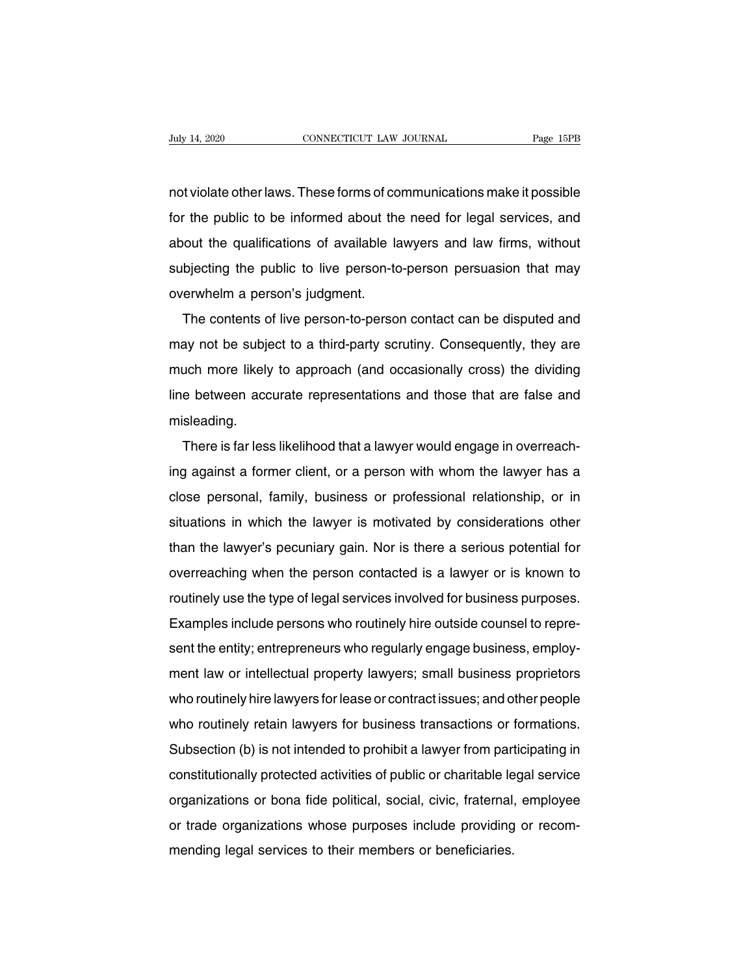Nuly 14, 2020 CONNECTICUT LAW JOURNAL Page 15PB<br>not violate other laws. These forms of communications make it possible<br>for the public to be informed about the need for legal services, and Fage 15PB<br>not violate other laws. These forms of communications make it possible<br>for the public to be informed about the need for legal services, and<br>about the qualifications of available lawyers and law firms, without about the public to be informed about the need for legal services, and<br>about the qualifications of available lawyers and law firms, without<br>subjecting the public to live person-to-person persuasion that may not violate other laws. These forms of communications make it possible<br>for the public to be informed about the need for legal services, and<br>about the qualifications of available lawyers and law firms, without<br>subjecting th For the public to be informed about the<br>about the qualifications of available la<br>subjecting the public to live person-to<br>overwhelm a person's judgment.<br>The contents of live person-to-perso The public to be informed about the need for legal services, and<br>out the qualifications of available lawyers and law firms, without<br>bjecting the public to live person-to-person persuasion that may<br>erwhelm a person's judgme

about the qualifications of available lawyers and law firms, whilout<br>subjecting the public to live person-to-person persuasion that may<br>overwhelm a person's judgment.<br>The contents of live person-to-person contact can be di subjecting the public to the person-to-person persuasion that may<br>overwhelm a person's judgment.<br>The contents of live person-to-person contact can be disputed and<br>may not be subject to a third-party scrutiny. Consequently, The contents of live person-to-person contact can be disputed and<br>may not be subject to a third-party scrutiny. Consequently, they are<br>much more likely to approach (and occasionally cross) the dividing<br>line between accurat misleading. may not be subject to a third-party scrutiny. Consequently, they are<br>much more likely to approach (and occasionally cross) the dividing<br>line between accurate representations and those that are false and<br>misleading.<br>There i

ing between accurate representations and those that are false and<br>misleading.<br>There is far less likelihood that a lawyer would engage in overreach-<br>ing against a former client, or a person with whom the lawyer has a<br>close misleading.<br>There is far less likelihood that a lawyer would engage in overreach-<br>ing against a former client, or a person with whom the lawyer has a<br>close personal, family, business or professional relationship, or in<br>sit There is far less likelihood that a lawyer would engage in overreach-<br>ing against a former client, or a person with whom the lawyer has a<br>close personal, family, business or professional relationship, or in<br>situations in w There is iar less likelihood that a lawyer would engage in overleach-<br>ing against a former client, or a person with whom the lawyer has a<br>close personal, family, business or professional relationship, or in<br>situations in w rig against a former chent, or a person with whom the lawyer has a<br>close personal, family, business or professional relationship, or in<br>situations in which the lawyer is motivated by considerations other<br>than the lawyer's close personal, family, business or professional relationship, or in<br>situations in which the lawyer is motivated by considerations other<br>than the lawyer's pecuniary gain. Nor is there a serious potential for<br>overreaching w Shuations in which the lawyer is motivated by considerations other<br>than the lawyer's pecuniary gain. Nor is there a serious potential for<br>overreaching when the person contacted is a lawyer or is known to<br>routinely use the shows botential for overreaching when the person contacted is a lawyer or is known to routinely use the type of legal services involved for business purposes.<br>Examples include persons who routinely hire outside counsel to routinely use the type of legal services involved for business purposes.<br>Examples include persons who routinely hire outside counsel to repre-<br>sent the entity; entrepreneurs who regularly engage business, employ-<br>ment law Framples include persons who routinely hire outside counsel to represent the entity; entrepreneurs who regularly engage business, employment law or intellectual property lawyers; small business proprietors who routinely hi Examples include persons who routinely rife outside counser to represent the entity; entrepreneurs who regularly engage business, employment law or intellectual property lawyers; small business proprietors who routinely hi Sent the entity, entrepreneurs who regularly engage business, employ-<br>ment law or intellectual property lawyers; small business proprietors<br>who routinely hire lawyers for lease or contract issues; and other people<br>who rout ment law of intellectual property lawyers, sinan business prophetors<br>who routinely hire lawyers for lease or contract issues; and other people<br>who routinely retain lawyers for business transactions or formations.<br>Subsectio who routinely rife lawyers for lease of conflact issues, and other people<br>who routinely retain lawyers for business transactions or formations.<br>Subsection (b) is not intended to prohibit a lawyer from participating in<br>cons who fournery fetam lawyers for business transactions of formations.<br>Subsection (b) is not intended to prohibit a lawyer from participating in<br>constitutionally protected activities of public or charitable legal service<br>orga Subsection (b) is not interided to prombit a lawyer from particonstitutionally protected activities of public or charitable le<br>organizations or bona fide political, social, civic, fraternal<br>or trade organizations whose pur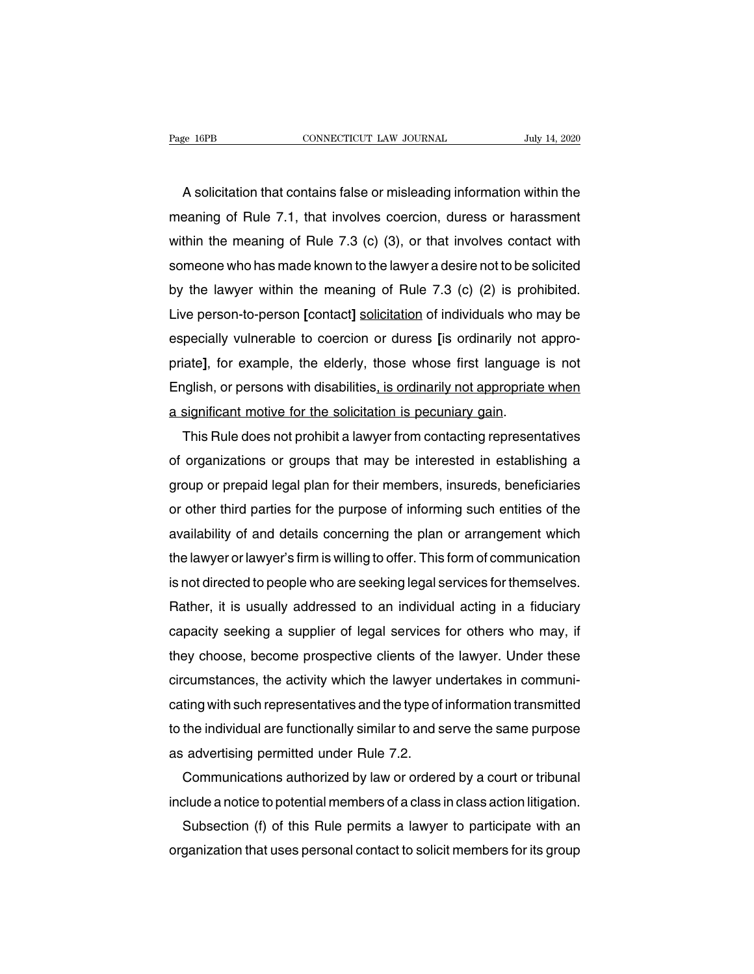EXEMBERTHE CONNECTICUT LAW JOURNAL THAT THE SAME THAT A SOLICITATION that contains false or misleading information within the saning of Rule 7.1, that involves coercion, duress or harassment Page 16PB CONNECTICUT LAW JOURNAL July 14, 2020<br>A solicitation that contains false or misleading information within the<br>meaning of Rule 7.1, that involves coercion, duress or harassment<br>within the meaning of Rule 7.3 (c) ( A solicitation that contains false or misleading information within the<br>meaning of Rule 7.1, that involves coercion, duress or harassment<br>within the meaning of Rule 7.3 (c) (3), or that involves contact with<br>someone who ha A solicitation that contains false or misleading information within the meaning of Rule 7.1, that involves coercion, duress or harassment within the meaning of Rule 7.3 (c) (3), or that involves contact with someone who ha A solicitation that contains talse or misleading information within the<br>meaning of Rule 7.1, that involves coercion, duress or harassment<br>within the meaning of Rule 7.3 (c) (3), or that involves contact with<br>someone who ha meaning of Hule 7.1, that involves coercion, duress or harassment<br>within the meaning of Rule 7.3 (c) (3), or that involves contact with<br>someone who has made known to the lawyer a desire not to be solicited<br>by the lawyer wi within the meaning of Rule 7.3 (c) (3), or that involves contact with<br>someone who has made known to the lawyer a desire not to be solicited<br>by the lawyer within the meaning of Rule 7.3 (c) (2) is prohibited.<br>Live person-to someone who has made known to the lawyer a desire not to be solicited<br>by the lawyer within the meaning of Rule 7.3 (c) (2) is prohibited.<br>Live person-to-person [contact] <u>solicitation</u> of individuals who may be<br>especially by the lawyer within the meaning of Hule 7.3 (c) (2) is prohibited.<br>Live person-to-person [contact] solicitation of individuals who may be<br>especially vulnerable to coercion or duress [is ordinarily not appro-<br>priate], for Live person-to-person [contact] solicitation of individuals who respecially vulnerable to coercion or duress [is ordinarily not priate], for example, the elderly, those whose first language English, or persons with disabil pecially vulnerable to coercion or duress [is ordinarily not appro-<br>iate], for example, the elderly, those whose first language is not<br>ignificant motive for the solicitation is pecuniary gain.<br>This Rule does not prohibit a

priate], for example, the elderly, those whose first language is not<br>English, or persons with disabilities<u>, is ordinarily not appropriate when</u><br>a significant motive for the solicitation is pecuniary gain.<br>This Rule does n English, or persons with disabilities<u>, is ordinarily not appropriate when</u><br>a significant motive for the solicitation is pecuniary gain.<br>This Rule does not prohibit a lawyer from contacting representatives<br>of organizations a significant motive for the solicitation is pecuniary gain.<br>This Rule does not prohibit a lawyer from contacting representatives<br>of organizations or groups that may be interested in establishing a<br>group or prepaid legal p I his Rule does not prohibit a lawyer from contacting representatives<br>of organizations or groups that may be interested in establishing a<br>group or prepaid legal plan for their members, insureds, beneficiaries<br>or other thir of organizations or groups that may be interested in establishing a<br>group or prepaid legal plan for their members, insureds, beneficiaries<br>or other third parties for the purpose of informing such entities of the<br>availabili group or prepaid legal plan for their members, insureds, beneficiaries<br>or other third parties for the purpose of informing such entities of the<br>availability of and details concerning the plan or arrangement which<br>the lawye or other third parties for the purpose of informing such entities of the<br>availability of and details concerning the plan or arrangement which<br>the lawyer or lawyer's firm is willing to offer. This form of communication<br>is n availability of and details concerning the plan or arrangement which<br>the lawyer or lawyer's firm is willing to offer. This form of communication<br>is not directed to people who are seeking legal services for themselves.<br>Rath the lawyer or lawyer's firm is willing to offer. I his form of communication<br>is not directed to people who are seeking legal services for themselves.<br>Rather, it is usually addressed to an individual acting in a fiduciary<br>c is not directed to people who are seeking legal services for themselves.<br>Rather, it is usually addressed to an individual acting in a fiduciary<br>capacity seeking a supplier of legal services for others who may, if<br>they choo Hather, it is usually addressed to an individual acting in a fiduciary<br>capacity seeking a supplier of legal services for others who may, if<br>they choose, become prospective clients of the lawyer. Under these<br>circumstances, capacity seeking a supplier of legal services for others who may, if<br>they choose, become prospective clients of the lawyer. Under these<br>circumstances, the activity which the lawyer undertakes in communi-<br>cating with such r they choose, become prospective clients of the<br>circumstances, the activity which the lawyer un<br>cating with such representatives and the type of<br>to the individual are functionally similar to and s<br>as advertising permitted u cumstances, the activity which the lawyer undertakes in communiting with such representatives and the type of information transmitted<br>the individual are functionally similar to and serve the same purpose<br>advertising permit cating with such representatives and the type of information transmitted<br>to the individual are functionally similar to and serve the same purpose<br>as advertising permitted under Rule 7.2.<br>Communications authorized by law or

as advertising permitted under Rule 7.2.<br>Communications authorized by law or ordered by a court or tribunal<br>include a notice to potential members of a class in class action litigation.<br>Subsection (f) of this Rule permits a

the individual are tunctionally similar to and serve the same purpose<br>advertising permitted under Rule 7.2.<br>Communications authorized by law or ordered by a court or tribunal<br>clude a notice to potential members of a class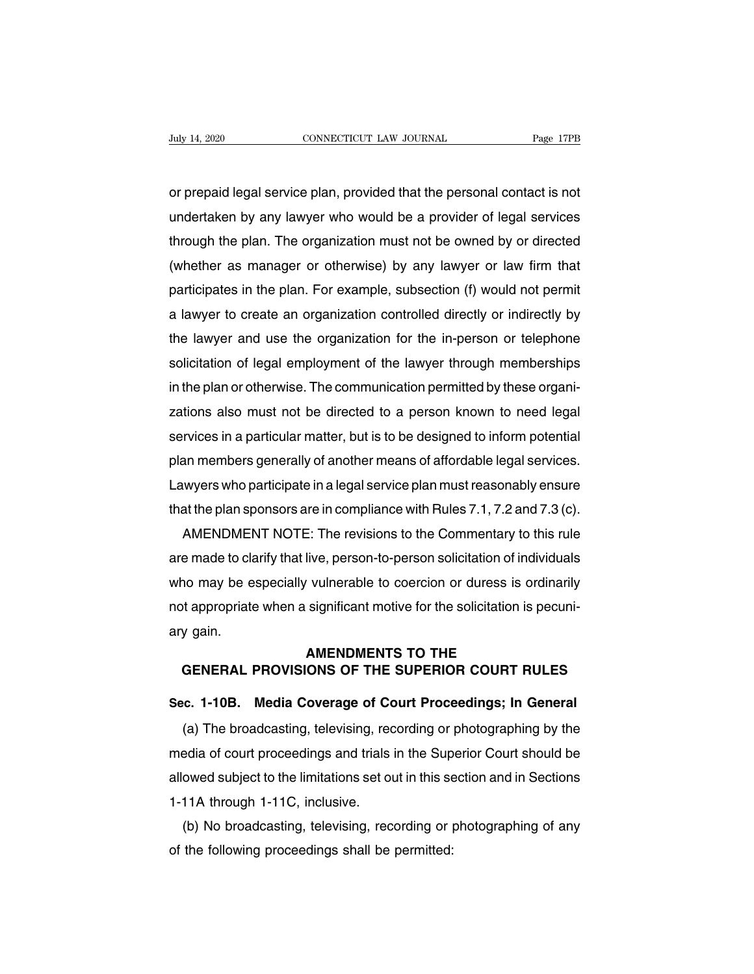Vuly 14, 2020<br>
or prepaid legal service plan, provided that the personal contact is not<br>
undertaken by any lawyer who would be a provider of legal services Undertaken by any lawyer who would be a provider of legal service plane provided that the personal contact is not<br>undertaken by any lawyer who would be a provider of legal services<br>through the plan. The organization must n or prepaid legal service plan, provided that the personal contact is not<br>undertaken by any lawyer who would be a provider of legal services<br>through the plan. The organization must not be owned by or directed<br>(whether as ma or prepaid legal service plan, provided that the personal contact is not<br>undertaken by any lawyer who would be a provider of legal services<br>through the plan. The organization must not be owned by or directed<br>(whether as ma or prepaid legal service plan, provided that the personal contact is not<br>undertaken by any lawyer who would be a provider of legal services<br>through the plan. The organization must not be owned by or directed<br>(whether as ma undertaken by any lawyer who would be a provider of legal services<br>through the plan. The organization must not be owned by or directed<br>(whether as manager or otherwise) by any lawyer or law firm that<br>participates in the pl through the plan. The organization must not be owned by or directed<br>(whether as manager or otherwise) by any lawyer or law firm that<br>participates in the plan. For example, subsection (f) would not permit<br>a lawyer to create (whether as manager or otherwise) by any lawyer or law tirm that<br>participates in the plan. For example, subsection (f) would not permit<br>a lawyer to create an organization controlled directly or indirectly by<br>the lawyer and participates in the plan. For example, subsection (f) would not permit<br>a lawyer to create an organization controlled directly or indirectly by<br>the lawyer and use the organization for the in-person or telephone<br>solicitation a lawyer to create an organization controlled directly or indirectly by<br>the lawyer and use the organization for the in-person or telephone<br>solicitation of legal employment of the lawyer through memberships<br>in the plan or o the lawyer and use the organization for the in-person or telephone<br>solicitation of legal employment of the lawyer through memberships<br>in the plan or otherwise. The communication permitted by these organi-<br>zations also must solicitation of legal employment of the lawyer through memberships<br>in the plan or otherwise. The communication permitted by these organi-<br>zations also must not be directed to a person known to need legal<br>services in a part in the plan or otherwise. The communication permitted by these organizations also must not be directed to a person known to need legal services in a particular matter, but is to be designed to inform potential plan members zations also must not be directed to a person known to need legal<br>services in a particular matter, but is to be designed to inform potential<br>plan members generally of another means of affordable legal services.<br>Lawyers who rvices in a particular matter, but is to be designed to inform potential<br>an members generally of another means of affordable legal services.<br>wyers who participate in a legal service plan must reasonably ensure<br>at the plan

plan members generally of another means of attordable legal services.<br>Lawyers who participate in a legal service plan must reasonably ensure<br>that the plan sponsors are in compliance with Rules 7.1, 7.2 and 7.3 (c).<br>AMENDME Lawyers who participate in a legal service plan must reasonably ensure<br>that the plan sponsors are in compliance with Rules 7.1, 7.2 and 7.3 (c).<br>AMENDMENT NOTE: The revisions to the Commentary to this rule<br>are made to clar that the plan sponsors are in compliance with Hules 7.1, 7.2 and 7.3 (c).<br>AMENDMENT NOTE: The revisions to the Commentary to this rule<br>are made to clarify that live, person-to-person solicitation of individuals<br>who may be AMENDMEN<br>are made to cla<br>who may be e<br>not appropriate<br>ary gain. live, person-to-person solicitation of indi<br>
vulnerable to coercion or duress is or<br>
significant motive for the solicitation is<br> **AMENDMENTS TO THE<br>
ONS OF THE SUPERIOR COURT RL Example 10 may be especially vulnerable to coercion or duress is ordinarily<br>
depropriate when a significant motive for the solicitation is pecuni-<br>
<b>GENERAL PROVISIONS OF THE SUPERIOR COURT RULES**<br> **GENERAL PROVISIONS OF** not appropriate when a significant motive for the solicitation is pecuni-<br>ary gain.<br>**AMENDMENTS TO THE<br>GENERAL PROVISIONS OF THE SUPERIOR COURT RULES<br>Sec. 1-10B. Media Coverage of Court Proceedings; In General<br>(a) The broa** 

MENDMENTS TO THE<br>
GENERAL PROVISIONS OF THE SUPERIOR COURT RULES<br>
c. 1-10B. Media Coverage of Court Proceedings; In General<br>
(a) The broadcasting, televising, recording or photographing by the<br>
edia of court proceedings an GENERAL PROVISIONS OF THE SUPERIOR COURT RULES<br>Sec. 1-10B. Media Coverage of Court Proceedings; In General<br>(a) The broadcasting, televising, recording or photographing by the<br>media of court proceedings and trials in the Su Sec. 1-10B. Media Coverage of Court Proceedings; In General<br>(a) The broadcasting, televising, recording or photographing by the<br>media of court proceedings and trials in the Superior Court should be<br>allowed subject to the l Sec. 1-10B. Media Coverage of Co.<br>
(a) The broadcasting, televising, rec<br>
media of court proceedings and trials<br>
allowed subject to the limitations set or<br>
1-11A through 1-11C, inclusive.<br>
(b) No broadcasting, televising, (a) The broadcasting, televising, recording or photographing by the<br>edia of court proceedings and trials in the Superior Court should be<br>owed subject to the limitations set out in this section and in Sections<br>11A through 1 media of court proceedings and trials in the Sup<br>allowed subject to the limitations set out in this se<br>1-11A through 1-11C, inclusive.<br>(b) No broadcasting, televising, recording or pof the following proceedings shall be pe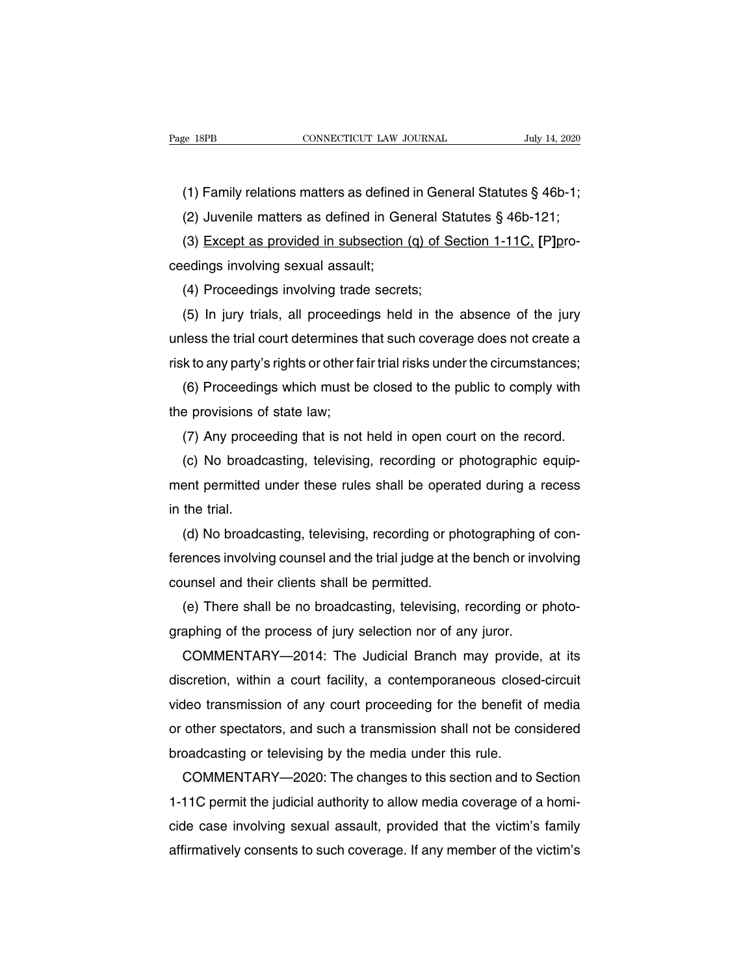(1) Family relations matters as defined in General Statutes § 46b-1;<br>(2) Juvenile matters as defined in General Statutes § 46b-1;<br>(2) Juvenile matters as defined in General Statutes § 46b-121;

e 18PB<br>
(1) Family relations matters as defined in General Statutes § 46b-1;<br>
(2) Juvenile matters as defined in General Statutes § 46b-121;<br>
(3) Except as provided in subsection (q) of Section 1-11C, [P]pro-(1) Family relations matters as defined in General Statutes § 46b-1;<br>(2) Juvenile matters as defined in General Statutes § 46b-121;<br>(3) Except as provided in subsection (q) of Section 1-11C, [P]pro-<br>edings involving sexual (1) Family relations matters as defined<br>(2) Juvenile matters as defined in Ge<br>(3) <u>Except as provided in subsection</u><br>ceedings involving sexual assault;<br>(4) Proceedings involving trade secre (1) Family relations matters as defined in General St.<br>(2) Juvenile matters as defined in General St.<br>(3) Except as provided in subsection (q) of Secretings involving sexual assault;<br>(4) Proceedings involving trade secrets

(2) Juvenile matters as defined in General Statutes  $\S$  46b-121;<br>
(3) Except as provided in subsection (q) of Section 1-11C, [P]pro-<br>
edings involving sexual assault;<br>
(4) Proceedings involving trade secrets;<br>
(5) In jury (3) Except as provided in subsection (q) of Section 1-11C, [P]pro-<br>ceedings involving sexual assault;<br>(4) Proceedings involving trade secrets;<br>(5) In jury trials, all proceedings held in the absence of the jury<br>unless the ceedings involving sexual assault;<br>
(4) Proceedings involving trade secrets;<br>
(5) In jury trials, all proceedings held in the absence of the jury<br>
unless the trial court determines that such coverage does not create a<br>
ris (4) Proceedings involving trade secrets;<br>(5) In jury trials, all proceedings held in the absence of the jury<br>less the trial court determines that such coverage does not create a<br>k to any party's rights or other fair trial (5) In jury trials, all proceedin<br>unless the trial court determines t<br>risk to any party's rights or other fa<br>(6) Proceedings which must be<br>the provisions of state law;<br>(7) Any proceeding that is not

lless the trial court determines that such coverage does not create a<br>k to any party's rights or other fair trial risks under the circumstances;<br>(6) Proceedings which must be closed to the public to comply with<br>e provision

k to any party's rights or other fair trial risks under the circumstances;<br>(6) Proceedings which must be closed to the public to comply with<br>e provisions of state law;<br>(7) Any proceeding that is not held in open court on t (6) Proceedings which must be closed to the public to comply with<br>the provisions of state law;<br>(7) Any proceeding that is not held in open court on the record.<br>(c) No broadcasting, televising, recording or photographic equ the provisions of<br>(7) Any proce<br>(c) No broadc<br>ment permitted<br>in the trial.<br>(d) No broadc (7) Any proceeding that is not held in open court on the record.<br>
(c) No broadcasting, televising, recording or photographic equip-<br>
ent permitted under these rules shall be operated during a recess<br>
the trial.<br>
(d) No bro

(c) No broadcasting, televising, recording or photographic equip-<br>ment permitted under these rules shall be operated during a recess<br>in the trial.<br>(d) No broadcasting, televising, recording or photographing of con-<br>ference ment permitted under these rules shall be operat<br>in the trial.<br>(d) No broadcasting, televising, recording or phe<br>ferences involving counsel and the trial judge at the<br>counsel and their clients shall be permitted.<br>(e) There the trial.<br>(d) No broadcasting, televising, recording or photographing of con-<br>rences involving counsel and the trial judge at the bench or involving<br>unsel and their clients shall be permitted.<br>(e) There shall be no broadc (d) No broadcasting, televising, recording or photographing of the prences involving counsel and the trial judge at the bench or invicounsel and their clients shall be permitted.<br>
(e) There shall be no broadcasting, televi

rences involving counsel and the trial judge at the bench or involving<br>unsel and their clients shall be permitted.<br>(e) There shall be no broadcasting, televising, recording or photo-<br>aphing of the process of jury selection counsel and their clients shall be permitted.<br>
(e) There shall be no broadcasting, televising, recording or photo-<br>
graphing of the process of jury selection nor of any juror.<br>
COMMENTARY—2014: The Judicial Branch may prov (e) There shall be no broadcasting, televising, recording or photo-<br>graphing of the process of jury selection nor of any juror.<br>COMMENTARY—2014: The Judicial Branch may provide, at its<br>discretion, within a court facility, graphing of the process of jury selection nor of any juror.<br>
COMMENTARY—2014: The Judicial Branch may provide, at its<br>
discretion, within a court facility, a contemporaneous closed-circuit<br>
video transmission of any court COMMENTARY—2014: The Judicial Branch may provide<br>discretion, within a court facility, a contemporaneous closed<br>video transmission of any court proceeding for the benefit of<br>or other spectators, and such a transmission shal scretion, within a court facility, a contemporaneous closed-circuit<br>deo transmission of any court proceeding for the benefit of media<br>other spectators, and such a transmission shall not be considered<br>oadcasting or televisi

video transmission of any court proceeding for the benefit of media<br>or other spectators, and such a transmission shall not be considered<br>broadcasting or televising by the media under this rule.<br>COMMENTARY—2020: The changes or other spectators, and such a transmission shall not be considered<br>broadcasting or televising by the media under this rule.<br>COMMENTARY—2020: The changes to this section and to Section<br>1-11C permit the judicial authority broadcasting or televising by the media under this rule.<br>COMMENTARY—2020: The changes to this section and to Section<br>1-11C permit the judicial authority to allow media coverage of a homi-<br>cide case involving sexual assault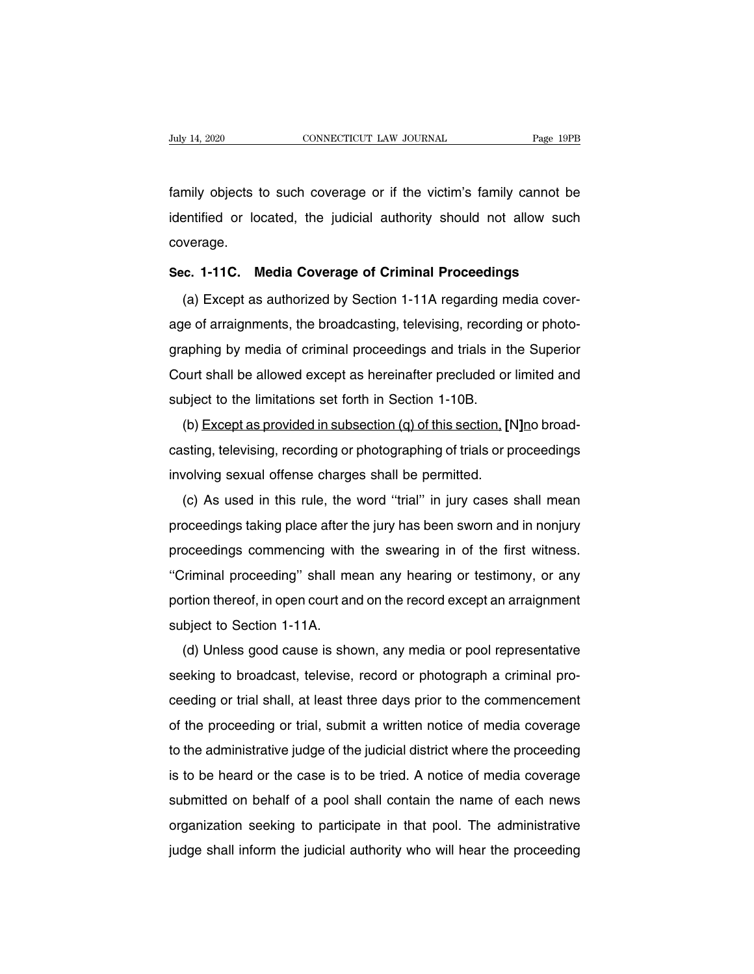Family 14, 2020 CONNECTICUT LAW JOURNAL Page 19PB<br>family objects to such coverage or if the victim's family cannot be<br>identified or located, the judicial authority should not allow such Indy 14, 2020 CONNECTICUT LAW JOURNAL Page 19PB<br>family objects to such coverage or if the victim's family cannot be<br>identified or located, the judicial authority should not allow such<br>coverage. coverage. Family objects to such coverage or if the victim's family cannot be<br>identified or located, the judicial authority should not allow such<br>coverage.<br>Sec. 1-11C. Media Coverage of Criminal Proceedings<br>(a) Except as authorized entified or located, the judicial authority should not allow such<br>verage.<br>c. 1-11C. Media Coverage of Criminal Proceedings<br>(a) Except as authorized by Section 1-11A regarding media cover-<br>e of arraignments, the broadcastin

coverage.<br>
Sec. 1-11C. Media Coverage of Criminal Proceedings<br>
(a) Except as authorized by Section 1-11A regarding media cover-<br>
age of arraignments, the broadcasting, televising, recording or photo-<br>
graphing by media of Sec. 1-11C. Media Coverage of Criminal Proceedings<br>(a) Except as authorized by Section 1-11A regarding media cover-<br>age of arraignments, the broadcasting, televising, recording or photo-<br>graphing by media of criminal proce (a) Except as authorized by Section 1-11A regarding media cover-<br>age of arraignments, the broadcasting, televising, recording or photo-<br>graphing by media of criminal proceedings and trials in the Superior<br>Court shall be al (a) Except as authorized by Section 1-11A regarding m<br>age of arraignments, the broadcasting, televising, recording<br>raphing by media of criminal proceedings and trials in the<br>Court shall be allowed except as hereinafter pr (b) except as provided in subsection (q) of this section, **[N]**<br>
(b) Except as provided in subsection (q) of this section, **[N]**no broad-<br>
(b) Except as provided in subsection (q) of this section, **[N]**no broad-<br>
sting, te

graphing by media or chiminal proceedings and thats in the superior<br>Court shall be allowed except as hereinafter precluded or limited and<br>subject to the limitations set forth in Section 1-10B.<br>(b) Except as provided in sub Count shall be allowed except as herelihater precided of<br>subject to the limitations set forth in Section 1-10B.<br>(b) Except as provided in subsection (q) of this section. [N<br>casting, televising, recording or photographing o (b) Except as provided in subsection (q) of this section. [N]no broad-<br>sting, televising, recording or photographing of trials or proceedings<br>volving sexual offense charges shall be permitted.<br>(c) As used in this rule, the

proceedings taking place after the jury has been sworn and in nonjury proceedings commencing with the swearing in of the first witness. Let the proceedings are proceedings involving sexual offense charges shall be permitted.<br>
(c) As used in this rule, the word "trial" in jury cases shall mean<br>
proceedings taking place after the jury has been sworn and in n Throuving sexual offerise charges shall be permitted.<br>
(c) As used in this rule, the word "trial" in jury cases shall mean<br>
proceedings taking place after the jury has been sworn and in nonjury<br>
proceedings commencing with (c) As used in this rule, the word that in jury cases shall mean<br>proceedings taking place after the jury has been sworn and in nonjury<br>proceedings commencing with the swearing in of the first witness.<br>"Criminal proceeding" proceedings taking place after to<br>proceedings commencing with<br>"Criminal proceeding" shall me<br>portion thereof, in open court an<br>subject to Section 1-11A.<br>(d) Unless good cause is sho Coceedings commencing with the swearing in of the first withess.<br>Criminal proceeding" shall mean any hearing or testimony, or any<br>ortion thereof, in open court and on the record except an arraignment<br>bject to Section 1-11A

Chininal proceeding Shall mean any healting or testimony, or any<br>portion thereof, in open court and on the record except an arraignment<br>subject to Section 1-11A.<br>(d) Unless good cause is shown, any media or pool representa portion thereor, in open court and on the record except an analymment<br>subject to Section 1-11A.<br>(d) Unless good cause is shown, any media or pool representative<br>seeking to broadcast, televise, record or photograph a crimin subject to section 1-11A.<br>
(d) Unless good cause is shown, any media or pool representative<br>
seeking to broadcast, televise, record or photograph a criminal pro-<br>
ceeding or trial shall, at least three days prior to the co (a) Onless good cause is shown, any media or pool representative<br>seeking to broadcast, televise, record or photograph a criminal pro-<br>ceeding or trial shall, at least three days prior to the commencement<br>of the proceeding seeking to broadcast, televise, record or photograph a chiminal pro-<br>ceeding or trial shall, at least three days prior to the commencement<br>of the proceeding or trial, submit a written notice of media coverage<br>to the admini deeding of that shall, at least three days phor to the commendement<br>of the proceeding or trial, submit a written notice of media coverage<br>to the administrative judge of the judicial district where the proceeding<br>is to be h or the proceeding or that, submit a whiten notice or media coverage<br>to the administrative judge of the judicial district where the proceeding<br>is to be heard or the case is to be tried. A notice of media coverage<br>submitted is to be heard or the case is to be tried. A notice of media coverage<br>submitted on behalf of a pool shall contain the name of each news<br>organization seeking to participate in that pool. The administrative<br>judge shall infor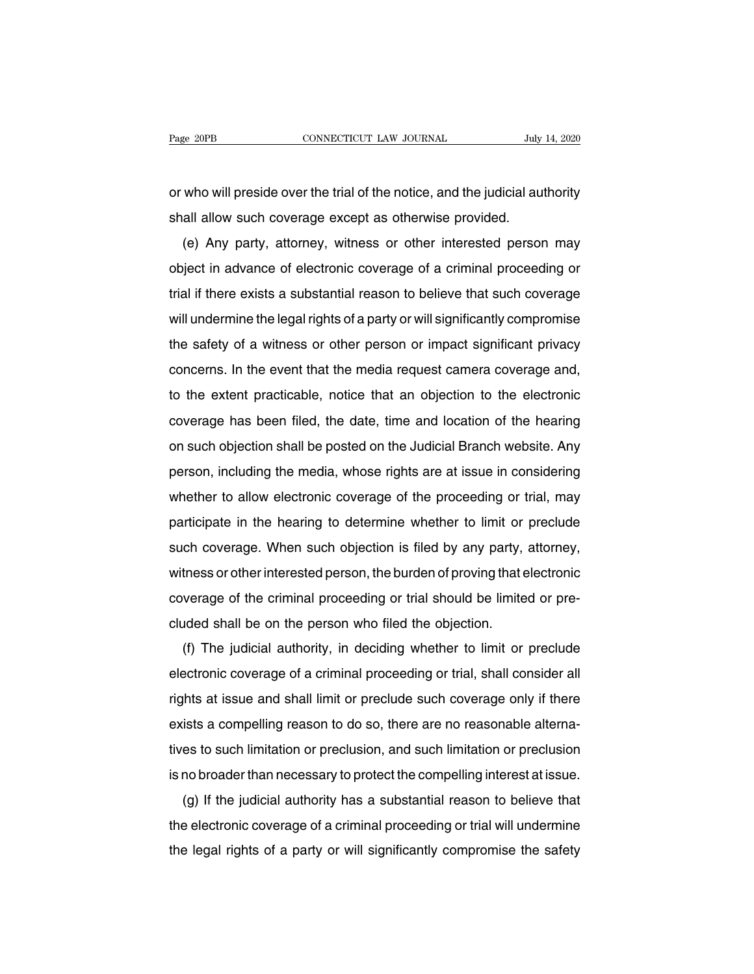Page 20PB<br>
cONNECTICUT LAW JOURNAL<br>
or who will preside over the trial of the notice, and the judicial authority<br>
shall allow such coverage except as otherwise provided. Page 20PB CONNECTICUT LAW JOURNAL July<br>or who will preside over the trial of the notice, and the judicial au<br>shall allow such coverage except as otherwise provided.<br>(e) Any party, attorney, witness or other interested pers

(who will preside over the trial of the notice, and the judicial authority<br>all allow such coverage except as otherwise provided.<br>(e) Any party, attorney, witness or other interested person may<br>ject in advance of electronic or who will preside over the trial of the notice, and the judicial authority<br>shall allow such coverage except as otherwise provided.<br>(e) Any party, attorney, witness or other interested person may<br>object in advance of elec trial if there exists a substantial reason to believe that such coverage except as otherwise provided.<br>
(e) Any party, attorney, witness or other interested person may<br>
object in advance of electronic coverage of a crimina (e) Any party, attorney, witness or other interested person may<br>object in advance of electronic coverage of a criminal proceeding or<br>trial if there exists a substantial reason to believe that such coverage<br>will undermine t (e) Any pany, attorney, whiless or other interested person may<br>object in advance of electronic coverage of a criminal proceeding or<br>trial if there exists a substantial reason to believe that such coverage<br>will undermine th concerns. In the exists a substantial reason to believe that such coverage will undermine the legal rights of a party or will significantly compromise the safety of a witness or other person or impact significant privacy c that it there exists a substantial reason to believe that such coverage<br>will undermine the legal rights of a party or will significantly compromise<br>the safety of a witness or other person or impact significant privacy<br>conc will different the regaringt is of a party of will significantly compromise<br>the safety of a witness or other person or impact significant privacy<br>concerns. In the event that the media request camera coverage and,<br>to the ex oncerns. In the event that the media request camera coverage and,<br>to the extent practicable, notice that an objection to the electronic<br>coverage has been filed, the date, time and location of the hearing<br>on such objection boncentis. In the event that the media request cannela coverage and,<br>to the extent practicable, notice that an objection to the electronic<br>coverage has been filed, the date, time and location of the hearing<br>on such objecti to the extent placticable, holde that all objection to the electronic<br>coverage has been filed, the date, time and location of the hearing<br>on such objection shall be posted on the Judicial Branch website. Any<br>person, includ participate in the hearing to determine whether to allow electronic coverage of the proceeding or trial, may<br>person, including the media, whose rights are at issue in considering<br>whether to allow electronic coverage of the on such objection shall be posted on the sudicial branch website. Any<br>person, including the media, whose rights are at issue in considering<br>whether to allow electronic coverage of the proceeding or trial, may<br>participate i person, including the media, whose rights are at issue in considering<br>whether to allow electronic coverage of the proceeding or trial, may<br>participate in the hearing to determine whether to limit or preclude<br>such coverage. participate in the hearing to determine whether to limit or preclude<br>such coverage. When such objection is filed by any party, attorney,<br>witness or other interested person, the burden of proving that electronic<br>coverage of participate in the healting to determine whener to limit of<br>such coverage. When such objection is filed by any party,<br>witness or other interested person, the burden of proving that  $\epsilon$ <br>coverage of the criminal proceeding (f) The judicial authority, in deciding or trial should be limited or pre-<br>ded shall be on the person who filed the objection.<br>(f) The judicial authority, in deciding whether to limit or preclude<br>ectronic coverage of a cri

electronic coverage of the criminal proceeding or trial should be limited or pre-<br>cluded shall be on the person who filed the objection.<br>(f) The judicial authority, in deciding whether to limit or preclude<br>electronic cover cluded shall be on the person who filed the objection.<br>
(f) The judicial authority, in deciding whether to limit or preclude<br>
electronic coverage of a criminal proceeding or trial, shall consider all<br>
rights at issue and s exided shall be on the person who hied the objection.<br>
(f) The judicial authority, in deciding whether to limit or preclude<br>
electronic coverage of a criminal proceeding or trial, shall consider all<br>
rights at issue and sh (i) The judicial admonty, in declaing whether to finit or preclude<br>electronic coverage of a criminal proceeding or trial, shall consider all<br>rights at issue and shall limit or preclude such coverage only if there<br>exists a rights at issue and shall limit or preclude such coverage only if there<br>exists a compelling reason to do so, there are no reasonable alterna-<br>tives to such limitation or preclusion, and such limitation or preclusion<br>is no This at issue and shall limit of precidue such coverage only if there<br>ists a compelling reason to do so, there are no reasonable alterna-<br>es to such limitation or preclusion, and such limitation or preclusion<br>no broader th

Exists a compening reason to do so, there are no reasonable alterna-<br>tives to such limitation or preclusion, and such limitation or preclusion<br>is no broader than necessary to protect the compelling interest at issue.<br>(g) I tives to such limitation or preclusion, and such limitation or preclusion<br>is no broader than necessary to protect the compelling interest at issue.<br>(g) If the judicial authority has a substantial reason to believe that<br>the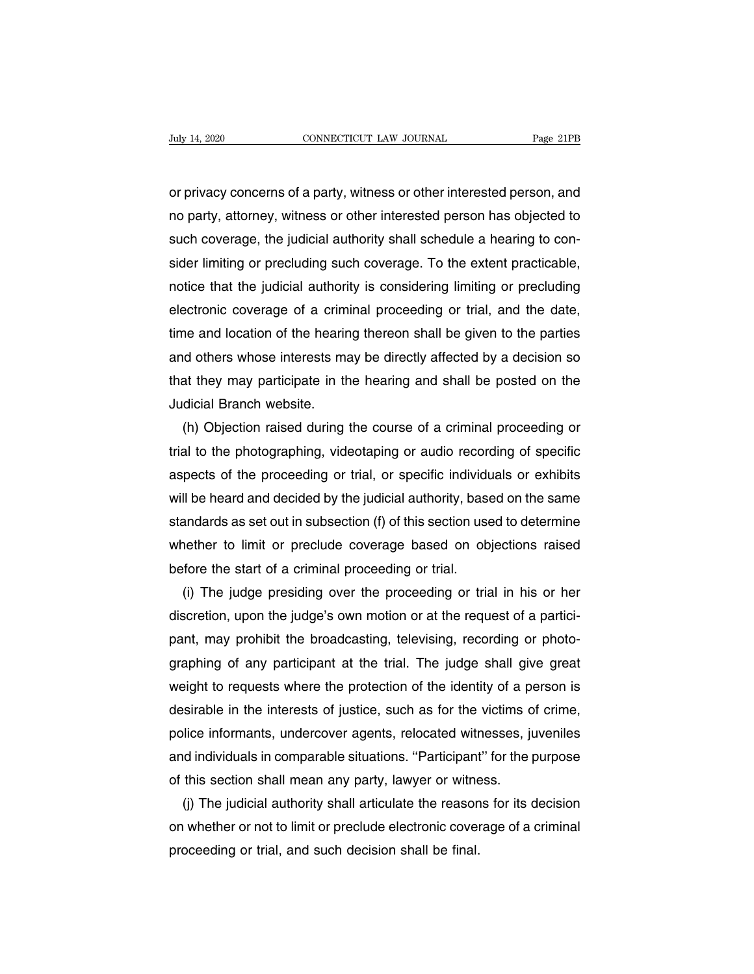or privacy concerns of a party, witness or other interested person, and<br>ho party, attorney, witness or other interested person has objected to Day 14, 2020 CONNECTICUT LAW JOURNAL Page 21PB<br>or privacy concerns of a party, witness or other interested person, and<br>no party, attorney, witness or other interested person has objected to<br>such coverage, the judicial auth of the southeast convection that southeast the rage zins<br>or privacy concerns of a party, witness or other interested person, and<br>no party, attorney, witness or other interested person has objected to<br>such coverage, the jud or privacy concerns of a party, witness or other interested person, and<br>no party, attorney, witness or other interested person has objected to<br>such coverage, the judicial authority shall schedule a hearing to con-<br>sider li or privacy concerns of a party, witness or other interested person, and<br>no party, attorney, witness or other interested person has objected to<br>such coverage, the judicial authority shall schedule a hearing to con-<br>sider li no party, attorney, witness or other interested person has objected to<br>such coverage, the judicial authority shall schedule a hearing to con-<br>sider limiting or precluding such coverage. To the extent practicable,<br>notice th such coverage, the judicial authority shall schedule a hearing to consider limiting or precluding such coverage. To the extent practicable, notice that the judicial authority is considering limiting or precluding electroni sider limiting or precluding such coverage. To the extent practicable,<br>notice that the judicial authority is considering limiting or precluding<br>electronic coverage of a criminal proceeding or trial, and the date,<br>time and notice that the judicial authority is considering limiting or precluding<br>electronic coverage of a criminal proceeding or trial, and the date,<br>time and location of the hearing thereon shall be given to the parties<br>and other electronic coverage of a crim<br>time and location of the hearir<br>and others whose interests ma<br>that they may participate in th<br>Judicial Branch website.<br>(h) Objection raised during The and location of the hearing thereon shall be given to the parties<br>id others whose interests may be directly affected by a decision so<br>at they may participate in the hearing and shall be posted on the<br>dicial Branch webs

and others whose interests may be directly affected by a decision so<br>that they may participate in the hearing and shall be posted on the<br>Judicial Branch website.<br>(h) Objection raised during the course of a criminal proceed that they may participate in the hearing and shall be posted on the<br>Judicial Branch website.<br>(h) Objection raised during the course of a criminal proceeding or<br>trial to the photographing, videotaping or audio recording of Judicial Branch website.<br>
(h) Objection raised during the course of a criminal proceeding or<br>
trial to the photographing, videotaping or audio recording of specific<br>
aspects of the proceeding or trial, or specific individu (h) Objection raised during the course of a criminal proceeding or<br>trial to the photographing, videotaping or audio recording of specific<br>aspects of the proceeding or trial, or specific individuals or exhibits<br>will be hear trial to the photographing, videotaping or audio recording of specific<br>aspects of the proceeding or trial, or specific individuals or exhibits<br>will be heard and decided by the judicial authority, based on the same<br>standard aspects of the proceeding or trial, or specific individum<br>will be heard and decided by the judicial authority, base<br>standards as set out in subsection (f) of this section use<br>whether to limit or preclude coverage based on II be heard and decided by the judicial authority, based on the same<br>andards as set out in subsection (f) of this section used to determine<br>nether to limit or preclude coverage based on objections raised<br>fore the start of

standards as set out in subsection (f) of this section used to determine<br>whether to limit or preclude coverage based on objections raised<br>before the start of a criminal proceeding or trial.<br>(i) The judge presiding over the before the start of a criminal proceeding or trial.<br>
(i) The judge presiding over the proceeding or trial in his or her<br>
discretion, upon the judge's own motion or at the request of a partici-<br>
pant, may prohibit the broad before the start of a criminal proceeding or trial.<br>
(i) The judge presiding over the proceeding or trial in his or her<br>
discretion, upon the judge's own motion or at the request of a partici-<br>
pant, may prohibit the broad (i) The judge presiding over the proceeding or trial in his or her discretion, upon the judge's own motion or at the request of a participant, may prohibit the broadcasting, televising, recording or photographing of any pa discretion, upon the judge's own motion or at the request of a partici-<br>pant, may prohibit the broadcasting, televising, recording or photo-<br>graphing of any participant at the trial. The judge shall give great<br>weight to re pant, may prohibit the broadcasting, televising, recording or photo-<br>graphing of any participant at the trial. The judge shall give great<br>weight to requests where the protection of the identity of a person is<br>desirable in graphing of any participant at the trial. The judge shall give great<br>weight to requests where the protection of the identity of a person is<br>desirable in the interests of justice, such as for the victims of crime,<br>police in weight to requests where the protection of the identity of a police in the interests of justice, such as for the victims of police informants, undercover agents, relocated witnesses, ju and individuals in comparable situat isirable in the interests of justice, such as for the victims of crime,<br>lice informants, undercover agents, relocated witnesses, juveniles<br>id individuals in comparable situations. "Participant" for the purpose<br>this section police informants, undercover agents, relocated witnesses, juveniles<br>and individuals in comparable situations. "Participant" for the purpose<br>of this section shall mean any party, lawyer or witness.<br>(j) The judicial authori

and individuals in comparable situations. "Participant<br>of this section shall mean any party, lawyer or witne<br>(j) The judicial authority shall articulate the reason<br>on whether or not to limit or preclude electronic cover<br>pr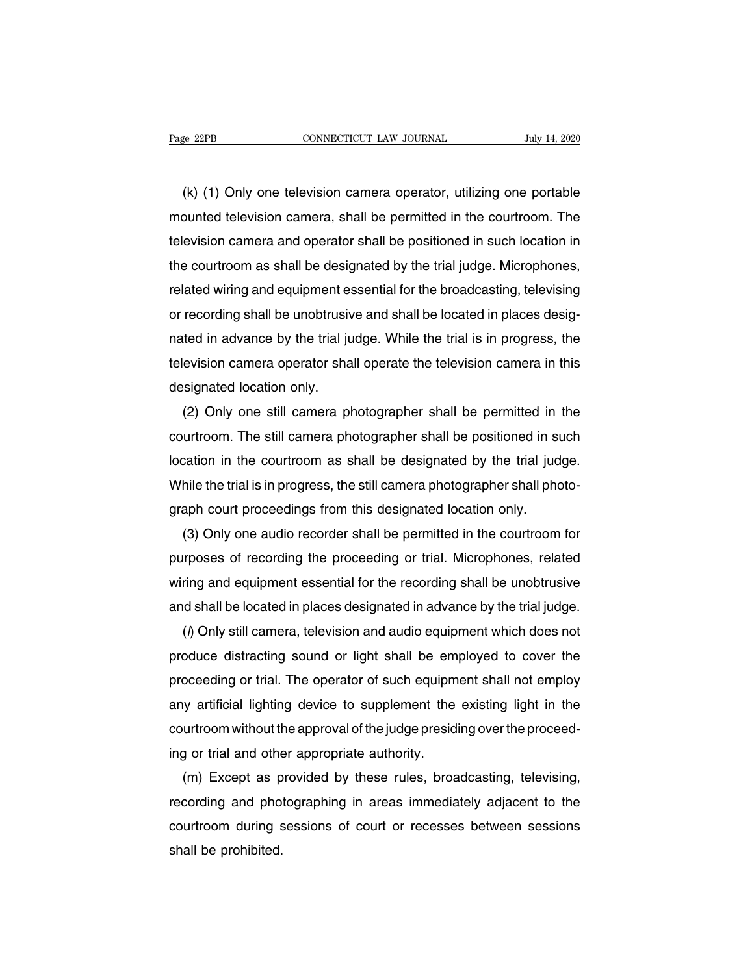(k) (1) Only one television camera operator, utilizing one portable<br>
(k) (1) Only one television camera operator, utilizing one portable<br>
bunted television camera, shall be permitted in the courtroom. The mounted television camera, shall be permitted in the courtroom. The delevision camera, shall be permitted in the courtroom. The television camera and operator shall be positioned in such location in (k) (1) Only one television camera operator, utilizing one portable<br>mounted television camera, shall be permitted in the courtroom. The<br>television camera and operator shall be positioned in such location in<br>the courtroom (k) (1) Only one television camera operator, utilizing one portable<br>mounted television camera, shall be permitted in the courtroom. The<br>television camera and operator shall be positioned in such location in<br>the courtroom a (K) (1) Only one television camera operator, utilizing one portable<br>mounted television camera, shall be permitted in the courtroom. The<br>television camera and operator shall be positioned in such location in<br>the courtroom a mounted television camera, shall be permitted in the courtroom. The<br>television camera and operator shall be positioned in such location in<br>the courtroom as shall be designated by the trial judge. Microphones,<br>related wirin television camera and operator shall be positioned in such location in<br>the courtroom as shall be designated by the trial judge. Microphones,<br>related wiring and equipment essential for the broadcasting, televising<br>or record the courtroom as shall be designated by the trial judge. Microphones,<br>related wiring and equipment essential for the broadcasting, televising<br>or recording shall be unobtrusive and shall be located in places desig-<br>nated in related wiring and equipment es<br>or recording shall be unobtrusiv<br>nated in advance by the trial ju<br>television camera operator sha<br>designated location only.<br>(2) Only one still camera pl recording shall be unobtrusive and shall be located in places desig-<br>ted in advance by the trial judge. While the trial is in progress, the<br>evision camera operator shall operate the television camera in this<br>signated locat

nated in advance by the trial judge. While the trial is in progress, the<br>television camera operator shall operate the television camera in this<br>designated location only.<br>(2) Only one still camera photographer shall be perm television camera operator shall operate the television camera in this<br>designated location only.<br>(2) Only one still camera photographer shall be permitted in the<br>courtroom. The still camera photographer shall be positioned designated location only.<br>
(2) Only one still camera photographer shall be permitted in the<br>
courtroom. The still camera photographer shall be positioned in such<br>
location in the courtroom as shall be designated by the tri (2) Only one still camera photographer shall be permitted in<br>courtroom. The still camera photographer shall be positioned in si<br>location in the courtroom as shall be designated by the trial jud<br>While the trial is in progre urtroom. The still camera photographer shall be positioned in such<br>cation in the courtroom as shall be designated by the trial judge.<br>hile the trial is in progress, the still camera photographer shall photo-<br>aph court proc

location in the courtroom as shall be designated by the trial judge.<br>While the trial is in progress, the still camera photographer shall photo-<br>graph court proceedings from this designated location only.<br>(3) Only one audio While the trial is in progress, the still camera photographer shall photo-<br>graph court proceedings from this designated location only.<br>(3) Only one audio recorder shall be permitted in the courtroom for<br>purposes of recordi graph court proceedings from this designated location only.<br>
(3) Only one audio recorder shall be permitted in the courtroom for<br>
purposes of recording the proceeding or trial. Microphones, related<br>
wiring and equipment es (3) Only one audio recorder shall be permitted in the courtroom for<br>rposes of recording the proceeding or trial. Microphones, related<br>ring and equipment essential for the recording shall be unobtrusive<br>id shall be located

purposes of recording the proceeding or trial. Microphones, related<br>wiring and equipment essential for the recording shall be unobtrusive<br>and shall be located in places designated in advance by the trial judge.<br>(*l*) Only wiring and equipment essential for the recording shall be unobtrusive<br>and shall be located in places designated in advance by the trial judge.<br>() Only still camera, television and audio equipment which does not<br>produce dis and shall be located in places designated in advance by the trial judge.<br>
(*l*) Only still camera, television and audio equipment which does not<br>
produce distracting sound or light shall be employed to cover the<br>
proceedin (*I*) Only still camera, television and audio equipment which does not<br>produce distracting sound or light shall be employed to cover the<br>proceeding or trial. The operator of such equipment shall not employ<br>any artificial l produce distracting sound or light shall be em<br>proceeding or trial. The operator of such equipm<br>any artificial lighting device to supplement the<br>courtroom without the approval of the judge presid<br>ing or trial and other app oceeding or trial. The operator of such equipment shall not employ<br>y artificial lighting device to supplement the existing light in the<br>urtroom without the approval of the judge presiding over the proceed-<br>y or trial and o

any artificial lighting device to supplement the existing light in the<br>courtroom without the approval of the judge presiding over the proceed-<br>ing or trial and other appropriate authority.<br>(m) Except as provided by these r courtroom without the approval of the judge presiding over the proceed-<br>ing or trial and other appropriate authority.<br>(m) Except as provided by these rules, broadcasting, televising,<br>recording and photographing in areas im ing or trial and other<br>
(m) Except as p<br>
recording and photo<br>
courtroom during s<br>
shall be prohibited.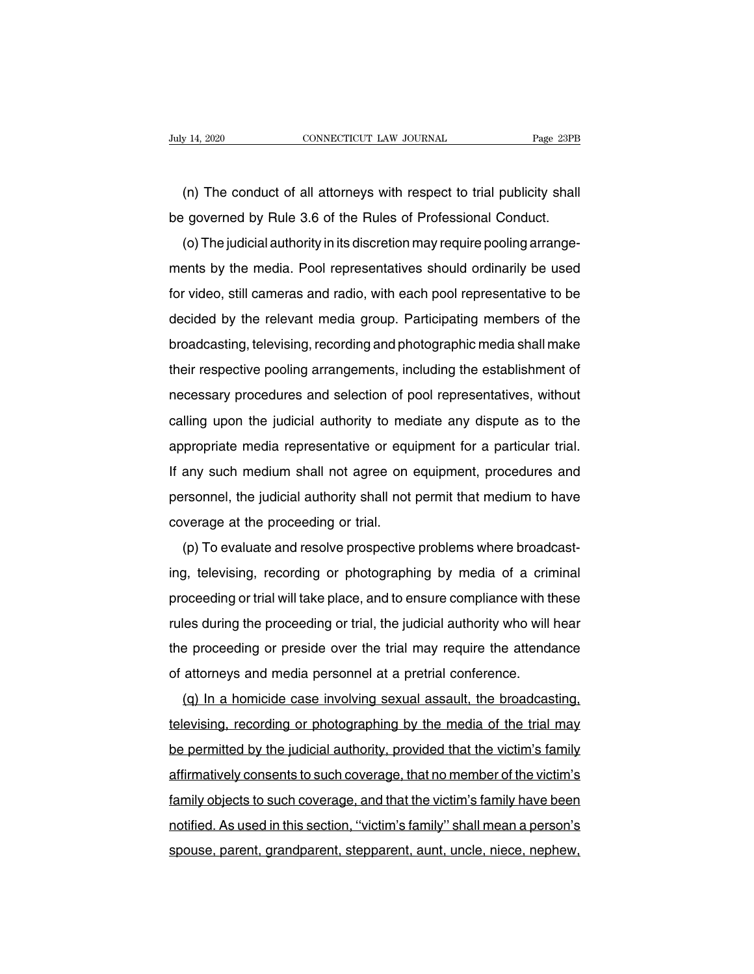(n) The conduct of all attorneys with respect to trial publicity shall<br>(n) The conduct of all attorneys with respect to trial publicity shall<br>governed by Rule 3.6 of the Rules of Professional Conduct. be governed by Rule 3.6 of the Rules of Professional Conduct.<br>
(a) The conduct of all attorneys with respect to trial publicity shall<br>
be governed by Rule 3.6 of the Rules of Professional Conduct.<br>
(b) The judicial authori

(n) The conduct of all attorneys with respect to trial publicity shall<br>governed by Rule 3.6 of the Rules of Professional Conduct.<br>(o) The judicial authority in its discretion may require pooling arrange-<br>ents by the media. (n) The conduct of all attorneys with respect to trial publicity shall<br>be governed by Rule 3.6 of the Rules of Professional Conduct.<br>(o) The judicial authority in its discretion may require pooling arrange-<br>ments by the me for video, still cameras and radio, with respect to that publicity shall<br>be governed by Rule 3.6 of the Rules of Professional Conduct.<br>(o) The judicial authority in its discretion may require pooling arrange-<br>ments by the decided by Time 3.0 of the rimes of Trotessional Conduct.<br>(o) The judicial authority in its discretion may require pooling arrange-<br>ments by the media. Pool representatives should ordinarily be used<br>for video, still camera (b) The judicial admonty in its discletion may require pooling analygements by the media. Pool representatives should ordinarily be used<br>for video, still cameras and radio, with each pool representative to be<br>decided by th the its by the media. Toor representatives should ordinarily be used<br>for video, still cameras and radio, with each pool representative to be<br>decided by the relevant media group. Participating members of the<br>broadcasting, t not video, still callieras and radio, with each pool representative to be<br>decided by the relevant media group. Participating members of the<br>broadcasting, televising, recording and photographic media shall make<br>their respec broadcasting, televising, recording and photographic media shall make<br>their respective pooling arrangements, including the establishment of<br>necessary procedures and selection of pool representatives, without<br>calling upon t broadcasting, televising, recording and priotographic media shall make<br>their respective pooling arrangements, including the establishment of<br>necessary procedures and selection of pool representatives, without<br>calling upon If any such mediate any dispute as to the appropriate media representative or equipment for a particular trial.<br>If any such median representative or equipment for a particular trial.<br>If any such medium shall not agree on e recessary procedures and selection of poor representatives, without calling upon the judicial authority to mediate any dispute as to the appropriate media representative or equipment for a particular trial. If any such med calling upon the judicial additionty to met<br>appropriate media representative or equ<br>if any such medium shall not agree on<br>personnel, the judicial authority shall not<br>coverage at the proceeding or trial.<br>(p) To evaluate and prophate media representative or equipment for a particulational.<br>any such medium shall not agree on equipment, procedures and<br>rsonnel, the judicial authority shall not permit that medium to have<br>verage at the proceeding o

in any such medium shall not agree on equipment, procedures and<br>personnel, the judicial authority shall not permit that medium to have<br>coverage at the proceeding or trial.<br>(p) To evaluate and resolve prospective problems w personner, the judicial authority shall not permit that medium to have<br>coverage at the proceeding or trial.<br>(p) To evaluate and resolve prospective problems where broadcast-<br>ing, televising, recording or photographing by m coverage at the proceeding or that.<br>
(p) To evaluate and resolve prospective problems where broadcast-<br>
ing, televising, recording or photographing by media of a criminal<br>
proceeding or trial will take place, and to ensure (p) To evaluate and resolve prospective problems where broadcast-<br>ing, televising, recording or photographing by media of a criminal<br>proceeding or trial will take place, and to ensure compliance with these<br>rules during the proceeding or trial will take place, and to ensure compliance with the proceeding or trial will take place, and to ensure compliance with the proceeding the proceeding or trial, the judicial authority who will the proceedi beloweding of that will take place, and to ensure compilantle with these<br>les during the proceeding or trial, the judicial authority who will hear<br>a proceeding or preside over the trial may require the attendance<br>attorneys

the proceeding or preside over the trial may require the attendance<br>of attorneys and media personnel at a pretrial conference.<br>(q) In a homicide case involving sexual assault, the broadcasting,<br>televising, recording or pho be proceeding of preside over the that hay require the attendance<br>of attorneys and media personnel at a pretrial conference.<br>(q) In a homicide case involving sexual assault, the broadcasting,<br>televising, recording or photo affirmatively consents to such coverage, and that the broadcasting,<br>televising, recording or photographing by the media of the trial may<br>be permitted by the judicial authority, provided that the victim's family<br>affirmative (q) in a nonnetic case involving sexual assault, the broadcasting,<br>televising, recording or photographing by the media of the trial may<br>be permitted by the judicial authority, provided that the victim's family<br>affirmativel notified. As used in this section, 'the media of the that hay<br>be permitted by the judicial authority, provided that the victim's family<br>affirmatively consents to such coverage, that no member of the victim's<br>family objects be permitted by the judicial admonty, provided that the victim's laminy<br>affirmatively consents to such coverage, that no member of the victim's<br>family objects to such coverage, and that the victim's family have been<br>notifi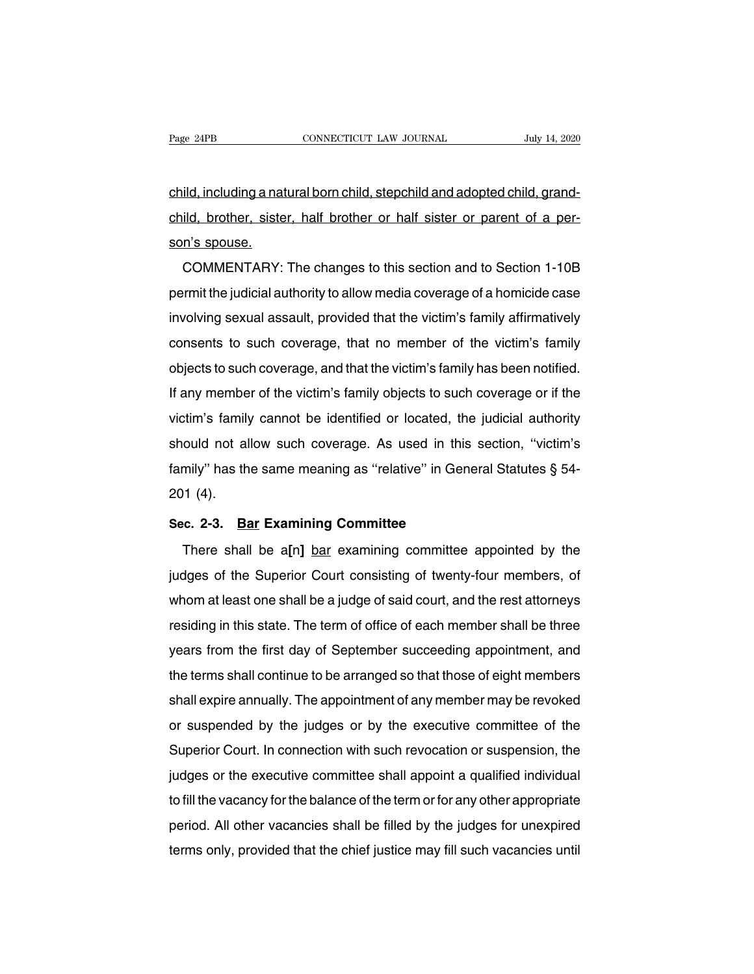Page 24PB<br>CONNECTICUT LAW JOURNAL July 14, 2020<br>Child, including a natural born child, stepchild and adopted child, grand-<br>Child, brother, sister, half brother or half sister or parent of a perchild, brother, sister, half brother or half sister or parent of a perchild, including a nat<br>child, brother, siste<br>son's spouse.<br>COMMENTARY: ild, including a natural born child, stepchild and adopted child, grand-<br>ild, brother, sister, half brother or half sister or parent of a per-<br>n's spouse.<br>COMMENTARY: The changes to this section and to Section 1-10B<br>rmit t

child, brother, sister, half brother or half sister or parent of a person's spouse.<br>COMMENTARY: The changes to this section and to Section 1-10B<br>permit the judicial authority to allow media coverage of a homicide case<br>invo cring, brother, sister, riall brother of riall sister or parent of a per-<br>son's spouse.<br>COMMENTARY: The changes to this section and to Section 1-10B<br>permit the judicial authority to allow media coverage of a homicide case<br> comment comments of this section and to Section 1-10B<br>permit the judicial authority to allow media coverage of a homicide case<br>involving sexual assault, provided that the victim's family affirmatively<br>consents to such cove COMMENTANT. The changes to this section and to Section 1-10B<br>permit the judicial authority to allow media coverage of a homicide case<br>involving sexual assault, provided that the victim's family affirmatively<br>consents to su permit the judicial authority to allow hiedia coverage or a homicle case<br>involving sexual assault, provided that the victim's family affirmatively<br>consents to such coverage, that no member of the victim's family<br>objects to involving sexual assault, provided that the victim's family animiatively<br>consents to such coverage, that no member of the victim's family<br>objects to such coverage, and that the victim's family has been notified.<br>If any mem consents to such coverage, that no member of the victim's family<br>objects to such coverage, and that the victim's family has been notified.<br>If any member of the victim's family objects to such coverage or if the<br>victim's fa bojects to such coverage, and that the victim's family has been notined.<br>If any member of the victim's family objects to such coverage or if the<br>victim's family cannot be identified or located, the judicial authority<br>shoul in any member<br>victim's family<br>should not al<br>family'' has th<br>201 (4).<br>Sec. 2-3. Ba should not allow such coverage. As used in this<br>family" has the same meaning as "relative" in Gene<br>201 (4).<br>**Sec. 2-3.** Bar Examining Committee<br>There shall be a[n] bar examining committee mily" has the same meaning as "relative" in General Statutes § 54-<br>11 (4).<br>c. 2-3. Bar Examining Committee<br>There shall be a[n] <u>bar</u> examining committee appointed by the<br>dges of the Superior Court consisting of twenty-four

201 (4).<br>Sec. 2-3. Bar Examining Committee<br>There shall be a[n] bar examining committee appointed by the<br>judges of the Superior Court consisting of twenty-four members, of<br>whom at least one shall be a judge of said court, a Sec. 2-3. Bar Examining Committee<br>There shall be a[n] bar examining committee appointed by the<br>judges of the Superior Court consisting of twenty-four members, of<br>whom at least one shall be a judge of said court, and the re There shall be a[n] bar examining committee<br>judges of the Superior Court consisting of twenty-four members, of<br>whom at least one shall be a judge of said court, and the rest attorneys<br>residing in this state. The term of of There shall be a[n] <u>bar</u> examining committee appointed by the<br>judges of the Superior Court consisting of twenty-four members, of<br>whom at least one shall be a judge of said court, and the rest attorneys<br>residing in this st pludges of the superior Court consisting of twenty-four members, of<br>whom at least one shall be a judge of said court, and the rest attorneys<br>residing in this state. The term of office of each member shall be three<br>years fr whom at least one shall be a judge of said court, and the rest attorneys<br>residing in this state. The term of office of each member shall be three<br>years from the first day of September succeeding appointment, and<br>the terms residing in this state. The term of onice of each member shall be three<br>years from the first day of September succeeding appointment, and<br>the terms shall continue to be arranged so that those of eight members<br>shall expire years from the first day or September succeeding appointment, and<br>the terms shall continue to be arranged so that those of eight members<br>shall expire annually. The appointment of any member may be revoked<br>or suspended by t the terms shall continue to be arranged so that those of eight members<br>shall expire annually. The appointment of any member may be revoked<br>or suspended by the judges or by the executive committee of the<br>Superior Court. In shall explie annually. The appointment of any member may be revoked<br>or suspended by the judges or by the executive committee of the<br>Superior Court. In connection with such revocation or suspension, the<br>judges or the execut or susperioed by the judges or by the executive committee of the<br>Superior Court. In connection with such revocation or suspension, the<br>judges or the executive committee shall appoint a qualified individual<br>to fill the vaca Superior Court. In connection with such revocation or suspension, the judges or the executive committee shall appoint a qualified individual to fill the vacancy for the balance of the term or for any other appropriate peri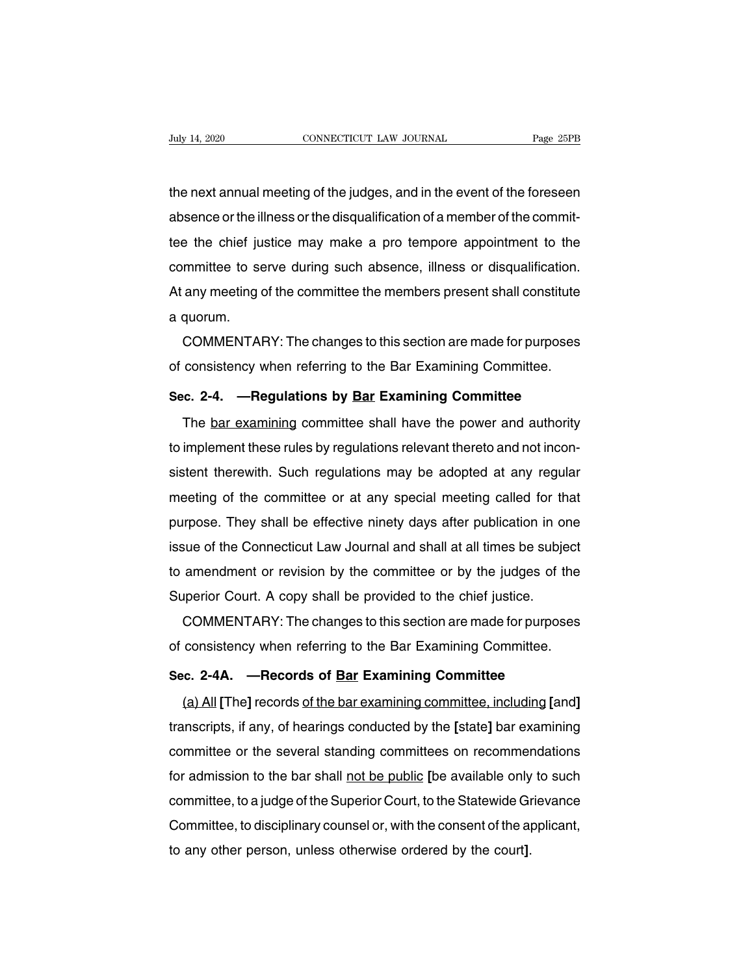The next annual meeting of the judges, and in the event of the foreseen<br>absence or the illness or the disqualification of a member of the commit-Fuly 14, 2020 CONNECTICUT LAW JOURNAL Page 25PB<br>the next annual meeting of the judges, and in the event of the foreseen<br>absence or the illness or the disqualification of a member of the commit-<br>tee the chief justice may ma the next annual meeting of the judges, and in the event of the foreseen<br>absence or the illness or the disqualification of a member of the commit-<br>tee the chief justice may make a pro tempore appointment to the<br>committee to the next annual meeting of the judges, and in the event of the foreseen<br>absence or the illness or the disqualification of a member of the commit-<br>tee the chief justice may make a pro tempore appointment to the<br>committee to the next annual meeting of the judges, and in the event of the foreseen<br>absence or the illness or the disqualification of a member of the commit-<br>tee the chief justice may make a pro tempore appointment to the<br>committee to absence or the life<br>tee the chief ju<br>committee to se<br>At any meeting da quorum.<br>COMMENTAF First the chief justice may make a pro-tempore appointment to the<br>mmittee to serve during such absence, illness or disqualification.<br>any meeting of the committee the members present shall constitute<br>quorum.<br>COMMENTARY: The committee to serve during such absence, illness or disqualification.<br>At any meeting of the committee the members present shall constitute<br>a quorum.<br>COMMENTARY: The changes to this section are made for purposes<br>of consisten

Examples a quorum.<br> **SECOMMENTARY:** The changes to this section are made for purposes<br>
of consistency when referring to the Bar Examining Committee.<br> **Sec. 2-4. —Regulations by <u>Bar</u> Examining Committee**<br>
The <u>bar examinin</u>

COMMENTARY: The changes to this section are made for purposes<br>consistency when referring to the Bar Examining Committee.<br>c. 2-4. — Regulations by Bar Examining Committee<br>The bar examining committee shall have the power and of consistency when referring to the Bar Examining Committee.<br>Sec. 2-4. — Regulations by Bar Examining Committee<br>The <u>bar examining</u> committee shall have the power and authority<br>to implement these rules by regulations rele Sec. 2-4. —Regulations by <u>Bar</u> Examining Committee<br>The <u>bar examining</u> committee shall have the power and authority<br>to implement these rules by regulations relevant thereto and not incon-<br>sistent therewith. Such regulatio The <u>bar examining</u> committee shall have the power and authority<br>to implement these rules by regulations relevant thereto and not incon-<br>sistent therewith. Such regulations may be adopted at any regular<br>meeting of the comm The <u>bar examining</u> committee shall have the power and authority<br>to implement these rules by regulations relevant thereto and not incon-<br>sistent therewith. Such regulations may be adopted at any regular<br>meeting of the comm io implement these rules by regulations relevant thereto and not inconsistent therewith. Such regulations may be adopted at any regular meeting of the committee or at any special meeting called for that purpose. They shall sistent therewith. Such regulations may be adopted at any regular<br>meeting of the committee or at any special meeting called for that<br>purpose. They shall be effective ninety days after publication in one<br>issue of the Connec meeting of the committee or at any spectal meeting called for the<br>purpose. They shall be effective ninety days after publication in or<br>issue of the Connecticut Law Journal and shall at all times be subje<br>to amendment or re rpose. They shall be ellective hinety days after publication in one<br>sue of the Connecticut Law Journal and shall at all times be subject<br>amendment or revision by the committee or by the judges of the<br>perior Court. A copy s Issue of the Confrecticut Law Journal and shall at all times be subject<br>to amendment or revision by the committee or by the judges of the<br>Superior Court. A copy shall be provided to the chief justice.<br>COMMENTARY: The chang

**Example 12 Constants of Constant Constrainer of Constant Constrainer Superior Court. A copy shall be provided to the chief justice.**<br> **2-0 COMMENTARY:** The changes to this section are made for purpose of consistency when

COMMENTARY: The changes to this section are made for purposes<br>consistency when referring to the Bar Examining Committee.<br>**c. 2-4A.** — Records of <u>Bar</u> Examining Committee<br>(a) All [The] records of the bar examining committe of consistency when referring to the Bar Examining Committee.<br>Sec. 2-4A. —Records of <u>Bar</u> Examining Committee<br>(a) All [The] records <u>of the bar examining committee, including</u> [and]<br>transcripts, if any, of hearings conduc Sec. 2-4A. — Records of <u>Bar</u> Examining Committee<br>
(a) All [The] records of the bar examining committee, including [and]<br>
transcripts, if any, of hearings conducted by the [state] bar examining<br>
committee or the several st for a All [The] records of the bar examining committee. including [and]<br>transcripts, if any, of hearings conducted by the [state] bar examining<br>committee or the several standing committees on recommendations<br>for admission (a) All [The] records <u>of the bar examining committee, including</u> [and]<br>transcripts, if any, of hearings conducted by the [state] bar examining<br>committee or the several standing committees on recommendations<br>for admission transcripts, ir any, or nearings conducted by the [state] bar examining<br>committee or the several standing committees on recommendations<br>for admission to the bar shall <u>not be public</u> [be available only to such<br>committee, t committee or the several standing committees on recommer<br>for admission to the bar shall <u>not be public</u> [be available only<br>committee, to a judge of the Superior Court, to the Statewide Gr<br>Committee, to disciplinary counsel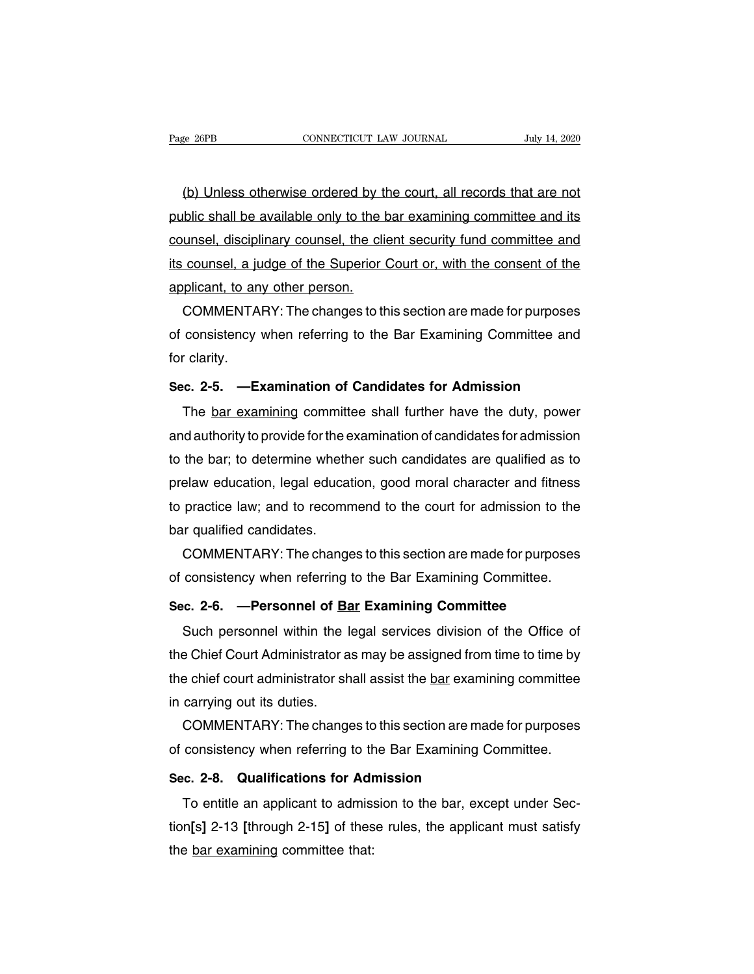Page 26PB CONNECTICUT LAW JOURNAL July 14, 2020<br>(b) Unless otherwise ordered by the court, all records that are not<br>public shall be available only to the bar examining committee and its public shall be available only to the bar examining committee and its<br>
public shall be available only to the bar examining committee and its<br>
counsel, disciplinary counsel, the client security fund committee and (b) Unless otherwise ordered by the court, all records that are not<br>public shall be available only to the bar examining committee and its<br>counsel, disciplinary counsel, the client security fund committee and<br>its counsel, a (b) Unless otherwise ordered by the court, all records that are not public shall be available only to the bar examining committee and its counsel, disciplinary counsel, the client security fund committee and its counsel, a counsel, disciplinary counsel, the client security fund committee and<br>its counsel, a judge of the Superior Court or, with the consent of the<br>applicant, to any other person.<br>COMMENTARY: The changes to this section are made blic shall be available only to the bar examining committee and its<br>unsel, disciplinary counsel, the client security fund committee and<br>counsel, a judge of the Superior Court or, with the consent of the<br>plicant, to any oth counsel, disciplinary counsel, the client security fund committee and<br>its counsel, a judge of the Superior Court or, with the consent of the<br>applicant, to any other person.<br>COMMENTARY: The changes to this section are made

its counsel, a ju<br>applicant, to an<br>COMMENTA<br>of consistency<br>for clarity.<br>**Sec. 2-5.** —**E**: applicant, to any other person.<br>
COMMENTARY: The changes to this section are made for purposes<br>
of consistency when referring to the Bar Examining Committee and<br>
for clarity.<br> **Sec. 2-5.** —**Examination of Candidates for Ad** COMMENTANT. The changes to this section are made for purposes<br>consistency when referring to the Bar Examining Committee and<br>clarity.<br>c. 2-5. —Examination of Candidates for Admission<br>The <u>bar examining</u> committee shall furt

for clarity.<br>**Sec. 2-5.** —**Examination of Candidates for Admission**<br>The <u>bar examining</u> committee shall further have the duty, power<br>and authority to provide for the examination of candidates for admission<br>to the bar; to d Sec. 2-5. — Examination of Candidates for Admission<br>The <u>bar examining</u> committee shall further have the duty, power<br>and authority to provide for the examination of candidates for admission<br>to the bar; to determine whether Sec. 2-5. — Examination of Candidates for Admission<br>The <u>bar examining</u> committee shall further have the duty, power<br>and authority to provide for the examination of candidates for admission<br>to the bar; to determine whether The <u>bar examining</u> committee shall further have the duty, power<br>and authority to provide for the examination of candidates for admission<br>to the bar; to determine whether such candidates are qualified as to<br>prelaw educatio and authority to provide for the e<br>to the bar; to determine wheth<br>prelaw education, legal educa<br>to practice law; and to recomr<br>bar qualified candidates.<br>COMMENTARY: The chang the bar; to determine whether such candidates are qualified as to<br>elaw education, legal education, good moral character and fitness<br>practice law; and to recommend to the court for admission to the<br>r qualified candidates.<br>C prelaw education, legal education, good moral character and fitness<br>to practice law; and to recommend to the court for admission to the<br>bar qualified candidates.<br>COMMENTARY: The changes to this section are made for purpose

to practice law; and to recommend to the court for admission to the<br>bar qualified candidates.<br>COMMENTARY: The changes to this section are made for purpose<br>of consistency when referring to the Bar Examining Committee.<br>Sec.

In qualitied candidates.<br>COMMENTARY: The changes to this section are made for purposes<br>consistency when referring to the Bar Examining Committee.<br>c. 2-6. —Personnel of <u>Bar</u> Examining Committee<br>Such personnel within the le of consistency when referring to the Bar Examining Committee.<br>Sec. 2-6. —Personnel of Bar Examining Committee<br>Such personnel within the legal services division of the Office of<br>the Chief Court Administrator as may be assig Sec. 2-6. — Personnel of <u>Bar</u> Examining Committee.<br>Sec. 2-6. — Personnel of <u>Bar</u> Examining Committee<br>fuck court administrator as may be assigned from time to time by<br>the chief court administrator shall assist the <u>bar</u> e Sec. 2-6. —Personnel of <u>Bandiscusta Such personnel within the I</u><br>the Chief Court Administrator a<br>the chief court administrator sh<br>in carrying out its duties.<br>COMMENTARY: The change Such personnel within the legal services division of the Office of<br>e Chief Court Administrator as may be assigned from time to time by<br>e chief court administrator shall assist the <u>bar</u> examining committee<br>carrying out its the Chief Court Administrator as may be assigned from time to time by<br>the chief court administrator shall assist the <u>bar</u> examining committee<br>in carrying out its duties.<br>COMMENTARY: The changes to this section are made fo

In echief court administrator shall assist the <u>bar</u> examin<br>in carrying out its duties.<br>**COMMENTARY:** The changes to this section are mad<br>of consistency when referring to the Bar Examining Co<br>**Sec. 2-8. Qualifications for** 

COMMENTARY: The changes to this section are made for purposes<br>consistency when referring to the Bar Examining Committee.<br>c. 2-8. Qualifications for Admission<br>To entitle an applicant to admission to the bar, except under Se COMMENTANT. The changes to this section are made tof purposes<br>of consistency when referring to the Bar Examining Committee.<br>Sec. 2-8. Qualifications for Admission<br>To entitle an applicant to admission to the bar, except und Sec. 2-8. Qualifications for Adr<br>To entitle an applicant to admiss<br>tion[s] 2-13 [through 2-15] of thes<br>the <u>bar examining</u> committee that: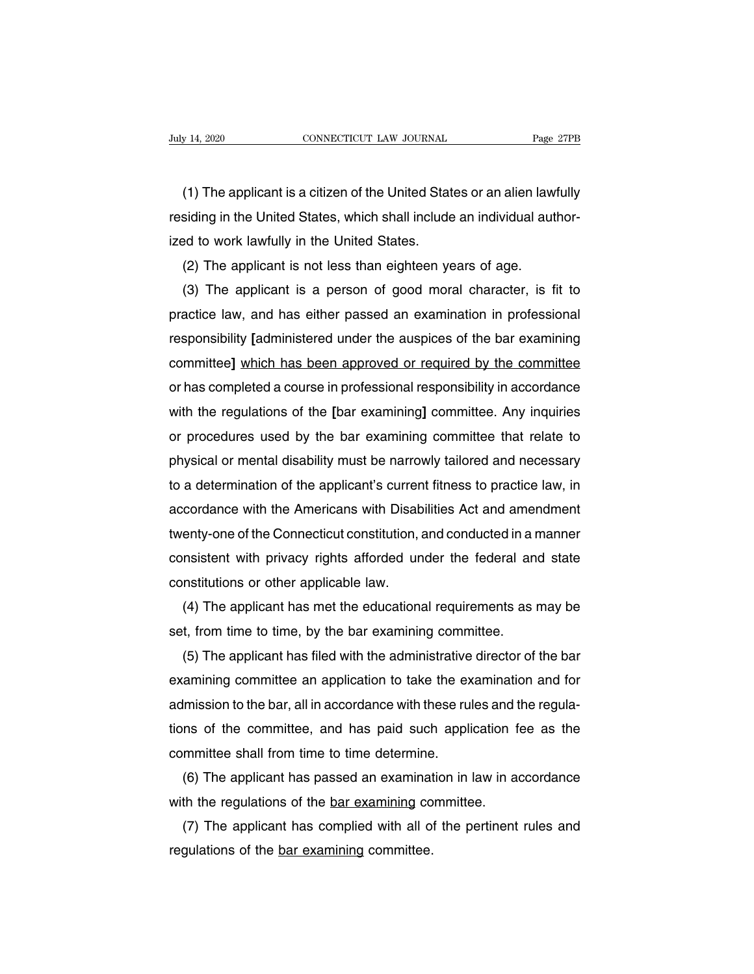(1) The applicant is a citizen of the United States or an alien lawfully<br>iding in the United States, which shall include an individual author-Fully 14, 2020 CONNECTICUT LAW JOURNAL Page 27PB<br>
(1) The applicant is a citizen of the United States or an alien lawfully<br>
residing in the United States, which shall include an individual author-<br>
ized to work lawfully in (1) The applicant is a citizen of the United State<br>residing in the United States, which shall include<br>ized to work lawfully in the United States.<br>(2) The applicant is not less than eighteen ye (1) The applicant is a citizen of the United States or an alien law<br>siding in the United States, which shall include an individual aut<br>ed to work lawfully in the United States.<br>(2) The applicant is not less than eighteen y (1) The applicant is a citizen of the United States or an allen lawfully<br>siding in the United States, which shall include an individual author-<br>ad to work lawfully in the United States.<br>(2) The applicant is not less than e

residing in the United States, which shall include an individual author-<br>ized to work lawfully in the United States.<br>(2) The applicant is not less than eighteen years of age.<br>(3) The applicant is a person of good moral cha ized to work lawfully in the United States.<br>
(2) The applicant is not less than eighteen years of age.<br>
(3) The applicant is a person of good moral character, is fit to<br>
practice law, and has either passed an examination i (2) The applicant is not less than eighteen years of age.<br>
(3) The applicant is a person of good moral character, is fit to<br>
practice law, and has either passed an examination in professional<br>
responsibility [administered (3) The applicant is a person of good moral character, is fit to<br>practice law, and has either passed an examination in professional<br>responsibility [administered under the auspices of the bar examining<br>committee] which has practice law, and has either passed an examination in protessional<br>responsibility [administered under the auspices of the bar examining<br>committee] which has been approved or required by the committee<br>or has completed a cou responsibility [administered under the auspices of the bar examining<br>committee] which has been approved or required by the committee<br>or has completed a course in professional responsibility in accordance<br>with the regulatio committee] which has been approved or required by the committee<br>or has completed a course in professional responsibility in accordance<br>with the regulations of the [bar examining] committee. Any inquiries<br>or procedures used or has completed a course in protessional responsibility in accordance<br>with the regulations of the [bar examining] committee. Any inquiries<br>or procedures used by the bar examining committee that relate to<br>physical or menta with the regulations of the [bar examining] committee. Any inquiries<br>or procedures used by the bar examining committee that relate to<br>physical or mental disability must be narrowly tailored and necessary<br>to a determination or procedures used by the bar examining committee that relate to<br>physical or mental disability must be narrowly tailored and necessary<br>to a determination of the applicant's current fitness to practice law, in<br>accordance wi physical or mental disability must be narrowly tailored and necessary<br>to a determination of the applicant's current fitness to practice law, in<br>accordance with the Americans with Disabilities Act and amendment<br>twenty-one o to a determination of the applicant's curren<br>accordance with the Americans with Disab<br>twenty-one of the Connecticut constitution, a<br>consistent with privacy rights afforded un<br>constitutions or other applicable law.<br>(4) The cordance with the Americans with Disabilities Act and amendment<br>enty-one of the Connecticut constitution, and conducted in a manner<br>nsistent with privacy rights afforded under the federal and state<br>nstitutions or other app twenty-one of the Connecticut constitution, and conducted in a r<br>consistent with privacy rights afforded under the federal an<br>constitutions or other applicable law.<br>(4) The applicant has met the educational requirements as

msistent with privacy rights attorded under the federal and state<br>nstitutions or other applicable law.<br>(4) The applicant has met the educational requirements as may be<br>t, from time to time, by the bar examining committee.<br> constitutions or other applicable law.<br>
(4) The applicant has met the educational requirements as may be<br>
set, from time to time, by the bar examining committee.<br>
(5) The applicant has filed with the administrative directo (4) The applicant has met the educational requirements as may be<br>set, from time to time, by the bar examining committee.<br>(5) The applicant has filed with the administrative director of the bar<br>examining committee an applic set, from time to time, by the bar examining committee.<br>
(5) The applicant has filed with the administrative director of the bar<br>
examining committee an application to take the examination and for<br>
admission to the bar, al (5) The applicant has filed with the administrative<br>examining committee an application to take the ex<br>admission to the bar, all in accordance with these rul<br>tions of the committee, and has paid such appli<br>committee shall f amining committee an application to take the examination and for<br>Imission to the bar, all in accordance with these rules and the regula-<br>ns of the committee, and has paid such application fee as the<br>mmittee shall from time admission to the bar, all in accordance with these rules and t<br>tions of the committee, and has paid such application f<br>committee shall from time to time determine.<br>(6) The applicant has passed an examination in law in a<br>wi

ms of the committee, and has paid such application tee as the<br>mmittee shall from time to time determine.<br>(6) The applicant has passed an examination in law in accordance<br>th the regulations of the <u>bar examining</u> committee. committee shall from time to time determine<br>(6) The applicant has passed an examinat<br>with the regulations of the <u>bar examining</u> co<br>(7) The applicant has complied with all of<br>regulations of the <u>bar examining</u> committee.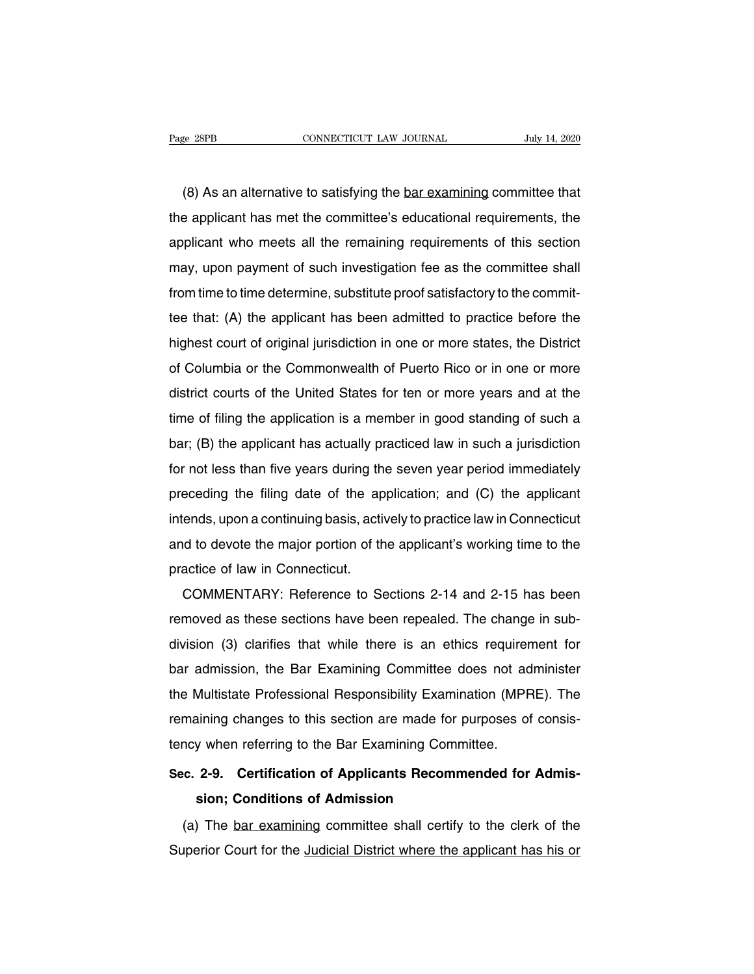(8) As an alternative to satisfying the <u>bar examining</u> committee that<br>
(8) As an alternative to satisfying the <u>bar examining</u> committee that<br>
e applicant has met the committee's educational requirements, the The applicant has met the committee's educational requirements, the applicant who meets all the remaining requirements of this section (8) As an alternative to satisfying the <u>bar examining</u> committee that<br>the applicant has met the committee's educational requirements, the<br>applicant who meets all the remaining requirements of this section<br>may, upon paymen (8) As an alternative to satisfying the <u>bar examining</u> committee that<br>the applicant has met the committee's educational requirements, the<br>applicant who meets all the remaining requirements of this section<br>may, upon paymen (b) As an alternative to satisfying the <u>bar examining</u> committee that<br>the applicant has met the committee's educational requirements, the<br>applicant who meets all the remaining requirements of this section<br>may, upon paymen the applicant has thet the committee's educational requirements, the<br>applicant who meets all the remaining requirements of this section<br>may, upon payment of such investigation fee as the committee shall<br>from time to time d applicant who meets all the femalling requirements of this section<br>may, upon payment of such investigation fee as the committee shall<br>from time to time determine, substitute proof satisfactory to the commit-<br>tee that: (A) riary, upon payment or such investigation lee as the committee shall<br>from time to time determine, substitute proof satisfactory to the commit-<br>tee that: (A) the applicant has been admitted to practice before the<br>highest co district court of original jurisdiction in one or more states, the District<br>district court of original jurisdiction in one or more states, the District<br>of Columbia or the Commonwealth of Puerto Rico or in one or more<br>distr the time of filing the applicant rias been admitted to practice before the<br>highest court of original jurisdiction in one or more states, the District<br>of Columbia or the Commonwealth of Puerto Rico or in one or more<br>distric bar; (B) the applicant has actually practiced law in such a jurisdiction of Columbia or the Commonwealth of Puerto Rico or in one or more district courts of the United States for ten or more years and at the time of filing or Columbia or the Commonwealth or Puerto Rico or in one or more<br>district courts of the United States for ten or more years and at the<br>time of filing the application is a member in good standing of such a<br>bar; (B) the appl district courts of the offilied states for terf of filote years and at the<br>time of filing the applicant has actually practiced law in such a jurisdiction<br>for not less than five years during the seven year period immediatel time of illing the application is a member in good standing of such a<br>bar; (B) the applicant has actually practiced law in such a jurisdiction<br>for not less than five years during the seven year period immediately<br>preceding bar, (B) the applicant has actually practiced law in such a jurisdiction<br>for not less than five years during the seven year period immediately<br>preceding the filing date of the application; and (C) the applicant<br>intends, up preceding the filing date of the ap<br>intends, upon a continuing basis, acti<br>and to devote the major portion of the<br>practice of law in Connecticut.<br>COMMENTARY: Reference to Se eceaning the hinrig date of the application, and (C) the applicant<br>ends, upon a continuing basis, actively to practice law in Connecticut<br>d to devote the major portion of the applicant's working time to the<br>actice of law i

rifierius, upon a continuing basis, actively to practice faw in Connecticut<br>and to devote the major portion of the applicant's working time to the<br>practice of law in Connecticut.<br>COMMENTARY: Reference to Sections 2-14 and and to devote the major portion of the applicant s working time to the<br>practice of law in Connecticut.<br>COMMENTARY: Reference to Sections 2-14 and 2-15 has been<br>removed as these sections have been repealed. The change in su practice of faw in Confiecticut.<br>
COMMENTARY: Reference to Sections 2-14 and 2-15 has been<br>
removed as these sections have been repealed. The change in sub-<br>
division (3) clarifies that while there is an ethics requirement COMMENTANT. Heleffice to Sections 2-14 and 2-15 has been<br>removed as these sections have been repealed. The change in sub-<br>division (3) clarifies that while there is an ethics requirement for<br>bar admission, the Bar Examinin removed as these sections have been repeated. The change in sub-<br>division (3) clarifies that while there is an ethics requirement for<br>bar admission, the Bar Examining Committee does not administer<br>the Multistate Profession division (3) clarifies that while there is an ethics requirer<br>bar admission, the Bar Examining Committee does not ad<br>the Multistate Professional Responsibility Examination (MPF<br>remaining changes to this section are made fo **Examineded Multistate Professional Responsibility Examination (MPRE). The remaining changes to this section are made for purposes of consistency when referring to the Bar Examining Committee.<br>
<b>Sec. 2-9. Certification of** the Multistate Professional Responsibility Examination (MPRE). The<br>remaining changes to this section are made for purposes of consis-<br>tency when referring to the Bar Examining Committee.<br>Sec. 2-9. Certification of Applican

(a) The bar examining Committee shall certification of Applicants Recommended for Admission; Conditions of Admission<br>
(a) The <u>bar examining</u> committee shall certify to the clerk of the uperior Court for the <u>Judicial Dist</u> Sec. 2-9. Certification of Applicants Recommended for Admission; Conditions of Admission<br>(a) The <u>bar examining</u> committee shall certify to the clerk of the<br>Superior Court for the <u>Judicial District where the applicant has</u>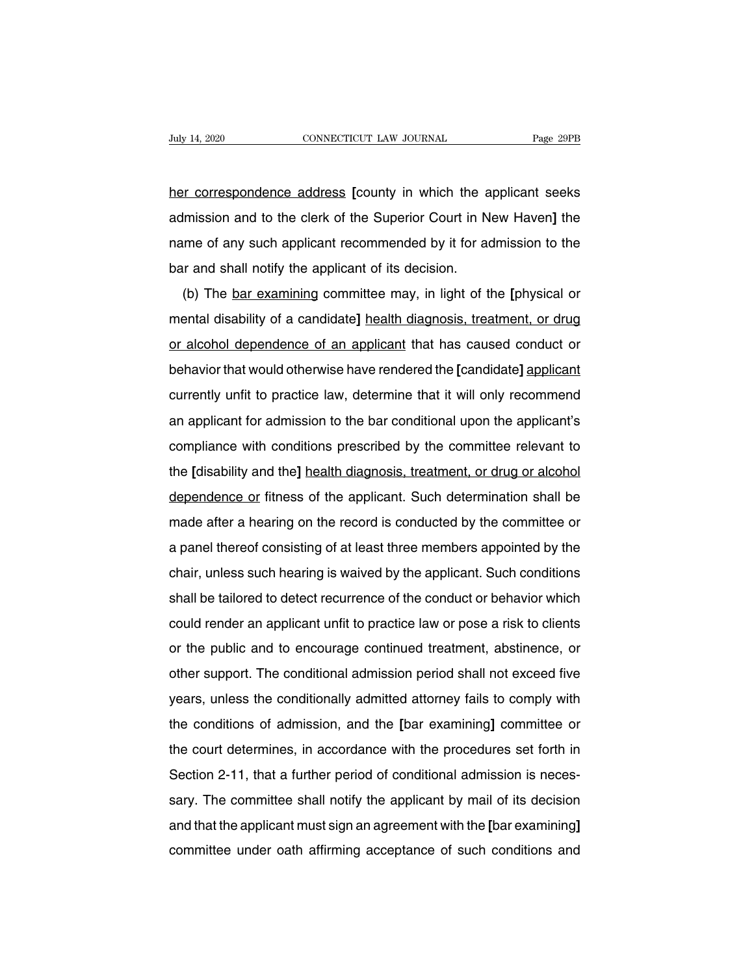her correspondence address **[**county in which the applicant seeks admission and to the clerk of the Superior Court in New Haven] the the correspondence address [county in which the applicant seeks admission and to the clerk of the Superior Court in New Haven] the name of any such applica name of any such and to the clerk of the Superior Court in New Haven] the name of any such applicant recommended by it for admission to the bar and shall notify the applicant of its decision. her correspondence address [county in which the a<br>admission and to the clerk of the Superior Court in N<br>name of any such applicant recommended by it for ad<br>bar and shall notify the applicant of its decision.<br>(b) The <u>bar e</u> Imission and to the clerk of the Superior Court in New Haven] the<br>Imission and to the clerk of the Superior Court in New Haven] the<br>Ime of any such applicant recommended by it for admission to the<br>Ir and shall notify the a

manne of any such applicant recommended by it for admission to the<br>bar and shall notify the applicant of its decision.<br>(b) The <u>bar examining</u> committee may, in light of the [physical or<br>mental disability of a candidate] h bar and shall notify the applicant of its decision.<br>
(b) The <u>bar examining</u> committee may, in light of the [physical or<br>
mental disability of a candidate] <u>health diagnosis, treatment, or drug</u><br>
or alcohol dependence of a behavior that would otherwise have rendered the **[**physical or mental disability of a candidate] health diagnosis, treatment, or drug or alcohol dependence of an applicant that has caused conduct or behavior that would oth (b) The <u>bar examining</u> committee may, in light of the priysical of<br>mental disability of a candidate] <u>health diagnosis, treatment, or drug</u><br>or alcohol dependence of an applicant that has caused conduct or<br>behavior that wo and an applicant that has caused conduct or<br>behavior that would otherwise have rendered the [candidate] applicant<br>currently unfit to practice law, determine that it will only recommend<br>an applicant for admission to the bar behavior that would otherwise have rendered the [candidate] applicant<br>currently unfit to practice law, determine that it will only recommend<br>an applicant for admission to the bar conditional upon the applicant's<br>compliance the paramonial would offerwise have rendered the **[**daildidate] applicant<br>currently unfit to practice law, determine that it will only recommend<br>an applicant for admission to the bar conditional upon the applicant's<br>compli an applicant for admission to the bar conditional upon the applicant's<br>compliance with conditions prescribed by the committee relevant to<br>the [disability and the] health diagnosis, treatment, or drug or alcohol<br>dependence an applicant for admission to the bar conditional upon the applicant's<br>compliance with conditions prescribed by the committee relevant to<br>the [disability and the] <u>health diagnosis, treatment, or drug or alcohol</u><br>dependenc dependence or fitness of the applicant. Such determination shall be made after a hearing on the record is conducted by the committee or a panel thereof consisting of at least three members appointed by the chair, unless su dependence or fitness of the applicant. Such determination shall be<br>made after a hearing on the record is conducted by the committee or<br>a panel thereof consisting of at least three members appointed by the<br>chair, unless su shall be tailored to detect recurrence of the committee or<br>a panel thereof consisting of at least three members appointed by the<br>chair, unless such hearing is waived by the applicant. Such conditions<br>shall be tailored to d riade after a flearing on the fecould is conducted by the committee of<br>a panel thereof consisting of at least three members appointed by the<br>chair, unless such hearing is waived by the applicant. Such conditions<br>shall be t a parier thereor consisting or at least three members appointed by the<br>chair, unless such hearing is waived by the applicant. Such conditions<br>shall be tailored to detect recurrence of the conduct or behavior which<br>could re orial be tailored to detect recurrence of the conduct or behavior which<br>could render an applicant unfit to practice law or pose a risk to clients<br>or the public and to encourage continued treatment, abstinence, or<br>other sup shall be tallored to detect recurrence of the conduct of behavior which<br>could render an applicant unfit to practice law or pose a risk to clients<br>or the public and to encourage continued treatment, abstinence, or<br>other sup found ferider an applicant unit to practice faw of pose a risk to clients<br>or the public and to encourage continued treatment, abstinence, or<br>other support. The conditional admission period shall not exceed five<br>years, unle of the public and to encourage commuted treatment, abstribute, of<br>other support. The conditionally admitted attorney fails to comply with<br>the conditions of admission, and the [bar examining] committee or<br>the court determin buter support. The conditional admission period shall not exceed live<br>years, unless the conditionally admitted attorney fails to comply with<br>the conditions of admission, and the [bar examining] committee or<br>the court deter years, unless the conditionally admitted attorney fails to comply with<br>the conditions of admission, and the [bar examining] committee or<br>the court determines, in accordance with the procedures set forth in<br>Section 2-11, th the conditions of admission, and the part examining] committee of<br>the court determines, in accordance with the procedures set forth in<br>Section 2-11, that a further period of conditional admission is neces-<br>sary. The commit the court determines, in accordance with the procedures set forth in<br>Section 2-11, that a further period of conditional admission is neces-<br>sary. The committee shall notify the applicant by mail of its decision<br>and that th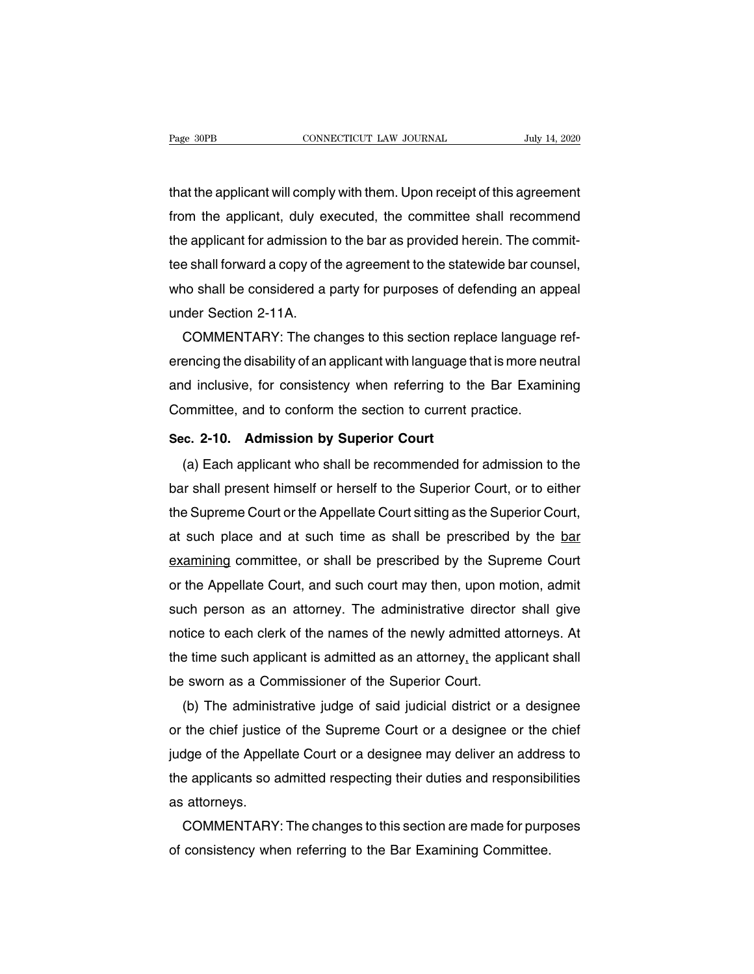The <sup>that</sup> the applicant will comply with them. Upon receipt of this agreement<br>that the applicant will comply with them. Upon receipt of this agreement<br>from the applicant, duly executed, the committee shall recommend Fage 30PB CONNECTICUT LAW JOURNAL July 14, 2020<br>that the applicant will comply with them. Upon receipt of this agreement<br>from the applicant, duly executed, the committee shall recommend<br>the applicant for admission to the b that the applicant will comply with them. Upon receipt of this agreement<br>from the applicant, duly executed, the committee shall recommend<br>the applicant for admission to the bar as provided herein. The commit-<br>tee shall for that the applicant will comply with them. Upon receipt of this agreement<br>from the applicant, duly executed, the committee shall recommend<br>the applicant for admission to the bar as provided herein. The commit-<br>tee shall for that the applicant will comply with them. Upon receipt of this agreement<br>from the applicant, duly executed, the committee shall recommend<br>the applicant for admission to the bar as provided herein. The commit-<br>tee shall for from the applicant, duly explicant for admission<br>tee shall forward a copy of the<br>who shall be considered a<br>under Section 2-11A.<br>COMMENTARY: The cha the applicant for admission to the bar as provided herein. The commit-<br>tee shall forward a copy of the agreement to the statewide bar counsel,<br>who shall be considered a party for purposes of defending an appeal<br>under Secti

tee shall forward a copy of the agreement to the statewide bar counsel,<br>who shall be considered a party for purposes of defending an appeal<br>under Section 2-11A.<br>COMMENTARY: The changes to this section replace language refwho shall be considered a party for purposes of defending an appeal<br>under Section 2-11A.<br>COMMENTARY: The changes to this section replace language ref-<br>erencing the disability of an applicant with language that is more neut under Section 2-11A.<br>COMMENTARY: The changes to this section replace language<br>erencing the disability of an applicant with language that is more ne<br>and inclusive, for consistency when referring to the Bar Exami<br>Committee, **SECRIPT ATTLE CHANGES TO THIS SECTION PERFORMATION**<br> **Example 2** and inclusive, for consistency when referring to the<br> **Sec. 2-10.** Admission by Superior Court<br>
(a) Each applicant who shall be recommended for (a) Each applicant who shall be recommended for admission to the Barnov and inclusive, for consistency when referring to the Barnov Examining by ministee, and to conform the section to current practice.<br>
(a) Each applicant

Committee, and to conform the section to current practice.<br>Sec. 2-10. Admission by Superior Court<br>(a) Each applicant who shall be recommended for admission to the<br>bar shall present himself or herself to the Superior Court, Superior Court<br>Sec. 2-10. Admission by Superior Court<br>(a) Each applicant who shall be recommended for admission to the<br>bar shall present himself or herself to the Superior Court, or to either<br>the Supreme Court or the Appel sec. 2-10. Admission by Superior Court<br>
(a) Each applicant who shall be recommended for admission to the<br>
bar shall present himself or herself to the Superior Court, or to either<br>
the Supreme Court or the Appellate Court s (a) Each applicant who shall be recommended tor admission to the<br>bar shall present himself or herself to the Superior Court, or to either<br>the Supreme Court or the Appellate Court sitting as the Superior Court,<br>at such plac bar shall present himself or herself to the Superior Court, or to either<br>the Supreme Court or the Appellate Court sitting as the Superior Court,<br>at such place and at such time as shall be prescribed by the <u>bar</u><br>examining the Supreme Court or the Appellate Court sitting as the Superior Court,<br>at such place and at such time as shall be prescribed by the <u>bar</u><br>examining committee, or shall be prescribed by the Supreme Court<br>or the Appellate C at such place and at such time as shall be prescribed by the <u>bare</u><br>examining committee, or shall be prescribed by the Supreme Court<br>or the Appellate Court, and such court may then, upon motion, admit<br>such person as an att examining committee, or shall be prescribed by the Supreme Court<br>or the Appellate Court, and such court may then, upon motion, admit<br>such person as an attorney. The administrative director shall give<br>notice to each clerk o or the Appellate Court, and such court may then, upon mo<br>such person as an attorney. The administrative director<br>notice to each clerk of the names of the newly admitted at<br>the time such applicant is admitted as an attorney ch person as an attorney. The administrative director shall give<br>tice to each clerk of the names of the newly admitted attorneys. At<br>e time such applicant is admitted as an attorney, the applicant shall<br>e sworn as a Commis

notice to each clerk of the names of the newly admitted attorneys. At<br>the time such applicant is admitted as an attorney, the applicant shall<br>be sworn as a Commissioner of the Superior Court.<br>(b) The administrative judge o the time such applicant is admitted as an attorney, the applicant shall<br>be sworn as a Commissioner of the Superior Court.<br>(b) The administrative judge of said judicial district or a designee<br>or the chief justice of the Sup be sworn as a Commissioner of the Superior Court.<br>
(b) The administrative judge of said judicial district or a designee<br>
or the chief justice of the Supreme Court or a designee or the chief<br>
judge of the Appellate Court or (b) The administ<br>or the chief justice<br>judge of the Appell<br>the applicants so a<br>as attorneys.<br>COMMENTARY the chief justice of the Supreme Court or a designee or the chief<br>dge of the Appellate Court or a designee may deliver an address to<br>e applicants so admitted respecting their duties and responsibilities<br>attorneys.<br>COMMENTA judge of the Appellate Court or a designee may deliver an addre<br>the applicants so admitted respecting their duties and responsibi<br>as attorneys.<br>COMMENTARY: The changes to this section are made for purp<br>of consistency when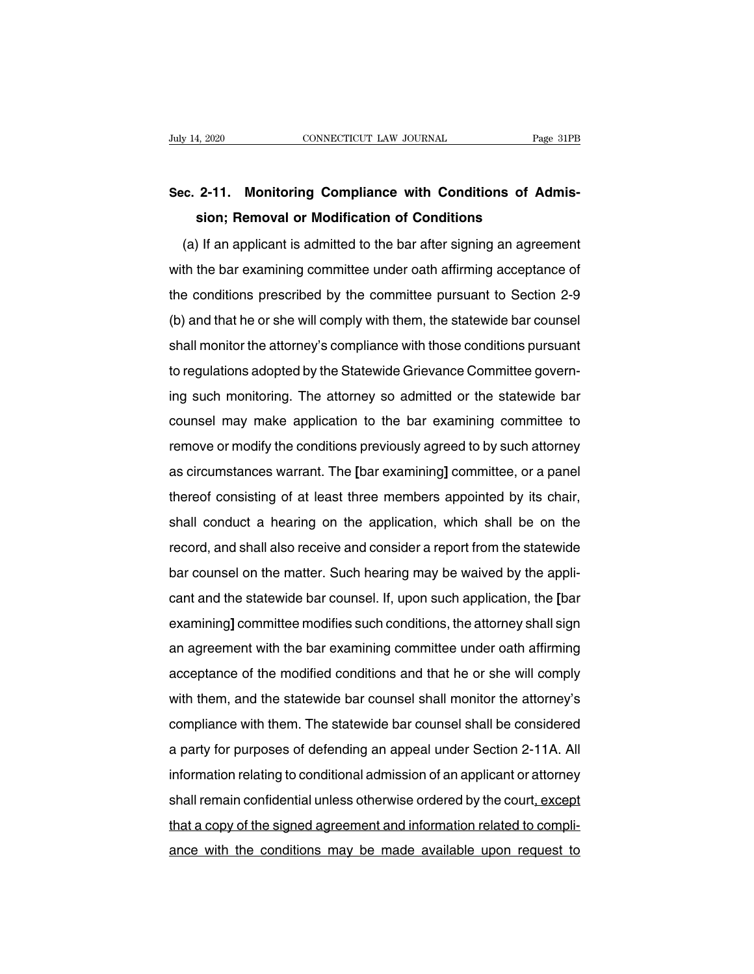# **Suly 14, 2020** CONNECTICUT LAW JOURNAL Page 31PB<br> **Sec. 2-11. Monitoring Compliance with Conditions of Admission; Removal or Modification of Conditions solution:** The CONNECTICUT LAW JOURNAL Trags Page<br> **2-11.** Monitoring Compliance with Conditions of Adsion; Removal or Modification of Conditions<br>
If an applicant is admitted to the bar after signing an agree

(a) If an applicant is admitted to the bar after signing an agreement<br>(a) If an applicant is admitted to the bar after signing an agreement<br>th the bar examining committee under oath affirming acceptance of Sec. 2-11. Monitoring Compliance with Conditions of Admission; Removal or Modification of Conditions<br>(a) If an applicant is admitted to the bar after signing an agreement<br>with the bar examining committee under oath affirmi sion; Removal or Modification of Conditions<br>
(a) If an applicant is admitted to the bar after signing an agreement<br>
with the bar examining committee under oath affirming acceptance of<br>
the conditions prescribed by the comm (a) If an applicant is admitted to the bar after signing an agreement<br>with the bar examining committee under oath affirming acceptance of<br>the conditions prescribed by the committee pursuant to Section 2-9<br>(b) and that he o (a) if an applicant is admitted to the bar arter signing an agreement<br>with the bar examining committee under oath affirming acceptance of<br>the conditions prescribed by the committee pursuant to Section 2-9<br>(b) and that he o with the bar examining committee under bath animing acceptance of<br>the conditions prescribed by the committee pursuant to Section 2-9<br>(b) and that he or she will comply with them, the statewide bar counsel<br>shall monitor the Ine conditions prescribed by the committee pursuant to dection 2-9<br>(b) and that he or she will comply with them, the statewide bar counsel<br>shall monitor the attorney's compliance with those conditions pursuant<br>to regulatio (b) and that he of site will comply with them, the statewide bar counser<br>shall monitor the attorney's compliance with those conditions pursuant<br>to regulations adopted by the Statewide Grievance Committee govern-<br>ing such m sharmonitor the attorney's compliance with those conditions pursuant<br>to regulations adopted by the Statewide Grievance Committee govern-<br>ing such monitoring. The attorney so admitted or the statewide bar<br>counsel may make a ing such monitoring. The attorney so admitted or the statewide bar<br>counsel may make application to the bar examining committee to<br>remove or modify the conditions previously agreed to by such attorney<br>as circumstances warra thereof may make application to the bar examining committee to remove or modify the conditions previously agreed to by such attorney as circumstances warrant. The [bar examining] committee, or a panel thereof consisting of couriser rilay make application to the bar examining committee to<br>remove or modify the conditions previously agreed to by such attorney<br>as circumstances warrant. The [bar examining] committee, or a panel<br>thereof consisting refinove of modify the conditions previously agreed to by such attorney<br>as circumstances warrant. The [bar examining] committee, or a panel<br>thereof consisting of at least three members appointed by its chair,<br>shall conduct as cheanstances warrant. The parexamining committee, or a parter<br>thereof consisting of at least three members appointed by its chair,<br>shall conduct a hearing on the application, which shall be on the<br>record, and shall also canterior consisting or at least times members appointed by its chair,<br>shall conduct a hearing on the application, which shall be on the<br>record, and shall also receive and consider a report from the statewide<br>bar counsel o shall conduct a healing on the application, which shall be on the<br>record, and shall also receive and consider a report from the statewide<br>bar counsel on the matter. Such hearing may be waived by the appli-<br>cant and the sta recold, and shall also receive and consider a report from the statewide<br>bar counsel on the matter. Such hearing may be waived by the appli-<br>cant and the statewide bar counsel. If, upon such application, the [bar<br>examining] bar counser on the matter. Such healing may be waived by the appli-<br>cant and the statewide bar counsel. If, upon such application, the [bar<br>examining] committee modifies such conditions, the attorney shall sign<br>an agreemen examining] committee modifies such conditions, the attorney shall sign<br>an agreement with the bar examining committee under oath affirming<br>acceptance of the modified conditions and that he or she will comply<br>with them, and examining committee modifies such conditions, the attorney shall sign<br>an agreement with the bar examining committee under oath affirming<br>acceptance of the modified conditions and that he or she will comply<br>with them, and t an agreement with the bar examining committee under bath animing<br>acceptance of the modified conditions and that he or she will comply<br>with them, and the statewide bar counsel shall monitor the attorney's<br>compliance with th acceptance of the modified conditions and that he of site will comply<br>with them, and the statewide bar counsel shall monitor the attorney's<br>compliance with them. The statewide bar counsel shall be considered<br>a party for pu shall remain and the statewide bar counser shall monitor the attorney's<br>compliance with them. The statewide bar counsel shall be considered<br>a party for purposes of defending an appeal under Section 2-11A. All<br>information r tompliance with them. The statewide bar counser shall be considered<br>a party for purposes of defending an appeal under Section 2-11A. All<br>information relating to conditional admission of an applicant or attorney<br>shall remai a party for purposes of deferroing an appear under Section 2-11A. All<br>information relating to conditional admission of an applicant or attorney<br>shall remain confidential unless otherwise ordered by the court, except<br>that a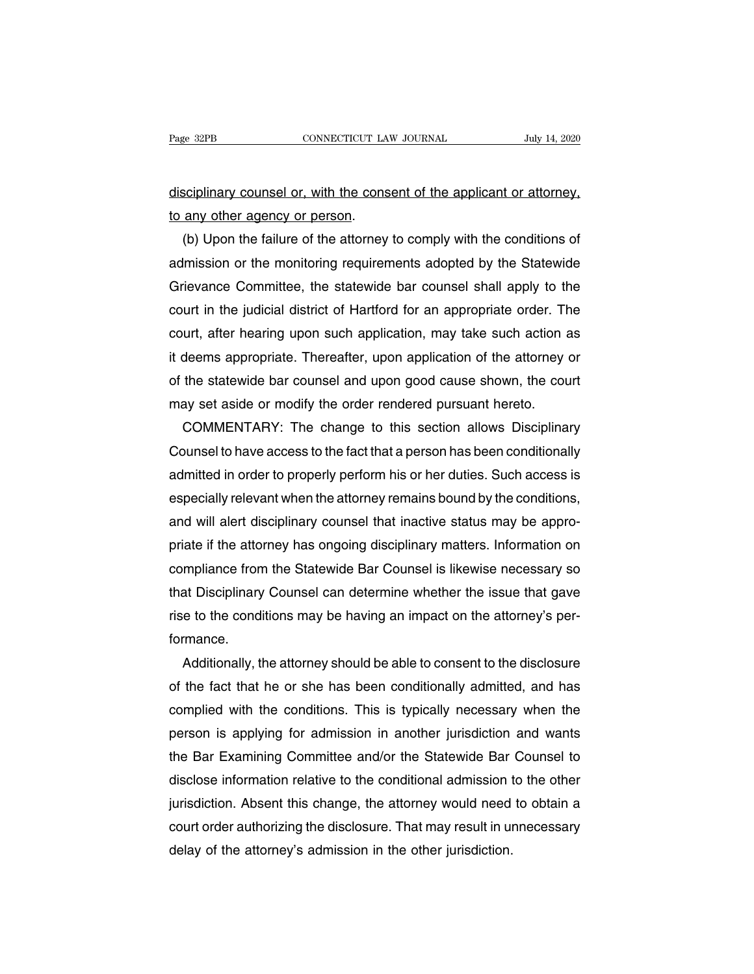disciplinary counsel or, with the consent of the applicant or attorney, Page 32PB<br>
<u>disciplinary counsel or, with the cons</u><br>
to any other agency or person.<br>
(b) Upon the failure of the attorney

Scriptinary counsel or, with the consent of the applicant or attorney,<br>any other agency or person.<br>(b) Upon the failure of the attorney to comply with the conditions of<br>mission or the monitoring requirements adopted by the disciplinary counsel or, with the consent of the applicant or attorney,<br>to any other agency or person.<br>(b) Upon the failure of the attorney to comply with the conditions of<br>admission or the monitoring requirements adopted disciplinary counsel or, with the consent of the applicant or attorney,<br>to any other agency or person.<br>(b) Upon the failure of the attorney to comply with the conditions of<br>admission or the monitoring requirements adopted to any other agency or person.<br>
(b) Upon the failure of the attorney to comply with the conditions of<br>
admission or the monitoring requirements adopted by the Statewide<br>
Grievance Committee, the statewide bar counsel shall (b) Upon the failure of the attorney to comply with the conditions of admission or the monitoring requirements adopted by the Statewide Grievance Committee, the statewide bar counsel shall apply to the court in the judicia admission or the monitoring requirements adopted by the Statewide<br>Grievance Committee, the statewide bar counsel shall apply to the<br>court in the judicial district of Hartford for an appropriate order. The<br>court, after hear Grievance Committee, the statewide bar counsel shall apply to the<br>court in the judicial district of Hartford for an appropriate order. The<br>court, after hearing upon such application, may take such action as<br>it deems approp court in the judicial district of Hartford for an appropriate order. The<br>court, after hearing upon such application, may take such action at<br>it deems appropriate. Thereafter, upon application of the attorney<br>of the statewi urt, after hearing upon such application, may take such action as<br>deems appropriate. Thereafter, upon application of the attorney or<br>the statewide bar counsel and upon good cause shown, the court<br>ay set aside or modify the

it deems appropriate. Thereafter, upon application of the attorney or<br>of the statewide bar counsel and upon good cause shown, the court<br>may set aside or modify the order rendered pursuant hereto.<br>COMMENTARY: The change to of the statewide bar counsel and upon good cause shown, the court<br>may set aside or modify the order rendered pursuant hereto.<br>COMMENTARY: The change to this section allows Disciplinary<br>Counsel to have access to the fact th may set aside or modify the order rendered pursuant hereto.<br>COMMENTARY: The change to this section allows Disciplinary<br>Counsel to have access to the fact that a person has been conditionally<br>admitted in order to properly p COMMENTARY: The change to this section allows Disciplinary<br>Counsel to have access to the fact that a person has been conditionally<br>admitted in order to properly perform his or her duties. Such access is<br>especially relevant Counsel to have access to the fact that a person has been conditionally<br>admitted in order to properly perform his or her duties. Such access is<br>especially relevant when the attorney remains bound by the conditions,<br>and wil admitted in order to properly perform his or her duties. Such access is<br>especially relevant when the attorney remains bound by the conditions,<br>and will alert disciplinary counsel that inactive status may be appro-<br>priate i especially relevant when the attorney remains bound by the conditions,<br>and will alert disciplinary counsel that inactive status may be appro-<br>priate if the attorney has ongoing disciplinary matters. Information on<br>complian and will alert disciplinary counsel that inactive status may be appropriate if the attorney has ongoing disciplinary matters. Information on compliance from the Statewide Bar Counsel is likewise necessary so that Disciplin formance. mpliance from the Statewide Bar Counsel is likewise necessary so<br>at Disciplinary Counsel can determine whether the issue that gave<br>e to the conditions may be having an impact on the attorney's per-<br>mance.<br>Additionally, the

that Disciplinary Counsel can determine whether the issue that gave<br>rise to the conditions may be having an impact on the attorney's per-<br>formance.<br>Additionally, the attorney should be able to consent to the disclosure<br>of rise to the conditions may be having an impact on the attorney's per-<br>formance.<br>Additionally, the attorney should be able to consent to the disclosure<br>of the fact that he or she has been conditionally admitted, and has<br>com formance.<br>Additionally, the attorney should be able to consent to the disclosure<br>of the fact that he or she has been conditionally admitted, and has<br>complied with the conditions. This is typically necessary when the<br>person Additionally, the attorney should be able to consent to the disclosure<br>of the fact that he or she has been conditionally admitted, and has<br>complied with the conditions. This is typically necessary when the<br>person is applyi of the fact that he or she has been conditionally admitted, and has<br>complied with the conditions. This is typically necessary when the<br>person is applying for admission in another jurisdiction and wants<br>the Bar Examining Co complied with the conditions. This is typically necessary when the<br>person is applying for admission in another jurisdiction and wants<br>the Bar Examining Committee and/or the Statewide Bar Counsel to<br>disclose information rel person is applying for admission in another jurisdiction and wants<br>the Bar Examining Committee and/or the Statewide Bar Counsel to<br>disclose information relative to the conditional admission to the other<br>jurisdiction. Absen the Bar Examining Committee and/or the Statewide Bar<br>disclose information relative to the conditional admission i<br>jurisdiction. Absent this change, the attorney would need<br>court order authorizing the disclosure. That may r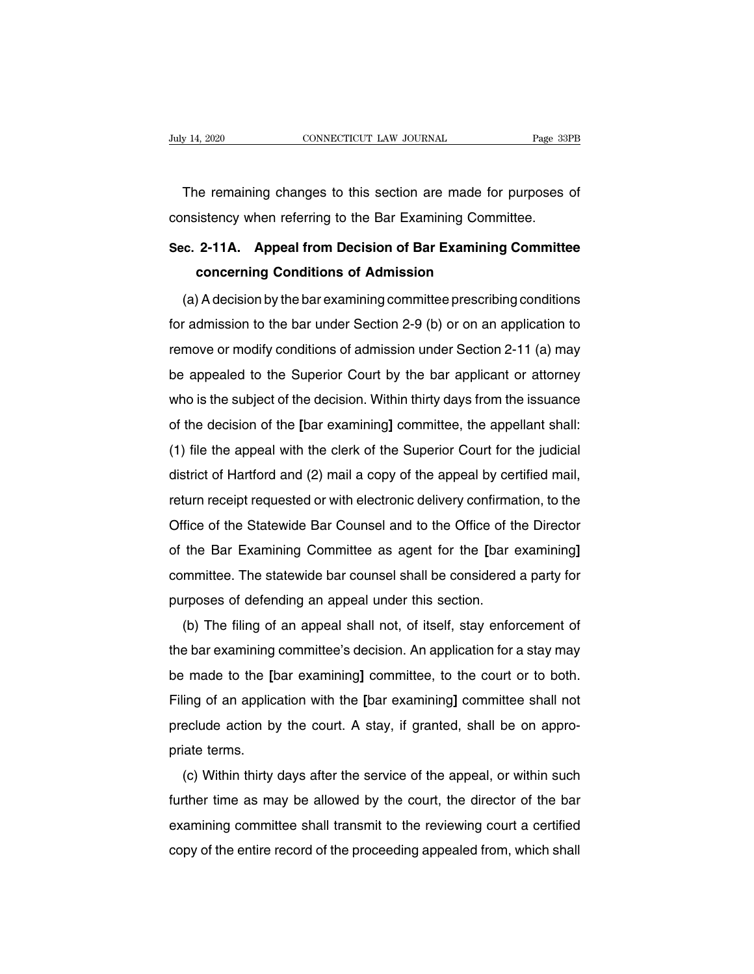The remaining changes to this section are made for purposes of<br>The remaining changes to this section are made for purposes of<br>nsistency when referring to the Bar Examining Committee. CONNECTICUT LAW JOURNAL Page 331<br>The remaining changes to this section are made for purposes<br>consistency when referring to the Bar Examining Committee.<br>Sec. 2-11A. Appeal from Decision of Bar Examining Committe

# The remaining changes to this section are made for purposes of consistency when referring to the Bar Examining Committee.<br>Sec. 2-11A. Appeal from Decision of Bar Examining Committee concerning Conditions of Admission re remaining changes to this section are made for<br>
istency when referring to the Bar Examining Commi<br> **2-11A. Appeal from Decision of Bar Examining**<br> **concerning Conditions of Admission**<br>
A decision by the bar examining co

msistency when referring to the Bar Examining Committee.<br> **C. 2-11A.** Appeal from Decision of Bar Examining Committee<br>
concerning Conditions of Admission<br>
(a) A decision by the bar examining committee prescribing condition Sec. 2-11A. Appeal from Decision of Bar Examining Committee<br>concerning Conditions of Admission<br>(a) A decision by the bar examining committee prescribing conditions<br>for admission to the bar under Section 2-9 (b) or on an ap concerning Conditions of Admission<br>
(a) A decision by the bar examining committee prescribing conditions<br>
for admission to the bar under Section 2-9 (b) or on an application to<br>
remove or modify conditions of admission und (a) A decision by the bar examining committee prescribing conditions<br>for admission to the bar under Section 2-9 (b) or on an application to<br>remove or modify conditions of admission under Section 2-11 (a) may<br>be appealed to (a) A decision by the bar examining committee prescribing conditions<br>for admission to the bar under Section 2-9 (b) or on an application to<br>remove or modify conditions of admission under Section 2-11 (a) may<br>be appealed t France or modify conditions of admission under Section 2-11 (a) may<br>be appealed to the Superior Court by the bar applicant or attorney<br>who is the subject of the decision. Within thirty days from the issuance<br>of the decisio The appealed to the Superior Court by the bar applicant or attorney<br>who is the subject of the decision. Within thirty days from the issuance<br>of the decision of the [bar examining] committee, the appellant shall:<br>(1) file t district of Hartford and (2) mail a copy of the appeal by certified mail,<br>reduced the decision of the [bar examining] committee, the appellant shall:<br>(1) file the appeal with the clerk of the Superior Court for the judicia of the decision of the [bar examining] committee, the appellant shall:<br>(1) file the appeal with the clerk of the Superior Court for the judicial<br>district of Hartford and (2) mail a copy of the appeal by certified mail,<br>ret Of the decision of the part examining committee, the appenant shall.<br>
(1) file the appeal with the clerk of the Superior Court for the judicial<br>
district of Hartford and (2) mail a copy of the appeal by certified mail,<br>
re (1) the the appear with the clerk of the superior Court for the judicial<br>district of Hartford and (2) mail a copy of the appeal by certified mail,<br>return receipt requested or with electronic delivery confirmation, to the<br>O return receipt requested or with electronic delivery confirmation, to the Office of the Statewide Bar Counsel and to the Office of the Director of the Bar Examining Committee as agent for the [bar examining] committee. Th Purposes of the Statewide Bar Counsel and to the Office of the Statewide Bar Counsel and to the Office of the Bar Examining Committee as agent for the [bar examinitie. The statewide bar counsel shall be considered purposes The Bar Examining Committee as agent for the [bar examining]<br>the Bar Examining Committee as agent for the [bar examining]<br>mmittee. The statewide bar counsel shall be considered a party for<br>rposes of defending an appeal und

or the bar examining Committee as agent for the part examining<br>committee. The statewide bar counsel shall be considered a party for<br>purposes of defending an appeal under this section.<br>(b) The filing of an appeal shall not, be purposes of defending an appeal under this section.<br>
(b) The filing of an appeal shall not, of itself, stay enforcement of<br>
the bar examining committee's decision. An application for a stay may<br>
be made to the [bar exam Filing of an appeal shall not, of itself, stay enforcement of the bar examining committee's decision. An application for a stay may be made to the [bar examining] committee, to the court or to both. Filing of an applicatio (b) The filling of an appear shall flot, or itself, stay emoldement of<br>the bar examining committee's decision. An application for a stay may<br>be made to the [bar examining] committee, to the court or to both.<br>Filing of an a the bar examining<br>be made to the [b]<br>Filing of an applica<br>preclude action by<br>priate terms.<br>(c) Within thirty (c) Within thirty days after the service of the appeal, or within such the court of the count.<br>
A stay, if granted, shall be on appro-<br>
iate terms.<br>
(c) Within thirty days after the service of the appeal, or within such<br>
t

Fining of an application with the [bar examining] committee shall hot<br>preclude action by the court. A stay, if granted, shall be on appro-<br>priate terms.<br>(c) Within thirty days after the service of the appeal, or within suc precide action by the court. A stay, if granted, shall be on appro-<br>priate terms.<br>(c) Within thirty days after the service of the appeal, or within such<br>further time as may be allowed by the court, the director of the bar<br> priate terms.<br>
(c) Within thirty days after the service of the appeal, or within such<br>
further time as may be allowed by the court, the director of the bar<br>
examining committee shall transmit to the reviewing court a certi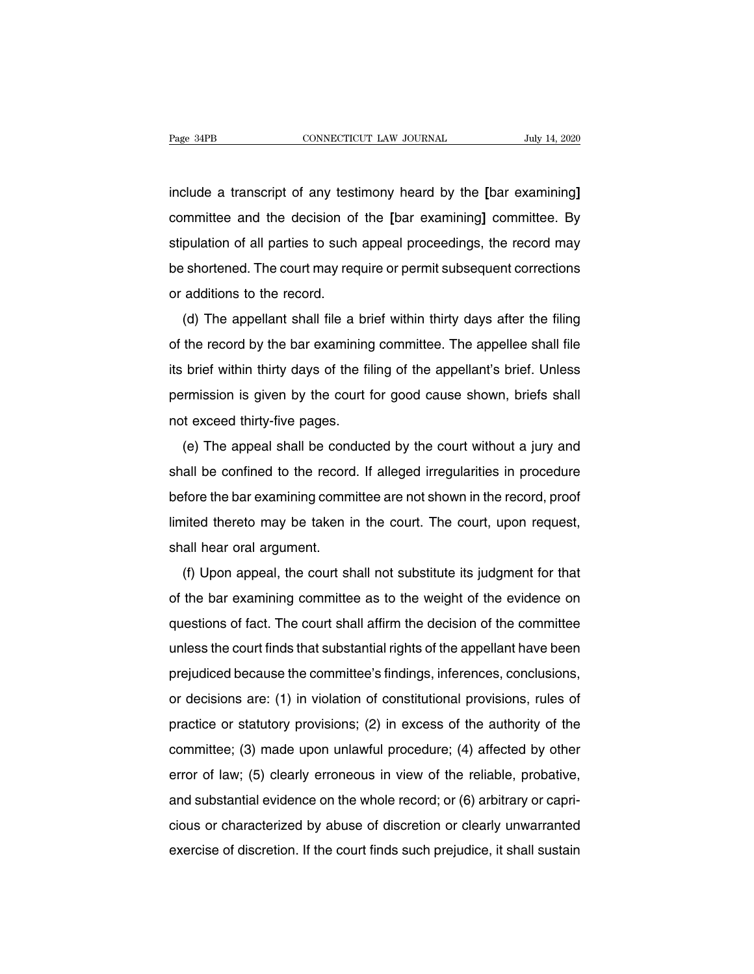Fage 34PB **CONNECTICUT LAW JOURNAL** July 14, 2020<br>
include a transcript of any testimony heard by the **[**bar examining]<br>
committee and the decision of the **[**bar examining] committee. By Fage 34PB **connection** connection connection of the state of any testimony heard by the **[**bar examining**]**<br>
committee and the decision of the **[**bar examining**]** committee. By stipulation of all parties to such appeal pro include a transcript of any testimony heard by the [bar examining]<br>committee and the decision of the [bar examining] committee. By<br>stipulation of all parties to such appeal proceedings, the record may<br>be shortened. The cou include a transcript of any testimony heard by the [bar examining]<br>committee and the decision of the [bar examining] committee. By<br>stipulation of all parties to such appeal proceedings, the record may<br>be shortened. The cou committee and the decision of<br>stipulation of all parties to such<br>be shortened. The court may rec<br>or additions to the record.<br>(d) The appellant shall file a minimities and the decision of the particial examining committee. By<br>pulation of all parties to such appeal proceedings, the record may<br>shortened. The court may require or permit subsequent corrections<br>additions to the rec

supulation of air parties to such appear proceedings, the record may<br>be shortened. The court may require or permit subsequent corrections<br>or additions to the record.<br>(d) The appellant shall file a brief within thirty days its brief within thirty days after the filing<br>in additions to the record.<br>(d) The appellant shall file a brief within thirty days after the filing<br>of the record by the bar examining committee. The appellee shall file<br>its b (d) The appellant shall file a brief within thirty days after the filing<br>of the record by the bar examining committee. The appellee shall file<br>its brief within thirty days of the filing of the appellant's brief. Unless<br>per (d) The appellant shall file a brief within thirty days after the filing<br>of the record by the bar examining committee. The appellee shall file<br>its brief within thirty days of the filing of the appellant's brief. Unless<br>per the record by the bar examining committee. The appelles shall here brief within thirty days of the filing of the appellant's brief. Unless<br>rmission is given by the court for good cause shown, briefs shall<br>t exceed thirty-f

shall be confined to the record. If alleged irregularities in procedure<br>before the bar examining confined to the record. If alleged irregularities in procedure<br>before the bar examining committee are not shown in the record befinisation is given by the coult for good cause shown, bield shall<br>not exceed thirty-five pages.<br>(e) The appeal shall be conducted by the court without a jury and<br>shall be confined to the record. If alleged irregularitie limited the appeal shall be conducted by the court without a jury and shall be confined to the record. If alleged irregularities in procedure before the bar examining committee are not shown in the record, proof limited th (e) The appear shall be contined to the record<br>shall be confined to the record<br>limited thereto may be taken is<br>shall hear oral argument.<br>(f) Upon appeal, the court sh (f) Upon appeal, the court shall not substitute its judgment for that<br>(f) Upon appeal, the court shall not substitute its judgment for that<br>the bar examining committee as to the weight of the evidence on

before the bar examining committee are not shown in the record, proof<br>limited thereto may be taken in the court. The court, upon request,<br>shall hear oral argument.<br>(f) Upon appeal, the court shall not substitute its judgme shall hear oral argument.<br>
(f) Upon appeal, the court shall not substitute its judgment for that<br>
of the bar examining committee as to the weight of the evidence on<br>
questions of fact. The court shall affirm the decision o In the court shall not substitute its judgment for that<br>of the bar examining committee as to the weight of the evidence on<br>questions of fact. The court shall affirm the decision of the committee<br>unless the court finds that (i) Opon appeal, the court shall not substitute its judgment for that<br>of the bar examining committee as to the weight of the evidence on<br>questions of fact. The court shall affirm the decision of the committee<br>unless the co or the bar examining committee as to the weight of the evidence on<br>questions of fact. The court shall affirm the decision of the committee<br>unless the court finds that substantial rights of the appellant have been<br>prejudice questions of fact. The court shall allmin the decision of the committee<br>unless the court finds that substantial rights of the appellant have been<br>prejudiced because the committee's findings, inferences, conclusions,<br>or dec prejudiced because the committee's findings, inferences, conclusions,<br>or decisions are: (1) in violation of constitutional provisions, rules of<br>practice or statutory provisions; (2) in excess of the authority of the<br>commit prejudiced because the committee's imaings, interences, conclusions,<br>or decisions are: (1) in violation of constitutional provisions, rules of<br>practice or statutory provisions; (2) in excess of the authority of the<br>committ be decisions are. (1) in violation of constitutional provisions, rules of practice or statutory provisions; (2) in excess of the authority of the committee; (3) made upon unlawful procedure; (4) affected by other error of practice or statutory provisions, ( $z$ ) in excess or the authority or the<br>committee; (3) made upon unlawful procedure; (4) affected by other<br>error of law; (5) clearly erroneous in view of the reliable, probative,<br>and subs exercise of discretion. If the court finds such prejudice, it shall sustain<br>exercise of discretion. If the court finds such prejudice, it shall sustain<br>exercise of discretion. If the court finds such prejudice, it shall s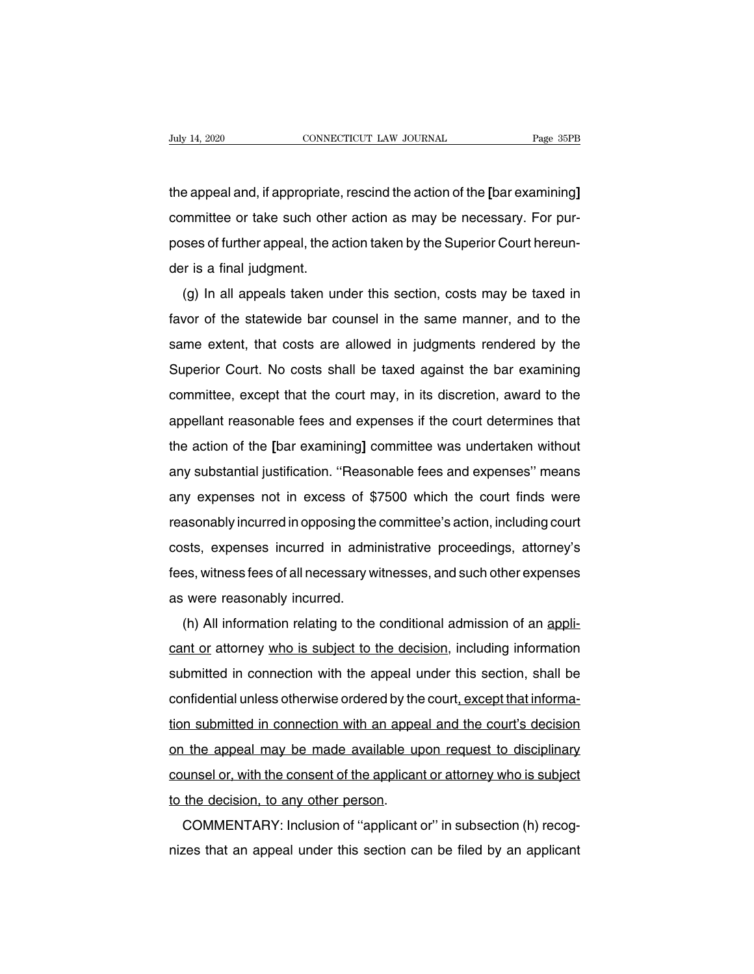the appeal and, if appropriate, rescind the action of the **[**bar examining]<br>
committee or take such other action as may be necessary. For pur-CONNECTICUT LAW JOURNAL Page 35PB<br>the appeal and, if appropriate, rescind the action of the [bar examining]<br>committee or take such other action as may be necessary. For pur-<br>poses of further appeal, the action taken by the the appeal and, if appropriate, rescind the action of the [bar examining]<br>committee or take such other action as may be necessary. For pur-<br>poses of further appeal, the action taken by the Superior Court hereun-<br>der is a f the appeal and, if appropriate<br>committee or take such othe<br>poses of further appeal, the ad<br>der is a final judgment.<br>(g) In all appeals taken ur e appearand, in appropriate, rescind the action of the pare examining<br>mmittee or take such other action as may be necessary. For pur-<br>ses of further appeal, the action taken by the Superior Court hereun-<br>r is a final judgm

favor of further appeal, the action as may be necessary. For pur-<br>poses of further appeal, the action taken by the Superior Court hereun-<br>der is a final judgment.<br>(g) In all appeals taken under this section, costs may be t poses of further appear, the action taken by the Superior Court Herean-<br>der is a final judgment.<br>favor of the statewide bar counsel in the same manner, and to the<br>same extent, that costs are allowed in judgments rendered b (g) In all appeals taken under this section, costs may be taxed in favor of the statewide bar counsel in the same manner, and to the same extent, that costs are allowed in judgments rendered by the Superior Court. No costs (g) in an appears taken under this section, costs may be taked in<br>favor of the statewide bar counsel in the same manner, and to the<br>same extent, that costs are allowed in judgments rendered by the<br>Superior Court. No costs abor of the statewide bar courtset in the same manner, and to the<br>same extent, that costs are allowed in judgments rendered by the<br>Superior Court. No costs shall be taxed against the bar examining<br>committee, except that th Superior Court. No costs shall be taxed against the bar examining<br>committee, except that the court may, in its discretion, award to the<br>appellant reasonable fees and expenses if the court determines that<br>the action of the substantial justification. The costs shall be taxed against the bar examining<br>committee, except that the court may, in its discretion, award to the<br>appellant reasonable fees and expenses if the court determines that<br>the ac committee, except that the court may, in its discretion, award to the<br>appellant reasonable fees and expenses if the court determines that<br>the action of the [bar examining] committee was undertaken without<br>any substantial j appenant reasonable rees and expenses if the court determines that<br>the action of the [bar examining] committee was undertaken without<br>any substantial justification. "Reasonable fees and expenses" means<br>any expenses not in any substantial justification. "Reasonable fees and expenses" means<br>any expenses not in excess of \$7500 which the court finds were<br>reasonably incurred in opposing the committee's action, including court<br>costs, expenses inc any substantial justification. Theasonable fees and expenses infears<br>any expenses not in excess of \$7500 which the court finds were<br>reasonably incurred in opposing the committee's action, including court<br>costs, expenses in reasonably incurred in opposing the<br>reasonably incurred in opposing the<br>costs, expenses incurred in admi<br>fees, witness fees of all necessary w<br>as were reasonably incurred.<br>(h) All information relating to the All information relating the committee's action, including court<br>sts, expenses incurred in administrative proceedings, attorney's<br>es, witness fees of all necessary witnesses, and such other expenses<br>were reasonably incurre

costs, experises incurred in administrative proceedings, attorney's<br>fees, witness fees of all necessary witnesses, and such other expenses<br>as were reasonably incurred.<br>(h) All information relating to the conditional admiss submitted in connectional admission of an applicant or etasonably incurred.<br>
(h) All information relating to the conditional admission of an appli-<br>
cant or attorney who is subject to the decision, including information<br>
s as were reasonably incurred.<br>
(h) All information relating to the conditional admission of an appli-<br>
cant or attorney who is subject to the decision, including information<br>
submitted in connection with the appeal under th (ii) All information relating to the conditional admission of an appli-<br>cant or attorney who is subject to the decision, including information<br>submitted in connection with the appeal under this section, shall be<br>confidenti cant of attorney <u>who is subject to the decision</u>, including information<br>submitted in connection with the appeal under this section, shall be<br>confidential unless otherwise ordered by the court, except that informa-<br>tion su submitted in connection with the appear under this section, shall be<br>confidential unless otherwise ordered by the court, except that informa-<br>tion submitted in connection with an appeal and the court's decision<br>on the appe tion submitted in connection with an appe<br>on the appeal may be made available up<br>counsel or, with the consent of the applican<br>to the decision, to any other person.<br>COMMENTARY: Inclusion of "applicant" tion submitted in connection with an appeal and the court's decision<br>on the appeal may be made available upon request to disciplinary<br>counsel or, with the consent of the applicant or attorney who is subject<br>to the decision on the appear may be made available upon request to disciplinary<br>counsel or, with the consent of the applicant or attorney who is subject<br>to the decision, to any other person.<br>COMMENTARY: Inclusion of "applicant or" in sub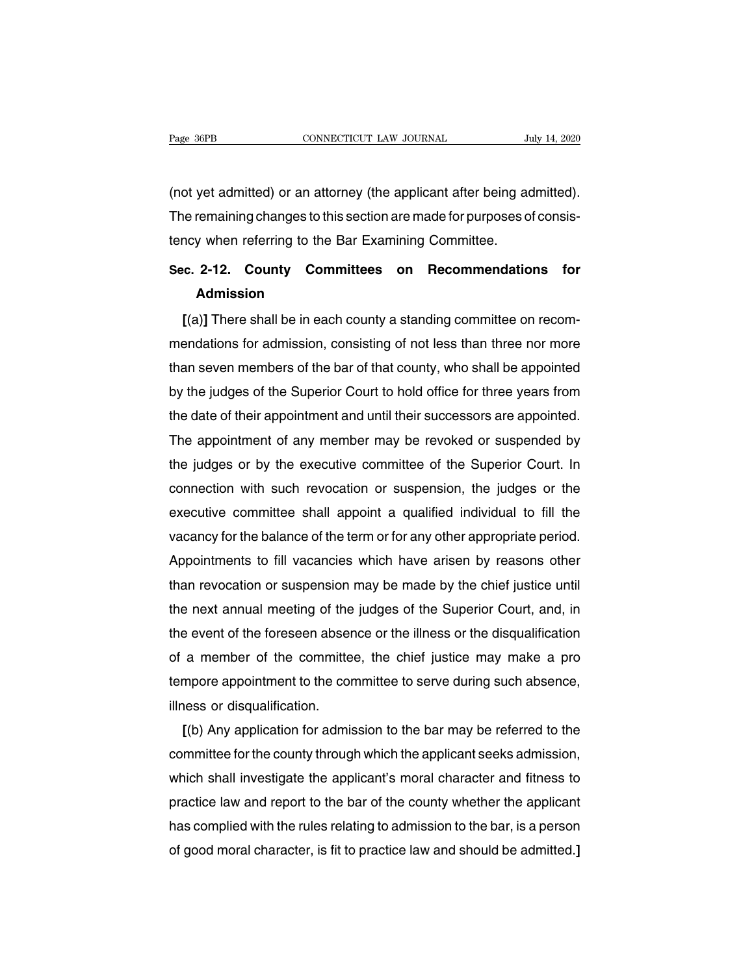(not yet admitted) or an attorney (the applicant after being admitted). The remaining changes to this section are made for purposes of consistency when referring to the Bar Examining Committee. The tench of the applicant after being at<br>(not yet admitted) or an attorney (the applicant after being at<br>The remaining changes to this section are made for purposes of<br>tency when referring to the Bar Examining Committee.<br> (not yet admitted) or an attorney (the applicant after being admitted).<br>The remaining changes to this section are made for purposes of consistency when referring to the Bar Examining Committee.<br>Sec. 2-12. County Committees

## **Admission**

**[**(a)**]** There shall be in each county a standing committee on recom-Sec. 2-12. County Committees on Recommendations for<br>Admission<br>[(a)] There shall be in each county a standing committee on recom-<br>mendations for admission, consisting of not less than three nor more<br>than seven members of th Sec. 2-12. County Committees on Recommendations for<br>Admission<br>[(a)] There shall be in each county a standing committee on recom-<br>mendations for admission, consisting of not less than three nor more<br>than seven members of th Admission<br>
[(a)] There shall be in each county a standing committee on recom-<br>
mendations for admission, consisting of not less than three nor more<br>
than seven members of the bar of that county, who shall be appointed<br>
by [(a)] There shall be in each county a standing committee on recom-<br>mendations for admission, consisting of not less than three nor more<br>than seven members of the bar of that county, who shall be appointed<br>by the judges of mendations for admission, consisting of not less than three nor more<br>than seven members of the bar of that county, who shall be appointed<br>by the judges of the Superior Court to hold office for three years from<br>the date of than seven members of the bar of that county, who shall be appointed<br>by the judges of the Superior Court to hold office for three years from<br>the date of their appointment and until their successors are appointed.<br>The appoi by the judges of the Superior Court to hold office for three years from<br>the date of their appointment and until their successors are appointed.<br>The appointment of any member may be revoked or suspended by<br>the judges or by the date of their appointment and until their successors are appointed.<br>The appointment of any member may be revoked or suspended by<br>the judges or by the executive committee of the Superior Court. In<br>connection with such r The appointment of any member may be revoked or suspended by<br>the judges or by the executive committee of the Superior Court. In<br>connection with such revocation or suspension, the judges or the<br>executive committee shall app the judges or by the executive committee of the Superior Court. In connection with such revocation or suspension, the judges or the executive committee shall appoint a qualified individual to fill the vacancy for the balan connection with such revocation or suspension, the judges or the<br>executive committee shall appoint a qualified individual to fill the<br>vacancy for the balance of the term or for any other appropriate period.<br>Appointments to executive committee shall appoint a qualified individual to fill the<br>vacancy for the balance of the term or for any other appropriate period.<br>Appointments to fill vacancies which have arisen by reasons other<br>than revocatio vacancy for the balance of the term or for any other appropriate period.<br>Appointments to fill vacancies which have arisen by reasons other<br>than revocation or suspension may be made by the chief justice until<br>the next annua Appointments to till vacancies which have arisen by reasons other<br>than revocation or suspension may be made by the chief justice until<br>the next annual meeting of the judges of the Superior Court, and, in<br>the event of the f than revocation or suspension may be made by the chief justice until<br>the next annual meeting of the judges of the Superior Court, and, in<br>the event of the foreseen absence or the illness or the disqualification<br>of a member the next annual meeting of the<br>the event of the foreseen abser<br>of a member of the committe<br>tempore appointment to the cor<br>illness or disqualification.<br>[(b) Any application for admis Equal the toreseen absence or the illness or the disqualification<br>
a member of the committee, the chief justice may make a pro<br>
mpore appointment to the committee to serve during such absence,<br>
I(b) Any application for adm

of a member of the committee, the chief justice may make a pro<br>tempore appointment to the committee to serve during such absence,<br>illness or disqualification.<br>[(b) Any application for admission to the bar may be referred t tempore appointment to the committee to serve during such absence,<br>illness or disqualification.<br>[(b) Any application for admission to the bar may be referred to the<br>committee for the county through which the applicant seek illness or disqualification.<br>
[(b) Any application for admission to the bar may be referred to the<br>
committee for the county through which the applicant seeks admission,<br>
which shall investigate the applicant's moral chara [(b) Any application for admission to the bar may be referred to the<br>committee for the county through which the applicant seeks admission,<br>which shall investigate the applicant's moral character and fitness to<br>practice law committee for the county through which the applicant seeks admission,<br>which shall investigate the applicant's moral character and fitness to<br>practice law and report to the bar of the county whether the applicant<br>has compli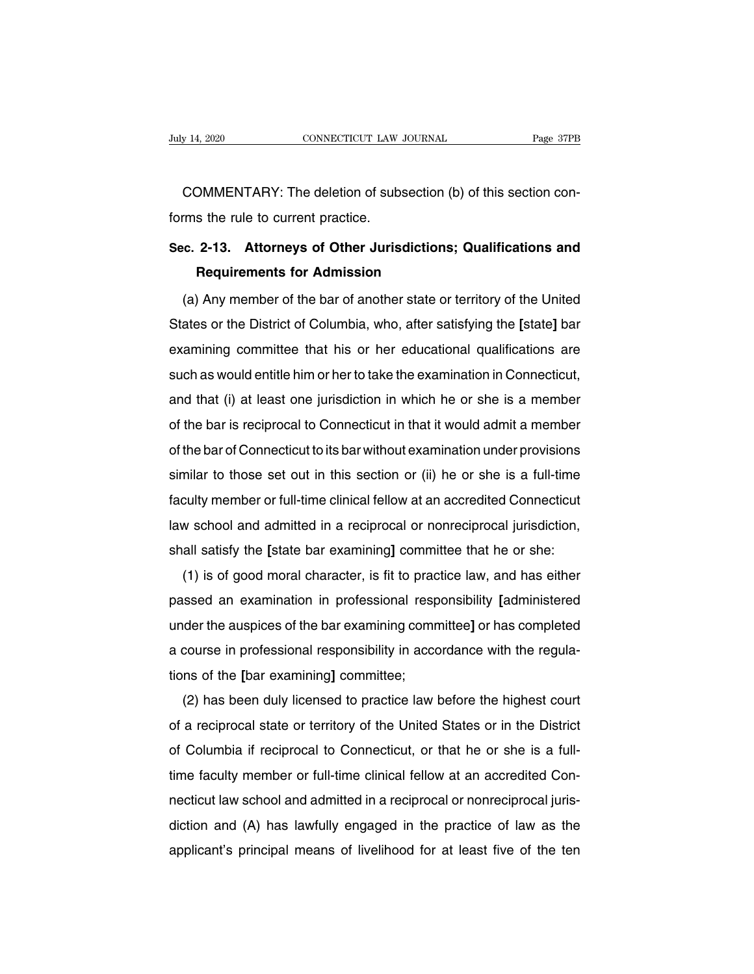EXECUTE THE SUITE OF THE SERVICE OF THE SERVICE OF SUBSECTION COMMENTARY: The deletion of subsection (b) of this section con-<br>COMMENTARY: The deletion of subsection (b) of this section con-<br>Franchice of the section con-July 14, 2020<br>
COMMENTARY: The deletion of subs<br>
forms the rule to current practice.<br>
Sec. 2-13. Attorneys of Other Jurison

# **COMMENTARY:** The deletion of subsection (b) of this section conforms the rule to current practice.<br>Sec. 2-13. Attorneys of Other Jurisdictions; Qualifications and<br>Requirements for Admission **REMIARY:** The deletion of subsection (to sthe rule to current practice.<br> **Requirements for Admission**<br>
Any member of the bar of another state or  $\frac{1}{2}$

(c. 2-13. Attorneys of Other Jurisdictions; Qualifications and<br>Requirements for Admission<br>(a) Any member of the bar of another state or territory of the United<br>ates or the District of Columbia, who, after satisfying the [s Sec. 2-13. Attorneys of Other Jurisdictions; Qualifications and<br>Requirements for Admission<br>(a) Any member of the bar of another state or territory of the United<br>States or the District of Columbia, who, after satisfying the Requirements for Admission<br>
(a) Any member of the bar of another state or territory of the United<br>
States or the District of Columbia, who, after satisfying the [state] bar<br>
examining committee that his or her educational (a) Any member of the bar of another state or territory of the United<br>States or the District of Columbia, who, after satisfying the [state] bar<br>examining committee that his or her educational qualifications are<br>such as wou (a) Any member of the bat of another state of termoty of the onleaf<br>States or the District of Columbia, who, after satisfying the [state] bar<br>examining committee that his or her educational qualifications are<br>such as would states of the bistrict of Columbia, who, after satisfying the [state] bar<br>examining committee that his or her educational qualifications are<br>such as would entitle him or her to take the examination in Connecticut,<br>and that examining committee that his of the educational qualifications are<br>such as would entitle him or her to take the examination in Connecticut,<br>and that (i) at least one jurisdiction in which he or she is a member<br>of the bar i such as would entitle film of her to take the examination in Connecticut,<br>and that (i) at least one jurisdiction in which he or she is a member<br>of the bar is reciprocal to Connecticut in that it would admit a member<br>of the and that (i) at least one jurisdiction in which he of site is a member<br>of the bar is reciprocal to Connecticut in that it would admit a member<br>of the bar of Connecticut to its bar without examination under provisions<br>simil of the bar of Connecticut to its bar without examination under provisions<br>similar to those set out in this section or (ii) he or she is a full-time<br>faculty member or full-time clinical fellow at an accredited Connecticut<br>l similar to those set out in this section or (ii) he or she is a full-time faculty member or full-time clinical fellow at an accredited Connecticut law school and admitted in a reciprocal or nonreciprocal jurisdiction, shal Final to those set out in this section of (ii) he or she is a fun-time<br>culty member or full-time clinical fellow at an accredited Connecticut<br>w school and admitted in a reciprocal or nonreciprocal jurisdiction,<br>all satisfy

racting member of fun-time clinical reliow at an accredited confiection<br>law school and admitted in a reciprocal or nonreciprocal jurisdiction,<br>shall satisfy the [state bar examining] committee that he or she:<br>(1) is of goo a scribbi and admitted in a reciprocal of nonreciprocal jurisdiction,<br>shall satisfy the [state bar examining] committee that he or she:<br>(1) is of good moral character, is fit to practice law, and has either<br>passed an exami shall salisly the state bar examining] committee that he or she.<br>
(1) is of good moral character, is fit to practice law, and has either<br>
passed an examination in professional responsibility [administered<br>
under the auspic The Bar examination in professional resp<br>passed an examination in professional resp<br>under the auspices of the bar examining comm<br>a course in professional responsibility in acco<br>tions of the [bar examining] committee;<br>(2) h Ssed an examination in professional responsibility [administered]<br>der the auspices of the bar examining committee] or has completed<br>course in professional responsibility in accordance with the regula-<br>ns of the [bar examin

a course in professional responsibility in accordance with the regulations of the [bar examining] committee;<br>(2) has been duly licensed to practice law before the highest court<br>of a reciprocal state or territory of the Uni a course in professional responsibility in accordance with the regula-<br>tions of the [bar examining] committee;<br>(2) has been duly licensed to practice law before the highest court<br>of a reciprocal state or territory of the U tions of the partical fellom multiple.<br>
(2) has been duly licensed to practice law before the highest court<br>
of a reciprocal state or territory of the United States or in the District<br>
of Columbia if reciprocal to Connecti ( $\geq$ ) has been duly licensed to practice law before the highest court<br>of a reciprocal state or territory of the United States or in the District<br>of Columbia if reciprocal to Connecticut, or that he or she is a full-<br>tim of Columbia if reciprocal to Connecticut, or that he or she is a full-<br>time faculty member or full-time clinical fellow at an accredited Con-<br>necticut law school and admitted in a reciprocal or nonreciprocal juris-<br>diction applicant's principal means of livelihood for at least five of the ten<br>applicant's principal means of livelihood for at least five of the ten<br>applicant's principal means of livelihood for at least five of the ten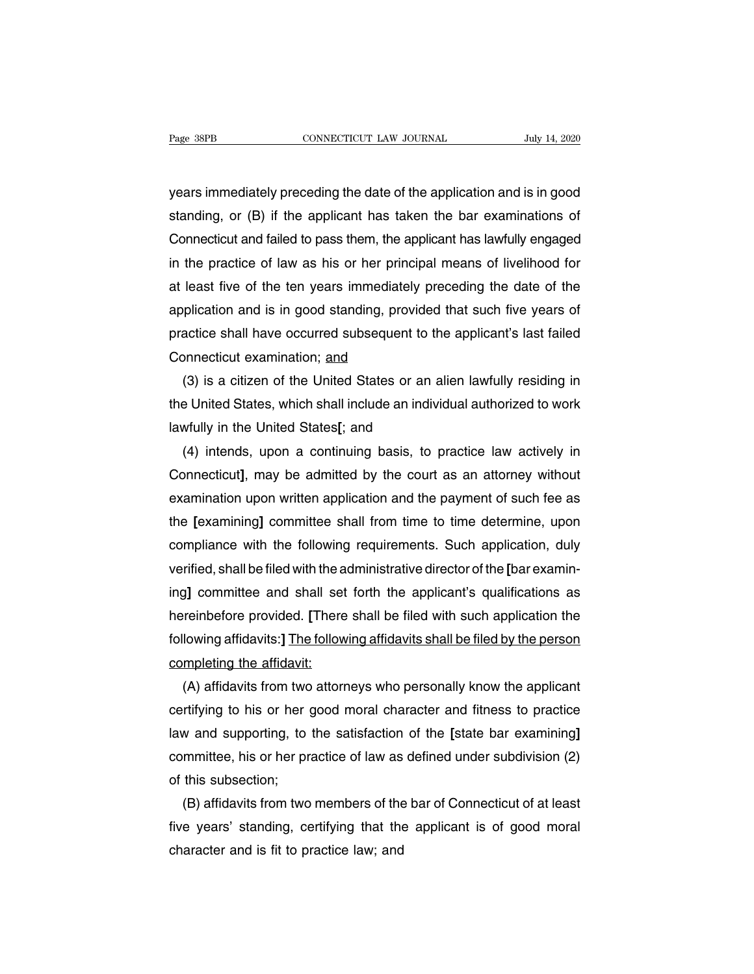Page 38PB<br>
years immediately preceding the date of the application and is in good<br>
standing, or (B) if the applicant has taken the bar examinations of Fage 38PB CONNECTICUT LAW JOURNAL July 14, 2020<br>
years immediately preceding the date of the application and is in good<br>
standing, or (B) if the applicant has taken the bar examinations of<br>
Connecticut and failed to pass t EXECT LAW JOOKNAL TO JULY 14, 2020<br>years immediately preceding the date of the application and is in good<br>standing, or (B) if the applicant has taken the bar examinations of<br>Connecticut and failed to pass them, the applic years immediately preceding the date of the application and is in good<br>standing, or (B) if the applicant has taken the bar examinations of<br>Connecticut and failed to pass them, the applicant has lawfully engaged<br>in the prac years immediately preceding the date of the application and is in good<br>standing, or (B) if the applicant has taken the bar examinations of<br>Connecticut and failed to pass them, the applicant has lawfully engaged<br>in the prac standing, or (B) if the applicant has taken the bar examinations of<br>Connecticut and failed to pass them, the applicant has lawfully engaged<br>in the practice of law as his or her principal means of livelihood for<br>at least fi Connecticut and failed to pass them, the applicant has lawfully engaged<br>in the practice of law as his or her principal means of livelihood for<br>at least five of the ten years immediately preceding the date of the<br>applicatio in the practice of law as his or her princ<br>at least five of the ten years immediately<br>application and is in good standing, prov<br>practice shall have occurred subsequent<br>Connecticut examination; <u>and</u><br>(3) is a citizen of the least five of the ten years immediately preceding the date of the<br>plication and is in good standing, provided that such five years of<br>actice shall have occurred subsequent to the applicant's last failed<br>pnnecticut examinat

application and is in good standing, provided that such five years of<br>practice shall have occurred subsequent to the applicant's last failed<br>Connecticut examination; <u>and</u><br>(3) is a citizen of the United States or an alien practice shall have occurred subsequent to th<br>Connecticut examination; <u>and</u><br>(3) is a citizen of the United States or an a<br>the United States, which shall include an indivi<br>lawfully in the United States[; and<br>(4) intends, u onnecticut examination; <u>and</u><br>(3) is a citizen of the United States or an alien lawfully residing in<br>e United States, which shall include an individual authorized to work<br>wfully in the United States[; and<br>(4) intends, upon

(3) is a citizen of the United States or an alien lawfully residing in<br>the United States, which shall include an individual authorized to work<br>lawfully in the United States[; and<br>(4) intends, upon a continuing basis, to pr the United States, which shall include an individual authorized to work<br>lawfully in the United States[; and<br>(4) intends, upon a continuing basis, to practice law actively in<br>Connecticut], may be admitted by the court as an lawfully in the United States[; and<br>
(4) intends, upon a continuing basis, to practice law actively in<br>
Connecticut], may be admitted by the court as an attorney without<br>
examination upon written application and the paymen (4) intends, upon a continuing basis, to practice law actively in<br>Connecticut], may be admitted by the court as an attorney without<br>examination upon written application and the payment of such fee as<br>the [examining] commit Connecticut], may be admitted by the court as an attorney without<br>examination upon written application and the payment of such fee as<br>the [examining] committee shall from time to time determine, upon<br>compliance with the fo examination upon written application and the payment of such fee as<br>the [examining] committee shall from time to time determine, upon<br>compliance with the following requirements. Such application, duly<br>verified, shall be fi the [examining] committee shall from time to time determine, upon<br>compliance with the following requirements. Such application, duly<br>verified, shall be filed with the administrative director of the [bar examin-<br>ing] commit compliance with the following requirements. Such application, duly<br>verified, shall be filed with the administrative director of the [bar examin-<br>ing] committee and shall set forth the applicant's qualifications as<br>hereinbe verified, shall be filed with the a<br>ing] committee and shall set<br>hereinbefore provided. [There<br>following affidavits:] <u>The follow</u><br>completing the affidavit:<br>(A) affidavits from two attorn (A) affidavits from the applicant's qualifications as<br>treinbefore provided. [There shall be filed with such application the<br>lowing affidavits:] The following affidavits shall be filed by the person<br>mpleting the affidavit:<br>

hereinbefore provided. [There shall be filed with such application the<br>following affidavits:] The following affidavits shall be filed by the person<br>completing the affidavit:<br>(A) affidavits from two attorneys who personally following affidavits:] The following affidavits shall be filed by the person<br>completing the affidavit:<br>(A) affidavits from two attorneys who personally know the applicant<br>certifying to his or her good moral character and f completing the affidavit:<br>
(A) affidavits from two attorneys who personally know the applicant<br>
certifying to his or her good moral character and fitness to practice<br>
law and supporting, to the satisfaction of the [state b (A) affidavits from two<br>certifying to his or her (<br>law and supporting, to<br>committee, his or her pra<br>of this subsection;<br>(B) affidavits from two rtifying to his or her good moral character and fitness to practice<br>w and supporting, to the satisfaction of the [state bar examining]<br>mmittee, his or her practice of law as defined under subdivision (2)<br>this subsection;<br>( law and supporting, to the satisfaction of the [state bar examining]<br>
committee, his or her practice of law as defined under subdivision (2)<br>
of this subsection;<br>
(B) affidavits from two members of the bar of Connecticut o

committee, his or her practice of law as<br>of this subsection;<br>(B) affidavits from two members of the<br>five years' standing, certifying that the<br>character and is fit to practice law; and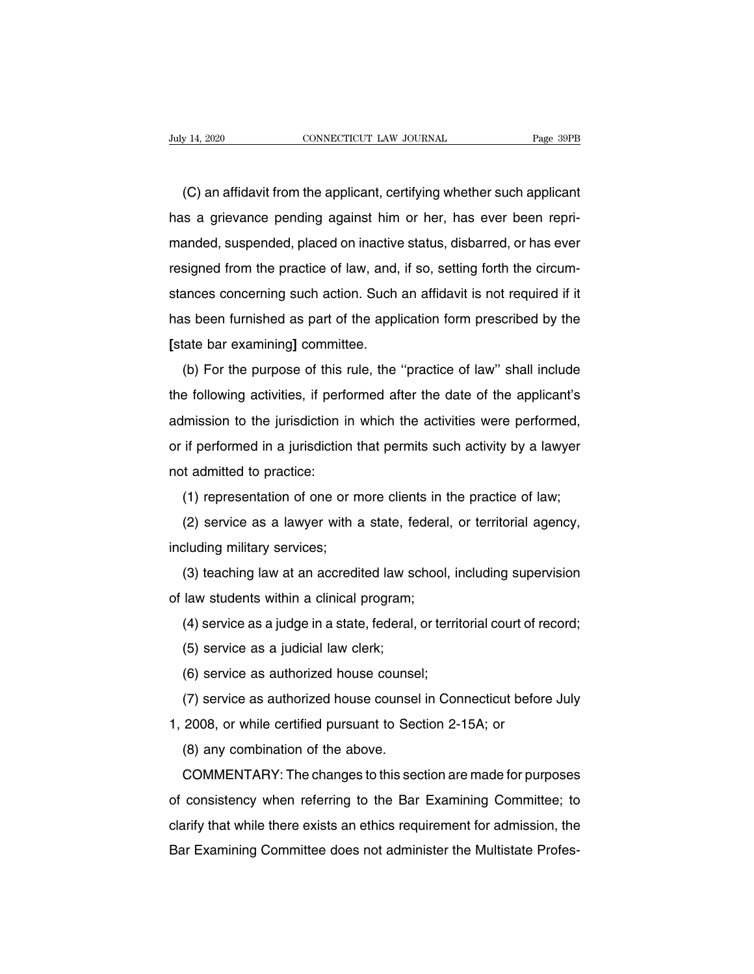(C) an affidavit from the applicant, certifying whether such applicant<br>
(C) an affidavit from the applicant, certifying whether such applicant<br>
is a grievance pending against him or her, has ever been repri-July 14, 2020 CONNECTICUT LAW JOURNAL Page 39PB<br>
(C) an affidavit from the applicant, certifying whether such applicant<br>
has a grievance pending against him or her, has ever been repri-<br>
manded, suspended, placed on inacti (C) an affidavit from the applicant, certifying whether such applicant<br>has a grievance pending against him or her, has ever been repri-<br>manded, suspended, placed on inactive status, disbarred, or has ever<br>resigned from the (C) an affidavit from the applicant, certifying whether such applicant<br>has a grievance pending against him or her, has ever been repri-<br>manded, suspended, placed on inactive status, disbarred, or has ever<br>resigned from the (C) an amdavit nont the applicant, certifying when er such applicant<br>has a grievance pending against him or her, has ever been repri-<br>manded, suspended, placed on inactive status, disbarred, or has ever<br>resigned from the p has a grievance penang against him of the as ever been rephanded, suspended, placed on inactive status, disbarred, or has ever resigned from the practice of law, and, if so, setting forth the circum-<br>stances concerning suc resigned from the practice of law, and,<br>resigned from the practice of law, and,<br>stances concerning such action. Such<br>has been furnished as part of the appl<br>[state bar examining] committee.<br>(b) For the purpose of this rule, sighted from the plactice of law, and, if so, setting forth the chedin-<br>ances concerning such action. Such an affidavit is not required if it<br>is been furnished as part of the application form prescribed by the<br>tate bar exa

stances concerning such action. Such an amudavit is not required in it<br>has been furnished as part of the application form prescribed by the<br>[state bar examining] committee.<br>(b) For the purpose of this rule, the "practice o ras been runnshed as part of the application form prescribed by the<br>
[state bar examining] committee.<br>
(b) For the purpose of this rule, the "practice of law" shall include<br>
the following activities, if performed after the (b) For the purpose of this rule, the "practice of law" shall include<br>the following activities, if performed after the date of the applicant's<br>admission to the jurisdiction in which the activities were performed,<br>or if per (b) For the purpose of this rule, the "practice of law" shall include<br>the following activities, if performed after the date of the applicant's<br>admission to the jurisdiction in which the activities were performed,<br>or if pe Imission to the jurisdiction in which the activities were performed,<br>if performed in a jurisdiction that permits such activity by a lawyer<br>of admitted to practice:<br>(1) representation of one or more clients in the practice In the garaction in which the activities were performed,<br>if performed in a jurisdiction that permits such activity by a lawyer<br>t admitted to practice:<br>(1) representation of one or more clients in the practice of law;<br>(2) s

including military services;<br>(1) representation of one or m<br>(2) service as a lawyer with a<br>including military services;<br>(3) teaching law at an accredi (1) representation of one of more clients in (2) service as a lawyer with a state, federal<br>including military services;<br>(3) teaching law at an accredited law school,<br>of law students within a clinical program;<br>(4) service a

(1) representation of one or more clients in the practice of law;<br>(2) service as a lawyer with a state, federal, or territorial agency,<br>cluding military services;<br>(3) teaching law at an accredited law school, including sup call service as a jawyer wint a state, federal, or territorial agency,<br>cluding military services;<br>(3) teaching law at an accredited law school, including supervision<br>law students within a clinical program;<br>(4) service as (3) teaching law at an accredited law so<br>law students within a clinical program;<br>(4) service as a judge in a state, federal,<br>(5) service as a judicial law clerk;<br>(6) service as a uthorized house counse (3) deaching law at an accredited law school, if<br>law students within a clinical program;<br>(4) service as a judge in a state, federal, or territ<br>(5) service as a judicial law clerk;<br>(6) service as authorized house counsel;<br>(

(4) service as a judge in a state, federal, or territorial court of record;<br>(5) service as a judicial law clerk;<br>(6) service as authorized house counsel;<br>(7) service as authorized house counsel in Connecticut before July<br>2 (4) service as a judge in a state, lederal, or termonal court of R<br>
(5) service as a judicial law clerk;<br>
(6) service as authorized house counsel;<br>
(7) service as authorized house counsel in Connecticut befor<br>
1, 2008, or

(3) service as a judicial law clerk,<br>(6) service as authorized house counse<br>(7) service as authorized house counsel<br>2008, or while certified pursuant to Sec<br>(8) any combination of the above.<br>COMMENTARY: The changes to this (b) service as authorized house counsel;<br>
(7) service as authorized house counsel in Connecticut before July<br>
2008, or while certified pursuant to Section 2-15A; or<br>
(8) any combination of the above.<br>
COMMENTARY: The chang (*r*) service as admonzed notise counser in Connecticut before Jury<br>1, 2008, or while certified pursuant to Section 2-15A; or<br>(8) any combination of the above.<br>COMMENTARY: The changes to this section are made for purposes<br> (8) any combination of the above.<br>COMMENTARY: The changes to this section are made for purposes<br>of consistency when referring to the Bar Examining Committee; to<br>clarify that while there exists an ethics requirement for adm COMMENTARY: The changes to this section are made for purposes<br>of consistency when referring to the Bar Examining Committee; to<br>clarify that while there exists an ethics requirement for admission, the<br>Bar Examining Committe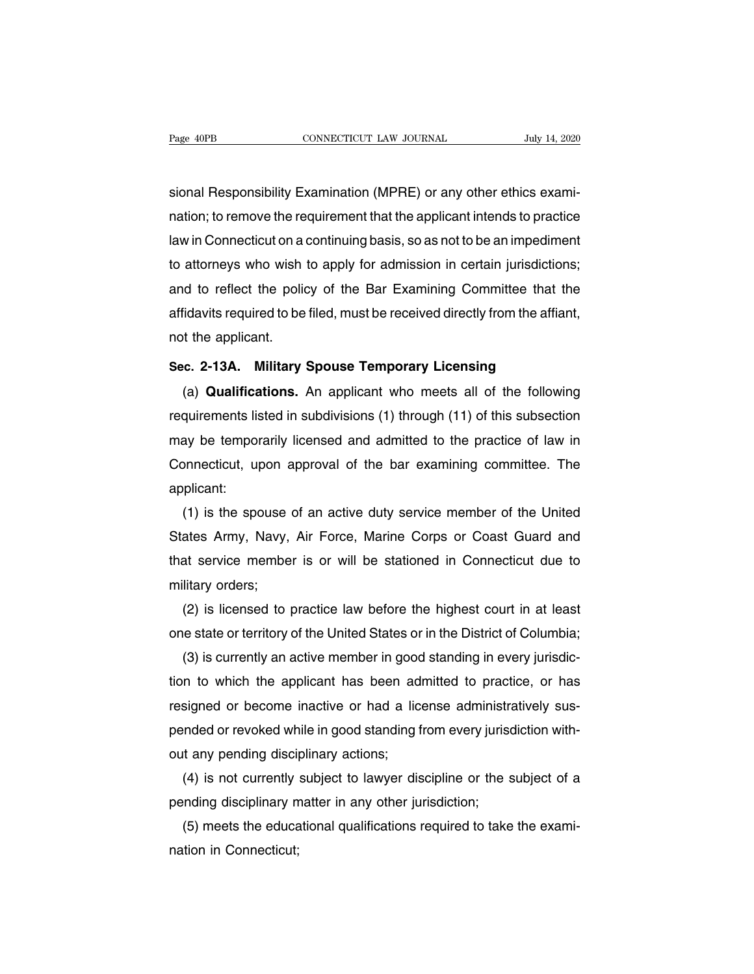Page 40PB<br>CONNECTICUT LAW JOURNAL July 14, 2020<br>Sional Responsibility Examination (MPRE) or any other ethics exami-<br>nation; to remove the requirement that the applicant intends to practice Page 40PB CONNECTICUT LAW JOURNAL July 14, 2020<br>
Sional Responsibility Examination (MPRE) or any other ethics exami-<br>
nation; to remove the requirement that the applicant intends to practice<br>
law in Connecticut on a contin In the connection and socialized barry in the same is<br>sional Responsibility Examination (MPRE) or any other ethics exami-<br>nation; to remove the requirement that the applicant intends to practice<br>law in Connecticut on a con sional Responsibility Examination (MPRE) or any other ethics examination; to remove the requirement that the applicant intends to practice law in Connecticut on a continuing basis, so as not to be an impediment to attorney sional Responsibility Examination (MPRE) or any other ethics examination; to remove the requirement that the applicant intends to practice law in Connecticut on a continuing basis, so as not to be an impediment to attorney nation; to remove the requirement that the applicant intends to practice<br>law in Connecticut on a continuing basis, so as not to be an impediment<br>to attorneys who wish to apply for admission in certain jurisdictions;<br>and to law in Connecticut on a<br>to attorneys who wish<br>and to reflect the polid<br>affidavits required to be<br>not the applicant.<br>Sec. 2-13A. Military In the difficult of the policy of the Bar Examining Committee that the affidavits required to be filed, must be received directly from the affian not the applicant.<br>Sec. 2-13A. Military Spouse Temporary Licensing<br>(a) Quali (a) **Qualifications.** An applicant who meets all of the following<br>(a) **Qualifications.** An applicant who meets all of the following<br>quirements listed in subdivisions (1) through (11) of this subsection

requirements listed in subdivisions (1) through (11) of this subsection<br>may be temporary and admitted in subdivisions (1) through (11) of this subsection<br>may be temporarily licensed and admitted to the practice of law in Sec. 2-13A. Military Spouse Temporary Licensing<br>
(a) Qualifications. An applicant who meets all of the following<br>
requirements listed in subdivisions (1) through (11) of this subsection<br>
may be temporarily licensed and adm Sec. 2-13A. Military Spouse Temporary Licensing<br>
(a) Qualifications. An applicant who meets all of the following<br>
requirements listed in subdivisions (1) through (11) of this subsection<br>
may be temporarily licensed and adm applicant: quirements listed in subdivisions (1) through (11) of this subsection<br>ay be temporarily licensed and admitted to the practice of law in<br>pnnecticut, upon approval of the bar examining committee. The<br>plicant:<br>(1) is the spou

may be temporarily licensed and admitted to the practice of law in<br>Connecticut, upon approval of the bar examining committee. The<br>applicant:<br>(1) is the spouse of an active duty service member of the United<br>States Army, Nav Connecticut, upon approval of the bar examining committee. The<br>applicant:<br>(1) is the spouse of an active duty service member of the United<br>States Army, Navy, Air Force, Marine Corps or Coast Guard and<br>that service member i (1) is the spouse of an active duty service member of the United<br>States Army, Navy, Air Force, Marine Corps or Coast Guard and<br>that service member is or will be stationed in Connecticut due to<br>military orders;<br>(2) is licen (1) is the spouse of an active duty service member of the United<br>ates Army, Navy, Air Force, Marine Corps or Coast Guard and<br>at service member is or will be stationed in Connecticut due to<br>litary orders;<br>(2) is licensed to States Army, Navy, Air Force, Marine Corps or Coast Guard and<br>that service member is or will be stationed in Connecticut due to<br>military orders;<br>(2) is licensed to practice law before the highest court in at least<br>one stat

at service member is or will be stationed in Connecticut due to<br>litary orders;<br>(2) is licensed to practice law before the highest court in at least<br>le state or territory of the United States or in the District of Columbia; military orders;<br>
(2) is licensed to practice law before the highest court in at least<br>
one state or territory of the United States or in the District of Columbia;<br>
(3) is currently an active member in good standing in eve (2) is licensed to practice law before the highest court in at least<br>one state or territory of the United States or in the District of Columbia;<br>(3) is currently an active member in good standing in every jurisdic-<br>tion to one state or territory of the United States or in the District of Columbia;<br>(3) is currently an active member in good standing in every jurisdic-<br>tion to which the applicant has been admitted to practice, or has<br>resigned o (3) is currently an active member in good<br>tion to which the applicant has been ad<br>resigned or become inactive or had a lic<br>pended or revoked while in good standing f<br>out any pending disciplinary actions;<br>(4) is not current In to which the applicant has been admitted to practice, or has<br>signed or become inactive or had a license administratively sus-<br>inded or revoked while in good standing from every jurisdiction with-<br>it any pending discipli resigned or become inactive or had a license administral<br>pended or revoked while in good standing from every jurisd<br>out any pending disciplinary actions;<br>(4) is not currently subject to lawyer discipline or the s<br>pending d

mded or revoked while in good standing from every jurisdiction with-<br>t any pending disciplinary actions;<br>(4) is not currently subject to lawyer discipline or the subject of a<br>inding disciplinary matter in any other jurisdi out any pending discip<br>(4) is not currently<br>pending disciplinary m<br>(5) meets the educa<br>nation in Connecticut;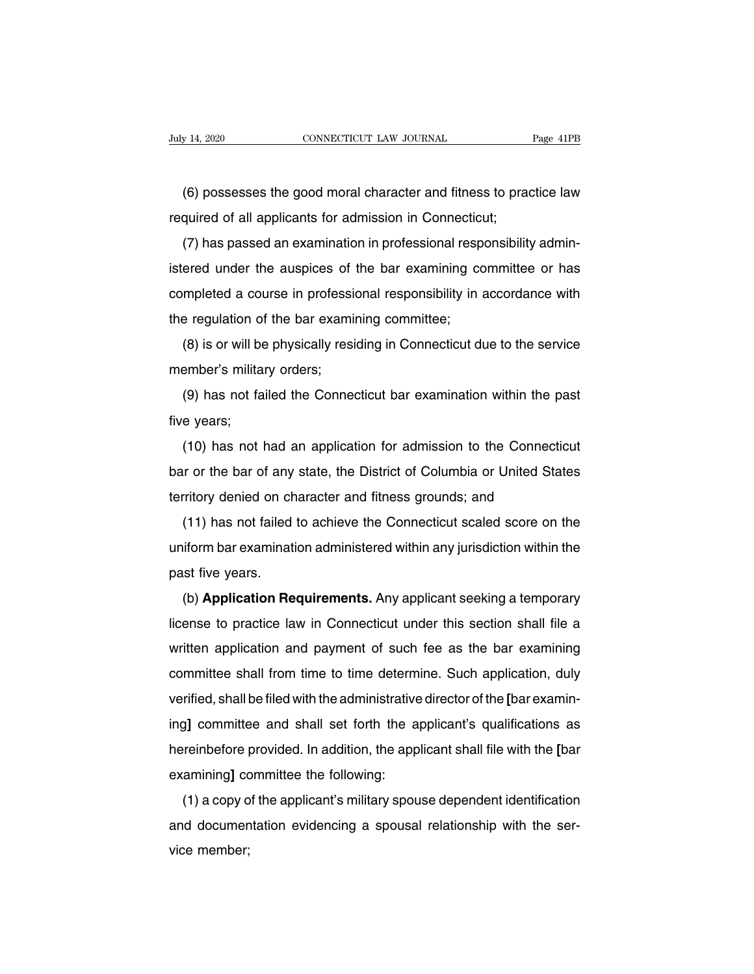external postesses the good moral character and fitness to practice law<br>
quired of all applicants for admission in Connecticut; Figure 14, 2020<br>
CONNECTICUT LAW JOURNAL<br>
(6) possesses the good moral character and fitness to prace<br>
required of all applicants for admission in Connecticut;<br>
(7) has passed an examination in professional responsibility

(6) possesses the good moral character and fitness to practice law<br>quired of all applicants for admission in Connecticut;<br>(7) has passed an examination in professional responsibility admin-<br>ered under the auspices of the b (6) possesses the good moral character and fitness to practice law<br>required of all applicants for admission in Connecticut;<br>(7) has passed an examination in professional responsibility admin-<br>istered under the auspices of (o) possesses the good motal character and miless to plactice law<br>required of all applicants for admission in Connecticut;<br>(7) has passed an examination in professional responsibility admin-<br>istered under the auspices of t (7) has passed an examination in professional resp<br>istered under the auspices of the bar examining co<br>completed a course in professional responsibility in a<br>the regulation of the bar examining committee;<br>(8) is or will be (7) has passed an examination in professional responsibility admini-<br>ered under the auspices of the bar examining committee or has<br>mpleted a course in professional responsibility in accordance with<br>e regulation of the bar completed a course in professic<br>the regulation of the bar exami<br>(8) is or will be physically resident<br>member's military orders;<br>(9) has not failed the Connet

regulation of the bar examining committee;<br>(8) is or will be physically residing in Connecticut due to the service<br>ember's military orders;<br>(9) has not failed the Connecticut bar examination within the past<br>e years; (8) is or will be<br>member's milita<br>(9) has not fa<br>five years;<br>(10) has not l

(c) is or will be priysically residing in connecticut due to the service<br>ember's military orders;<br>(9) has not failed the Connecticut bar examination within the past<br>e years;<br>(10) has not had an application for admission to (9) has not failed the Connecticut bar examination within the past<br>five years;<br>(10) has not had an application for admission to the Connecticut<br>bar or the bar of any state, the District of Columbia or United States<br>territo (3) has not failed the Connecticut bar examination within the p<br>five years;<br>(10) has not had an application for admission to the Connecti<br>bar or the bar of any state, the District of Columbia or United Sta<br>territory denied (10) has not had an application for admission to the Connecticut<br>ir or the bar of any state, the District of Columbia or United States<br>rritory denied on character and fitness grounds; and<br>(11) has not failed to achieve the

(10) has not had an application for admission to the connecticut<br>bar or the bar of any state, the District of Columbia or United States<br>territory denied on character and fitness grounds; and<br>(11) has not failed to achieve bar or the bar or any<br>territory denied on ch<br>(11) has not failed<br>uniform bar examinat<br>past five years.<br>(b) **Application Re** (11) has not failed to achieve the Connecticut scaled score on the<br>iform bar examination administered within any jurisdiction within the<br>st five years.<br>(b) **Application Requirements.** Any applicant seeking a temporary<br>ense

(11) has not falled to achieve the Connecticut scaled score on the<br>uniform bar examination administered within any jurisdiction within the<br>past five years.<br>(b) **Application Requirements.** Any applicant seeking a temporary<br> morm bar examination administered within any jurisdiction within the<br>past five years.<br>(b) **Application Requirements.** Any applicant seeking a temporary<br>license to practice law in Connecticut under this section shall file a past live years.<br>
(b) **Application Requirements.** Any applicant seeking a temporary<br>
license to practice law in Connecticut under this section shall file a<br>
written application and payment of such fee as the bar examining<br> (b) **Application Requirements.** Any applicant seeking a temporary<br>license to practice law in Connecticut under this section shall file a<br>written application and payment of such fee as the bar examining<br>committee shall from incerise to practice law in Connecticut under this section shall life a<br>written application and payment of such fee as the bar examining<br>committee shall from time to time determine. Such application, duly<br>verified, shall b whiteh application and payment of such lee as the bar examining<br>committee shall from time to time determine. Such application, duly<br>verified, shall be filed with the administrative director of the [bar examin-<br>ing] committ committee shall be filed with the administrative<br>ing] committee and shall set forth the a<br>hereinbefore provided. In addition, the app<br>examining] committee the following:<br>(1) a copy of the applicant's military spot The applicant's qualifications as<br>
interesting and shall set forth the applicant's qualifications as<br>
reinbefore provided. In addition, the applicant shall file with the [bar<br>
amining] committee the following:<br>
(1) a copy

and shall set form the applicant's qualifications as<br>hereinbefore provided. In addition, the applicant shall file with the [bar<br>examining] committee the following:<br>(1) a copy of the applicant's military spouse dependent id rieremberore<br>examining] co<br>(1) a copy o<br>and documer<br>vice member;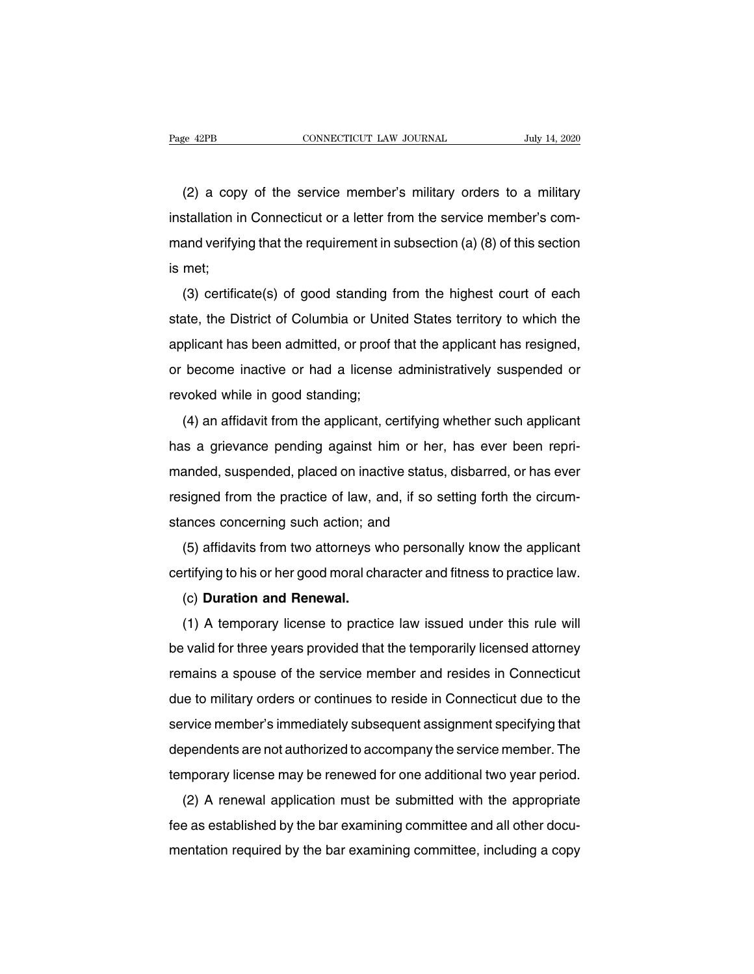ERE ERE ERECTIVE CONNECTICUT LAW JOURNAL THAT THE SERVICE THE SERVICE MEMORIAL CONNECTICUT LAW JOURNAL THAT THAT SUBSETS (2) a copy of the service member's military orders to a military stallation in Connecticut or a lette Fage 42PB CONNECTICUT LAW JOURNAL July 14, 2020<br>
(2) a copy of the service member's military orders to a military<br>
installation in Connecticut or a letter from the service member's com-<br>
mand verifying that the requirement (2) a copy of the service member's military orders to a military installation in Connecticut or a letter from the service member's com-<br>mand verifying that the requirement in subsection (a) (8) of this section is met; (2) a copy<br>installation in<br>mand verifyin<br>is met;<br>(3) certific ( $2$ ) a copy of the service member's military ofders to a military<br>stallation in Connecticut or a letter from the service member's com-<br>and verifying that the requirement in subsection (a) (8) of this section<br>met;<br>(3) cer

Installation in Connecticut of a letter from the service member's com-<br>mand verifying that the requirement in subsection (a) (8) of this section<br>is met;<br>(3) certificate(s) of good standing from the highest court of each<br>st and verifying that the requirement in subsection (a) (b) or this section<br>is met;<br>(3) certificate(s) of good standing from the highest court of each<br>state, the District of Columbia or United States territory to which the<br>a (3) certificate(s) of good standing from the highest court of each<br>state, the District of Columbia or United States territory to which the<br>applicant has been admitted, or proof that the applicant has resigned,<br>or become in (3) certificate(s) of good standing from the highest court of each<br>state, the District of Columbia or United States territory to which the<br>applicant has been admitted, or proof that the applicant has resigned,<br>or become in The plicant has been admitted, or proof that the applicant has resigned,<br>become inactive or had a license administratively suspended or<br>voked while in good standing;<br>(4) an affidavit from the applicant, certifying whether

applicant has been admitted, or proof that the applicant has resigned,<br>or become inactive or had a license administratively suspended or<br>revoked while in good standing;<br>(4) an affidavit from the applicant, certifying wheth manded, suspended on inactive of that a litense administratively suspended of<br>revoked while in good standing;<br>(4) an affidavit from the applicant, certifying whether such applicant<br>has a grievance pending against him or he revoked while in good standing,<br>
(4) an affidavit from the applicant, certifying whether such applicant<br>
has a grievance pending against him or her, has ever been repri-<br>
manded, suspended, placed on inactive status, disba (4) an amdavit nont the applicant, certifying with<br>has a grievance pending against him or her, h<br>manded, suspended, placed on inactive status, d<br>resigned from the practice of law, and, if so sett<br>stances concerning such ac anded, suspended, placed on inactive status, disbarred, or has ever<br>signed from the practice of law, and, if so setting forth the circum-<br>ances concerning such action; and<br>(5) affidavits from two attorneys who personally k rianced, suspended, placed of final live status, displained, of has ever<br>resigned from the practice of law, and, if so setting forth the circum-<br>stances concerning such action; and<br>(5) affidavits from two attorneys who per

signed nom the practice of law, a<br>ances concerning such action; an<br>(5) affidavits from two attorneys w<br>rtifying to his or her good moral cha<br>(c) **Duration and Renewal.**<br>(1) A temporary license to practic

(5) affidavits from two attorneys who personally know the applicant<br>rtifying to his or her good moral character and fitness to practice law.<br>(c) **Duration and Renewal.**<br>(1) A temporary license to practice law issued under be valid for three years provided that the temporarily licensed attorney<br>
(b) Duration and Renewal.<br>
(d) A temporary license to practice law issued under this rule will<br>
be valid for three years provided that the temporari refinying to fils of the good motal character and intess to practice law.<br>
(c) Duration and Renewal.<br>
(1) A temporary license to practice law issued under this rule will<br>
be valid for three years provided that the temporar (c) Duration and Herlewal.<br>
(1) A temporary license to practice law issued under this rule will<br>
be valid for three years provided that the temporarily licensed attorney<br>
remains a spouse of the service member and resides (1) A temporary license to practice law issued under this fulle will<br>be valid for three years provided that the temporarily licensed attorney<br>remains a spouse of the service member and resides in Connecticut<br>due to militar dependents are not authorized to accompany inceresed attorney<br>due to military orders or continues to reside in Connecticut due to the<br>service member's immediately subsequent assignment specifying that<br>dependents are not au temants a spouse of the service member and restates in Connecticut<br>due to military orders or continues to reside in Connecticut due to the<br>service member's immediately subsequent assignment specifying that<br>dependents are n rvice member's immediately subsequent assignment specifying that<br>pendents are not authorized to accompany the service member. The<br>mporary license may be renewed for one additional two year period.<br>(2) A renewal application

service member summediately subsequent assignment specifying that<br>dependents are not authorized to accompany the service member. The<br>temporary license may be renewed for one additional two year period.<br>(2) A renewal applic dependents are not additionzed to accompany the service member. The<br>temporary license may be renewed for one additional two year period.<br>(2) A renewal application must be submitted with the appropriate<br>fee as established b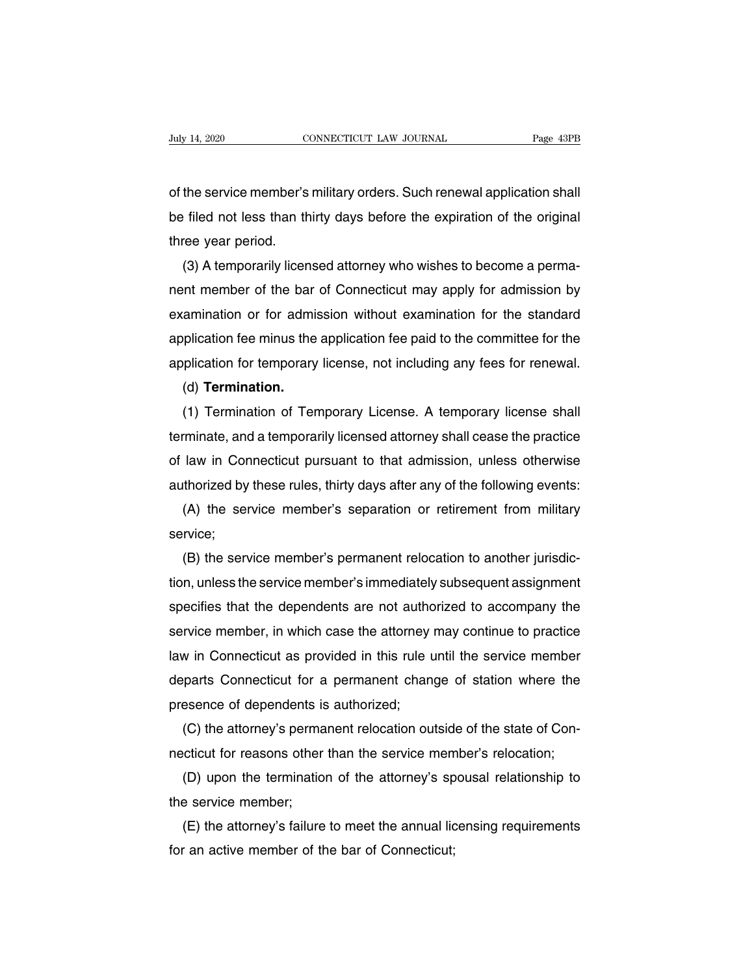Daly 14, 2020<br>
CONNECTICUT LAW JOURNAL<br>
Of the service member's military orders. Such renewal application shall<br>
De filed not less than thirty days before the expiration of the original be filed not less than thirty days before the expiration of the original<br>three year period.<br>Three year period. ody 11, 2020<br>of the service member's<br>be filed not less than the<br>three year period.<br>(3) A temporarily licer the service member's military orders. Such renewal application shall<br>Filed not less than thirty days before the expiration of the original<br>ree year period.<br>(3) A temporarily licensed attorney who wishes to become a perma-<br>

or the service member's military orders. Such renewal application shall<br>be filed not less than thirty days before the expiration of the original<br>three year period.<br>(3) A temporarily licensed attorney who wishes to become a be filed not less than thirty days before the expiration of the original<br>three year period.<br>(3) A temporarily licensed attorney who wishes to become a perma-<br>nent member of the bar of Connecticut may apply for admission by three year period.<br>
(3) A temporarily licensed attorney who wishes to become a perma-<br>
nent member of the bar of Connecticut may apply for admission by<br>
examination or for admission without examination for the standard<br>
ap (3) A temporarily licensed attorney who wishes to become a perma-<br>nent member of the bar of Connecticut may apply for admission by<br>examination or for admission without examination for the standard<br>application fee minus the amination or for admission without examination for the standard<br>plication fee minus the application fee paid to the committee for the<br>plication for temporary license, not including any fees for renewal.<br>(d) **Termination.**<br>

(d) **Termination.**

application tee minus the application tee paid to the committee for the<br>application for temporary license, not including any fees for renewal.<br>(d) **Termination.**<br>(1) Termination of Temporary License. A temporary license sh application for temporary license, not including any fees for renewal.<br>
(d) **Termination.**<br>
(1) Termination of Temporary License. A temporary license shall<br>
terminate, and a temporarily licensed attorney shall cease the pr (d) Termination.<br>
(1) Termination of Temporary License. A temporary license shall<br>
terminate, and a temporarily licensed attorney shall cease the practice<br>
of law in Connecticut pursuant to that admission, unless otherwise (1) Termination of Temporary License. A temporary license shall<br>minate, and a temporarily licensed attorney shall cease the practice<br>law in Connecticut pursuant to that admission, unless otherwise<br>thorized by these rules,

service;

(B) Iaw in Connecticut pursuant to that admission, unless otherwise<br>thorized by these rules, thirty days after any of the following events:<br>(A) the service member's separation or retirement from military<br>rvice;<br>(B) the ser authorized by these rules, thirty days after any of the following events:<br>
(A) the service member's separation or retirement from military<br>
service;<br>
(B) the service member's permanent relocation to another jurisdic-<br>
tion (A) the service member's separation or retirement from military<br>service;<br>(B) the service member's permanent relocation to another jurisdic-<br>tion, unless the service member's immediately subsequent assignment<br>specifies that service;<br>
(B) the service member's permanent relocation to another jurisdic-<br>
tion, unless the service member's immediately subsequent assignment<br>
specifies that the dependents are not authorized to accompany the<br>
service (B) the service member's permanent relocation to another jurisdic-<br>tion, unless the service member's immediately subsequent assignment<br>specifies that the dependents are not authorized to accompany the<br>service member, in wh tion, unless the service member's immediately subsequent assignment<br>specifies that the dependents are not authorized to accompany the<br>service member, in which case the attorney may continue to practice<br>law in Connecticut a specifies that the dependents are not authorservice member, in which case the attorney<br>law in Connecticut as provided in this rule u<br>departs Connecticut for a permanent chang<br>presence of dependents is authorized;<br>(C) the a rvice member, in which case the attorney may continue to practice<br>w in Connecticut as provided in this rule until the service member<br>parts Connecticut for a permanent change of station where the<br>esence of dependents is aut necticut as provided in this rule until the service member<br>departs Connecticut for a permanent change of station where the<br>presence of dependents is authorized;<br>(C) the attorney's permanent relocation outside of the state

parts Connecticut for a permanent change of station where the<br>esence of dependents is authorized;<br>(C) the attorney's permanent relocation outside of the state of Con-<br>cticut for reasons other than the service member's relo presence of dependents is<br>
(C) the attorney's perma<br>
necticut for reasons other<br>
(D) upon the terminatio<br>
the service member;<br>
(E) the attorney's failure

(C) the attorney's permanent relocation outside of the state of Concidicut for reasons other than the service member's relocation;<br>(D) upon the termination of the attorney's spousal relationship to<br>e service member;<br>(E) th mecticut for reasons other than the service mem<br>
(D) upon the termination of the attorney's sp<br>
the service member;<br>
(E) the attorney's failure to meet the annual lic<br>
for an active member of the bar of Connecticut;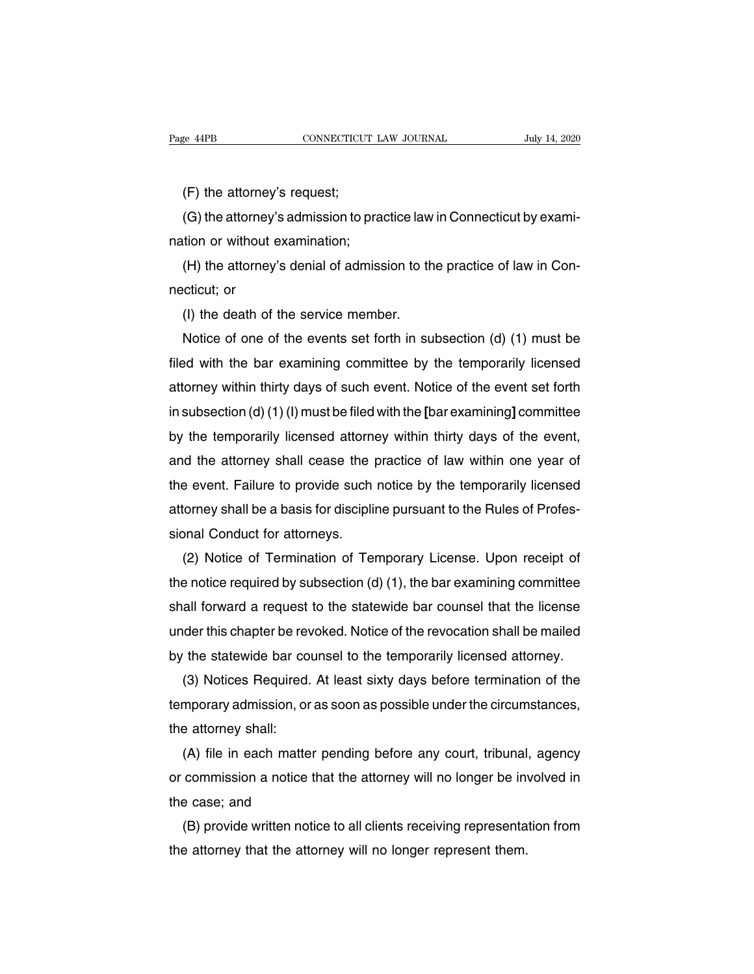e 44PB<br>
CONNECTICUT<br>
(F) the attorney's request;<br>
(G) the attorney's admission to p EXEMBERT AND CONNECTICUT LAW JOURNAL THAT THAT AND JULY 14, 2020<br>
(A) the attorney's request;<br>
(G) the attorney's admission to practice law in Connecticut by examition or without examination; (F) the attorney's request;<br>(G) the attorney's admission to pranation or without examination;<br>(H) the attorney's denial of admiss (F) the attorney's request;<br>(G) the attorney's admission to practice law in Connecticut by examition or without examination;<br>(H) the attorney's denial of admission to the practice of law in Con-<br>cticut; or (F) the attorney<br>(G) the attorney<br>nation or without<br>(H) the attorney<br>necticut; or<br>(I) the death of

(G) the attorney's admission to practice law<br>tion or without examination;<br>(H) the attorney's denial of admission to the<br>cticut; or<br>(I) the death of the service member.<br>Notice of one of the events set forth in su

(H) the attorney's denial of admission to the practice of law in Concidicut; or<br>
(I) the death of the service member.<br>
Notice of one of the events set forth in subsection (d) (1) must be<br>
ded with the bar examining committ (H) the attorney's denial of admission to the practice of law in Con-<br>necticut; or<br>(I) the death of the service member.<br>Notice of one of the events set forth in subsection (d) (1) must be<br>filed with the bar examining commi necticut; or<br>
(I) the death of the service member.<br>
Notice of one of the events set forth in subsection (d) (1) must be<br>
filed with the bar examining committee by the temporarily licensed<br>
attorney within thirty days of su (I) the death of the service member.<br>
Notice of one of the events set forth in subsection (d) (1) must be<br>
filed with the bar examining committee by the temporarily licensed<br>
attorney within thirty days of such event. Not Notice of one of the events set forth in subsection (d) (1) must be filed with the bar examining committee by the temporarily licensed attorney within thirty days of such event. Notice of the event set forth in subsection filed with the bar examining committee by the temporarily licensed<br>attorney within thirty days of such event. Notice of the event set forth<br>in subsection (d) (1) (l) must be filed with the [bar examining] committee<br>by the attorney within thirty days of such event. Notice of the event set forth<br>in subsection (d) (1) (l) must be filed with the [bar examining] committee<br>by the temporarily licensed attorney within thirty days of the event,<br>and in subsection (d) (1) (l) must be filed with the [bar examining] committee<br>by the temporarily licensed attorney within thirty days of the event,<br>and the attorney shall cease the practice of law within one year of<br>the event by the temporarily licensed attorne<br>and the attorney shall cease the p<br>the event. Failure to provide such<br>attorney shall be a basis for disciplii<br>sional Conduct for attorneys.<br>(2) Notice of Termination of Ter (d the attorney shall cease the practice of law within one year of<br>
e event. Failure to provide such notice by the temporarily licensed<br>
corney shall be a basis for discipline pursuant to the Rules of Profes-<br>
pon Conduct

the event. Failure to provide such notice by the temporarily licensed<br>attorney shall be a basis for discipline pursuant to the Rules of Profes-<br>sional Conduct for attorneys.<br>(2) Notice of Termination of Temporary License. attorney shall be a basis for discipline pursuant to the Rules of Professional Conduct for attorneys.<br>
(2) Notice of Termination of Temporary License. Upon receipt of<br>
the notice required by subsection (d) (1), the bar exa sional Conduct for attorneys.<br>
(2) Notice of Termination of Temporary License. Upon receipt of<br>
the notice required by subsection (d) (1), the bar examining committee<br>
shall forward a request to the statewide bar counsel t (2) Notice of Termination of Temporary License. Upon receipt of<br>the notice required by subsection (d) (1), the bar examining committee<br>shall forward a request to the statewide bar counsel that the license<br>under this chapt e notice required by subsection (d) (1), the bar examining committee<br>all forward a request to the statewide bar counsel that the license<br>der this chapter be revoked. Notice of the revocation shall be mailed<br>the statewide b

shall forward a request to the statewide bar counsel that the license<br>under this chapter be revoked. Notice of the revocation shall be mailed<br>by the statewide bar counsel to the temporarily licensed attorney.<br>(3) Notices R under this chapter be rev<br>by the statewide bar co<br>(3) Notices Required.<br>temporary admission, or<br>the attorney shall:<br>(A) file in each matte The statewide bar counsel to the temporarily licensed attorney.<br>
(3) Notices Required. At least sixty days before termination of the<br>
mporary admission, or as soon as possible under the circumstances,<br>
e attorney shall:<br>
(

(3) Notices Hequired. At least sixty days before termination of the<br>temporary admission, or as soon as possible under the circumstances,<br>the attorney shall:<br>(A) file in each matter pending before any court, tribunal, agenc temporary admission, or a<br>the attorney shall:<br>(A) file in each matter<br>or commission a notice th<br>the case; and<br>(B) provide written notic e attorney shall:<br>
(A) file in each matter pending before any court, tribunal, agency<br>
commission a notice that the attorney will no longer be involved in<br>
e case; and<br>
(B) provide written notice to all clients receiving r (A) file in each matter pending before any court, tribunal<br>or commission a notice that the attorney will no longer be inv<br>the case; and<br>(B) provide written notice to all clients receiving representa<br>the attorney that the a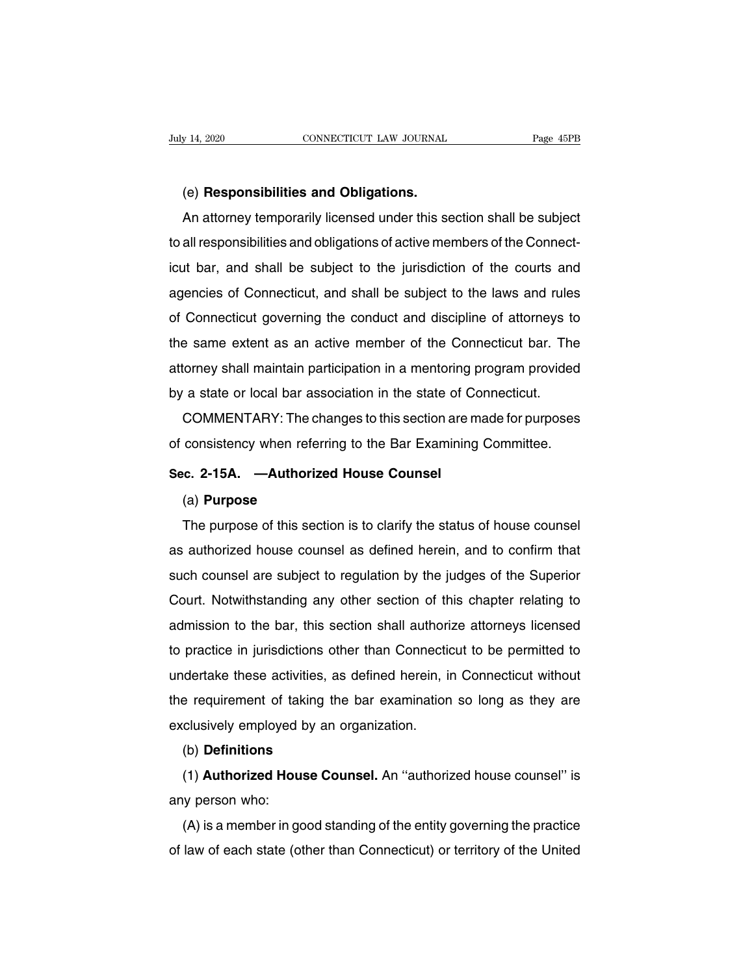(e) **Responsibilities and Obligations.** An attorney temporarily licensed under this section shall be subject<br>an attorney temporarily licensed under this section shall be subject<br>all responsibilities and obligations of active members of the Connect-(e) **Responsibilities and Obligations.**<br>An attorney temporarily licensed under this section shall be subject<br>to all responsibilities and obligations of active members of the Connect-<br>icut bar, and shall be subject to the j (e) **Responsibilities and Obligations.**<br>An attorney temporarily licensed under this section shall be subject<br>to all responsibilities and obligations of active members of the Connect-<br>icut bar, and shall be subject to the j (e) **Responsibilities and Obilgations.**<br>An attorney temporarily licensed under this section shall be subject<br>to all responsibilities and obligations of active members of the Connect-<br>icut bar, and shall be subject to the j Art attorney temporarity licensed under this section shall be subject<br>to all responsibilities and obligations of active members of the Connect-<br>icut bar, and shall be subject to the jurisdiction of the courts and<br>agencies to an responsibilities and obligations of active members of the Connect-<br>icut bar, and shall be subject to the jurisdiction of the courts and<br>agencies of Connecticut, and shall be subject to the laws and rules<br>of Connectic atta bar, and shall be subject to the jurisdiction of the courts and<br>agencies of Connecticut, and shall be subject to the laws and rules<br>of Connecticut governing the conduct and discipline of attorneys to<br>the same extent a agencies or Connecticut, and shall be subject to the laws and rule<br>of Connecticut governing the conduct and discipline of attorneys to<br>the same extent as an active member of the Connecticut bar. The<br>attorney shall maintain Example of all discipline of all discipline of all discipliness to<br>a same extent as an active member of the Connecticut bar. The<br>corney shall maintain participation in a mentoring program provided<br>a state or local bar asso Inter same extent as an active member of the Connecticut bar. The<br>attorney shall maintain participation in a mentoring program provided<br>by a state or local bar association in the state of Connecticut.<br>COMMENTARY: The chang

by a state or local bar association in the state of C<br>COMMENTARY: The changes to this section are r<br>of consistency when referring to the Bar Examining<br>**Sec. 2-15A.** —**Authorized House Counsel**<br>(a) **Purpose** 

# (a) **Purpose**

consistency when referring to the Bar Examining Committee.<br>
c. 2-15A. —Authorized House Counsel<br>
(a) Purpose<br>
The purpose of this section is to clarify the status of house counsel<br>
authorized house counsel as defined herei Sec. 2-15A. —Authorized House Counsel<br>
(a) Purpose<br>
The purpose of this section is to clarify the status of house counsel<br>
as authorized house counsel as defined herein, and to confirm that<br>
such counsel are subject to reg (a) **Purpose**<br>The purpose of this section is to clarify the status of house counsel<br>as authorized house counsel as defined herein, and to confirm that<br>such counsel are subject to regulation by the judges of the Superior<br>Co (a) **Purpose**<br>The purpose of this section is to clarify the status of house counsel<br>as authorized house counsel as defined herein, and to confirm that<br>such counsel are subject to regulation by the judges of the Superior<br>Co The purpose of this section is to clarify the status of house counser<br>as authorized house counsel as defined herein, and to confirm that<br>such counsel are subject to regulation by the judges of the Superior<br>Court. Notwithst as authorized house counser as defined herein, and to commit that<br>such counsel are subject to regulation by the judges of the Superior<br>Court. Notwithstanding any other section of this chapter relating to<br>admission to the b Such counser are subject to regulation by the judges of the superior<br>Court. Notwithstanding any other section of this chapter relating to<br>admission to the bar, this section shall authorize attorneys licensed<br>to practice in Court. Notwithstanding any other section of this chapter relating to<br>admission to the bar, this section shall authorize attorneys licensed<br>to practice in jurisdictions other than Connecticut to be permitted to<br>undertake th diamission to the bar, this section shall durion<br>to practice in jurisdictions other than Connection<br>undertake these activities, as defined herein, if<br>the requirement of taking the bar examination<br>exclusively employed by an deriake these activities, as defined fierem, in Connecticut without<br>e requirement of taking the bar examination so long as they are<br>clusively employed by an organization.<br>(b) **Definitions**<br>(1) **Authorized House Counsel**. A

# (b) **Definitions**

any person who:<br>
(b) **Definitions**<br>
(d) **Authorized Hou**<br>
(d) is a member in go (b) **Definitions**<br>(b) **Definitions**<br>(1) **Authorized House Counsel**. An "authorized house counsel" is<br>y person who:<br>(A) is a member in good standing of the entity governing the practice<br>law of each state (other than Connect (b) **Definitions**<br>
(1) **Authorized House Counsel**. An "authorized house counsel" is<br>
any person who:<br>
(A) is a member in good standing of the entity governing the practice<br>
of law of each state (other than Connecticut) or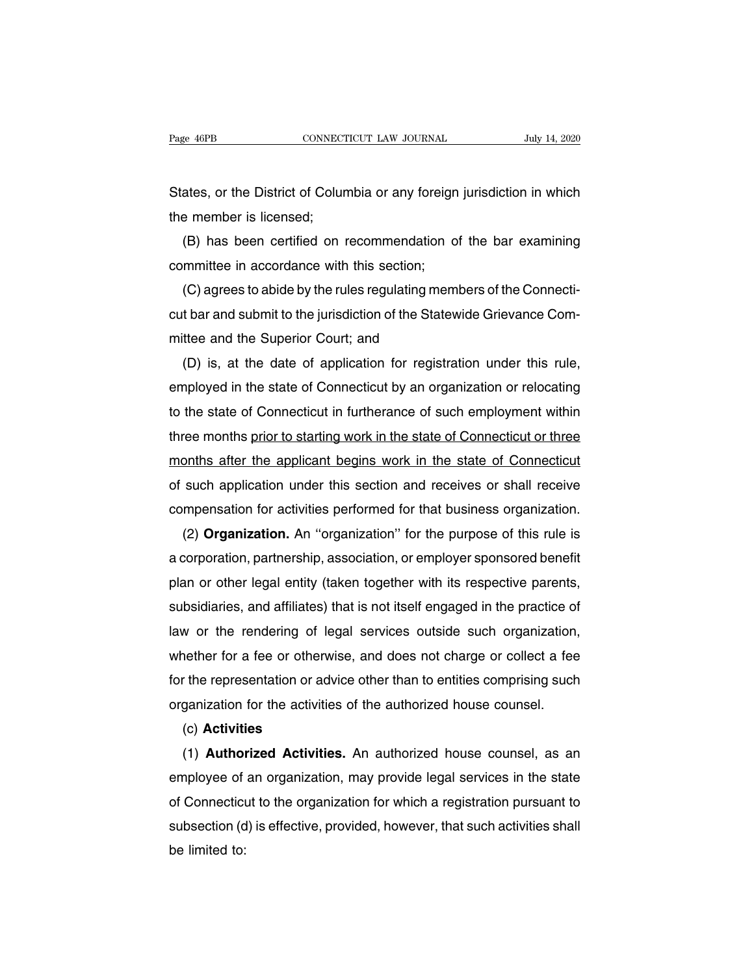Page 46PB CONNECTICUT LAW JOURNAL July 14, 2020<br>States, or the District of Columbia or any foreign jurisdiction in which<br>the member is licensed; Page 46PB<br>
States, or the District of Colur<br>
the member is licensed;<br>
(B) has been certified on i

(B) has been certified on recommendation of the bar examining<br>(B) has been certified on recommendation of the bar examining<br>mmittee in accordance with this section; States, or the District of Columbia or any foreign<br>the member is licensed;<br>(B) has been certified on recommendation o<br>committee in accordance with this section;<br>(C) agrees to abide by the rules regulating mem

ates, or the District of Columbia or any foreign jurisdiction in which<br>e member is licensed;<br>(B) has been certified on recommendation of the bar examining<br>mmittee in accordance with this section;<br>(C) agrees to abide by the the member is licensed;<br>
(B) has been certified on recommendation of the bar examining<br>
committee in accordance with this section;<br>
(C) agrees to abide by the rules regulating members of the Connecti-<br>
cut bar and submit t (B) has been certified on recommendation<br>committee in accordance with this section;<br>(C) agrees to abide by the rules regulating me<br>cut bar and submit to the jurisdiction of the State<br>mittee and the Superior Court; and<br>(D) mmittee in accordance with this section;<br>(C) agrees to abide by the rules regulating members of the Connecti-<br>t bar and submit to the jurisdiction of the Statewide Grievance Com-<br>ttee and the Superior Court; and<br>(D) is, at

(C) agrees to abide by the rules regulating members of the Connecticut bar and submit to the jurisdiction of the Statewide Grievance Committee and the Superior Court; and<br>(D) is, at the date of application for registration cut bar and submit to the jurisdiction of the Statewide Grievance Com-<br>mittee and the Superior Court; and<br>(D) is, at the date of application for registration under this rule,<br>employed in the state of Connecticut by an orga mittee and the Superior Court; and<br>
(D) is, at the date of application for registration under this rule,<br>
employed in the state of Connecticut by an organization or relocating<br>
to the state of Connecticut in furtherance of (D) is, at the date of application for registration under this rule,<br>employed in the state of Connecticut by an organization or relocating<br>to the state of Connecticut in furtherance of such employment within<br>three months p employed in the state of Connecticut by an organization or relocating<br>to the state of Connecticut in furtherance of such employment within<br>three months prior to starting work in the state of Connecticut or three<br>months aft to the state of Connecticut in furtherance of such employment within<br>three months prior to starting work in the state of Connecticut or three<br>months after the applicant begins work in the state of Connecticut<br>of such appli ree months prior to starting work in the state of Connecticut or three<br>
onths after the applicant begins work in the state of Connecticut<br>
such application under this section and receives or shall receive<br>
mpensation for a

months after the applicant begins work in the state of Connecticut<br>of such application under this section and receives or shall receive<br>compensation for activities performed for that business organization.<br>(2) **Organizatio** or such application under this section and receives or shall receive<br>compensation for activities performed for that business organization.<br>(2) **Organization**. An "organization" for the purpose of this rule is<br>a corporation compensation for activities performed for that business organization.<br>
(2) **Organization.** An "organization" for the purpose of this rule is<br>
a corporation, partnership, association, or employer sponsored benefit<br>
plan or (2) **Organization.** An "organization" for the purpose of this rule is<br>a corporation, partnership, association, or employer sponsored benefit<br>plan or other legal entity (taken together with its respective parents,<br>subsidiar a corporation, partnership, association, or employer sponsored benefit<br>plan or other legal entity (taken together with its respective parents,<br>subsidiaries, and affiliates) that is not itself engaged in the practice of<br>law plan or other legal entity (taken together with its respective parents,<br>subsidiaries, and affiliates) that is not itself engaged in the practice of<br>law or the rendering of legal services outside such organization,<br>whether subsidiaries, and attiliates) that is not itself engaged in the practice of<br>law or the rendering of legal services outside such organization,<br>whether for a fee or otherwise, and does not charge or collect a fee<br>for the rep nether for a fee or otherwise, and does not charge or collect a fee<br>
r the representation or advice other than to entities comprising such<br>
ganization for the activities of the authorized house counsel.<br>
(c) **Activities**<br>

## (c) **Activities**

for the representation or advice other than to entities comprising such<br>organization for the activities of the authorized house counsel.<br>(c) **Activities**<br>(1) **Authorized Activities.** An authorized house counsel, as an<br>empl organization for the activities of the authorized house counsel.<br>
(c) **Activities**<br>
(1) **Authorized Activities**. An authorized house counsel, as an<br>
employee of an organization, may provide legal services in the state<br>
of (c) **Activities**<br>(1) **Authorized Activities.** An authorized house counsel, as an<br>employee of an organization, may provide legal services in the state<br>of Connecticut to the organization for which a registration pursuant to<br> (1) **Author**<br>employee of<br>of Connecticu<br>subsection (d<br>be limited to: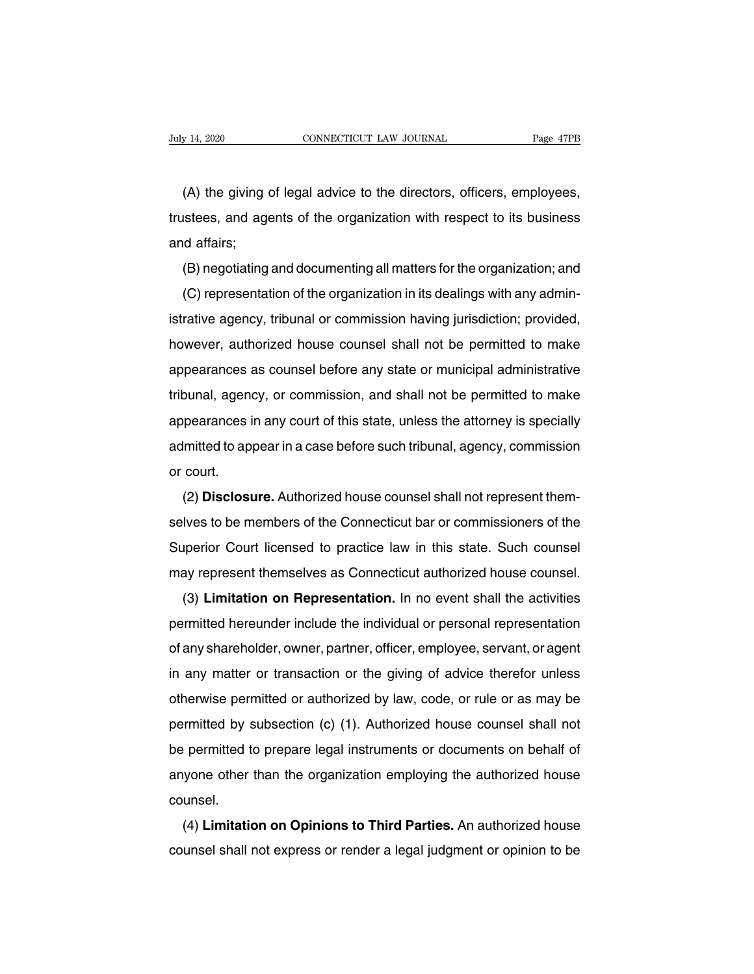(A) the giving of legal advice to the directors, officers, employees,<br>
stees, and agents of the organization with respect to its business The Usubset of the organization with respect to its business<br>and affairs;<br>different and agents of the organization with respect to its business<br>and affairs; (A) the giving<br>trustees, and age<br>and affairs;<br>(B) negotiating (A) the giving of legal advice to the directors, officers, employees,<br>istees, and agents of the organization with respect to its business<br>id affairs;<br>(B) negotiating and documenting all matters for the organization; and<br>(C (A) the giving of legal advice to the directors, officers, employees,<br>istees, and agents of the organization with respect to its business<br>id affairs;<br>(B) negotiating and documenting all matters for the organization; and<br>(C

individual affairs;<br>and affairs;<br>(B) negotiating and documenting all matters for the organization; and<br>(C) representation of the organization in its dealings with any admin-<br>istrative agency, tribunal or commission having (B) negotiating and documenting all matters for the organization; and<br>(C) representation of the organization in its dealings with any admin-<br>istrative agency, tribunal or commission having jurisdiction; provided,<br>however, (D) regonating and documenting an inatters for the organization, and<br>(C) representation of the organization in its dealings with any admin-<br>istrative agency, tribunal or commission having jurisdiction; provided,<br>however, a (C) representation of the organization in its dealings with any admini-<br>istrative agency, tribunal or commission having jurisdiction; provided,<br>however, authorized house counsel shall not be permitted to make<br>appearances a abutance agency, inburial of commission having jurisdiction, provided,<br>however, authorized house counsel shall not be permitted to make<br>appearances as counsel before any state or municipal administrative<br>tribunal, agency, appearances as counsel before any state or municipal administrative<br>tribunal, agency, or commission, and shall not be permitted to make<br>appearances in any court of this state, unless the attorney is specially<br>admitted to a appearances<br>tribunal, agene<br>appearances i<br>admitted to ap<br>or court.<br>(2) **Disclosu** burial, agency, or commission, and shall not be permitted to make<br>pearances in any court of this state, unless the attorney is specially<br>lmitted to appear in a case before such tribunal, agency, commission<br>court.<br>(2) **Disc** 

appearances in any court of this state, thress the attorney is specially<br>admitted to appear in a case before such tribunal, agency, commission<br>or court.<br>(2) **Disclosure.** Authorized house counsel shall not represent them-<br> Figure 10 appear in a case before such mbunal, agency, commission<br>or court.<br>(2) **Disclosure.** Authorized house counsel shall not represent them-<br>selves to be members of the Connecticut bar or commissioners of the<br>Superior (2) **Disclosure.** Authorized house counsel shall not represent themselves to be members of the Connecticut bar or commissioners of the Superior Court licensed to practice law in this state. Such counsel may represent thems ( $\angle$ ) **Listicsule:** Addition louse counser shall not represent them-<br>lves to be members of the Connecticut bar or commissioners of the<br>uperior Court licensed to practice law in this state. Such counsel<br>ay represent thems

Superior Court licensed to practice law in this state. Such counsel<br>may represent themselves as Connecticut authorized house counsel.<br>(3) Limitation on Representation. In no event shall the activities<br>permitted hereunder i Superior Court licensed to plactice law in this state. Such courser<br>may represent themselves as Connecticut authorized house counsel.<br>(3) **Limitation on Representation**. In no event shall the activities<br>permitted hereunder inay represent themselves as Connecticut authorized house course.<br>
(3) **Limitation on Representation**. In no event shall the activities<br>
permitted hereunder include the individual or personal representation<br>
of any shareho (3) **Limitation on Representation.** In no event shall the activities<br>permitted hereunder include the individual or personal representation<br>of any shareholder, owner, partner, officer, employee, servant, or agent<br>in any mat permitted refearider include the individual of personal representation<br>of any shareholder, owner, partner, officer, employee, servant, or agent<br>in any matter or transaction or the giving of advice therefor unless<br>otherwise be any shareholder, owner, partner, onicer, employee, servant, or agent<br>in any matter or transaction or the giving of advice therefor unless<br>otherwise permitted or authorized by law, code, or rule or as may be<br>permitted by any matter of transaction of the giving of advice therefor differs<br>otherwise permitted or authorized by law, code, or rule or as may be<br>permitted by subsection (c) (1). Authorized house counsel shall not<br>be permitted to pr counsel. Final Properties by subsection (c) (1). Authorized house counser shall not<br>permitted to prepare legal instruments or documents on behalf of<br>yone other than the organization employing the authorized house<br>unsel.<br>(4) **Limita** counsel shall not express or render a legal judgment or opinion to be<br>counsel. (4) **Limitation on Opinions to Third Parties.** An authorized house<br>counsel shall not express or render a legal judgment or opinion to be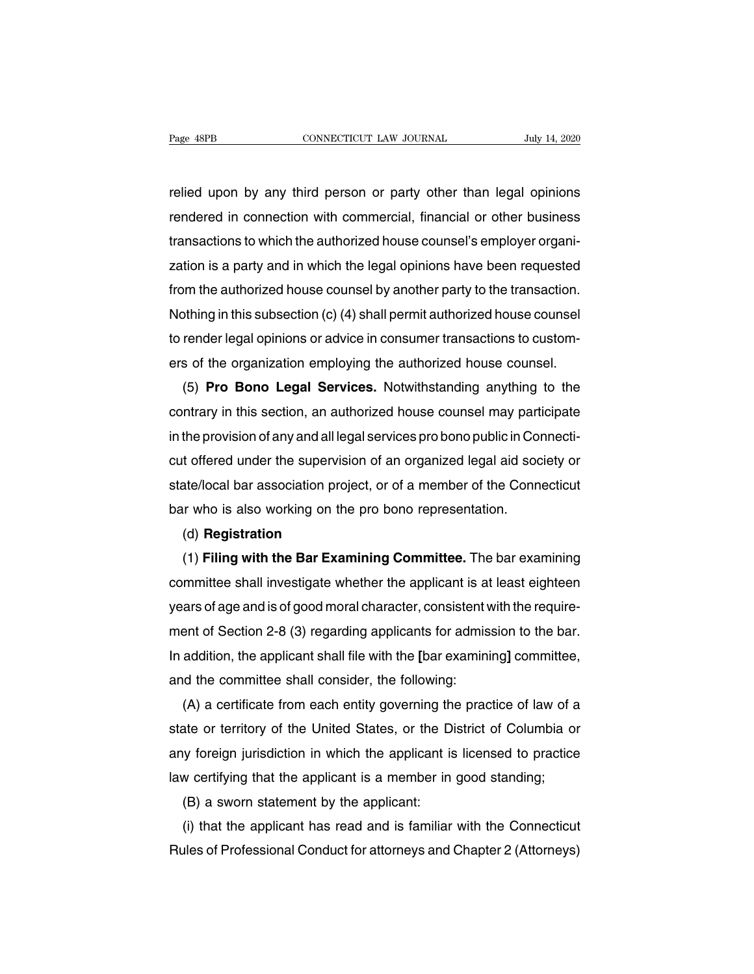Page 48PB<br>
cONNECTICUT LAW JOURNAL<br>
relied upon by any third person or party other than legal opinions<br>
rendered in connection with commercial, financial or other business Page 48PB CONNECTICUT LAW JOURNAL July 14, 2020<br>relied upon by any third person or party other than legal opinions<br>rendered in connection with commercial, financial or other business<br>transactions to which the authorized ho the constructions to which the authorized house counsel's employer organization is a party and in which the legal opinions have been requested ration is a party and in which the legal opinions have been requested relied upon by any third person or party other than legal opinions<br>rendered in connection with commercial, financial or other business<br>transactions to which the authorized house counsel's employer organi-<br>zation is a party relied upon by any third person or party other than legal opinions<br>rendered in connection with commercial, financial or other business<br>transactions to which the authorized house counsel's employer organi-<br>zation is a party rendered in connection with commercial, financial or other business<br>transactions to which the authorized house counsel's employer organi-<br>zation is a party and in which the legal opinions have been requested<br>from the autho transactions to which the authorized house counsel's employer organization is a party and in which the legal opinions have been requested<br>from the authorized house counsel by another party to the transaction.<br>Nothing in th zation is a party and in which the legal opinions have been requested<br>from the authorized house counsel by another party to the transaction.<br>Nothing in this subsection (c) (4) shall permit authorized house counsel<br>to rende m the authorized house counsel by another party to the transaction.<br>
Sthing in this subsection (c) (4) shall permit authorized house counsel<br>
render legal opinions or advice in consumer transactions to custom-<br>
s of the or

Nothing in this subsection (c) (4) shall permit authorized house counsel<br>to render legal opinions or advice in consumer transactions to custom-<br>ers of the organization employing the authorized house counsel.<br>(5) **Pro Bono** to render legal opinions or advice in consumer transactions to customers of the organization employing the authorized house counsel.<br>
(5) **Pro Bono Legal Services.** Notwithstanding anything to the contrary in this section, ers of the organization employing the authorized nouse counsel.<br>
(5) **Pro Bono Legal Services.** Notwithstanding anything to the<br>
contrary in this section, an authorized house counsel may participate<br>
in the provision of an (5) Pro Bono Legal Services. Notwithstanding anything to the<br>contrary in this section, an authorized house counsel may participate<br>in the provision of any and all legal services pro bono public in Connecti-<br>cut offered und contrary in this section, an authorized nouse counsel may part<br>in the provision of any and all legal services pro bono public in Coi<br>cut offered under the supervision of an organized legal aid soc<br>state/local bar associati t offered under the supervision of an organized legal aid society or<br>ate/local bar association project, or of a member of the Connecticut<br>ir who is also working on the pro bono representation.<br>(d) **Registration**<br>(1) **Filin** 

# (d) **Registration**

state/local bar association project, or of a member of the Connecticut<br>bar who is also working on the pro bono representation.<br>(d) **Registration**<br>(1) **Filing with the Bar Examining Committee**. The bar examining<br>committee s bar who is also working on the pro bono representation.<br>
(d) **Registration**<br>
(1) **Filing with the Bar Examining Committee**. The bar examining<br>
committee shall investigate whether the applicant is at least eighteen<br>
years o (d) **Hegistration**<br>
(1) **Filing with the Bar Examining Committee.** The bar examining<br>
committee shall investigate whether the applicant is at least eighteen<br>
years of age and is of good moral character, consistent with th (1) **Filing with the Bar Examining Committee.** The bar examining<br>committee shall investigate whether the applicant is at least eighteen<br>years of age and is of good moral character, consistent with the require-<br>ment of Sect committee shall investigate whether the applicant is at<br>years of age and is of good moral character, consistent w<br>ment of Section 2-8 (3) regarding applicants for admis<br>In addition, the applicant shall file with the [bar e ars of age and is of good moral character, consistent with the require-<br>ent of Section 2-8 (3) regarding applicants for admission to the bar.<br>addition, the applicant shall file with the [bar examining] committee,<br>d the com

ment of Section 2-8 (3) regarding applicants for admission to the bar.<br>In addition, the applicant shall file with the [bar examining] committee,<br>and the committee shall consider, the following:<br>(A) a certificate from each In addition, the applicant shall file with the [bar examining] committee,<br>and the committee shall consider, the following:<br>(A) a certificate from each entity governing the practice of law of a<br>state or territory of the Uni and the committee shall consider, the following:<br>
(A) a certificate from each entity governing the practice of law of a<br>
state or territory of the United States, or the District of Columbia or<br>
any foreign jurisdiction in (A) a certificate from each entity governing thate or territory of the United States, or the D<br>y foreign jurisdiction in which the applicant is<br>w certifying that the applicant is a member in<br>(B) a sworn statement by the ap ate or territory of the United States, or the District of Columbia or<br>y foreign jurisdiction in which the applicant is licensed to practice<br>w certifying that the applicant is a member in good standing;<br>(B) a sworn statemen

any foreign jurisdiction in which the applicant is licensed to practice<br>law certifying that the applicant is a member in good standing;<br>(B) a sworn statement by the applicant:<br>(i) that the applicant has read and is familia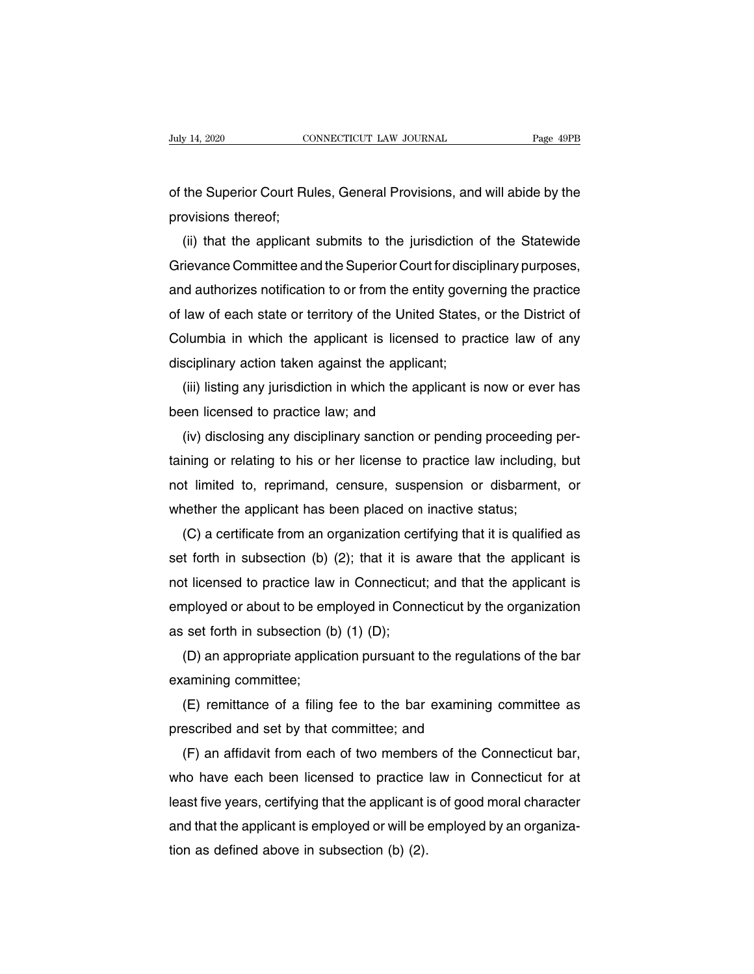July 14, 2020 CONNECTICUT LAW JOURNAL Page 49PB<br>
of the Superior Court Rules, General Provisions, and will abide by the<br>
provisions thereof; Diaty 14, 2020<br>
of the Superior Court Ru<br>
provisions thereof;<br>
(ii) that the applicant

(ii) that the applicant submits to the jurisdiction of the Statewide<br>ievance Committee and the Superior Court for disciplinary purposes, of the Superior Court Rules, General Provisions, and will abide by the<br>provisions thereof;<br>(ii) that the applicant submits to the jurisdiction of the Statewide<br>Grievance Committee and the Superior Court for disciplinary pu of the Superior Court Rules, General Provisions, and will abide by the<br>provisions thereof;<br>(ii) that the applicant submits to the jurisdiction of the Statewide<br>Grievance Committee and the Superior Court for disciplinary pu provisions thereot;<br>
(ii) that the applicant submits to the jurisdiction of the Statewide<br>
Grievance Committee and the Superior Court for disciplinary purposes,<br>
and authorizes notification to or from the entity governing (ii) that the applicant submits to the jurisdiction of the Statewide<br>Grievance Committee and the Superior Court for disciplinary purposes,<br>and authorizes notification to or from the entity governing the practice<br>of law of Grievance Committee and the Superior Court for discipland authorizes notification to or from the entity gover<br>of law of each state or territory of the United States,<br>Columbia in which the applicant is licensed to pra<br>disci (iii) listing any jurisdiction in or from the entity governing the practice<br>law of each state or territory of the United States, or the District of<br>plumbia in which the applicant is licensed to practice law of any<br>sciplina of law of each state or territory of the United S<br>Columbia in which the applicant is licensed<br>disciplinary action taken against the applicant<br>(iii) listing any jurisdiction in which the applic<br>been licensed to practice law

blumbia in which the applicant is licensed to practice law of any<br>sciplinary action taken against the applicant;<br>(iii) listing any jurisdiction in which the applicant is now or ever has<br>en licensed to practice law; and<br>(iv disciplinary action taken against the applicant;<br>
(iii) listing any jurisdiction in which the applicant is now or ever has<br>
been licensed to practice law; and<br>
(iv) disclosing any disciplinary sanction or pending proceedin (iii) listing any jurisdiction in which the applicant is now or ever has<br>been licensed to practice law; and<br>(iv) disclosing any disciplinary sanction or pending proceeding per-<br>taining or relating to his or her license to been licensed to practice law; and<br>
(iv) disclosing any disciplinary sanction or pending proceeding<br>
taining or relating to his or her license to practice law including<br>
not limited to, reprimand, censure, suspension or di (iv) disclosing any disciplinary sanction or pending proceeding perning or relating to his or her license to practice law including, but<br>it limited to, reprimand, censure, suspension or disbarment, or<br>nether the applicant

taining or relating to his or her license to practice law including, but<br>not limited to, reprimand, censure, suspension or disbarment, or<br>whether the applicant has been placed on inactive status;<br>(C) a certificate from an not limited to, reprimand, censure, suspension or disbarment, or<br>whether the applicant has been placed on inactive status;<br>(C) a certificate from an organization certifying that it is qualified as<br>set forth in subsection ( whether the applicant has been placed on inactive status;<br>  $(C)$  a certificate from an organization certifying that it is qualified as<br>
set forth in subsection (b) (2); that it is aware that the applicant is<br>
not licensed (C) a certificate from an organization cer<br>set forth in subsection (b) (2); that it is a<br>not licensed to practice law in Connecticut<br>employed or about to be employed in Conn<br>as set forth in subsection (b) (1) (D);<br>(D) an t forth in subsection (b) (2); that it is aware that the applicant is<br>t licensed to practice law in Connecticut; and that the applicant is<br>nployed or about to be employed in Connecticut by the organization<br>set forth in sub not licensed to practice law<br>employed or about to be em<br>as set forth in subsection (t<br>(D) an appropriate applica<br>examining committee;<br>(E) remittance of a filing

mployed or about to be employed in Connecticut by the organization<br>set forth in subsection (b) (1) (D);<br>(D) an appropriate application pursuant to the regulations of the bar<br>amining committee;<br>(E) remittance of a filing fe as set forth in subsection (b) (1) (D);<br>
(D) an appropriate application pursuant to the regula<br>
examining committee;<br>
(E) remittance of a filing fee to the bar examining<br>
prescribed and set by that committee; and<br>
(F) an

(D) an appropriate application pursuant to the regulations of the bar<br>amining committee;<br>(E) remittance of a filing fee to the bar examining committee as<br>escribed and set by that committee; and<br>(F) an affidavit from each o examining committee;<br>
(E) remittance of a filing fee to the bar examining committee as<br>
prescribed and set by that committee; and<br>
(F) an affidavit from each of two members of the Connecticut bar,<br>
who have each been licen (E) remittance of a filling fee to the bar examining committee as<br>prescribed and set by that committee; and<br>(F) an affidavit from each of two members of the Connecticut bar,<br>who have each been licensed to practice law in C prescribed and set by that committee; and<br>
(F) an affidavit from each of two members of the Connecticut bar,<br>
who have each been licensed to practice law in Connecticut for at<br>
least five years, certifying that the applica (F) an affidavit from each of two member<br>who have each been licensed to practice<br>least five years, certifying that the applicant i<br>and that the applicant is employed or will be<br>tion as defined above in subsection (b) (2).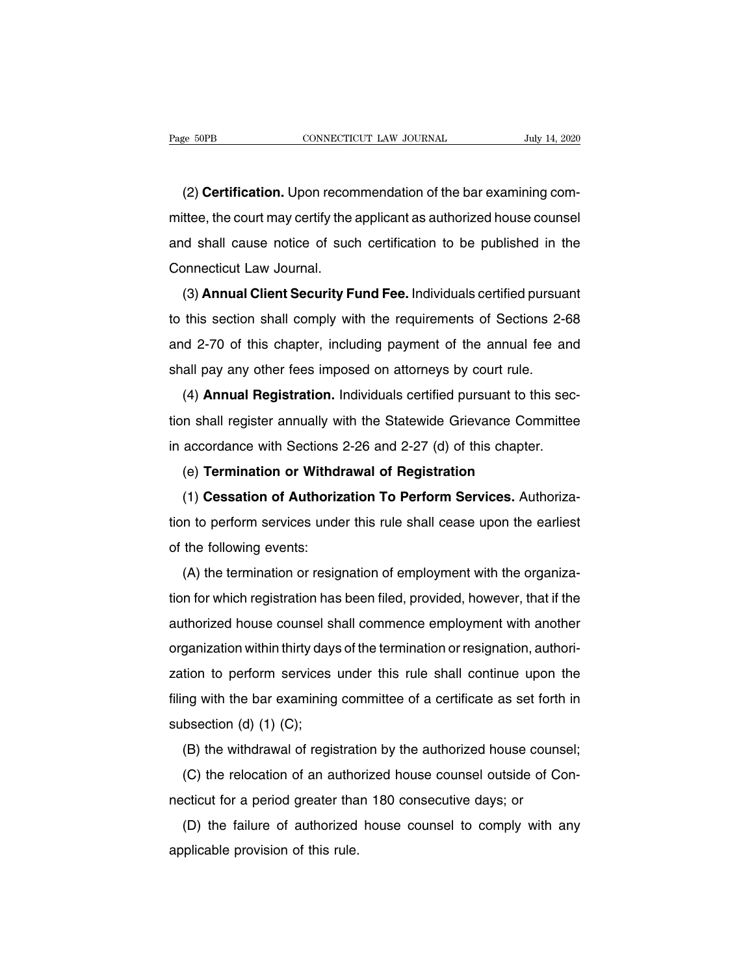EXECTE THE CONNECTICUT COURNAL THE SAME CONNECTICUT COURNAL THE SAME CONNECTICUT COURNAL THE SAME OF SAMILE CON<br>(2) **Certification.** Upon recommendation of the bar examining com-<br>thee, the court may certify the applicant a matrices for the connect may connect the connect may certification. Upon recommendation of the bar examining committee, the court may certify the applicant as authorized house counsel<br>and shall cause notice of such certifi (2) Certification. Upon recommendation of the bar examining com-<br>mittee, the court may certify the applicant as authorized house counsel<br>and shall cause notice of such certification to be published in the<br>Connecticut Law J (2) **Certification.** Upon recon<br>mittee, the court may certify the<br>and shall cause notice of sucl<br>Connecticut Law Journal.<br>(3) **Annual Client Security F** ( $\angle$ ) **Certification:** Opon recommendation of the bar examining com-<br>thee, the court may certify the applicant as authorized house counsel<br>id shall cause notice of such certification to be published in the<br>pnnecticut Law

this section shall cause notice of such certification to be published in the<br>Connecticut Law Journal.<br>(3) **Annual Client Security Fund Fee.** Individuals certified pursuant<br>to this section shall comply with the requirements and shall cause holde of such definite<br>and shall cause holde of such definite<br>and (3) **Annual Client Security Fund Fee.** Individuals certified pursuant<br>to this section shall comply with the requirements of Sections 2-68<br>an (3) **Annual Client Security Fund Fee.** Individuals certified pursua<br>to this section shall comply with the requirements of Sections 2-4<br>and 2-70 of this chapter, including payment of the annual fee at<br>shall pay any other fe (5) **Annual Cheff Security Fund Fee:** multividuals certified pursuant this section shall comply with the requirements of Sections 2-68 d 2-70 of this chapter, including payment of the annual fee and all pay any other fees

to this section shall comply with the Tequifierments of dections 2-00<br>and 2-70 of this chapter, including payment of the annual fee and<br>shall pay any other fees imposed on attorneys by court rule.<br>(4) **Annual Registration.** shall pay any other fees imposed on attorneys by court rule.<br>
(4) **Annual Registration.** Individuals certified pursuant to this section shall register annually with the Statewide Grievance Committee<br>
in accordance with Sec (4) **Annual Registration.** Individuals certified pursuant to this<br>in shall register annually with the Statewide Grievance Comm<br>accordance with Sections 2-26 and 2-27 (d) of this chapter.<br>(e) **Termination or Withdrawal of R** (+) **Annuan negrstration:** mutuated certified pursuant to this sec-<br>in shall register annually with the Statewide Grievance Committee<br>accordance with Sections 2-26 and 2-27 (d) of this chapter.<br>(e) **Termination or Withdraw** 

tion shall register all maling with the Statewide Chevaltee Committee<br>in accordance with Sections 2-26 and 2-27 (d) of this chapter.<br>(e) **Termination or Withdrawal of Registration**<br>(1) **Cessation of Authorization To Perfor** (e) **Termination or Withdi**<br>
(1) **Cessation of Authoriz**<br>
tion to perform services unde<br>
of the following events:<br>
(A) the termination or resig (1) Cessation of Authorization To Perform Services. Authoriza-<br>n to perform services under this rule shall cease upon the earliest<br>the following events:<br>(A) the termination or resignation of employment with the organiza-<br>n

The following events:<br>
(A) the termination or resignation of employment with the organiza-<br>
(A) the termination or resignation of employment with the organiza-<br>
tion for which registration has been filed, provided, however abort to perform services under this fule shall cease upon the earliest<br>of the following events:<br>(A) the termination or resignation of employment with the organiza-<br>tion for which registration has been filed, provided, how (A) the termination or resignation of employment with the organization for which registration has been filed, provided, however, that if the authorized house counsel shall commence employment with another organization with (A) the termination of resignation or employment with the organiza-<br>tion for which registration has been filed, provided, however, that if the<br>authorized house counsel shall commence employment with another<br>organization wi filing with the bare counsel shall commence employment with another organization within thirty days of the termination or resignation, authorization to perform services under this rule shall continue upon the filing with t additionzed house couriser shored intervalsed intervalsed intervalsed intervalsed intervalsed filing with the bar examining subsection (d) (1) (C);<br>(B) the withdrawal of regist ganization within thirty days of the termination of resignation, addition-<br>tion to perform services under this rule shall continue upon the<br>ng with the bar examining committee of a certificate as set forth in<br>bsection (d) (d) (d) (d) (c);<br>(d) the bar examining committee of a certificate as set forth in<br>bsection (d) (1) (C);<br>(B) the withdrawal of registration by the authorized house counsel;<br>(C) the relocation of an authorized house counsel

ning with the bar examining committee of a centricate as set forth<br>subsection (d) (1) (C);<br>(B) the withdrawal of registration by the authorized house couns<br>(C) the relocation of an authorized house counsel outside of Conec

(B) the withdrawal of registration by the authorized house counsel;<br>(C) the relocation of an authorized house counsel outside of Con-<br>cticut for a period greater than 180 consecutive days; or<br>(D) the failure of authorized (B) the withdrawal of registrat<br>(C) the relocation of an autho<br>necticut for a period greater tha<br>(D) the failure of authorized<br>applicable provision of this rule.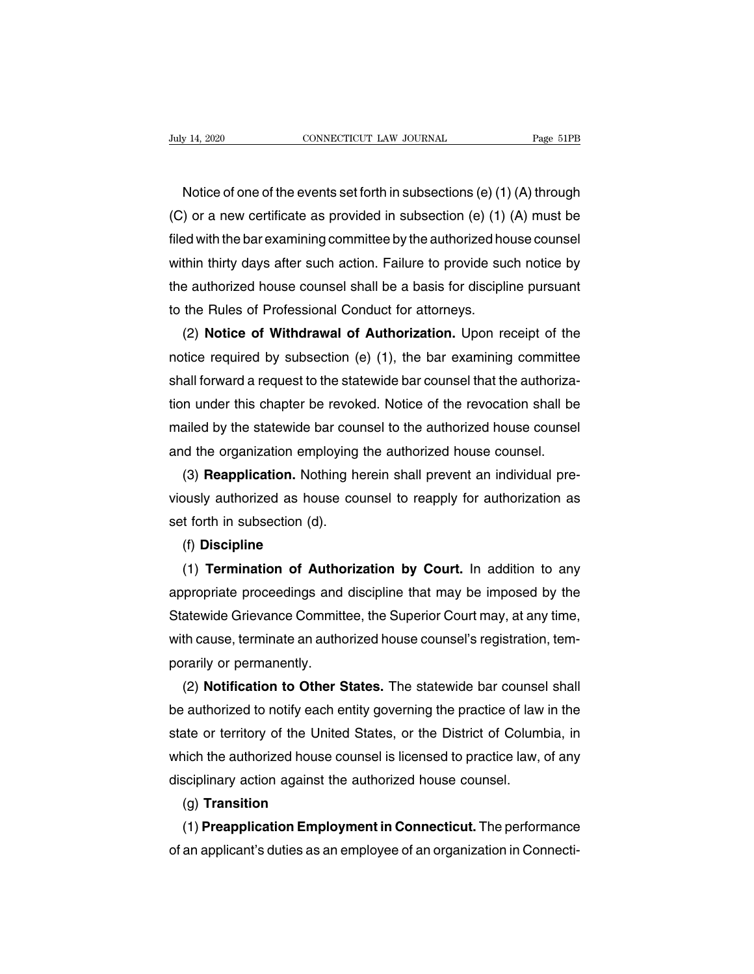Notice of one of the events set forth in subsections (e) (1) (A) through<br>
(a) or a new certificate as provided in subsection (e) (1) (A) must be (C) or a new certificate as provided in subsections (e) (1) (A) through (C) or a new certificate as provided in subsection (e) (1) (A) must be filed with the bar examining committee by the authorized house counsel Modice of one of the events set forth in subsections (e) (1) (A) through<br>(C) or a new certificate as provided in subsections (e) (1) (A) through<br>filed with the bar examining committee by the authorized house counsel<br>within Notice of one of the events set forth in subsections (e) (1) (A) through<br>(C) or a new certificate as provided in subsection (e) (1) (A) must be<br>filed with the bar examining committee by the authorized house counsel<br>within Notice of one of the events set forth in subsections (e)  $(1)$  (A) through (C) or a new certificate as provided in subsection (e)  $(1)$  (A) must be filed with the bar examining committee by the authorized house counsel wi (C) or a new certificate as provided in subsection (e)  $(1)$ <br>filed with the bar examining committee by the authorized ho<br>within thirty days after such action. Failure to provide such<br>the authorized house counsel shall be Example of With the bar examining committee by the authorized house counsel<br>thin thirty days after such action. Failure to provide such notice by<br>e authorized house counsel shall be a basis for discipline pursuant<br>the Rule

within thirty days after such action. Failure to provide such notice by<br>the authorized house counsel shall be a basis for discipline pursuant<br>to the Rules of Professional Conduct for attorneys.<br>(2) **Notice of Withdrawal of** the authorized house counsel shall be a basis for discipline pursuant<br>to the Rules of Professional Conduct for attorneys.<br>(2) **Notice of Withdrawal of Authorization**. Upon receipt of the<br>notice required by subsection (e) ( to the Rules of Professional Conduct for attorneys.<br>
(2) **Notice of Withdrawal of Authorization.** Upon receipt of the<br>
notice required by subsection (e) (1), the bar examining committee<br>
shall forward a request to the stat (2) **Notice of Withdrawal of Authorization.** Upon receipt of the notice required by subsection (e) (1), the bar examining committee shall forward a request to the statewide bar counsel that the authorization under this ch notice required by subsection (e) (1), the bar examining committee<br>shall forward a request to the statewide bar counsel that the authoriza-<br>tion under this chapter be revoked. Notice of the revocation shall be<br>mailed by th all forward a request to the statewide bar counsel that the authoriza-<br>
n under this chapter be revoked. Notice of the revocation shall be<br>
ailed by the statewide bar counsel to the authorized house counsel<br>
d the organiza tion under this chapter be revoked. Notice of the revocation shall be<br>mailed by the statewide bar counsel to the authorized house counsel<br>and the organization employing the authorized house counsel.<br>(3) **Reapplication**. No

mailed by the statewide bar cournel<br>and the organization employing<br>(3) **Reapplication**. Nothing he<br>viously authorized as house con<br>set forth in subsection (d).<br>(f) **Discipline** (3) **Reapplication.** Nothing herein shall prevent an individual pre-<br>busly authorized as house counsel to reapply for authorization as<br>t forth in subsection (d).<br>(f) **Discipline**<br>(1) **Termination of Authorization by Court.** 

## (f) **Discipline**

viously authorized as house counsel to reapply for authorization as<br>set forth in subsection (d).<br>(f) **Discipline**<br>(1) **Termination of Authorization by Court.** In addition to any<br>appropriate proceedings and discipline that set forth in subsection (d).<br>
(f) **Discipline**<br>
(1) **Termination of Authorization by Court.** In addition to any<br>
appropriate proceedings and discipline that may be imposed by the<br>
Statewide Grievance Committee, the Superio (f) Discipline<br>
(1) Termination of Authorization by Court. In addition to any<br>
appropriate proceedings and discipline that may be imposed by the<br>
Statewide Grievance Committee, the Superior Court may, at any time,<br>
with ca (1) **Termination of Autho**<br>appropriate proceedings and<br>Statewide Grievance Committ<br>with cause, terminate an autho<br>porarily or permanently.<br>(2) **Notification to Other S** propriate proceedings and discipline that may be imposed by the<br>atewide Grievance Committee, the Superior Court may, at any time,<br>th cause, terminate an authorized house counsel's registration, tem-<br>rarily or permanently.<br>

Statewide Grievance Committee, the Superior Court may, at any time,<br>with cause, terminate an authorized house counsel's registration, tem-<br>porarily or permanently.<br>(2) **Notification to Other States.** The statewide bar coun with cause, terminate an authorized house counsel's registration, tem-<br>porarily or permanently.<br>(2) **Notification to Other States.** The statewide bar counsel shall<br>be authorized to notify each entity governing the practice porarily or permanently.<br>
(2) **Notification to Other States.** The statewide bar counsel shall<br>
be authorized to notify each entity governing the practice of law in the<br>
state or territory of the United States, or the Distr (2) **Notification to Other States.** The statewide bar counse<br>be authorized to notify each entity governing the practice of law<br>state or territory of the United States, or the District of Colum<br>which the authorized house co ate or territory of the United States, or the District of Columbia, in<br>nich the authorized house counsel is licensed to practice law, of any<br>sciplinary action against the authorized house counsel.<br>(g) **Transition**<br>(1) **Pre** which the authorized house counsel is licensed to practice law, of any<br>disciplinary action against the authorized house counsel.<br>(g) **Transition**<br>(1) **Preapplication Employment in Connecticut**. The performance<br>of an applic

# (g) **Transition**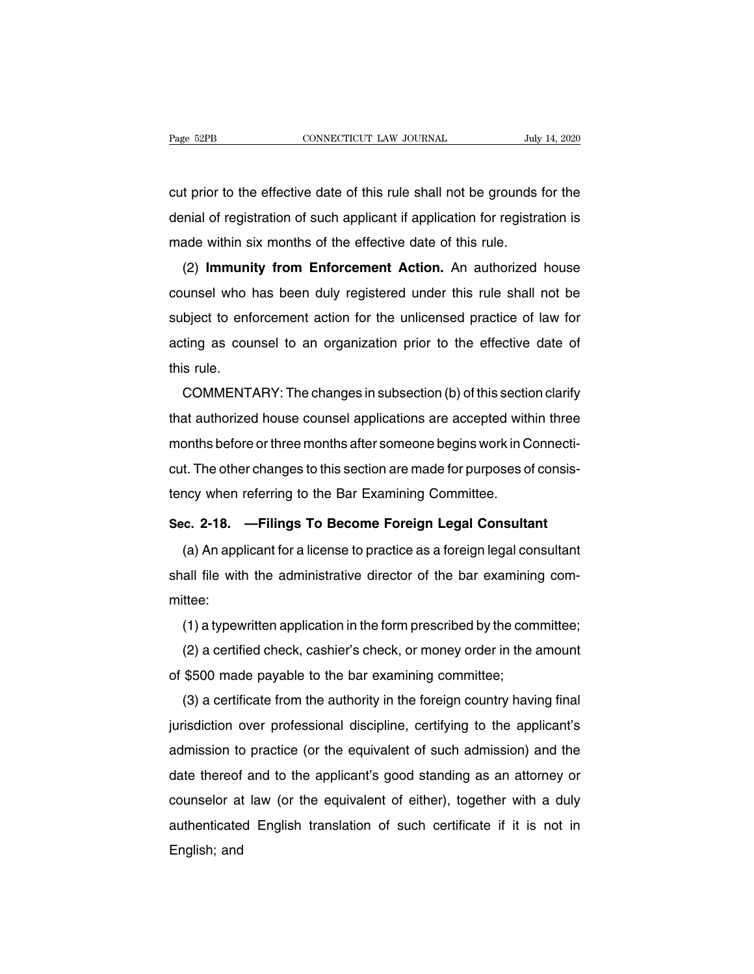Page 52PB<br>
connectricut LAW JOURNAL<br>
Cut prior to the effective date of this rule shall not be grounds for the<br>
denial of registration of such applicant if application for registration is Page 52PB CONNECTICUT LAW JOURNAL July 14, 2020<br>
cut prior to the effective date of this rule shall not be grounds for the<br>
denial of registration of such applicant if application for registration is<br>
made within six month external cut prior to the effective date of this rule shall not be grounds<br>denial of registration of such applicant if application for registra<br>made within six months of the effective date of this rule.<br>(2) **Immunity from** t prior to the effective date of this rule shall not be grounds for the<br>mial of registration of such applicant if application for registration is<br>ade within six months of the effective date of this rule.<br>(2) **Immunity from** 

cut phot to the enective date of this rule shall not be grounds for the<br>denial of registration of such applicant if application for registration is<br>made within six months of the effective date of this rule.<br>(2) **Immunity f** subject to enforcement action. An authorized house<br>counsel who has been duly registered under this rule shall not be<br>subject to enforcement action for the unlicensed practice of law for<br>acting as counsel to an organization (2) **Immunity from Enforcement Action.** An authorized house counsel who has been duly registered under this rule shall not be subject to enforcement action for the unlicensed practice of law for acting as counsel to an org (2) Immuni<br>counsel who I<br>subject to enfor<br>acting as courthis rule.<br>COMMENT bject to enforcement action for the unlicensed practice of law for<br>ting as counsel to an organization prior to the effective date of<br>s rule.<br>COMMENTARY: The changes in subsection (b) of this section clarify<br>at authorized h

subject to emorcement action for the unicensed plactice of law for<br>acting as counsel to an organization prior to the effective date of<br>this rule.<br>COMMENTARY: The changes in subsection (b) of this section clarify<br>that autho acting as couriser to an organization phor to the enective date or<br>this rule.<br>COMMENTARY: The changes in subsection (b) of this section clarify<br>that authorized house counsel applications are accepted within three<br>months be commentanty: The changes in subsection (b) of this section clarify<br>that authorized house counsel applications are accepted within three<br>months before or three months after someone begins work in Connecti-<br>cut. The other ch COMMENTANT. The changes in subsection (b) of this section<br>that authorized house counsel applications are accepted with<br>months before or three months after someone begins work in C<br>cut. The other changes to this section are months before or three months after someone begins work in Connecticut. The other changes to this section are made for purposes of consistency when referring to the Bar Examining Committee.<br>Sec. 2-18. —Filings To Become Fo t. The other changes to this section are made for purposes of consis-<br>ncy when referring to the Bar Examining Committee.<br>c. 2-18. — Filings To Become Foreign Legal Consultant<br>(a) An applicant for a license to practice as a

tency when referring to the Bar Examining Committee.<br>Sec. 2-18. — Filings To Become Foreign Legal Consultant<br>(a) An applicant for a license to practice as a foreign legal consultant<br>shall file with the administrative direc mittee: (a) An applicant for a license to practice as a foreign legal consultant<br>all file with the administrative director of the bar examining com-<br>ttee:<br>(1) a typewritten application in the form prescribed by the committee;<br>(2) (a) An applicant for a license to practice as a foreign legal consultant<br>all file with the administrative director of the bar examining com-<br>ttee:<br>(1) a typewritten application in the form prescribed by the committee;<br>(2)

shall life with the administrative director of the bar examining<br>mittee:<br>(1) a typewritten application in the form prescribed by the com<br>(2) a certified check, cashier's check, or money order in the a<br>of \$500 made payable

(1) a typewritten application in the form prescribed by the committee;<br>(2) a certified check, cashier's check, or money order in the amount<br>\$500 made payable to the bar examining committee;<br>(3) a certificate from the autho (1) a typewritten application in the form prescribed by the committee,<br>(2) a certified check, cashier's check, or money order in the amount<br>of \$500 made payable to the bar examining committee;<br>(3) a certificate from the au ( $\angle$ ) a certificate from the bar examining committee;<br>(3) a certificate from the authority in the foreign country having final<br>jurisdiction over professional discipline, certifying to the applicant's<br>admission to practic date thereof and to the bar examining commutee,<br>(3) a certificate from the authority in the foreign country having final<br>jurisdiction over professional discipline, certifying to the applicant's<br>admission to practice (or th (3) a certificate from the authority in the foreign country having final<br>jurisdiction over professional discipline, certifying to the applicant's<br>admission to practice (or the equivalent of such admission) and the<br>date the punsulction over protessional discipline, certifying to the applicant's<br>admission to practice (or the equivalent of such admission) and the<br>date thereof and to the applicant's good standing as an attorney or<br>counselor at l date thereof<br>date thereof<br>counselor at<br>authenticate<br>English; and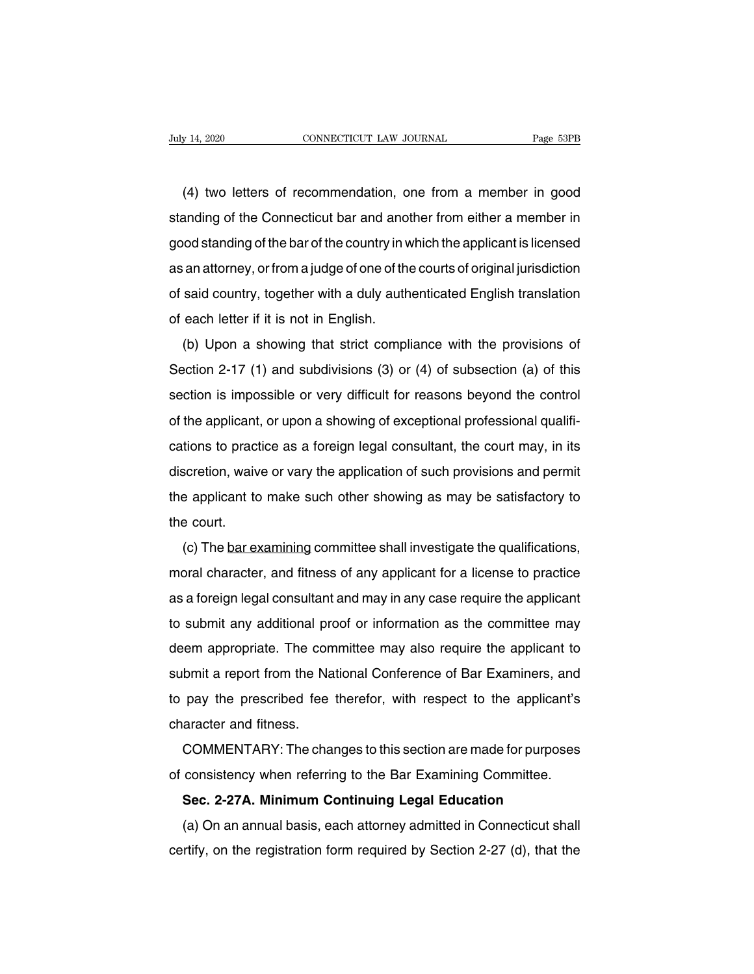(4) two letters of recommendation, one from a member in good<br>anding of the Connecticut bar and another from either a member in Suly 14, 2020 CONNECTICUT LAW JOURNAL Page 53PB<br>
(4) two letters of recommendation, one from a member in good<br>
standing of the Connecticut bar and another from either a member in<br>
good standing of the bar of the country in (4) two letters of recommendation, one from a member in good<br>standing of the Connecticut bar and another from either a member in<br>good standing of the bar of the country in which the applicant is licensed<br>as an attorney, or (4) two letters of recommendation, one from a member in good<br>standing of the Connecticut bar and another from either a member in<br>good standing of the bar of the country in which the applicant is licensed<br>as an attorney, or (4) two letters of recommendation, one non-a member in good<br>standing of the Connecticut bar and another from either a member in<br>good standing of the bar of the country in which the applicant is licensed<br>as an attorney, or standing of the Comecticut bar and and<br>good standing of the bar of the country in v<br>as an attorney, or from a judge of one of th<br>of said country, together with a duly auth<br>of each letter if it is not in English.<br>(b) Upon a (b) upon a showing that strict compliance with the provisions of exition 2-17 (1) and subdivisions (3) or (4) of subsection (a) of this

Section 2-17 (1) and subdivisions (3) or (4) of subsection (a) of this section 2-17 (1) and subdivisions (3) or (4) of subsection (a) of this section is impossible or very difficult for reasons beyond the control or sald country, together with a ddiy additerated English translation<br>of each letter if it is not in English.<br>(b) Upon a showing that strict compliance with the provisions of<br>Section 2-17 (1) and subdivisions (3) or (4) of (b) Upon a showing that strict compliance with the provisions of<br>Section 2-17 (1) and subdivisions (3) or (4) of subsection (a) of this<br>section is impossible or very difficult for reasons beyond the control<br>of the applican (b) Opon a showing that stitle compilance with the provisions of<br>Section 2-17 (1) and subdivisions (3) or (4) of subsection (a) of this<br>section is impossible or very difficult for reasons beyond the control<br>of the applican discretion  $Z-17$  (1) and subdivisions (0) or (4) or subsection (a) or this section is impossible or very difficult for reasons beyond the control of the applicant, or upon a showing of exceptional professional qualificat of the applicant, or upon a showing of exceptional professional qualifi-<br>cations to practice as a foreign legal consultant, the court may, in its<br>discretion, waive or vary the application of such provisions and permit<br>the of the applicant<br>cations to pract<br>discretion, waiv<br>the applicant to<br>the court.<br>(c) The <u>bar ex</u> Scretion, waive or vary the application of such provisions and permit<br>e applicant to make such other showing as may be satisfactory to<br>e court.<br>(c) The <u>bar examining</u> committee shall investigate the qualifications,<br>pral c

moral character, wave or vary the application of such provisions and permit<br>the applicant to make such other showing as may be satisfactory to<br>the court.<br>(c) The <u>bar examining</u> committee shall investigate the qualificatio are applicant to make such other showing as may be satisfactory to<br>the court.<br>(c) The <u>bar examining</u> committee shall investigate the qualifications,<br>moral character, and fitness of any applicant for a license to practice<br> (c) The <u>bar examining</u> committee shall investigate the qualifications,<br>moral character, and fitness of any applicant for a license to practice<br>as a foreign legal consultant and may in any case require the applicant<br>to sub (c) The <u>barexamining</u> committee shall investigate the qualifications,<br>moral character, and fitness of any applicant for a license to practice<br>as a foreign legal consultant and may in any case require the applicant<br>to subm inotal character, and intess of any applicant for a license to plactice<br>as a foreign legal consultant and may in any case require the applicant<br>to submit any additional proof or information as the committee may<br>deem approp as a loreign legal consuliant and may in any case require the applicant<br>to submit any additional proof or information as the committee may<br>deem appropriate. The committee may also require the applicant to<br>submit a report f to submit any additional production<br>deem appropriate. The con<br>submit a report from the Na<br>to pay the prescribed fee<br>character and fitness.<br>COMMENTARY: The cha bein appropriate. The committee may also require the applicant to<br>bmit a report from the National Conference of Bar Examiners, and<br>pay the prescribed fee therefor, with respect to the applicant's<br>aracter and fitness.<br>COMME subtimulation in the National Conference of Bar Examiners, and<br>to pay the prescribed fee therefor, with respect to the applicant's<br>character and fitness.<br>COMMENTARY: The changes to this section are made for purposes<br>of con to pay the prescribed fee therefor, with respect to the applicant's<br>character and fitness.<br>COMMENTARY: The changes to this section are made for purposes<br>of consistency when referring to the Bar Examining Committee.<br>**Sec. 2** 

GOMMENTARY: The changes to this section are made for purposes<br>consistency when referring to the Bar Examining Committee.<br>**Sec. 2-27A. Minimum Continuing Legal Education**<br>(a) On an annual basis, each attorney admitted in Co commentative intertaingly to this section are made for purposes<br>of consistency when referring to the Bar Examining Committee.<br>Sec. 2-27A. Minimum Continuing Legal Education<br>(a) On an annual basis, each attorney admitted in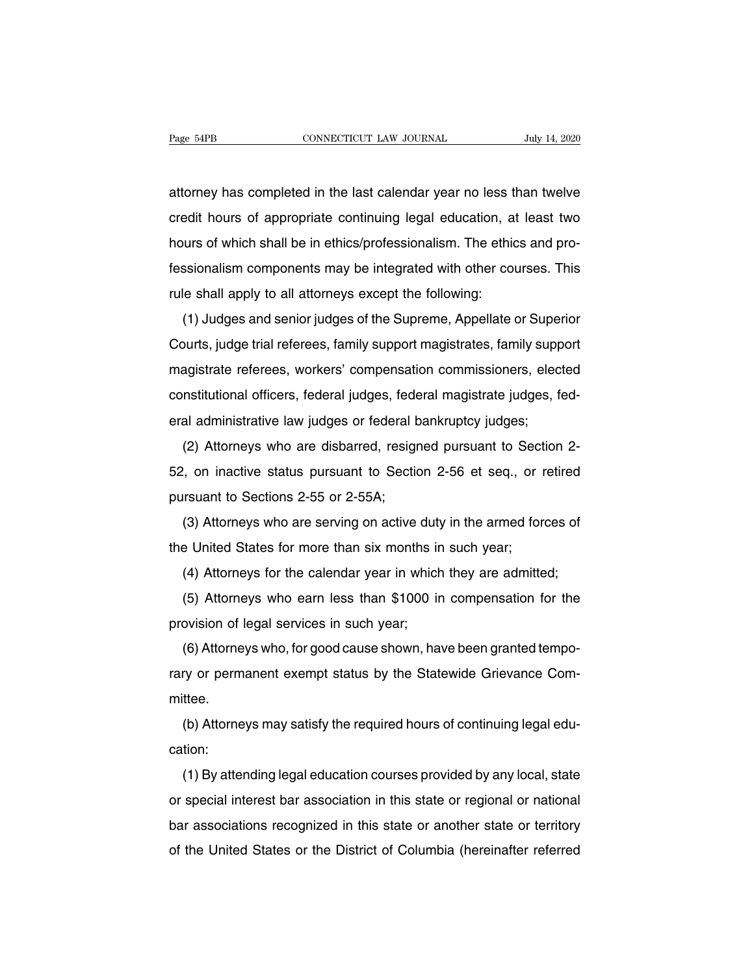Page 54PB<br>
CONNECTICUT LAW JOURNAL<br>
attorney has completed in the last calendar year no less than twelve<br>
credit hours of appropriate continuing legal education, at least two Page 54PB CONNECTICUT LAW JOURNAL July 14, 2020<br>attorney has completed in the last calendar year no less than twelve<br>credit hours of appropriate continuing legal education, at least two<br>hours of which shall be in ethics/pr attorney has completed in the last calendar year no less than twelve<br>credit hours of appropriate continuing legal education, at least two<br>hours of which shall be in ethics/professionalism. The ethics and pro-<br>fessionalism attorney has completed in the last calendar year no less than twelve<br>credit hours of appropriate continuing legal education, at least two<br>hours of which shall be in ethics/professionalism. The ethics and pro-<br>fessionalism attoriey has completed in the last calendar year no less to<br>credit hours of appropriate continuing legal education, a<br>hours of which shall be in ethics/professionalism. The ethic<br>fessionalism components may be integrated w For ideas of appropriate commaing regar education, at least two<br>furs of which shall be in ethics/professionalism. The ethics and pro-<br>ssionalism components may be integrated with other courses. This<br>le shall apply to all a

Fessionalism components may be integrated with other courses. This<br>rule shall apply to all attorneys except the following:<br>(1) Judges and senior judges of the Supreme, Appellate or Superior<br>Courts, judge trial referees, fa ressionalism components may be integrated with other courses. This<br>rule shall apply to all attorneys except the following:<br>(1) Judges and senior judges of the Supreme, Appellate or Superior<br>Courts, judge trial referees, fa (1) Judges and senior judges of the Supreme, Appellate or Superior<br>Courts, judge trial referees, family support magistrates, family support<br>magistrate referees, workers' compensation commissioners, elected<br>constitutional o (1) Judges and senior judges or the Supreme, Appendie or Super<br>Courts, judge trial referees, family support magistrates, family supp<br>magistrate referees, workers' compensation commissioners, elec<br>constitutional officers, f barts, judge that referees, raminy support magistrates, raminy support<br>agistrate referees, workers' compensation commissioners, elected<br>nstitutional officers, federal judges, federal magistrate judges, fed-<br>al administrati

magistrate refleees, workers comperisation commissioners, elected<br>constitutional officers, federal judges, federal magistrate judges, fed-<br>eral administrative law judges or federal bankruptcy judges;<br>(2) Attorneys who are eral administrative law judges or federal bear and administrative law judges or federal b<br>(2) Attorneys who are disbarred, resign<br>52, on inactive status pursuant to Sectio<br>pursuant to Sections 2-55 or 2-55A;<br>(3) Attorneys (2) Attorneys who are disbarred, resigned pursuant to Section 2-<br>
1, on inactive status pursuant to Section 2-56 et seq., or retired<br>
1, on inactive status pursuant to Section 2-56 et seq., or retired<br>
1, (3) Attorneys who (2) Altomeys who are disbaried, resigned parsually to Section 52, on inactive status pursuant to Section 2-56 et seq., or r pursuant to Sections 2-55 or 2-55A;<br>(3) Attorneys who are serving on active duty in the armed for

(3) Attorneys who are serving on active duty in the armed forces of<br>e United States for more than six months in such year;<br>(4) Attorneys for the calendar year in which they are admitted;<br>(5) Attorneys who earn less than \$

(3) Attorneys who are serving on active duty in the armed forces of<br>e United States for more than six months in such year;<br>(4) Attorneys for the calendar year in which they are admitted;<br>(5) Attorneys who earn less than \$ (3) Altomeys who are serving on active daty<br>the United States for more than six months in<br>(4) Attorneys for the calendar year in which<br>(5) Attorneys who earn less than \$1000 in<br>provision of legal services in such year;<br>(6)

(4) Attorneys for the calendar year in which they are admitted;<br>(5) Attorneys who earn less than \$1000 in compensation for the<br>ovision of legal services in such year;<br>(6) Attorneys who, for good cause shown, have been gran (4) Altorneys for the calendar year in which they are admitted,<br>
(5) Attorneys who earn less than \$1000 in compensation for the<br>
provision of legal services in such year;<br>
(6) Attorneys who, for good cause shown, have been mittee. Follow Historic Tregal services in such year,<br>
(6) Attorneys who, for good cause shown, have been granted tempo-<br>
ry or permanent exempt status by the Statewide Grievance Com-<br>
(b) Attorneys may satisfy the required hours

cation:

(b) Attorneys may satisfy the required hours of continuing legal education:<br>
(b) Attorneys may satisfy the required hours of continuing legal education:<br>
(1) By attending legal education courses provided by any local, stat or special interest bar association in this state or regional or special interest bar association in this state or regional or national<br>bar associations recognized in this state or regional or national<br>bar associations rec (b) Allomeys may salisry the required hours of community regal education:<br>
(1) By attending legal education courses provided by any local, state<br>
or special interest bar association in this state or regional or national<br>
b (1) By attending legal education courses provided by any local, state<br>or special interest bar association in this state or regional or national<br>bar associations recognized in this state or another state or territory<br>of the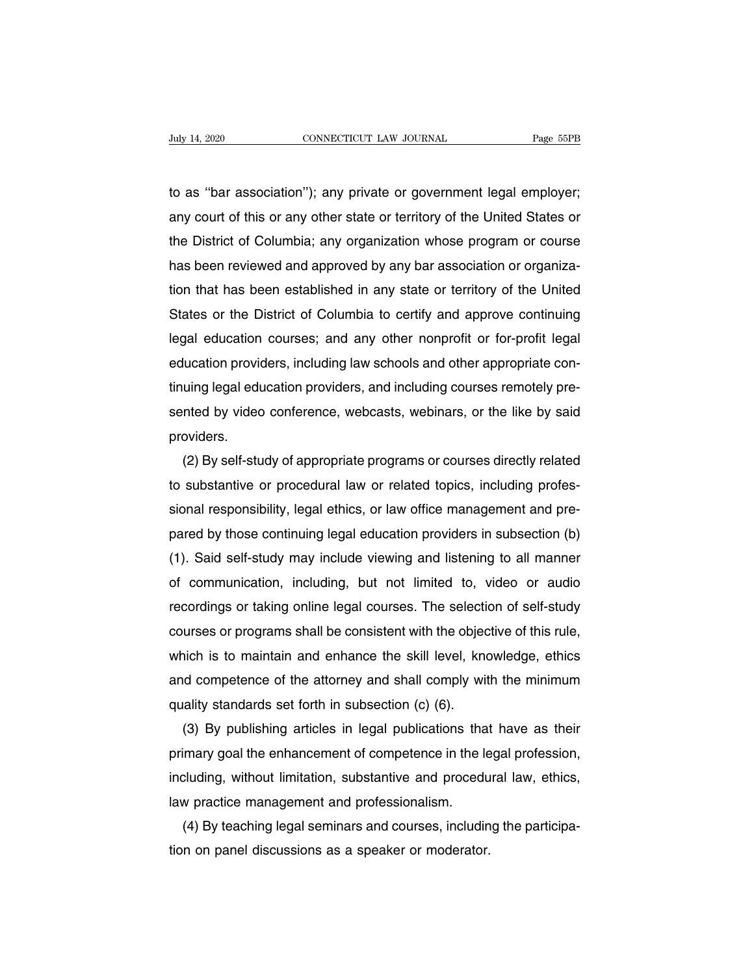Tuly 14, 2020<br>to as "bar association"); any private or government legal employer;<br>any court of this or any other state or territory of the United States or Fage 55PB<br>to as "bar association"); any private or government legal employer;<br>any court of this or any other state or territory of the United States or<br>the District of Columbia; any organization whose program or course the Asset Columbia: any private or government legal employer;<br>any court of this or any other state or territory of the United States or<br>the District of Columbia; any organization whose program or course<br>has been reviewed a to as "bar association"); any private or government legal employer;<br>any court of this or any other state or territory of the United States or<br>the District of Columbia; any organization whose program or course<br>has been revi to as "bar association"); any private or government legal employer;<br>any court of this or any other state or territory of the United States or<br>the District of Columbia; any organization whose program or course<br>has been revi any court of this or any other state or territory of the United States or<br>the District of Columbia; any organization whose program or course<br>has been reviewed and approved by any bar association or organiza-<br>tion that has the District of Columbia; any organization whose program or course<br>has been reviewed and approved by any bar association or organiza-<br>tion that has been established in any state or territory of the United<br>States or the Dis has been reviewed and approved by any bar association or organization that has been established in any state or territory of the United<br>States or the District of Columbia to certify and approve continuing<br>legal education c tion that has been established in any state or territory of the United<br>States or the District of Columbia to certify and approve continuing<br>legal education courses; and any other nonprofit or for-profit legal<br>education pro States or the District of Columbia to certity and approve continuing<br>legal education courses; and any other nonprofit or for-profit legal<br>education providers, including law schools and other appropriate con-<br>tinuing legal providers. lucation providers, including law schools and other appropriate con-<br>uing legal education providers, and including courses remotely pre-<br>nted by video conference, webcasts, webinars, or the like by said<br>oviders.<br>(2) By sel

tinuing legal education providers, and including courses remotely presented by video conference, webcasts, webinars, or the like by said<br>providers.<br>(2) By self-study of appropriate programs or courses directly related<br>to s sented by video conference, webcasts, webinars, or the like by said<br>providers.<br>(2) By self-study of appropriate programs or courses directly related<br>to substantive or procedural law or related topics, including profes-<br>sio providers.<br>
(2) By self-study of appropriate programs or courses directly related<br>
to substantive or procedural law or related topics, including profes-<br>
sional responsibility, legal ethics, or law office management and pr (2) By self-study of appropriate programs or courses directly related<br>to substantive or procedural law or related topics, including profes-<br>sional responsibility, legal ethics, or law office management and pre-<br>pared by th to substantive or procedural law or related topics, including protes-<br>sional responsibility, legal ethics, or law office management and pre-<br>pared by those continuing legal education providers in subsection (b)<br>(1). Said s sional responsibility, legal ethics, or law office management and pre-<br>pared by those continuing legal education providers in subsection (b)<br>(1). Said self-study may include viewing and listening to all manner<br>of communica pared by those continuing legal education providers in subsection (b)<br>(1). Said self-study may include viewing and listening to all manner<br>of communication, including, but not limited to, video or audio<br>recordings or takin (1). Said self-study may include viewing and listening to all manner<br>of communication, including, but not limited to, video or audio<br>recordings or taking online legal courses. The selection of self-study<br>courses or program or communication, including, but not limited to, video or audio<br>recordings or taking online legal courses. The selection of self-study<br>courses or programs shall be consistent with the objective of this rule,<br>which is to ma recordings or taking online legal courses. The selectic<br>courses or programs shall be consistent with the objec<br>which is to maintain and enhance the skill level, know<br>and competence of the attorney and shall comply wit<br>qual urses or programs shall be consistent with the objective of this rule,<br>hich is to maintain and enhance the skill level, knowledge, ethics<br>d competence of the attorney and shall comply with the minimum<br>ality standards set f

which is to maintain and enhance the skill level, knowledge, ethics<br>and competence of the attorney and shall comply with the minimum<br>quality standards set forth in subsection (c) (6).<br>(3) By publishing articles in legal pu and competence of the attorney and shall comply with the minimum<br>quality standards set forth in subsection (c) (6).<br>(3) By publishing articles in legal publications that have as their<br>primary goal the enhancement of compet quality standards set forth in subsection (c) (6).<br>
(3) By publishing articles in legal publications the<br>
primary goal the enhancement of competence in the lincluding, without limitation, substantive and procedi<br>
law pract (3) By publishing articles in legal publications that have as their<br>imary goal the enhancement of competence in the legal profession,<br>cluding, without limitation, substantive and procedural law, ethics,<br>w practice manageme primary goal the enhancement of competence in the le<br>including, without limitation, substantive and procedu<br>law practice management and professionalism.<br>(4) By teaching legal seminars and courses, includin<br>tion on panel di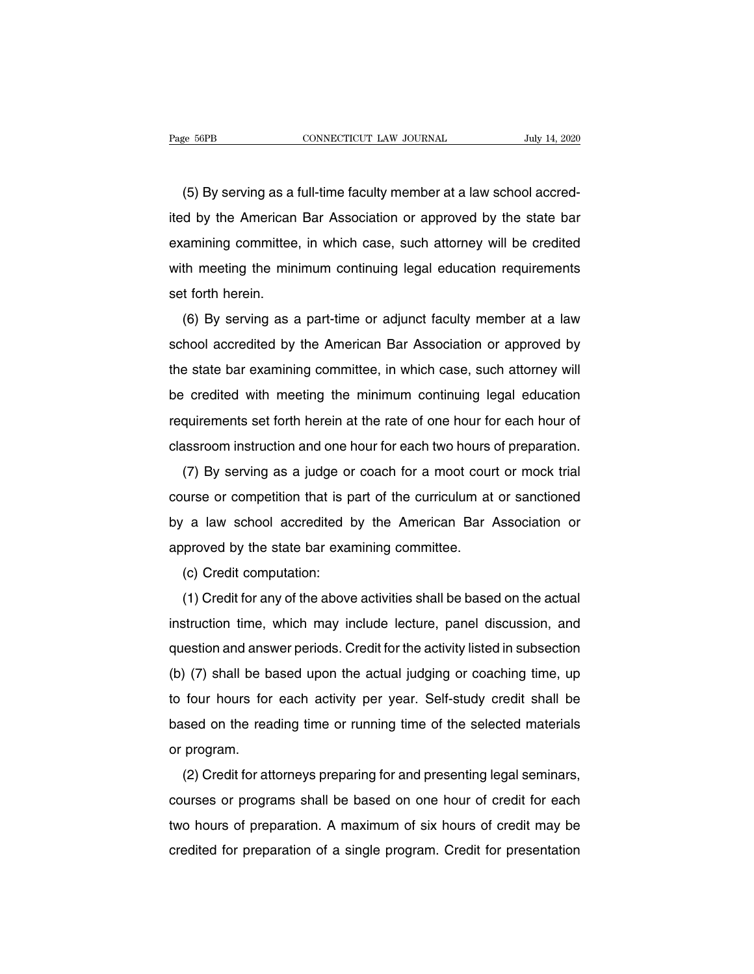EXEMBER ENGLEVIER CONNECTICUT LAW JOURNAL SUBSET AND JULY 14, 2020<br>
(5) By serving as a full-time faculty member at a law school accred-<br>
d by the American Bar Association or approved by the state bar Fage 56PB CONNECTICUT LAW JOURNAL July 14, 2020<br>
(5) By serving as a full-time faculty member at a law school accred-<br>
ited by the American Bar Association or approved by the state bar<br>
examining committee, in which case, (5) By serving as a full-time faculty member at a law school accredited by the American Bar Association or approved by the state bar examining committee, in which case, such attorney will be credited with meeting the minim (5) By serving as a full-time faculty member at a law school accred-<br>ited by the American Bar Association or approved by the state bar<br>examining committee, in which case, such attorney will be credited<br>with meeting the min  $(3)$  by serving as a<br>ited by the American<br>examining committee<br>with meeting the min<br>set forth herein.<br>(6) By serving as a (6) By serving as a part-time or adjunct faculty member at a law<br>hool accredited by serving as a part-time or adjunct faculty member at a law<br>hool accredited by the American Bar Association or approved by

examining committee, in which case, such attorney will be credited<br>with meeting the minimum continuing legal education requirements<br>set forth herein.<br>(6) By serving as a part-time or adjunct faculty member at a law<br>school the state bar examining the minimum community legal education requirements<br>set forth herein.<br>(6) By serving as a part-time or adjunct faculty member at a law<br>school accredited by the American Bar Association or approved by (6) By serving as a part-time or adjunct faculty member at a law<br>school accredited by the American Bar Association or approved by<br>the state bar examining committee, in which case, such attorney will<br>be credited with meetin (b) by serving as a part-time or adjunct racting member at a raw<br>school accredited by the American Bar Association or approved by<br>the state bar examining committee, in which case, such attorney will<br>be credited with meetin scribor accredited by the American Bar Association of approved by<br>the state bar examining committee, in which case, such attorney will<br>be credited with meeting the minimum continuing legal education<br>requirements set forth Figure and examining committee, in which case, such attorney will<br>credited with meeting the minimum continuing legal education<br>quirements set forth herein at the rate of one hour for each hour of<br>assroom instruction and on

requirements set forth herein at the rate of one hour for each hour of<br>classroom instruction and one hour for each two hours of preparation.<br>(7) By serving as a judge or coach for a moot court or mock trial<br>course or compe requirements set form herem at the rate of one hour for each hours of<br>classroom instruction and one hour for each two hours of preparation.<br>(7) By serving as a judge or coach for a moot court or mock trial<br>course or compet (7) By serving as a judge or coach for a moot cour<br>course or competition that is part of the curriculum at<br>by a law school accredited by the American Bar A<br>approved by the state bar examining committee.<br>(c) Credit computat The competition that is p<br>a law school accredited to<br>proved by the state bar exar<br>(c) Credit computation:<br>(1) Credit for any of the above (a) a law school accredited by the American Bar Association or<br>proved by the state bar examining committee.<br>(c) Credit computation:<br>(1) Credit for any of the above activities shall be based on the actual<br>struction time, wh

by a faw school accredited by the American Bar Association of<br>approved by the state bar examining committee.<br>(c) Credit computation:<br>(1) Credit for any of the above activities shall be based on the actual<br>instruction time, question and answer periods. Credit for the actual judging or coaching time, up<br>
(b) (7) shall be based upon the actual judging or coaching time, up<br>
(b) (7) shall be based upon the actual judging or coaching time, up (c) Credit for any of the above activities shall be based on the actual<br>instruction time, which may include lecture, panel discussion, and<br>question and answer periods. Credit for the activity listed in subsection<br>(b) (7) s (1) Orealt for any of the above activities shall be based off the actual<br>instruction time, which may include lecture, panel discussion, and<br>question and answer periods. Credit for the activity listed in subsection<br>(b) (7) mshuchon line, which hay include lecture, parter discussion, and<br>question and answer periods. Credit for the activity listed in subsection<br>(b) (7) shall be based upon the actual judging or coaching time, up<br>to four hours f (b) (7) shall be b.<br>to four hours for<br>based on the rea<br>or program.<br>(2) Credit for att (2) Credit for attorneys preparing for and presenting legal seminars, urses or programs shall be based on one hour of credit for aach and presenting legal seminars,

to four hours for each activity per year. Sen-study credit shall be<br>based on the reading time or running time of the selected materials<br>or program.<br>(2) Credit for attorneys preparing for and presenting legal seminars,<br>cour based on the reading time of funning time of the selected materials<br>or program.<br>(2) Credit for attorneys preparing for and presenting legal seminars,<br>courses or programs shall be based on one hour of credit for each<br>two ho or program.<br>
(2) Credit for attorneys preparing for and presenting legal seminars,<br>
courses or programs shall be based on one hour of credit for each<br>
two hours of preparation. A maximum of six hours of credit may be<br>
cred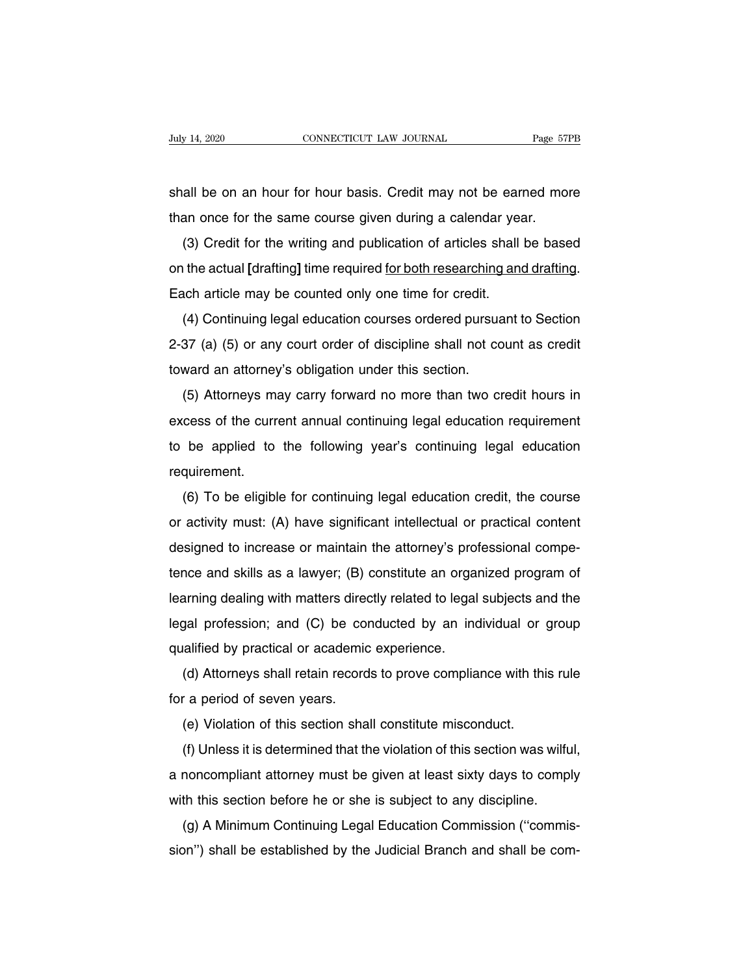Suly 14, 2020 CONNECTICUT LAW JOURNAL Page 57PB<br>Shall be on an hour for hour basis. Credit may not be earned more<br>than once for the same course given during a calendar year. The state of the same connect our set of an an hour for hour basis. Credit may not be earned mother once for the same course given during a calendar year.<br>(3) Credit for the writing and publication of articles shall be bas

(3) Credit for the same course given during a calendar year.<br>
(3) Credit for the writing and publication of articles shall be based<br>
the actual [drafting] time required for both researching and drafting. shall be on an hour for hour basis. Credit may not be earned more<br>than once for the same course given during a calendar year.<br>(3) Credit for the writing and publication of articles shall be based<br>on the actual [drafting] t Shall be on an hourton hour basis. Great may not be early<br>than once for the same course given during a calendar year<br>(3) Credit for the writing and publication of articles shall<br>on the actual [drafting] time required <u>for </u> (3) Credit for the writing and publication of articles shall be based<br>the actual [drafting] time required <u>for both researching and drafting</u>.<br>ach article may be counted only one time for credit.<br>(4) Continuing legal educa

(3) Orecan for the whiling and publication or anticles shall be based<br>on the actual [drafting] time required <u>for both researching and drafting</u>.<br>Each article may be counted only one time for credit.<br>(4) Continuing legal e on the actual [drafting] time required <u>for both researching and drafting</u>.<br>Each article may be counted only one time for credit.<br>(4) Continuing legal education courses ordered pursuant to Section<br>2-37 (a) (5) or any court (4) Continuing legal education courses ordered pursuant to Section<br>37 (a) (5) or any court order of discipline shall not count as credit<br>ward an attorney's obligation under this section.<br>(5) Attorneys may carry forward no

(4) Commung legal education courses ordered pursuant to Section<br>2-37 (a) (5) or any court order of discipline shall not count as credit<br>toward an attorney's obligation under this section.<br>(5) Attorneys may carry forward no toward an attorney's obligation under this section.<br>
(5) Attorneys may carry forward no more than two credit hours in<br>
excess of the current annual continuing legal education requirement<br>
to be applied to the following ye requirement. (5) Altonieys hay carry forward no more than two credit hours in<br>cess of the current annual continuing legal education requirement<br>be applied to the following year's continuing legal education<br>quirement.<br>(6) To be eligible

excess of the current annual continuing legal education requirement<br>to be applied to the following year's continuing legal education<br>requirement.<br>(6) To be eligible for continuing legal education credit, the course<br>or acti designed to the following years commany legal education<br>requirement.<br>(6) To be eligible for continuing legal education credit, the course<br>or activity must: (A) have significant intellectual or practical content<br>designed to (6) To be eligible for continuing legal education credit, the course<br>or activity must: (A) have significant intellectual or practical content<br>designed to increase or maintain the attorney's professional compe-<br>tence and sk (b) To be engible for commaning legal education credit, the course<br>or activity must: (A) have significant intellectual or practical content<br>designed to increase or maintain the attorney's professional compe-<br>tence and skil designed to increase or maintain the attorney's professional competence and skills as a lawyer; (B) constitute an organized program of learning dealing with matters directly related to legal subjects and the legal professi designed to increase of maintain the attorney's proteince and skills as a lawyer; (B) constitute an orgal<br>learning dealing with matters directly related to legal<br>legal profession; and (C) be conducted by an inc<br>qualified b The and skills as a lawyer, (b) consitute an organized program of<br>arming dealing with matters directly related to legal subjects and the<br>gal profession; and (C) be conducted by an individual or group<br>alified by practical o Framing dealing with matters directlegal profession; and (C) be conqualified by practical or academic<br>(d) Attorneys shall retain record<br>for a period of seven years.<br>(e) Violation of this section sha

gar profession, and (C) be conducted by an individual or galified by practical or academic experience.<br>(d) Attorneys shall retain records to prove compliance with this r a period of seven years.<br>(e) Violation of this secti

(d) Attorneys shall retain records to prove compliance with this rule<br>
(d) Attorneys shall retain records to prove compliance with this rule<br>
(e) Violation of this section shall constitute misconduct.<br>
(f) Unless it is det (a) Attorneys shart retain records to prove compilant e with this rule<br>for a period of seven years.<br>(e) Violation of this section shall constitute misconduct.<br>(f) Unless it is determined that the violation of this section (e) Violation of this section shall constitute misconduct.<br>
(f) Unless it is determined that the violation of this section was wilfu<br>
a noncompliant attorney must be given at least sixty days to compl<br>
with this section be (e) Violation of this section shall constitute misconduct.<br>
(f) Unless it is determined that the violation of this section was wilful,<br>
a noncompliant attorney must be given at least sixty days to comply<br>
with this section (i) Onless it is determined that the violation of this section was which,<br>a noncompliant attorney must be given at least sixty days to comply<br>with this section before he or she is subject to any discipline.<br>(g) A Minimum C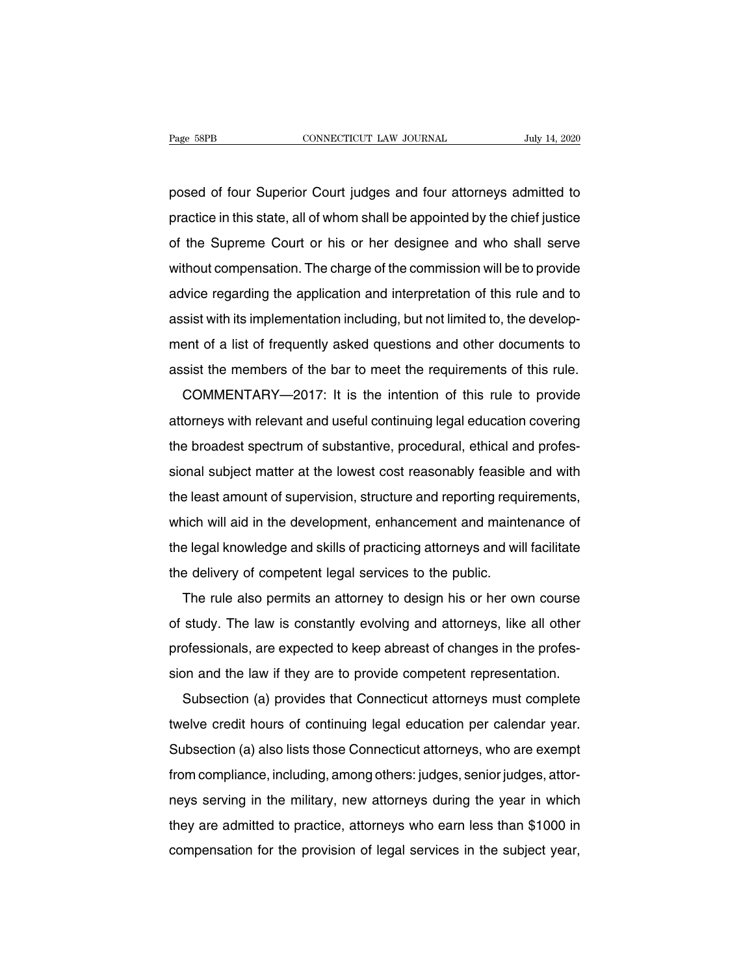Page 58PB<br>
posed of four Superior Court judges and four attorneys admitted to<br>
practice in this state, all of whom shall be appointed by the chief justice practice in this state, all of whom shall be appointed by the chief justice<br>of the Supreme Court or his or her designee and who shall serve<br>of the Supreme Court or his or her designee and who shall serve posed of four Superior Court judges and four attorneys admitted to<br>practice in this state, all of whom shall be appointed by the chief justice<br>of the Supreme Court or his or her designee and who shall serve<br>without compens posed of four Superior Court judges and four attorneys admitted to<br>practice in this state, all of whom shall be appointed by the chief justice<br>of the Supreme Court or his or her designee and who shall serve<br>without compens practice in this state, all of whom shall be appointed by the chief justice<br>of the Supreme Court or his or her designee and who shall serve<br>without compensation. The charge of the commission will be to provide<br>advice regar practice in this state, all of whom shall be appointed by the chief justice<br>of the Supreme Court or his or her designee and who shall serve<br>without compensation. The charge of the commission will be to provide<br>advice regar of the supreme Sourt of his of her designee and who shall selve<br>without compensation. The charge of the commission will be to provide<br>advice regarding the application and interpretation of this rule and to<br>assist with its advice regarding the application and interpretation of this rule and to<br>assist with its implementation including, but not limited to, the develop-<br>ment of a list of frequently asked questions and other documents to<br>assist sist with its implementation including, but not limited to, the develop-<br>ent of a list of frequently asked questions and other documents to<br>sist the members of the bar to meet the requirements of this rule.<br>COMMENTARY—2017

assist which simplementation including, but not influed to, the develop-<br>ment of a list of frequently asked questions and other documents to<br>assist the members of the bar to meet the requirements of this rule.<br>COMMENTARY—2 them of a list of hequerity asked questions and other documents to<br>assist the members of the bar to meet the requirements of this rule.<br>COMMENTARY—2017: It is the intention of this rule to provide<br>attorneys with relevant a sional subject matter at the lowest cost reasonably feasible and with the lowest spectrum of substantive, procedural, ethical and professional subject matter at the lowest cost reasonably feasible and with the least amount Example attorneys with relevant and useful continuing legal education covering<br>the broadest spectrum of substantive, procedural, ethical and profes-<br>sional subject matter at the lowest cost reasonably feasible and with<br>the allotheys will relevant and useful continuing legal education covering<br>the broadest spectrum of substantive, procedural, ethical and profes-<br>sional subject matter at the lowest cost reasonably feasible and with<br>the least a the broadest spectrum of substantive, procedural, entical and protes-<br>sional subject matter at the lowest cost reasonably feasible and with<br>the least amount of supervision, structure and reporting requirements,<br>which will sional subject matter at the lowest cost reasonably reasible<br>the least amount of supervision, structure and reporting requ<br>which will aid in the development, enhancement and mainte<br>the legal knowledge and skills of practic Freast amount of supervision, structure and reporting requirements,<br>hich will aid in the development, enhancement and maintenance of<br>e legal knowledge and skills of practicing attorneys and will facilitate<br>e delivery of co

Writch will all if the development, emiantement and maintenance of<br>the legal knowledge and skills of practicing attorneys and will facilitate<br>the delivery of competent legal services to the public.<br>The rule also permits an the delivery of competent legal services to the public.<br>The rule also permits an attorney to design his or her own course<br>of study. The law is constantly evolving and attorneys, like all other<br>professionals, are expected t The rule also permits an attorney to design his or her own course<br>of study. The law is constantly evolving and attorneys, like all other<br>professionals, are expected to keep abreast of changes in the profes-<br>sion and the la The fue also permits an attorney to design his of her own course<br>study. The law is constantly evolving and attorneys, like all other<br>ofessionals, are expected to keep abreast of changes in the profes-<br>on and the law if the

or study. The law is constantly evolving and attorneys, like all other<br>professionals, are expected to keep abreast of changes in the profes-<br>sion and the law if they are to provide competent representation.<br>Subsection (a) protessionals, are expected to keep abreast of changes in the protes-<br>sion and the law if they are to provide competent representation.<br>Subsection (a) provides that Connecticut attorneys must complete<br>twelve credit hours o sion and the law if they are to provide competent representation.<br>Subsection (a) provides that Connecticut attorneys must complete<br>twelve credit hours of continuing legal education per calendar year.<br>Subsection (a) also li Subsection (a) provides that Connecticut attorneys must complete<br>twelve credit hours of continuing legal education per calendar year.<br>Subsection (a) also lists those Connecticut attorneys, who are exempt<br>from compliance, i tweive creaf hours of continuing legal education per calendar year.<br>Subsection (a) also lists those Connecticut attorneys, who are exempt<br>from compliance, including, among others: judges, senior judges, attor-<br>neys serving subsection (a) also its those confiection attorieys, who are exempt<br>from compliance, including, among others: judges, senior judges, attor-<br>neys serving in the military, new attorneys during the year in which<br>they are admi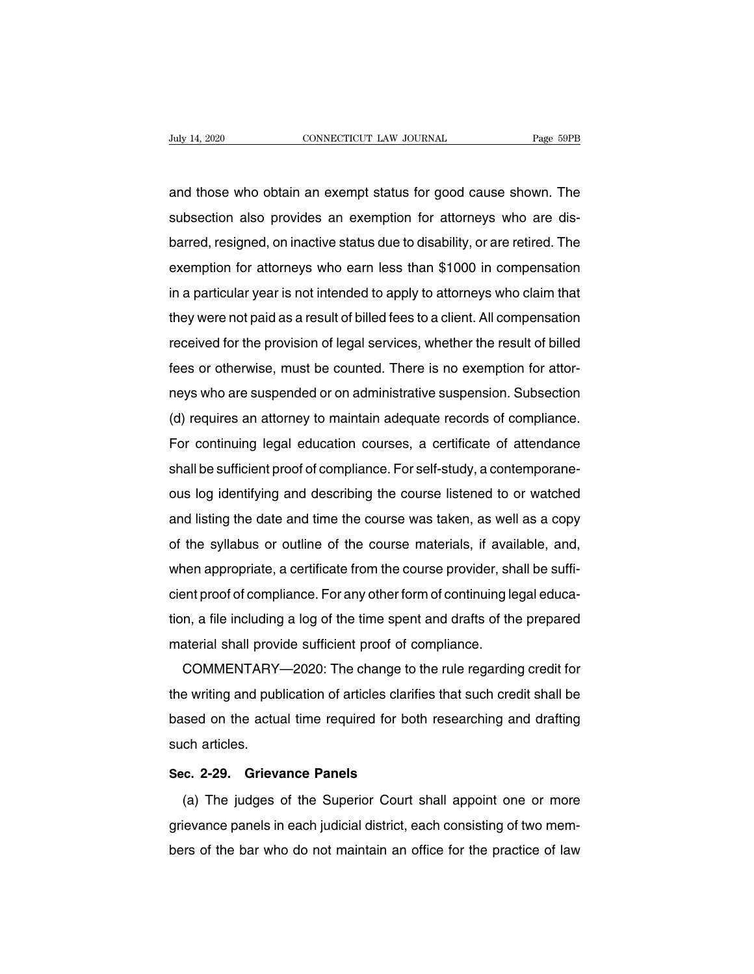Act July 14, 2020 CONNECTICUT LAW JOURNAL Page 59PB<br>and those who obtain an exempt status for good cause shown. The<br>subsection also provides an exemption for attorneys who are dis-Suly 14, 2020 CONNECTICUT LAW JOURNAL Page 59PB<br>and those who obtain an exempt status for good cause shown. The<br>subsection also provides an exemption for attorneys who are dis-<br>barred, resigned, on inactive status due to d and those who obtain an exempt status for good cause shown. The<br>subsection also provides an exemption for attorneys who are dis-<br>barred, resigned, on inactive status due to disability, or are retired. The<br>exemption for att and those who obtain an exempt status for good cause shown. The<br>subsection also provides an exemption for attorneys who are dis-<br>barred, resigned, on inactive status due to disability, or are retired. The<br>exemption for att and those who obtain an exempt status for good cause shown. The<br>subsection also provides an exemption for attorneys who are dis-<br>barred, resigned, on inactive status due to disability, or are retired. The<br>exemption for att subsection also provides an exemption for attomeys who are dis-<br>barred, resigned, on inactive status due to disability, or are retired. The<br>exemption for attorneys who earn less than \$1000 in compensation<br>in a particular y baried, resigned, orrinactive status due to disability, or are retired. The<br>exemption for attorneys who earn less than \$1000 in compensation<br>in a particular year is not intended to apply to attorneys who claim that<br>they we exemption for attorneys who earn less than \$1000 in compensation<br>in a particular year is not intended to apply to attorneys who claim that<br>they were not paid as a result of billed fees to a client. All compensation<br>receive In a panicular year is not intended to apply to attorneys who claim that<br>they were not paid as a result of billed fees to a client. All compensation<br>received for the provision of legal services, whether the result of bille They were not paid as a result of billed rees to a client. All comperisation<br>received for the provision of legal services, whether the result of billed<br>fees or otherwise, must be counted. There is no exemption for attor-<br>n received for the provision of legal services, whener the result of billed<br>fees or otherwise, must be counted. There is no exemption for attor-<br>neys who are suspended or on administrative suspension. Subsection<br>(d) requires shall be sufficient proof of compliance. For self-study, a contemporal of allowing the sufficient proof of compliance. For continuing legal education courses, a certificate of attendance shall be sufficient proof of compli reys who are susperided of orrital<br>
(d) requires an attorney to maintain adequate records of compliance.<br>
For continuing legal education courses, a certificate of attendance<br>
shall be sufficient proof of compliance. For se (a) requires an attorney to maintain adequate records or compliance.<br>For continuing legal education courses, a certificate of attendance<br>shall be sufficient proof of compliance. For self-study, a contemporane-<br>ous log iden For continuing legal education courses, a certificate or attenuance<br>shall be sufficient proof of compliance. For self-study, a contemporane-<br>ous log identifying and describing the course listened to or watched<br>and listing shall be sufficient proof of compliance. For self-study, a contemporane-<br>ous log identifying and describing the course listened to or watched<br>and listing the date and time the course was taken, as well as a copy<br>of the syl ous log luerninying and describing the course listened to or watched<br>and listing the date and time the course was taken, as well as a copy<br>of the syllabus or outline of the course materials, if available, and,<br>when appropr and ilsung the date and time the course was taken, as well as a copy<br>of the syllabus or outline of the course materials, if available, and,<br>when appropriate, a certificate from the course provider, shall be suffi-<br>cient pr or the synabus or buttificate from the course materials, if avait<br>when appropriate, a certificate from the course provider, sh<br>cient proof of compliance. For any other form of continuing le<br>tion, a file including a log of Their appropriate, a certificate from the course provider, shall be sum-<br>ent proof of compliance. For any other form of continuing legal educa-<br>n, a file including a log of the time spent and drafts of the prepared<br>aterial

tion, a file including a log of the time spent and drafts of the prepared<br>material shall provide sufficient proof of compliance.<br>COMMENTARY—2020: The change to the rule regarding credit for<br>the writing and publication of a has a me including a log of the time spent and drafts of the prepared<br>material shall provide sufficient proof of compliance.<br>COMMENTARY—2020: The change to the rule regarding credit for<br>the writing and publication of artic material shall provi<br>COMMENTARY-<br>the writing and pub<br>based on the actua<br>such articles.<br>Sec. 2-29. Grieva **EXAMPLE PROPERTIFY STATE PROPERTIES**<br>
the writing and publication of articles clarifie<br>
based on the actual time required for both<br>
such articles.<br> **Sec. 2-29. Grievance Panels**<br>
(a) The judges of the Superior Court s (a) The judges of the Superior Court shall appoint one or more<br>
(a) The judges of the Superior Court shall appoint one or more<br>
(a) The judges of the Superior Court shall appoint one or more<br>
evance panels in each judicial

such articles.<br>
Sec. 2-29. Grievance Panels<br>
(a) The judges of the Superior Court shall appoint one or more<br>
grievance panels in each judicial district, each consisting of two mem-<br>
bers of the bar who do not maintain an o Sec. 2-29. Grievance Panels<br>
(a) The judges of the Superior Court shall appoint one or more<br>
grievance panels in each judicial district, each consisting of two mem-<br>
bers of the bar who do not maintain an office for the pr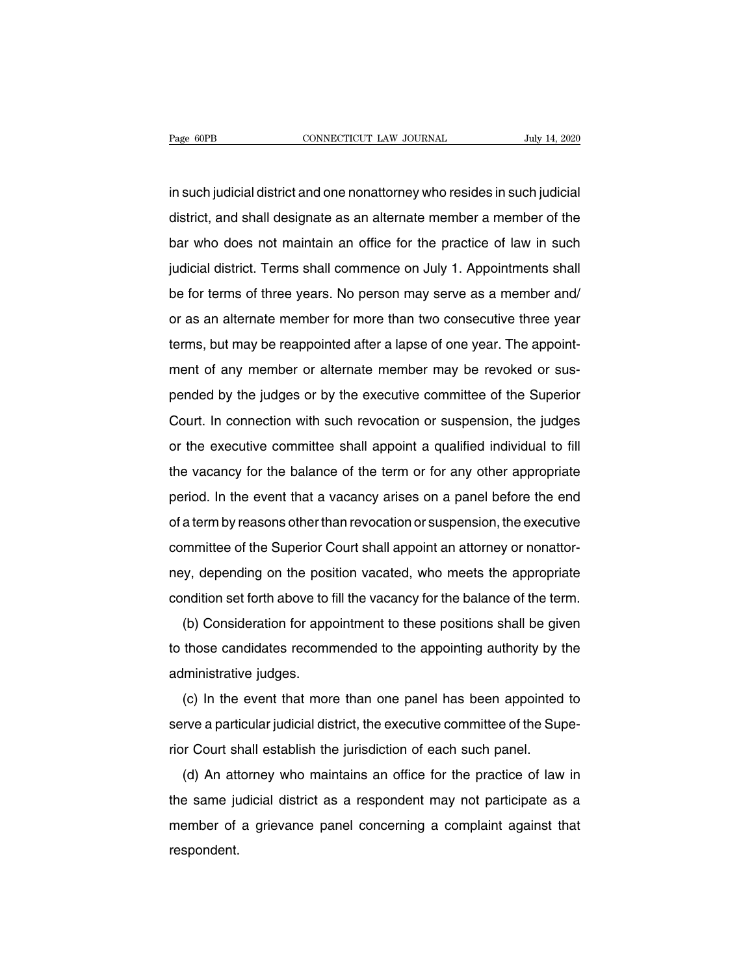Page 60PB<br>In such judicial district and one nonattorney who resides in such judicial<br>district, and shall designate as an alternate member a member of the Page 60PB CONNECTICUT LAW JOURNAL July 14, 2020<br>in such judicial district and one nonattorney who resides in such judicial<br>district, and shall designate as an alternate member a member of the<br>bar who does not maintain an o in such judicial district and one nonattorney who resides in such judicial<br>district, and shall designate as an alternate member a member of the<br>bar who does not maintain an office for the practice of law in such<br>judicial d in such judicial district and one nonattorney who resides in such judicial<br>district, and shall designate as an alternate member a member of the<br>bar who does not maintain an office for the practice of law in such<br>judicial d district, and shall designate as an alternate member a member of the<br>bar who does not maintain an office for the practice of law in such<br>judicial district. Terms shall commence on July 1. Appointments shall<br>be for terms of bar who does not maintain an office for the practice of law in such<br>judicial district. Terms shall commence on July 1. Appointments shall<br>be for terms of three years. No person may serve as a member and/<br>or as an alternate judicial district. Terms shall commence on July 1. Appointments shall<br>be for terms of three years. No person may serve as a member and/<br>or as an alternate member for more than two consecutive three year<br>terms, but may be r be for terms of three years. No person may serve as a member and/<br>or as an alternate member for more than two consecutive three year<br>terms, but may be reappointed after a lapse of one year. The appoint-<br>ment of any member be for terms of three years. No person may serve as a member and/<br>or as an alternate member for more than two consecutive three year<br>terms, but may be reappointed after a lapse of one year. The appoint-<br>ment of any member or as an alternate member for more than two consecutive times year<br>terms, but may be reappointed after a lapse of one year. The appoint-<br>ment of any member or alternate member may be revoked or sus-<br>pended by the judges or or the executive committee shall appoint a qualified individual to fill<br>the vacancy for the pudges or by the executive committee of the Superior<br>Court. In connection with such revocation or suspension, the judges<br>or the ex the vacancy for the pudges or by the executive committee of the Superior<br>Court. In connection with such revocation or suspension, the judges<br>or the executive committee shall appoint a qualified individual to fill<br>the vacan period. In connection with such revocation or suspension, the judges<br>or the executive committee shall appoint a qualified individual to fill<br>the vacancy for the balance of the term or for any other appropriate<br>period. In t of the executive committee shall appoint a qualified individual to fill<br>the vacancy for the balance of the term or for any other appropriate<br>period. In the event that a vacancy arises on a panel before the end<br>of a term by of the executive committee shall appoint a qualified individual to influence values of the balance of the term or for any other appropriate period. In the event that a vacancy arises on a panel before the end of a term by ne vacancy for the balance of the term of for any other appropriate<br>period. In the event that a vacancy arises on a panel before the end<br>of a term by reasons other than revocation or suspension, the executive<br>committee of penod. In the event that a vacancy anses on a panel before the end<br>of a term by reasons other than revocation or suspension, the executive<br>committee of the Superior Court shall appoint an attorney or nonattor-<br>ney, dependi a term by reasons other than revocation or suspension, the executive<br>mmittee of the Superior Court shall appoint an attorney or nonattor-<br>y, depending on the position vacated, who meets the appropriate<br>ndition set forth ab

to think the superior Court shall appoint an attorney of horiation-<br>hey, depending on the position vacated, who meets the appropriate<br>condition set forth above to fill the vacancy for the balance of the term.<br>(b) Considera rey, depending on the post<br>condition set forth above to t<br>(b) Consideration for appe<br>to those candidates recomm<br>administrative judges.<br>(c) In the event that more (b) Consideration for appointment to these positions shall be given<br>those candidates recommended to the appointing authority by the<br>lministrative judges.<br>(c) In the event that more than one panel has been appointed to<br>rve

(b) Consideration for appointment to these positions shall be given<br>to those candidates recommended to the appointing authority by the<br>administrative judges.<br>(c) In the event that more than one panel has been appointed to<br> referred to the appointing authority by a<br>administrative judges.<br>(c) In the event that more than one panel has been appointed<br>serve a particular judicial district, the executive committee of the Sur<br>rior Court shall establ (c) In the event that more than one panel has been appointed to<br>rve a particular judicial district, the executive committee of the Supe-<br>r Court shall establish the jurisdiction of each such panel.<br>(d) An attorney who main

(c) in the event that more than one parter has been appointed to<br>serve a particular judicial district, the executive committee of the Supe-<br>rior Court shall establish the jurisdiction of each such panel.<br>(d) An attorney wh serve a particular judicial district, the executive committee of the super-<br>rior Court shall establish the jurisdiction of each such panel.<br>(d) An attorney who maintains an office for the practice of law in<br>the same judici respondent.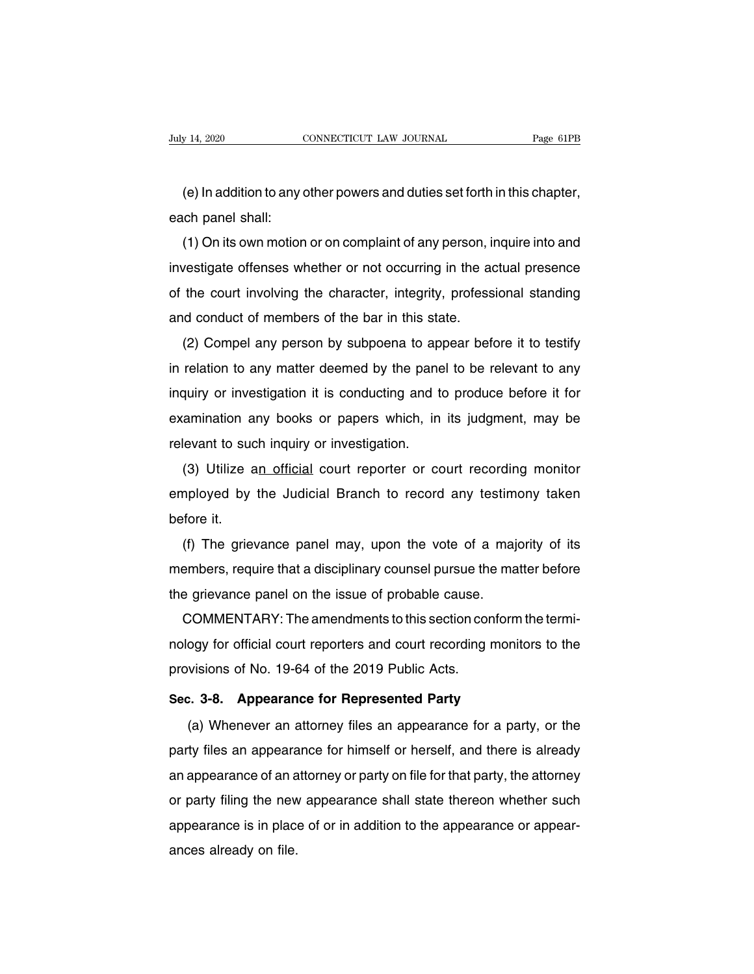(e) In addition to any other powers and duties set forth in this chapter,<br>
e) In addition to any other powers and duties set forth in this chapter,<br>
ch panel shall: July 14, 2020<br>
(e) In addition to any of<br>
each panel shall:<br>
(1) On its own motion

(e) In addition to any other powers and duties set forth in this chapter,<br>ch panel shall:<br>(1) On its own motion or on complaint of any person, inquire into and<br>vestigate offenses whether or not occurring in the actual pres indeed in addition to any other powers and duties set forth in this chapter,<br>each panel shall:<br>(1) On its own motion or on complaint of any person, inquire into and<br>investigate offenses whether or not occurring in the actu (e) in addition to any other powers and duties section in this chapter,<br>each panel shall:<br>(1) On its own motion or on complaint of any person, inquire into and<br>investigate offenses whether or not occurring in the actual pr each parier shall.<br>
(1) On its own motion or on complaint of any person, if<br>
investigate offenses whether or not occurring in the ad<br>
of the court involving the character, integrity, profess<br>
and conduct of members of the (1) Off its own motion of on complaint of any person, inquire into and<br>vestigate offenses whether or not occurring in the actual presence<br>the court involving the character, integrity, professional standing<br>id conduct of me

investigate offerses whether or not occurring in the actual presence<br>of the court involving the character, integrity, professional standing<br>and conduct of members of the bar in this state.<br>(2) Compel any person by subpoena or the court involving the character, integrity, professional standing<br>and conduct of members of the bar in this state.<br>(2) Compel any person by subpoena to appear before it to testify<br>in relation to any matter deemed by t (2) Compel any person by subpoena to appear before it to testify<br>in relation to any matter deemed by the panel to be relevant to any<br>inquiry or investigation it is conducting and to produce before it for<br>examination any bo (2) Comperative person by subpoent to appoint in relation to any matter deemed by the panel<br>inquiry or investigation it is conducting and the examination any books or papers which, in<br>relevant to such inquiry or investiga Telation to any matter deemed by the parter to be relevant to any<br>quiry or investigation it is conducting and to produce before it for<br>amination any books or papers which, in its judgment, may be<br>levant to such inquiry or

examination any books or papers which, in its judgment, may be relevant to such inquiry or investigation.<br>
(3) Utilize an official court reporter or court recording monitor<br>
employed by the Judicial Branch to record any te examination any books or papers which, in its judgment, may be relevant to such inquiry or investigation.<br>
(3) Utilize an official court reporter or court recording monitor<br>
employed by the Judicial Branch to record any te (3) Utilize an official court reporter or court recording monitor<br>nployed by the Judicial Branch to record any testimony taken<br>fore it.<br>(f) The grievance panel may, upon the vote of a majority of its<br>embers, require that a

(3) Utilize an Unicial Court Teporter of Court Tecording momor<br>employed by the Judicial Branch to record any testimony taken<br>before it.<br>(f) The grievance panel may, upon the vote of a majority of its<br>members, require that employed by the Judicial Branch to record any testim<br>before it.<br>(f) The grievance panel may, upon the vote of a maj<br>members, require that a disciplinary counsel pursue the ma<br>the grievance panel on the issue of probable ca (f) The grievance panel may, upon the vote of a majority of its<br>embers, require that a disciplinary counsel pursue the matter before<br>e grievance panel on the issue of probable cause.<br>COMMENTARY: The amendments to this sect

(i) The grievance panel may, upon the vote of a majority of its<br>members, require that a disciplinary counsel pursue the matter before<br>the grievance panel on the issue of probable cause.<br>COMMENTARY: The amendments to this s members, require that a disciplinary counser pursue the<br>the grievance panel on the issue of probable cause.<br>COMMENTARY: The amendments to this section cor<br>nology for official court reporters and court recording r<br>provision **COMMENTARY:** The amendments to this section conform the nology for official court reporters and court recording monito provisions of No. 19-64 of the 2019 Public Acts.<br>Sec. 3-8. Appearance for Represented Party (a) Whenev ogy for official court reporters and court recording monitors to the<br>visions of No. 19-64 of the 2019 Public Acts.<br>2. 3-8. Appearance for Represented Party<br>(a) Whenever an attorney files an appearance for a party, or the<br>t

provisions of No. 19-64 of the 2019 Public Acts.<br>
Sec. 3-8. Appearance for Represented Party<br>
(a) Whenever an attorney files an appearance for a party, or the<br>
party files an appearance for himself or herself, and there is Sec. 3-8. Appearance for Represented Party<br>
(a) Whenever an attorney files an appearance for a party, or the<br>
party files an appearance for himself or herself, and there is already<br>
an appearance of an attorney or party on (a) Whenever an attorney files an appearance for a party, or the<br>party files an appearance for himself or herself, and there is already<br>an appearance of an attorney or party on file for that party, the attorney<br>or party fi (a) Whenever an attorney files an appearance for a party, or the party files an appearance for himself or herself, and there is already an appearance of an attorney or party on file for that party, the attorney or party fi appearance is in place of or in addition to the appearance or appear-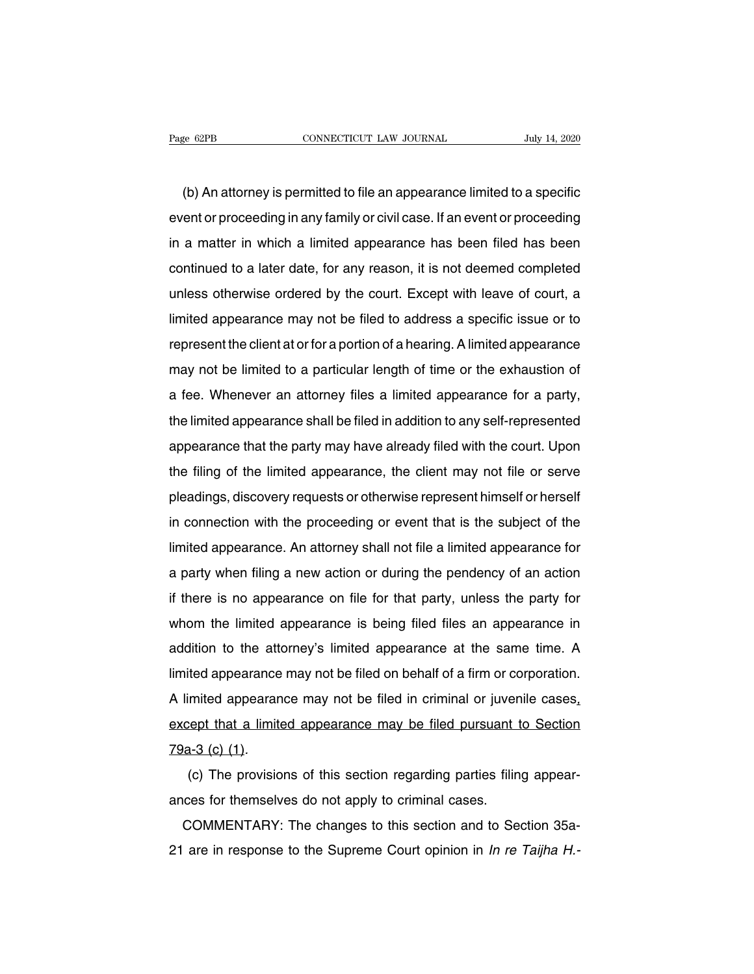EXEMBERT AND CONNECTICUT LAW JOURNAL THAT THAT AND THAT AND THAT AND AN ATTENDING (b) An attorney is permitted to file an appearance limited to a specific ent or proceeding in any family or civil case. If an event or proce example of the same of the same of the same of the same of the same of the same of the same of the same of the same of the same of the same of the same of the same of the same of the same of the same of the same of the sam (b) An attorney is permitted to file an appearance limited to a specific<br>event or proceeding in any family or civil case. If an event or proceeding<br>in a matter in which a limited appearance has been filed has been<br>continue (b) An attorney is permitted to file an appearance limited to a specific<br>event or proceeding in any family or civil case. If an event or proceeding<br>in a matter in which a limited appearance has been filed has been<br>continue (b) Arrattomey is permitted to the arrappearance in the court or proceeding<br>event or proceeding in any family or civil case. If an event or proceeding<br>in a matter in which a limited appearance has been filed has been<br>conti in a matter in which a limited appearance has been filed has been<br>continued to a later date, for any reason, it is not deemed completed<br>unless otherwise ordered by the court. Except with leave of court, a<br>limited appearanc represent the client at or for any reason, it is not deemed completed<br>unless otherwise ordered by the court. Except with leave of court, a<br>limited appearance may not be filed to address a specific issue or to<br>represent the edimined to a fater date, for any reason, it is not deemed completed<br>unless otherwise ordered by the court. Except with leave of court, a<br>limited appearance may not be filed to address a specific issue or to<br>represent the limited appearance may not be filed to address a specific issue or to represent the client at or for a portion of a hearing. A limited appearance may not be limited to a particular length of time or the exhaustion of a fee The limited appearance may not be filed to address a specific issue of to<br>represent the client at or for a portion of a hearing. A limited appearance<br>may not be limited to a particular length of time or the exhaustion of<br>a represent the client at of or a portion of a nearing. A limited appearance<br>may not be limited to a particular length of time or the exhaustion of<br>a fee. Whenever an attorney files a limited appearance for a party,<br>the limi the filing of the limited appearance shall be filed in addition to any self-represented<br>appearance that the party may have already filed with the court. Upon<br>the filing of the limited appearance, the client may not file or a ree. Whenever an atomey fires a finited appearance for a party,<br>the limited appearance shall be filed in addition to any self-represented<br>appearance that the party may have already filed with the court. Upon<br>the filing o ine immed appearance shall be lied in addition to any sen-represented<br>appearance that the party may have already filed with the court. Upon<br>the filing of the limited appearance, the client may not file or serve<br>pleadings, appearance that the party may have already lied with the court. Opon<br>the filing of the limited appearance, the client may not file or serve<br>pleadings, discovery requests or otherwise represent himself or herself<br>in connect a pleadings, discovery requests or otherwise represent himself or herself<br>in connection with the proceeding or event that is the subject of the<br>limited appearance. An attorney shall not file a limited appearance for<br>a part pleadings, discovery requests of otherwise represent filmsen of hersen<br>in connection with the proceeding or event that is the subject of the<br>limited appearance. An attorney shall not file a limited appearance for<br>a party w Imited appearance. An attorney shall not file a limited appearance for<br>a party when filing a new action or during the pendency of an action<br>if there is no appearance on file for that party, unless the party for<br>whom the li immed appearance. An attorney shall not lie a limited appearance for<br>a party when filing a new action or during the pendency of an action<br>if there is no appearance on file for that party, unless the party for<br>whom the limi If there is no appearance on file for that party, unless the party for whom the limited appearance is being filed files an appearance in addition to the attorney's limited appearance at the same time. A limited appearance If there is no appearance on the for that party, unless the party for<br>whom the limited appearance is being filed files an appearance in<br>addition to the attorney's limited appearance at the same time. A<br>limited appearance m Firmited appearance may not be filed on behalf of a firm or corporation.<br>A limited appearance may not be filed in criminal or juvenile cases, except that a limited appearance may be filed pursuant to Section 79a-3 (c) (1). A limited appearance may not be lifed in chimital of javent<br>except that a limited appearance may be filed pursuant t<br>79a-3 (c) (1).<br>(c) The provisions of this section regarding parties filin<br>ances for themselves do not app

(c) (1).<br>  $\frac{a-3}{c}$  (c) (1).<br>
(c) The provisions of this section regarding parties filing appear-<br>
ces for themselves do not apply to criminal cases.<br>
COMMENTARY: The changes to this section and to Section 35a-<br>
are in 21 are in response to the Supreme Court opinion in  $ln$  realisting appear-<br>21 are in response to the Supreme Court opinion in  $ln$  re Taijha H.-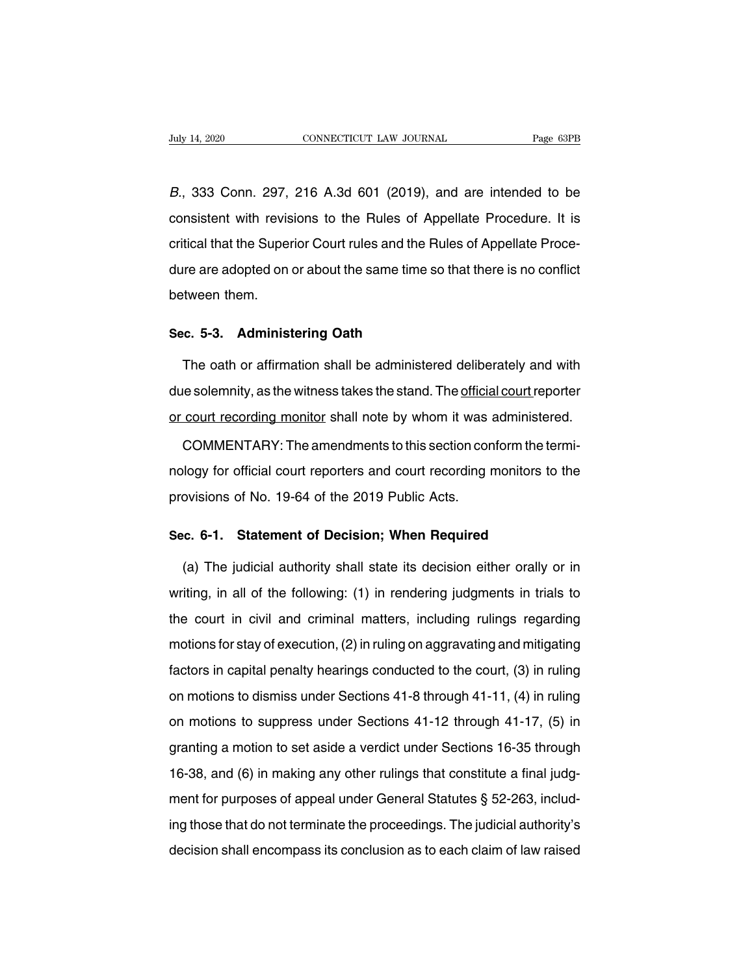B., 333 Conn. 297, 216 A.3d 601 (2019), and are intended to be<br>consistent with revisions to the Rules of Appellate Procedure. It is CONSECTICUT LAW JOURNAL Page 63PB<br>
E., 333 Conn. 297, 216 A.3d 601 (2019), and are intended to be<br>
consistent with revisions to the Rules of Appellate Procedure. It is<br>
critical that the Superior Court rules and the Rules B., 333 Conn. 297, 216 A.3d 601 (2019), and are intended to be consistent with revisions to the Rules of Appellate Procedure. It is critical that the Superior Court rules and the Rules of Appellate Proce--<br>dure are adopted B., 333 Conn. 297, 216 A.3d 601 (2019), and are intended to be consistent with revisions to the Rules of Appellate Procedure. It is critical that the Superior Court rules and the Rules of Appellate Procedure are adopted on  $b$ .,  $b$ .,  $b$ .,  $b$ .,  $b$ .,  $b$ .,  $b$ .,  $b$ .,  $b$ .,  $b$ .,  $b$ .,  $b$ .,  $b$ .,  $c$ .,  $c$ .,  $d$ .,  $b$ .,  $b$ .,  $c$ .,  $d$ .,  $b$ .,  $b$ .,  $c$ .,  $d$ .,  $b$ .,  $b$ .,  $c$ .,  $d$ .,  $b$ .,  $b$ .,  $c$ .,  $d$ .,  $b$ .,  $b$ .,  $c$ .,  $d$ .,  $b$ ., **Sec.** 5-3. Administering Oath<br>The oath or affirmation shall be administer<br>The oath or affirmation shall be administer

re are adopted on or about the same time so that there is no conflict<br>tween them.<br>**c. 5-3. Administering Oath**<br>The oath or affirmation shall be administered deliberately and with<br>re solemnity, as the witness takes the stan between them.<br>Sec. 5-3. Administering Oath<br>The oath or affirmation shall be administered deliberately and with<br>due solemnity, as the witness takes the stand. The <u>official court</u> reporter<br>or court recording monitor shall n Sec. 5-3. Administering Oath<br>The oath or affirmation shall be administered deliberately and with<br>due solemnity, as the witness takes the stand. The <u>official court</u> reporter<br>or court recording monitor shall note by whom it The oath or affirmation shall be administered deliberately and with<br>le solemnity, as the witness takes the stand. The <u>official court</u> reporter<br>court recording monitor shall note by whom it was administered.<br>COMMENTARY: Th

due solemnity, as the witness takes the stand. The <u>official court</u> reporter<br>or court recording monitor shall note by whom it was administered.<br>COMMENTARY: The amendments to this section conform the termi-<br>nology for offic provisions of No. 19-64 of the 2019 Public Acts. **COMMENTARY:** The amendments to this section conform the term ology for official court reporters and court recording monitors to provisions of No. 19-64 of the 2019 Public Acts.<br>**Sec. 6-1. Statement of Decision; When Requi** 

logy for official court reporters and court recording monitors to the<br>ovisions of No. 19-64 of the 2019 Public Acts.<br>c. 6-1. Statement of Decision; When Required<br>(a) The judicial authority shall state its decision either o provisions of No. 19-64 of the 2019 Public Acts.<br>Sec. 6-1. Statement of Decision; When Required<br>(a) The judicial authority shall state its decision either orally or in<br>writing, in all of the following: (1) in rendering jud Sec. 6-1. Statement of Decision; When Required<br>
(a) The judicial authority shall state its decision either orally or in<br>
writing, in all of the following: (1) in rendering judgments in trials to<br>
the court in civil and cri (a) The judicial authority shall state its decision either orally or in<br>writing, in all of the following: (1) in rendering judgments in trials to<br>the court in civil and criminal matters, including rulings regarding<br>motions writing, in all of the following: (1) in rendering judgments in trials to<br>the court in civil and criminal matters, including rulings regarding<br>motions for stay of execution, (2) in ruling on aggravating and mitigating<br>fac the court in civil and criminal matters, including rulings regarding<br>motions for stay of execution, (2) in ruling on aggravating and mitigating<br>factors in capital penalty hearings conducted to the court, (3) in ruling<br>on and similar matters, instanting rainige regarding<br>motions for stay of execution, (2) in ruling on aggravating and mitigating<br>factors in capital penalty hearings conducted to the court, (3) in ruling<br>on motions to dismiss u factors in capital penalty hearings conducted to the court, (3) in ruling<br>on motions to dismiss under Sections 41-8 through 41-11, (4) in ruling<br>on motions to suppress under Sections 41-12 through 41-17, (5) in<br>granting a factors in capital penalty hearings conducted to the court, (3) in ruling<br>on motions to dismiss under Sections 41-8 through 41-11, (4) in ruling<br>on motions to suppress under Sections 41-12 through 41-17, (5) in<br>granting a on motions to distinct diactrocotions in curredgent in the entry (1) intensity<br>on motions to suppress under Sections 41-12 through 41-17, (5) in<br>granting a motion to set aside a verdict under Sections 16-35 through<br>16-38, granting a motion to set aside a verdict under Sections 16-35 through<br>16-38, and (6) in making any other rulings that constitute a final judg-<br>ment for purposes of appeal under General Statutes § 52-263, includ-<br>ing those 16-38, and (6) in making any other rulings that constitute a final judgment for purposes of appeal under General Statutes  $\S$  52-263, including those that do not terminate the proceedings. The judicial authority's decisio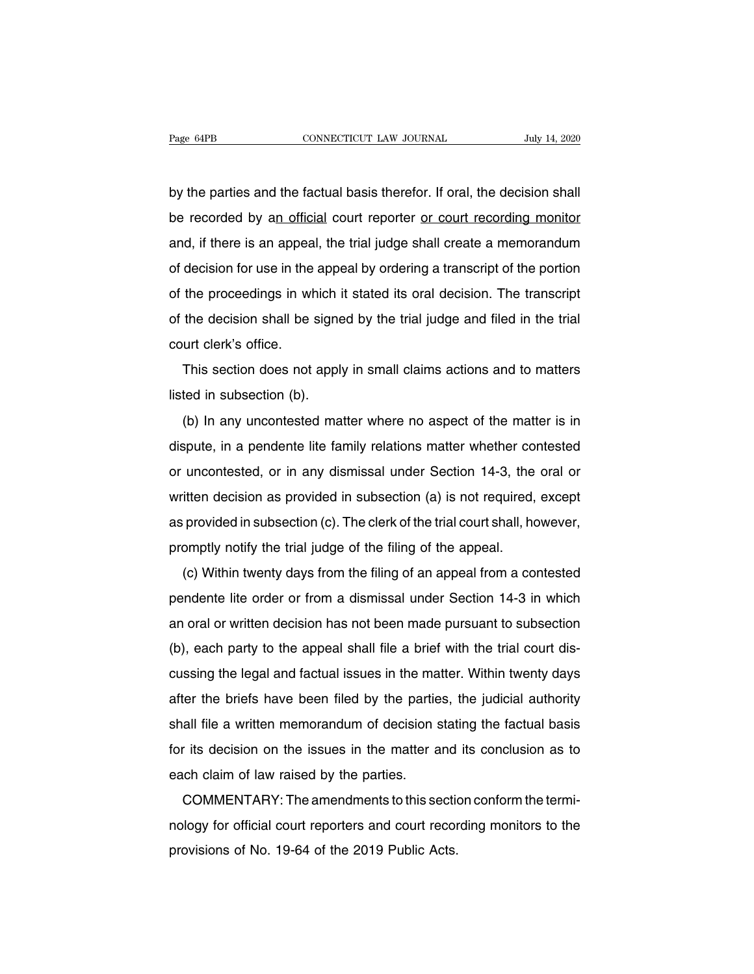Page 64PB<br>
CONNECTICUT LAW JOURNAL<br>
by the parties and the factual basis therefor. If oral, the decision shall<br>
be recorded by an official court reporter <u>or court recording monitor</u> Page 64PB **CONNECTICUT LAW JOURNAL** July 14, 2020<br>by the parties and the factual basis therefor. If oral, the decision shall<br>be recorded by an official court reporter <u>or court recording monitor</u><br>and, if there is an appeal by the parties and the factual basis therefor. If oral, the decision shall<br>be recorded by an official court reporter <u>or court recording monitor</u><br>and, if there is an appeal, the trial judge shall create a memorandum<br>of dec by the parties and the factual basis therefor. If oral, the decision shall<br>be recorded by an official court reporter <u>or court recording monitor</u><br>and, if there is an appeal, the trial judge shall create a memorandum<br>of dec be recorded by an official court reporter or court recording monitor<br>and, if there is an appeal, the trial judge shall create a memorandum<br>of decision for use in the appeal by ordering a transcript of the portion<br>of the pr and, if there is an appeal, the trial judge shall create a memorandum<br>of decision for use in the appeal by ordering a transcript of the portion<br>of the proceedings in which it stated its oral decision. The transcript<br>of the and, if there is an appear<br>of decision for use in the<br>of the proceedings in wh<br>of the decision shall be :<br>court clerk's office.<br>This section does not the proceedings in which it stated its oral decision. The transcript<br>the decision shall be signed by the trial judge and filed in the trial<br>urt clerk's office.<br>This section does not apply in small claims actions and to mat of the decision shall be signe<br>court clerk's office.<br>This section does not apply<br>listed in subsection (b).<br>(b) In any uncontested ma

Intertually the that judge and the in the that<br>urt clerk's office.<br>This section does not apply in small claims actions and to matters<br>ted in subsection (b).<br>(b) In any uncontested matter where no aspect of the matter is in This section does not apply in small claims actions and to matters<br>listed in subsection (b).<br>(b) In any uncontested matter where no aspect of the matter is in<br>dispute, in a pendente lite family relations matter whether con In this section does not apply in small claims actions and to matters<br>listed in subsection (b).<br>(b) In any uncontested matter where no aspect of the matter is in<br>dispute, in a pendente lite family relations matter whether (b) In any uncontested matter where no aspect of the matter is in dispute, in a pendente lite family relations matter whether contested or uncontested, or in any dismissal under Section 14-3, the oral or written decision dispute, in a pendente lite family relations matter whether contested<br>or uncontested, or in any dismissal under Section 14-3, the oral or<br>written decision as provided in subsection (a) is not required, except<br>as provided promptly notify the trial judge of the filing of the appeal.<br>
(c) Within the trial judge of the filing of the appeal.<br>
(c) Within twenty days from the filing of an appeal from a co itten decision as provided in subsection (a) is not required, except<br>provided in subsection (c). The clerk of the trial court shall, however,<br>omptly notify the trial judge of the filing of the appeal.<br>(c) Within twenty day

whiteh decision as provided in subsection (a) is not required, except<br>as provided in subsection (c). The clerk of the trial court shall, however,<br>promptly notify the trial judge of the filing of the appeal.<br>(c) Within twen as provided in subsection (c). The clerk of the that court shall, however,<br>promptly notify the trial judge of the filing of the appeal.<br>(c) Within twenty days from the filing of an appeal from a contested<br>pendente lite ord (c) Within twenty days from the filing of an appeal from a contested<br>pendente lite order or from a dismissal under Section 14-3 in which<br>an oral or written decision has not been made pursuant to subsection<br>(b), each party (c) Within twenty days nont the hing of an appear nont a contested<br>pendente lite order or from a dismissal under Section 14-3 in which<br>an oral or written decision has not been made pursuant to subsection<br>(b), each party to pendente life ofter of fiorm a distinssar under Section 14-5 in which<br>an oral or written decision has not been made pursuant to subsection<br>(b), each party to the appeal shall file a brief with the trial court dis-<br>cussing an oral of whiteh decision has not been made pursuant to subsection<br>(b), each party to the appeal shall file a brief with the trial court dis-<br>cussing the legal and factual issues in the matter. Within twenty days<br>after th for its decision on the issues in the matter. Within twenty days after the briefs have been filed by the parties, the judicial authority shall file a written memorandum of decision stating the factual basis for its decisi Easing the legal and lactual issues in the mater the briefs have been filed by the partie<br>shall file a written memorandum of decision s<br>for its decision on the issues in the matter a<br>each claim of law raised by the parties er the briefs have been filed by the parties, the judicial additionty<br>all file a written memorandum of decision stating the factual basis<br>r its decision on the issues in the matter and its conclusion as to<br>conform the term

shall life a whitell internolation of decision stating the factual basis<br>for its decision on the issues in the matter and its conclusion as to<br>each claim of law raised by the parties.<br>COMMENTARY: The amendments to this sec provisions of No. 19-64 of the 2019 Public Acts.<br>
COMMENTARY: The amendments to this section<br>
nology for official court reporters and court recor<br>
provisions of No. 19-64 of the 2019 Public Acts.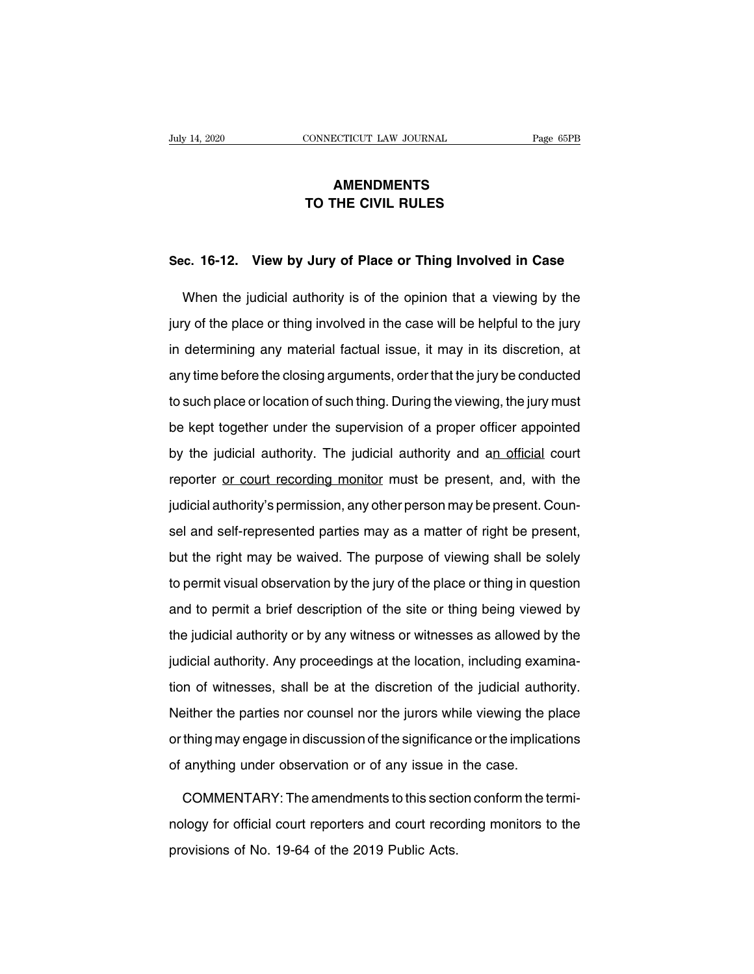# **AMENDMENTS THE CONNECTICUT LAW JOURNAL**<br> **AMENDMENTS<br>
TO THE CIVIL RULES**

# **SEC. 16-12. View by Jury of Place or Thing Involved in Case**<br>Merc. 16-12. View by Jury of Place or Thing Involved in Case

TO THE CIVIL RULES<br>
E. 16-12. View by Jury of Place or Thing Involved in Case<br>
When the judicial authority is of the opinion that a viewing by the<br>
y of the place or thing involved in the case will be helpful to the jury Sec. 16-12. View by Jury of Place or Thing Involved in Case<br>When the judicial authority is of the opinion that a viewing by the<br>jury of the place or thing involved in the case will be helpful to the jury<br>in determining any Sec. 16-12. View by Jury of Place or Thing Involved in Case<br>When the judicial authority is of the opinion that a viewing by the<br>jury of the place or thing involved in the case will be helpful to the jury<br>in determining any When the judicial authority is of the opinion that a viewing by the<br>jury of the place or thing involved in the case will be helpful to the jury<br>in determining any material factual issue, it may in its discretion, at<br>any ti the place or thing involved in the case will be helpful to the jury<br>in determining any material factual issue, it may in its discretion, at<br>any time before the closing arguments, order that the jury be conducted<br>to such pl be kept together under the supervision of a proper that the supervision, at any time before the closing arguments, order that the jury be conducted to such place or location of such thing. During the viewing, the jury must by time before the closing arguments, order that the jury be conducted<br>to such place or location of such thing. During the viewing, the jury must<br>be kept together under the supervision of a proper officer appointed<br>by the reporter or court find must be present and the supervision of a proper officer appointed<br>by the judicial authority. The judicial authority and an official court<br>reporter or court recording monitor must be present, and, wit give the static procedurity. Dating the treating, the jarly meats be kept together under the supervision of a proper officer appointed by the judicial authority. The judicial authority and an official court reporter or cou se hapt tagamer and state the dependent of a proper ember appointed<br>by the judicial authority. The judicial authority and an official court<br>reporter or court recording monitor must be present, and, with the<br>judicial author by the jadiolal dathonly: The jadiolal dathonly dhe land shall be all reporter or court recording monitor must be present, and, with the judicial authority's permission, any other person may be present. Counsel and self-re indicial authority's permission, any other person may be present. Counsel and self-represented parties may as a matter of right be present, but the right may be waived. The purpose of viewing shall be solely to permit visu salistical datition, proprimetion, any state percentition of present search<br>sel and self-represented parties may as a matter of right be present,<br>but the right may be waived. The purpose of viewing shall be solely<br>to permi but the right may be waived. The purpose of viewing shall be solely<br>to permit visual observation by the jury of the place or thing in question<br>and to permit a brief description of the site or thing being viewed by<br>the judi Fact the right may be marroal the parpede of theming onan be delery<br>to permit visual observation by the jury of the place or thing in question<br>and to permit a brief description of the site or thing being viewed by<br>the judi the permit riseal esservation sy and jarly or the place or allowing in quodent.<br>and to permit a brief description of the site or thing being viewed by the<br>judicial authority. Any proceedings at the location, including exam and to permit a short assemption of the site of thing soing thence by the<br>the judicial authority. Any proceedings at the location, including examina-<br>tion of witnesses, shall be at the discretion of the judicial authority. ing jadiotal authority. Any proceedings at the location, including examination of witnesses, shall be at the discretion of the judicial authority.<br>Neither the parties nor counsel nor the jurors while viewing the place<br>or t dion of witnesses, shall be at the discretion of the judicial authorities the parties nor counsel nor the jurors while viewing the porthing may engage in discussion of the significance or the implica of anything under obse either the parties nor counsel nor the jurors while viewing the place<br>thing may engage in discussion of the significance or the implications<br>anything under observation or of any issue in the case.<br>COMMENTARY: The amendment

or thing may engage in discussion of the significance or the implications<br>of anything under observation or of any issue in the case.<br>COMMENTARY: The amendments to this section conform the termi-<br>nology for official court r of anything under observation or of any issue in<br>COMMENTARY: The amendments to this section<br>nology for official court reporters and court recor<br>provisions of No. 19-64 of the 2019 Public Acts.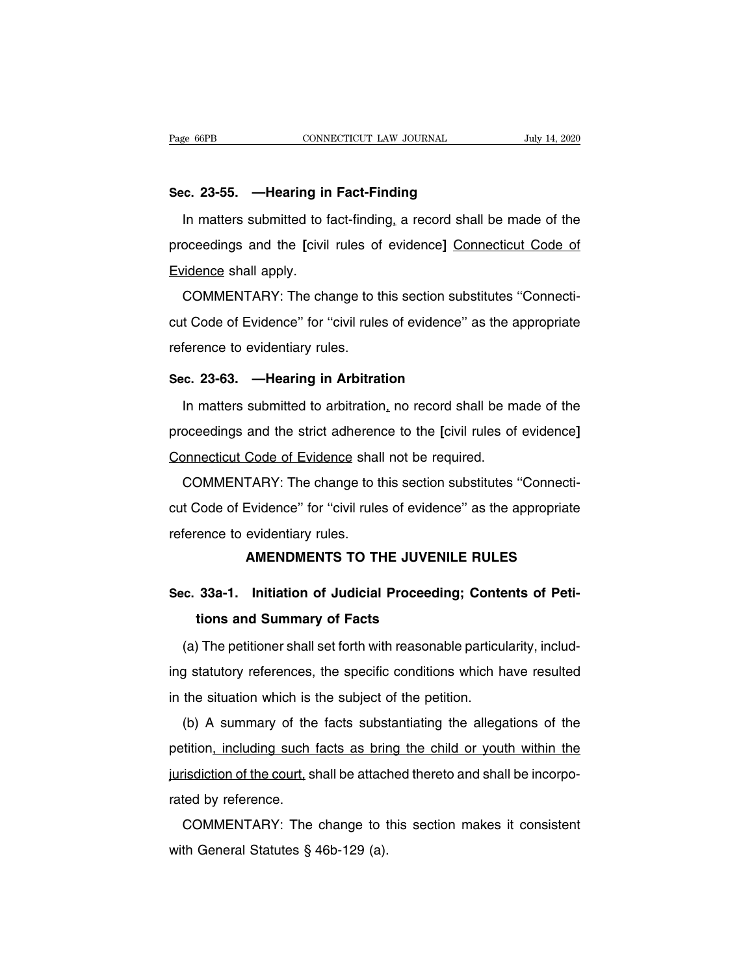Page 66PB<br> **Sec. 23-55.** — **Hearing in Fact-Finding**<br>
In matters submitted to fact-finding, a record shall b IVEN THE MUSCLE CONSIDENTIFY THE MUSCLE SUBMALTERTY OF THE MUSCLE CONSIDENCE.<br>
1991 14, 2020<br>
1991 In matters submitted to fact-finding, a record shall be made of the<br>
1991 Decedings and the [civil rules of evidence] Conne **Sec. 23-55. — Hearing in Fact-Finding**<br>In matters submitted to fact-finding, a record shall be made of the<br>proceedings and the [civil rules of evidence] <u>Connecticut Code of</u><br>Evidence shall apply. Sec. 23-55. — Hearing in<br>In matters submitted to fi<br>proceedings and the [civil<br>Evidence shall apply.<br>COMMENTARY: The cha In matters submitted to fact-finding, a record shall be made of the<br>oceedings and the [civil rules of evidence] Connecticut Code of<br>vidence shall apply.<br>COMMENTARY: The change to this section substitutes "Connecti-<br>t Code

m matters submitted to fact-imaing, a record shall be made of the<br>proceedings and the [civil rules of evidence] Connecticut Code of<br>Evidence shall apply.<br>COMMENTARY: The change to this section substitutes "Connecti-<br>cut Co Evidence shall apply.<br>
COMMENTARY: The change to the<br>
cut Code of Evidence" for "civil rule<br>
reference to evidentiary rules.<br>
Sec. 23-63. — Hearing in Arbitration **COMMENTARY:** The change to this section subst<br>cut Code of Evidence" for "civil rules of evidence" a<br>reference to evidentiary rules.<br>**Sec. 23-63. —Hearing in Arbitration**<br>In matters submitted to arbitration, no record shal In Code of Evidence" for "civil rules of evidence" as the appropriate<br>
In matters submitted to arbitration, no record shall be made of the<br>
Decedings and the strict adherence to the [civil rules of evidence]

proceedings and the strict adherence to the **[**civil rules of the proceedings and the strict adherence to the **[**civil rules of evidence**]**<br> **Connecticut Code of Evidence** shall not be required. Sec. 23-63. — Hearing in Arbitration<br>In matters submitted to arbitration, no record shall be m<br>proceedings and the strict adherence to the [civil rules of<br>Connecticut Code of Evidence shall not be required.<br>COMMENTARY: The In matters submitted to arbitration, no record shall be made of the<br>oceedings and the strict adherence to the [civil rules of evidence]<br>onnecticut Code of Evidence shall not be required.<br>COMMENTARY: The change to this sect

proceedings and the strict adherence to the [civil rules of evidence]<br>Connecticut Code of Evidence shall not be required.<br>COMMENTARY: The change to this section substitutes "Connecti-<br>cut Code of Evidence" for "civil rules Connecticut Code of Evidence shal<br>COMMENTARY: The change to the<br>cut Code of Evidence" for "civil rule<br>reference to evidentiary rules.<br>**AMENDMENTS TO TH** Code of Evidence shall not be required.<br>
TARY: The change to this section substitutes "Connecti-<br>
Evidence" for "civil rules of evidence" as the appropriate<br>
evidentiary rules.<br> **AMENDMENTS TO THE JUVENILE RULES** cut Code of Evidence" for "civil rules of evidence" as the appropriate<br>
reference to evidentiary rules.<br> **AMENDMENTS TO THE JUVENILE RULES**<br> **Sec. 33a-1. Initiation of Judicial Proceeding; Contents of Peti-**<br>
tions and Sum

# France to evidentiary rules.<br> **AMENDMENTS TO THE JUVEN<br>
33a-1. Initiation of Judicial Proceedir<br>
tions and Summary of Facts<br>
The petitioner shall set forth with reasonal**

AMENDMENTS TO THE JUVENILE RULES<br>
(c. 33a-1. Initiation of Judicial Proceeding; Contents of Peti-<br>
tions and Summary of Facts<br>
(a) The petitioner shall set forth with reasonable particularity, includ-<br>
g statutory referenc Sec. 33a-1. Initiation of Judicial Proceeding; Contents of Petitions and Summary of Facts<br>
(a) The petitioner shall set forth with reasonable particularity, includ-<br>
ing statutory references, the specific conditions which ions and Summary of Facts<br>
(a) The petitioner shall set forth with reasonable particu<br>
ing statutory references, the specific conditions which h<br>
in the situation which is the subject of the petition.<br>
(b) A summary of the (a) The petitioner shall set forth with reasonable particularity, includ-<br>g statutory references, the specific conditions which have resulted<br>the situation which is the subject of the petition.<br>(b) A summary of the facts s

(a) the petitioner shall set form with reasonable particularity, include in the situation which is the subject of the petition.<br>
(b) A summary of the facts substantiating the allegations of the petition, including such fac in the situation which is the subject of the petition.<br>
(b) A summary of the facts substantiating the allegations of the<br>
petition, including such facts as bring the child or youth within the<br>
jurisdiction of the court, sh (b) A summary of the<br>petition, including such the<br>jurisdiction of the court, strated by reference.<br>COMMENTARY: The (b) A summary of the facts substantialing the anegations of the tition, including such facts as bring the child or youth within the isdiction of the court, shall be attached thereto and shall be incorpoted by reference.<br>C pennon<u>, including such facts as bin</u><br>jurisdiction of the court, shall be attack<br>rated by reference.<br>COMMENTARY: The change to t<br>with General Statutes § 46b-129 (a).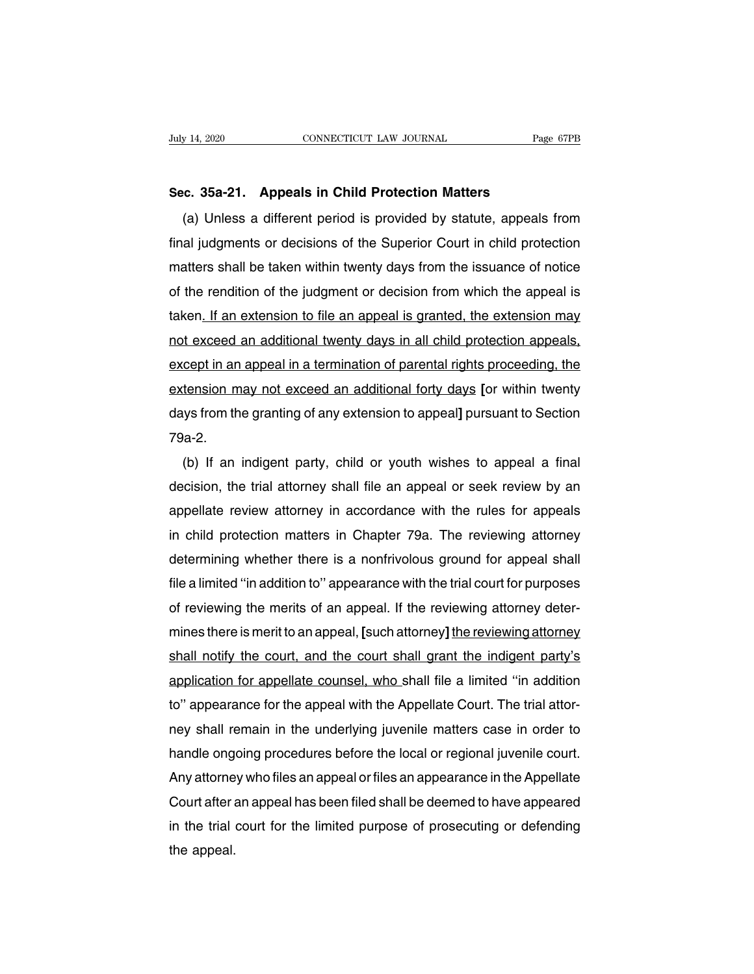**Sec. 35a-21. Appeals in Child Protection Matters** (a) Unless a different period is provided by statute, appeals from<br>al judgments or decisions of the Superior Court in child protection<br>al judgments or decisions of the Superior Court in child protection Sec. 35a-21. Appeals in Child Protection Matters<br>
(a) Unless a different period is provided by statute, appeals from<br>
final judgments or decisions of the Superior Court in child protection<br>
matters shall be taken within tw Sec. 35a-21. Appeals in Child Protection Matters<br>
(a) Unless a different period is provided by statute, appeals from<br>
final judgments or decisions of the Superior Court in child protection<br>
matters shall be taken within tw sec. 35a-21. Appears in Child Protection Matters<br>(a) Unless a different period is provided by statute, appeals from<br>final judgments or decisions of the Superior Court in child protection<br>matters shall be taken within twent (a) Unless a different period is provided by statute, appeals from<br>final judgments or decisions of the Superior Court in child protection<br>matters shall be taken within twenty days from the issuance of notice<br>of the renditi final judgments or decisions of the Superior Court in child protection<br>matters shall be taken within twenty days from the issuance of notice<br>of the rendition of the judgment or decision from which the appeal is<br>taken<u>. If </u> matters snall be taken within twenty days from the issuance of notice<br>of the rendition of the judgment or decision from which the appeal is<br>taken<u>. If an extension to file an appeal is granted, the extension may</u><br>not excee or the rendition or the judgment or decision from which the appeal is<br>taken<u>. If an extension to file an appeal is granted, the extension may<br>not exceed an additional twenty days in all child protection appeals,<br>except in </u> taken<u>. If an extension to file an appeal is granted, the extension may<br>not exceed an additional twenty days in all child protection appeals,<br>except in an appeal in a termination of parental rights proceeding, the<br>extensio</u> 79a-2. cept in an appeal in a termination of parental rights proceeding, the<br>tension may not exceed an additional forty days [or within twenty<br>ys from the granting of any extension to appeal] pursuant to Section<br>a-2.<br>(b) If an in

extension may not exceed an additional forty days [or within twenty<br>days from the granting of any extension to appeal] pursuant to Section<br>79a-2.<br>(b) If an indigent party, child or youth wishes to appeal a final<br>decision, days from the granting of any extension to appeal] pursuant to Section<br>79a-2.<br>(b) If an indigent party, child or youth wishes to appeal a final<br>decision, the trial attorney shall file an appeal or seek review by an<br>appella 79a-2.<br>
(b) If an indigent party, child or youth wishes to appeal a final<br>
decision, the trial attorney shall file an appeal or seek review by an<br>
appellate review attorney in accordance with the rules for appeals<br>
in chil (b) If an indigent party, child or youth wishes to appeal a final<br>decision, the trial attorney shall file an appeal or seek review by an<br>appellate review attorney in accordance with the rules for appeals<br>in child protectio decision, the trial attorney shall tile an appeal or seek review by an<br>appellate review attorney in accordance with the rules for appeals<br>in child protection matters in Chapter 79a. The reviewing attorney<br>determining wheth appellate review attorney in accordance with the rules for appeals<br>in child protection matters in Chapter 79a. The reviewing attorney<br>determining whether there is a nonfrivolous ground for appeal shall<br>file a limited "in a in child protection matters in Chapter 79a. The reviewing attorney<br>determining whether there is a nonfrivolous ground for appeal shall<br>file a limited "in addition to" appearance with the trial court for purposes<br>of reviewi determining whether there is a nontrivolous ground for appeal shall<br>file a limited "in addition to" appearance with the trial court for purposes<br>of reviewing the merits of an appeal. If the reviewing attorney deter-<br>mines file a limited "in addition to" appearance with the trial court for purposes<br>of reviewing the merits of an appeal. If the reviewing attorney deter-<br>mines there is merit to an appeal, [such attorney] the reviewing attorney<br> of reviewing the merits of an appeal. If the reviewing attorney deter-<br>mines there is merit to an appeal, [such attorney] the reviewing attorney<br>shall notify the court, and the court shall grant the indigent party's<br>applic mines there is merit to an appeal, [such attorney] the reviewing attorney<br>shall notify the court, and the court shall grant the indigent party's<br>application for appellate counsel, who shall file a limited "in addition<br>to" shall notify the court, and the court shall grant the indigent party's<br>application for appellate counsel, who shall file a limited "in addition<br>to" appearance for the appeal with the Appellate Court. The trial attor-<br>ney s application for appellate counsel, who shall file a limited "in addition<br>to" appearance for the appeal with the Appellate Court. The trial attor-<br>ney shall remain in the underlying juvenile matters case in order to<br>handle to" appearance tor the appeal with the Appellate Court. The trial attor-<br>ney shall remain in the underlying juvenile matters case in order to<br>handle ongoing procedures before the local or regional juvenile court.<br>Any attor ney shall remain in the underlying juvenile matters case in order to<br>handle ongoing procedures before the local or regional juvenile court.<br>Any attorney who files an appeal or files an appearance in the Appellate<br>Court aft handle ong<br>Any attorne<br>Court after a<br>in the trial<br>the appeal.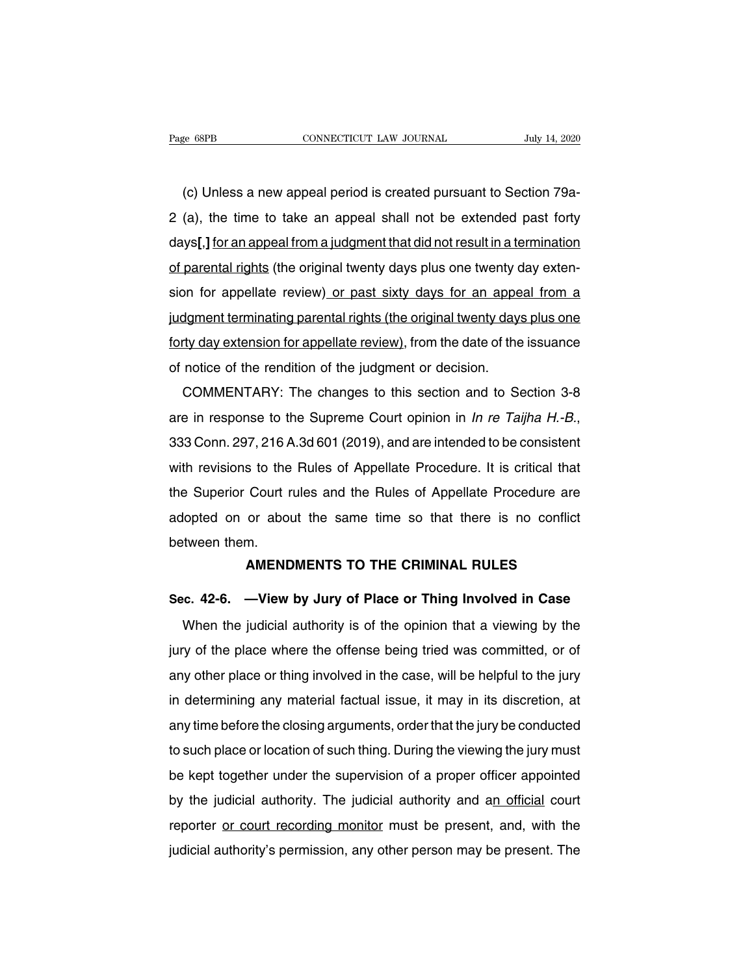EXEMBER CONNECTICUT LAW JOURNAL JULY 14, 2020<br>
(c) Unless a new appeal period is created pursuant to Section 79a-<br>
(a), the time to take an appeal shall not be extended past forty 2 (a), the time to take an appeal shall not be extended past forty days<br>
2 (a), the time to take an appeal shall not be extended past forty<br>
days<br>
2 (a), the time to take an appeal shall not be extended past forty<br>
days<br>
3 (c) Unless a new appeal period is created pursuant to Section 79a-<br>
2 (a), the time to take an appeal shall not be extended past forty<br>
days[,] for an appeal from a judgment that did not result in a termination<br>
of parenta (c) Unless a new appeal period is created pursuant to Section 79a-2 (a), the time to take an appeal shall not be extended past forty days[,] for an appeal from a judgment that did not result in a termination of parental ri (c) Onless a new appeal period is created pursuant to section 79a-<br>2 (a), the time to take an appeal shall not be extended past forty<br>days[,] for an appeal from a judgment that did not result in a termination<br>of parental r z (a), the time to take an appear shall not be extended past forty<br>days[,] for an appeal from a judgment that did not result in a termination<br>of parental rights (the original twenty days plus one twenty day exten-<br>sion for days<sub>1</sub>, Jor an appear nonra judgment that did not result in a termination<br>of parental rights (the original twenty days plus one twenty day exten-<br>sion for appellate review) or past sixty days for an appeal from a<br>judgment of parental rights (the original twenty days plus one twenty correlation for appellate review) or past sixty days for an appelide incorporate incorporate incorporation of the original twenty days forty day extension for ap or for appenate review<u>) or past sixty days for an appear from a</u><br>dgment terminating parental rights (the original twenty days plus one<br>ty day extension for appellate review), from the date of the issuance<br>notice of the re

do the Finn response to the pudgment or decision.<br>
COMMENTARY: The changes to this section and to Section 3-8<br>
are in response to the Supreme Court opinion in *In re Taijha H.-B.*,<br>
333 Conn. 297, 216 A.3d 601 (2019), and COMMENTARY: The changes to this section and to Section 3-8<br>are in response to the Supreme Court opinion in *In re Taijha H.-B.*,<br>333 Conn. 297, 216 A.3d 601 (2019), and are intended to be consistent<br>with revisions to the R COMMENTANT. The Changes to this section and to Section 3-6<br>are in response to the Supreme Court opinion in *In re Taijha H.-B.*,<br>333 Conn. 297, 216 A.3d 601 (2019), and are intended to be consistent<br>with revisions to the R are in response to the supreme Court opinion in *m* re Taijna H.-B.,<br>333 Conn. 297, 216 A.3d 601 (2019), and are intended to be consistent<br>with revisions to the Rules of Appellate Procedure. It is critical that<br>the Superio sss Comm. 297, 2107<br>with revisions to the<br>the Superior Court r<br>adopted on or abou<br>between them.<br>**AMEND** S to the Hules of Appellate Procedure. It is critical that<br>
Court rules and the Rules of Appellate Procedure are<br>
or about the same time so that there is no conflict<br>
m.<br> **AMENDMENTS TO THE CRIMINAL RULES**<br>
Wiew by Jury of **EXECT:**<br> **SEC. 42-6.** —View by Jury of Place or Thing Involved in Case<br>
When the judicial authority is of the opinion that a viewing by the

It ween them.<br> **AMENDMENTS TO THE CRIMINAL RULES**<br> **C. 42-6.** —**View by Jury of Place or Thing Involved in Case**<br>
When the judicial authority is of the opinion that a viewing by the<br>
y of the place where the offense being AMENDMENTS TO THE CRIMINAL RULES<br>Sec. 42-6. —View by Jury of Place or Thing Involved in Case<br>When the judicial authority is of the opinion that a viewing by the<br>jury of the place where the offense being tried was committed Sec. 42-6. —View by Jury of Place or Thing Involved in Case<br>When the judicial authority is of the opinion that a viewing by the<br>jury of the place where the offense being tried was committed, or of<br>any other place or thing When the judicial authority is of the opinion that a viewing by the<br>jury of the place where the offense being tried was committed, or of<br>any other place or thing involved in the case, will be helpful to the jury<br>in determi Wrien the judicial adtributy is of the opinion that a viewing by the<br>jury of the place where the offense being tried was committed, or of<br>any other place or thing involved in the case, will be helpful to the jury<br>in determ flury of the place where the offense being thed was committed, or of<br>any other place or thing involved in the case, will be helpful to the jury<br>in determining any material factual issue, it may in its discretion, at<br>any ti any other place or thing involved in the case, will be helpful to the jury<br>in determining any material factual issue, it may in its discretion, at<br>any time before the closing arguments, order that the jury be conducted<br>to by time before the closing arguments, order that the jury be conducted<br>to such place or location of such thing. During the viewing the jury must<br>be kept together under the supervision of a proper officer appointed<br>by the j any time before the closing arguments, order that the jury be conducted<br>to such place or location of such thing. During the viewing the jury must<br>be kept together under the supervision of a proper officer appointed<br>by the to such place or location or such thing. During the viewing the jury must<br>be kept together under the supervision of a proper officer appointed<br>by the judicial authority. The judicial authority and an official court<br>reporte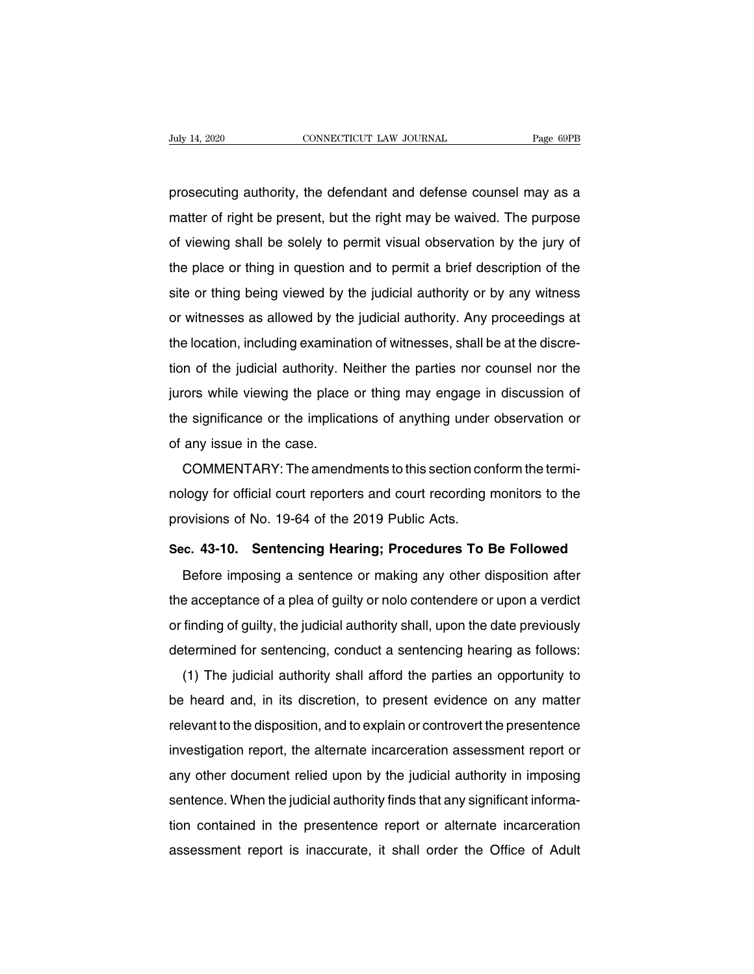buly 14, 2020 CONNECTICUT LAW JOURNAL Page 69PB<br>prosecuting authority, the defendant and defense counsel may as a<br>matter of right be present, but the right may be waived. The purpose Duly 14, 2020 CONNECTICUT LAW JOURNAL Page 69PB<br>prosecuting authority, the defendant and defense counsel may as a<br>matter of right be present, but the right may be waived. The purpose<br>of viewing shall be solely to permit vi prosecuting authority, the defendant and defense counsel may as a<br>matter of right be present, but the right may be waived. The purpose<br>of viewing shall be solely to permit visual observation by the jury of<br>the place or thi prosecuting authority, the defendant and defense counsel may as a<br>matter of right be present, but the right may be waived. The purpose<br>of viewing shall be solely to permit visual observation by the jury of<br>the place or thi prosecuting authority, the deferred in and defense counser may as a<br>matter of right be present, but the right may be waived. The purpose<br>of viewing shall be solely to permit visual observation by the jury of<br>the place or t Inatier or right be present, but the right may be waived. The purpose<br>of viewing shall be solely to permit visual observation by the jury of<br>the place or thing in question and to permit a brief description of the<br>site or t or viewing shan be solery to permit visual observation by the jury of<br>the place or thing in question and to permit a brief description of the<br>site or thing being viewed by the judicial authority or by any witness<br>or witnes the place of thing in question and to permit a brief description of the<br>site or thing being viewed by the judicial authority. Any proceedings at<br>the location, including examination of witnesses, shall be at the discre-<br>tio site or thing being viewed by the judicial authority or by any witness<br>or witnesses as allowed by the judicial authority. Any proceedings at<br>the location, including examination of witnesses, shall be at the discre-<br>tion of or wiresses as allowed by the judicial authority. Any proceedings at<br>the location, including examination of witnesses, shall be at the discre-<br>tion of the judicial authority. Neither the parties nor counsel nor the<br>jurors Interaction, including examination of the judicial authority. Notice it is given the case.<br>The significance or the implication any issue in the case.<br>COMMENTARY: The amend From the judicial authority. Nentref the parties flor couriser flor the<br>cors while viewing the place or thing may engage in discussion of<br>e significance or the implications of anything under observation or<br>any issue in the

plates while viewing the place of thing may engage in discussion of<br>the significance or the implications of anything under observation or<br>of any issue in the case.<br>COMMENTARY: The amendments to this section conform the ter Intersignmeance of the implications of anything under<br>of any issue in the case.<br>COMMENTARY: The amendments to this section cor<br>nology for official court reporters and court recording r<br>provisions of No. 19-64 of the 2019 P COMMENTARY: The amendments to this section conform the termi-<br>nology for official court reporters and court recording monitors to the<br>provisions of No. 19-64 of the 2019 Public Acts.<br>Sec. 43-10. Sentencing Hearing; Procedu Mody for official court reporters and court recording monitors to the<br>povisions of No. 19-64 of the 2019 Public Acts.<br>c. 43-10. Sentencing Hearing; Procedures To Be Followed<br>Before imposing a sentence or making any other d

provisions of No. 19-64 of the 2019 Public Acts.<br>Sec. 43-10. Sentencing Hearing; Procedures To Be Followed<br>Before imposing a sentence or making any other disposition after<br>the acceptance of a plea of guilty or nolo contend Sec. 43-10. Sentencing Hearing; Procedures To Be Followed<br>Before imposing a sentence or making any other disposition after<br>the acceptance of a plea of guilty or nolo contendere or upon a verdict<br>or finding of guilty, the j Before imposing a sentence or making any other disposition after<br>the acceptance of a plea of guilty or nolo contendere or upon a verdict<br>or finding of guilty, the judicial authority shall, upon the date previously<br>determin Before imposing a sentence of making any other disposition after<br>e acceptance of a plea of guilty or nolo contendere or upon a verdict<br>finding of guilty, the judicial authority shall, upon the date previously<br>termined for

Ine acceptance or a plea or guilty of noto contendere or upon a verdict<br>or finding of guilty, the judicial authority shall, upon the date previously<br>determined for sentencing, conduct a sentencing hearing as follows:<br>(1) T or infiding or guilty, the judicial authority shall, upon the date previously<br>determined for sentencing, conduct a sentencing hearing as follows:<br>(1) The judicial authority shall afford the parties an opportunity to<br>be hea determined for sentencing, conduct a sentencing nearing as follows.<br>
(1) The judicial authority shall afford the parties an opportunity to<br>
be heard and, in its discretion, to present evidence on any matter<br>
relevant to th (1) The judicial authority shall allord the parties an opportunity to<br>be heard and, in its discretion, to present evidence on any matter<br>relevant to the disposition, and to explain or controvert the presentence<br>investigati be heard and, in its discretion, to present evidence on any matter relevant to the disposition, and to explain or controvert the presentence investigation report, the alternate incarceration assessment report or any other relevant to the disposition, and to explain or controvert the presentence<br>investigation report, the alternate incarceration assessment report or<br>any other document relied upon by the judicial authority in imposing<br>sentence any other document relied upon by the judicial authority in imposing<br>any other document relied upon by the judicial authority in imposing<br>sentence. When the judicial authority finds that any significant informa-<br>tion conta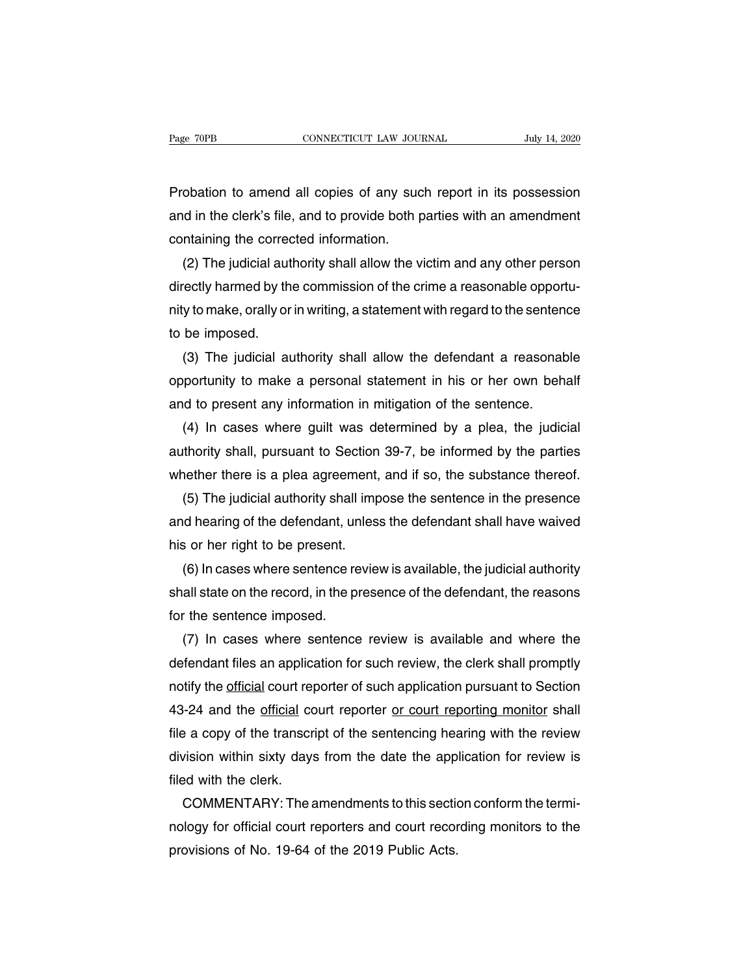Page 70PB CONNECTICUT LAW JOURNAL July 14, 2020<br>Probation to amend all copies of any such report in its possession<br>and in the clerk's file, and to provide both parties with an amendment Page 70PB CONNECTICUT LAW JOURNAL July 14, 2020<br>Probation to amend all copies of any such report in its possession<br>and in the clerk's file, and to provide both parties with an amendment<br>containing the corrected information Probation to amend all copies of any suc<br>and in the clerk's file, and to provide both p<br>containing the corrected information.<br>(2) The judicial authority shall allow the v obation to amend all copies of any such report in its possession<br>d in the clerk's file, and to provide both parties with an amendment<br>ntaining the corrected information.<br>(2) The judicial authority shall allow the victim an

Probation to amend all copies of any such report in its possession<br>and in the clerk's file, and to provide both parties with an amendment<br>containing the corrected information.<br>(2) The judicial authority shall allow the vic and in the clerk's file, and to provide both parties with an amendment<br>containing the corrected information.<br>(2) The judicial authority shall allow the victim and any other person<br>directly harmed by the commission of the c containing the corred<br>
(2) The judicial aut<br>
directly harmed by th<br>
nity to make, orally or<br>
to be imposed.<br>
(3) The judicial au (2) The judicial authority shall allow the victim and any other person<br>rectly harmed by the commission of the crime a reasonable opportu-<br>y to make, orally or in writing, a statement with regard to the sentence<br>be imposed. directly harmed by the commission of the crime a reasonable opportu-<br>nity to make, orally or in writing, a statement with regard to the sentence<br>to be imposed.<br>(3) The judicial authority shall allow the defendant a reasona

nity to make, orally or in writing, a statement with regard to the sentent<br>to be imposed.<br>(3) The judicial authority shall allow the defendant a reasonat<br>opportunity to make a personal statement in his or her own beh<br>and t be imposed.<br>
(3) The judicial authority shall allow the defendant a reasonable<br>
portunity to make a personal statement in his or her own behalf<br>
d to present any information in mitigation of the sentence.<br>
(4) In cases whe

(3) The judicial authority shall allow the defendant a reasonable<br>opportunity to make a personal statement in his or her own behalf<br>and to present any information in mitigation of the sentence.<br>(4) In cases where guilt was opportunity to make a personal statement in his or her own behalf<br>and to present any information in mitigation of the sentence.<br>(4) In cases where guilt was determined by a plea, the judicial<br>authority shall, pursuant to S d to present any information in mitigation of the sentence.<br>
(4) In cases where guilt was determined by a plea, the judicial<br>
thority shall, pursuant to Section 39-7, be informed by the parties<br>
nether there is a plea agre (4) In cases where guilt was determined by a plea, the judicial<br>authority shall, pursuant to Section 39-7, be informed by the parties<br>whether there is a plea agreement, and if so, the substance thereof.<br>(5) The judicial au

authority shall, pursuant to Section<br>whether there is a plea agreement,<br>(5) The judicial authority shall imp<br>and hearing of the defendant, unles<br>his or her right to be present.<br>(6) In cases where sentence revie nether there is a plea agreement, and if so, the substance thereof.<br>(5) The judicial authority shall impose the sentence in the presence<br>id hearing of the defendant, unless the defendant shall have waived<br>s or her right to

(5) The judicial authority shall impose the sentence in the presence<br>and hearing of the defendant, unless the defendant shall have waived<br>his or her right to be present.<br>(6) In cases where sentence review is available, the and hearing of the defendant, un<br>his or her right to be present.<br>(6) In cases where sentence re<br>shall state on the record, in the pr<br>for the sentence imposed.<br>(7) In cases where sentence is or her right to be present.<br>
(6) In cases where sentence review is available, the judicial authority<br>
all state on the record, in the presence of the defendant, the reasons<br>
(7) In cases where sentence review is availab

(6) In cases where sentence review is available, the judicial authority<br>shall state on the record, in the presence of the defendant, the reasons<br>for the sentence imposed.<br>(7) In cases where sentence review is available an shall state on the record, in the presence of the defendant, the reasons<br>for the sentence imposed.<br>(7) In cases where sentence review is available and where the<br>defendant files an application for such review, the clerk sha for the sentence imposed.<br>
(7) In cases where sentence review is available and where the<br>
defendant files an application for such review, the clerk shall promptly<br>
notify the <u>official</u> court reporter of such application p (7) In cases where sentence review is available and where the<br>defendant files an application for such review, the clerk shall promptly<br>notify the official court reporter of such application pursuant to Section<br>43-24 and th defendant files an application for such review, the clerk shall promptly<br>notify the <u>official</u> court reporter of such application pursuant to Section<br>43-24 and the <u>official</u> court reporter or court reporting monitor shall notify the <u>official</u> court rep<br>43-24 and the <u>official</u> cc<br>file a copy of the transcri<br>division within sixty days<br>filed with the clerk.<br>COMMENTARY: The a i-24 and the <u>official</u> court reporter <u>or court reporting monitor</u> shall<br>
Ee a copy of the transcript of the sentencing hearing with the review<br>
vision within sixty days from the date the application for review is<br>
DOMMEN file a copy of the transcript of the sentencing hearing with the review<br>division within sixty days from the date the application for review is<br>filed with the clerk.<br>COMMENTARY: The amendments to this section conform the te

division within sixty days from the date the app<br>filed with the clerk.<br>COMMENTARY: The amendments to this section<br>nology for official court reporters and court recor<br>provisions of No. 19-64 of the 2019 Public Acts.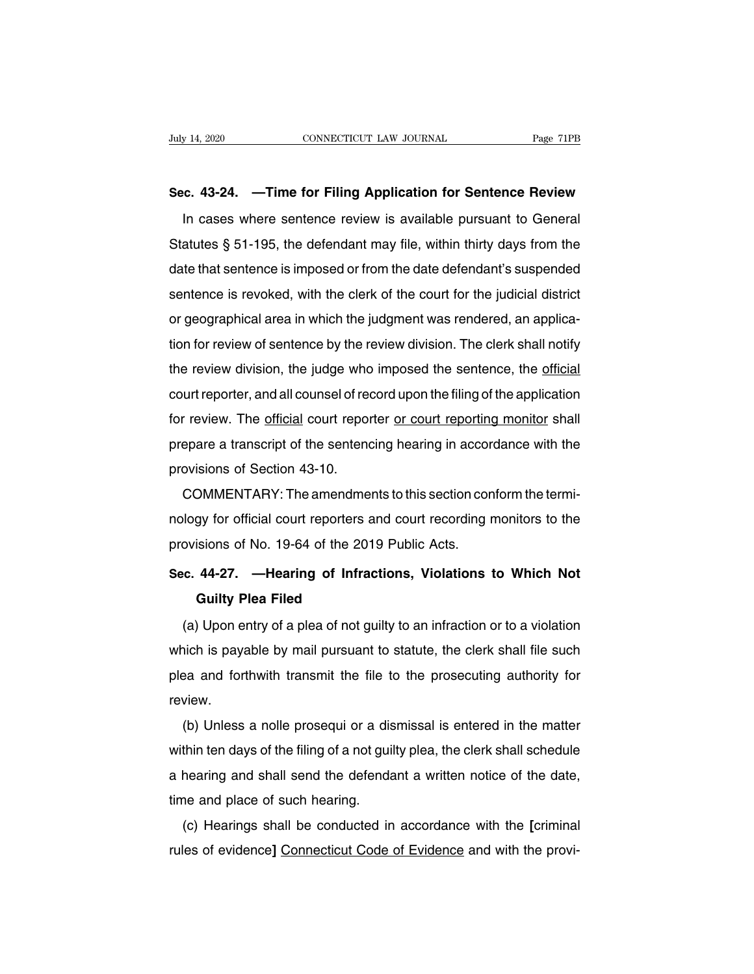# **Sec. 43-24. —Time for Filing Application for Sentence Review**

IVED 14, 2020 CONNECTICUT LAW JOURNAL Page 71PB<br>
In cases where sentence review is available pursuant to General<br>
In cases where sentence review is available pursuant to General<br>
atutes § 51-195, the defendant may file, wi Sec. 43-24. —Time for Filing Application for Sentence Review<br>In cases where sentence review is available pursuant to General<br>Statutes § 51-195, the defendant may file, within thirty days from the<br>date that sentence is impo Sec. 43-24. —Time for Filing Application for Sentence Review<br>In cases where sentence review is available pursuant to General<br>Statutes § 51-195, the defendant may file, within thirty days from the<br>date that sentence is impo In cases where sentence review is available pursuant to General<br>Statutes § 51-195, the defendant may file, within thirty days from the<br>date that sentence is imposed or from the date defendant's suspended<br>sentence is revoke In cases where sentence review is available pursuant to defieral<br>Statutes § 51-195, the defendant may file, within thirty days from the<br>date that sentence is imposed or from the date defendant's suspended<br>sentence is revok Statutes § 51-195, the detendant may me, within thirty days non the<br>date that sentence is imposed or from the date defendant's suspended<br>sentence is revoked, with the clerk of the court for the judicial district<br>or geograp date that sentence is imposed of nom the date detendant is suspended<br>sentence is revoked, with the clerk of the court for the judicial district<br>or geographical area in which the judgment was rendered, an applica-<br>tion for sentence is revoked, with the clerk of the court for the judicial district<br>or geographical area in which the judgment was rendered, an applica-<br>tion for review of sentence by the review division. The clerk shall notify<br>the or geographical area in which the judgment was rendered, an applica-<br>tion for review of sentence by the review division. The clerk shall notify<br>the review division, the judge who imposed the sentence, the <u>official</u><br>court fluoritor review or semence by the review division. The clerk shall floury<br>the review division, the judge who imposed the sentence, the <u>official</u><br>court reporter, and all counsel of record upon the filing of the applicatio The Teview division, the judge who<br>court reporter, and all counsel of rea<br>for review. The <u>official</u> court repor<br>prepare a transcript of the sentend<br>provisions of Section 43-10.<br>COMMENTARY: The amendme review. The <u>official</u> court reporter or court reporting monitor shall<br>pare a transcript of the sentencing hearing in accordance with the<br>ovisions of Section 43-10.<br>COMMENTARY: The amendments to this section conform the te

nol Teview. The <u>official</u> court reporter of court reporting monitor shall<br>prepare a transcript of the sentencing hearing in accordance with the<br>provisions of Section 43-10.<br>COMMENTARY: The amendments to this section confo prepare a transcript of the sentencing hearing in accor<br>provisions of Section 43-10.<br>COMMENTARY: The amendments to this section cor<br>nology for official court reporters and court recording r<br>provisions of No. 19-64 of the 2 **COMMENTARY:** The amendments to this section conform the terminology for official court reporters and court recording monitors to the provisions of No. 19-64 of the 2019 Public Acts.<br>Sec. 44-27. —Hearing of Infractions, Vi gy for official court reporters a<br>isions of No. 19-64 of the 201<sup>4</sup><br>44-27. — **Hearing of Infrac**<br>**Guilty Plea Filed**<br>Upon entry of a plea of not gu

ovisions of No. 19-64 of the 2019 Public Acts.<br> **C. 44-27.** — **Hearing of Infractions, Violations to Which Not**<br> **Guilty Plea Filed**<br>
(a) Upon entry of a plea of not guilty to an infraction or to a violation<br>
hich is payab Sec. 44-27. — Hearing of Infractions, Violations to Which Not<br>Guilty Plea Filed<br>(a) Upon entry of a plea of not guilty to an infraction or to a violation<br>which is payable by mail pursuant to statute, the clerk shall file s Guilty Plea Filed<br>
(a) Upon entry of a plea of not guilty to an infraction or to a violation<br>
which is payable by mail pursuant to statute, the clerk shall file such<br>
plea and forthwith transmit the file to the prosecuting review. (a) Opon entry or a plea of not guity to an imitaction or to a violation<br>hich is payable by mail pursuant to statute, the clerk shall file such<br>pa and forthwith transmit the file to the prosecuting authority for<br>view.<br>(b)

which is payable by mail pursuant to statute, the clerk shall life such<br>plea and forthwith transmit the file to the prosecuting authority for<br>review.<br>(b) Unless a nolle prosequi or a dismissal is entered in the matter<br>with plea and fortriwith transmit the file to the prosecuting authority for<br>review.<br>(b) Unless a nolle prosequi or a dismissal is entered in the matter<br>within ten days of the filing of a not guilty plea, the clerk shall schedul teview.<br>
(b) Unless a nolle prosequi or a dis<br>
within ten days of the filing of a not guil<br>
a hearing and shall send the defenda<br>
time and place of such hearing.<br>
(c) Hearings shall be conducted in (c) Onless a nolle prosequi or a dismissal is entered in the hiatter<br>thin ten days of the filing of a not guilty plea, the clerk shall schedule<br>hearing and shall send the defendant a written notice of the date,<br>ne and plac Further days of the filling of a flot guilty piea, the clerk shall scriedule<br>a hearing and shall send the defendant a written notice of the date,<br>time and place of such hearing.<br>(c) Hearings shall be conducted in accordanc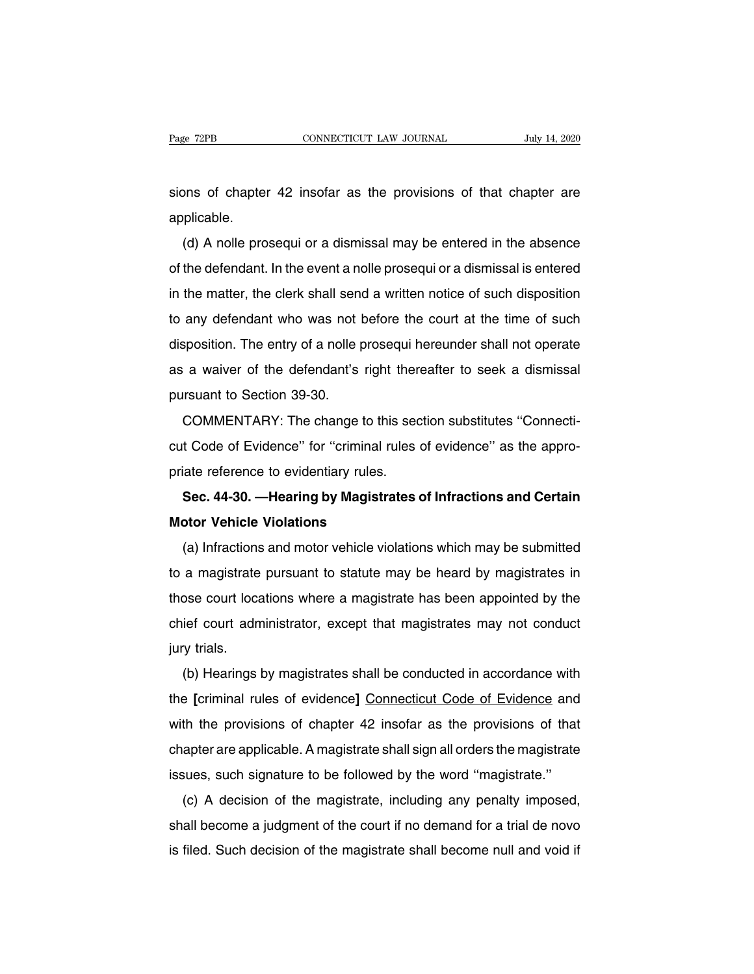Page 72PB CONNECTICUT LAW JOURNAL July 14, 2020<br>Sions of chapter 42 insofar as the provisions of that chapter are<br>applicable. applicable.

(d) A nolle prosequi or a dismissal may be entered in the absence<br>the defendant. In the event a nolle prosequi or a dismissal is entered<br>the defendant. In the event a nolle prosequi or a dismissal is entered sions of chapter 42 insofar as the provisions of that chapter are<br>applicable.<br>(d) A nolle prosequi or a dismissal may be entered in the absence<br>of the defendant. In the event a nolle prosequi or a dismissal is entered<br>in t applicable.<br>
(d) A nolle prosequi or a dismissal may be entered in the absence<br>
of the defendant. In the event a nolle prosequi or a dismissal is entered<br>
in the matter, the clerk shall send a written notice of such dispos definition.<br>
(d) A nolle prosequi or a dismissal may be entered in the absence<br>
of the defendant. In the event a nolle prosequi or a dismissal is entered<br>
in the matter, the clerk shall send a written notice of such dispos (d) A hole plosequi of a dismissarmay be entered in the absence<br>of the defendant. In the event a nolle prosequi or a dismissal is entered<br>in the matter, the clerk shall send a written notice of such disposition<br>to any defe as a waiver of the defendant's right thereafter to seek a dismissal is entered<br>any defendant who was not before the court at the time of such<br>disposition. The entry of a nolle prosequi hereunder shall not operate<br>as a waiv In the matter, the clerk shall self<br>to any defendant who was not I<br>disposition. The entry of a nolle p<br>as a waiver of the defendant's<br>pursuant to Section 39-30.<br>COMMENTARY: The change any detendant who was not before the court at the time of such<br>sposition. The entry of a nolle prosequi hereunder shall not operate<br>a waiver of the defendant's right thereafter to seek a dismissal<br>rsuant to Section 39-30.<br>

cusposition. The entry of a notic prosequinder and thot operate<br>as a waiver of the defendant's right thereafter to seek a dismissal<br>pursuant to Section 39-30.<br>COMMENTARY: The change to this section substitutes "Connecti-<br>c as a waver of the detendant's right then<br>pursuant to Section 39-30.<br>COMMENTARY: The change to this sec<br>cut Code of Evidence" for "criminal rules<br>priate reference to evidentiary rules.<br>**Sec. 44-30. —Hearing by Magistrates COMMENTARY: The change to this section substitutes "Connecti-<br>
<b>COMMENTARY: The change to this section substitutes "Connecti-**<br> **Code of Evidence" for "criminal rules of evidence" as the appro-**<br> **Sec. 44-30. —Hearing by COMMENTATTE THE CHANGE OF ANCHANDITY**<br>
cut Code of Evidence" for "criminal rupriate reference to evidentiary rules.<br> **Sec. 44-30. — Hearing by Magistra<br>
Motor Vehicle Violations**<br>
(a) Infractions and motor vehicle vio

(Code of Evidence for Chinimal rules of evidence as the appro-<br>
Sec. 44-30. — Hearing by Magistrates of Infractions and Certain<br>
otor Vehicle Violations<br>
(a) Infractions and motor vehicle violations which may be submitted<br> Sec. 44-30. — Hearing by Magistrates of Infractions and Certain<br>Motor Vehicle Violations<br>(a) Infractions and motor vehicle violations which may be submitted<br>to a magistrate pursuant to statute may be heard by magistrates i Motor Vehicle Violations<br>(a) Infractions and motor vehicle violations which may be submitted<br>to a magistrate pursuant to statute may be heard by magistrates in<br>those court locations where a magistrate has been appointed by (a) Infractions and motor vehicle violations which may be submitted to a magistrate pursuant to statute may be heard by magistrates in those court locations where a magistrate has been appointed by the chief court administ (a) imactions<br>to a magistrate<br>those court loca<br>chief court adm<br>jury trials.<br>(b) Hearings a magistrate pursuant to statute may be heard by magistrates in<br>bse court locations where a magistrate has been appointed by the<br>ief court administrator, except that magistrates may not conduct<br>y trials.<br>(b) Hearings by ma

the court locations where a magistrate has been appointed by the<br>chief court administrator, except that magistrates may not conduct<br>jury trials.<br>(b) Hearings by magistrates shall be conducted in accordance with<br>the [crimin Final result and missions of except that magistrates may not conduct<br>jury trials.<br>(b) Hearings by magistrates shall be conducted in accordance with<br>the [criminal rules of evidence] Connecticut Code of Evidence and<br>with the (b) Hearings by magistrates shall be conducted in accordance with<br>the [criminal rules of evidence] Connecticut Code of Evidence and<br>with the provisions of chapter 42 insofar as the provisions of that<br>chapter are applicable (b) Healings by magistrates shall be conducted in accordance with<br>the [criminal rules of evidence] Connecticut Code of Evidence and<br>with the provisions of chapter 42 insofar as the provisions of that<br>chapter are applicable In the provisions of chapter 42 insofar as the provisions of that<br>apter are applicable. A magistrate shall sign all orders the magistrate<br>sues, such signature to be followed by the word "magistrate."<br>(c) A decision of the

which the provisions of chapter 42 filsolar as the provisions of that<br>chapter are applicable. A magistrate shall sign all orders the magistrate<br>issues, such signature to be followed by the word "magistrate."<br>(c) A decision chapter are applicable. A magistrate shall sign all orders the magistrate<br>issues, such signature to be followed by the word "magistrate."<br>(c) A decision of the magistrate, including any penalty imposed,<br>shall become a judg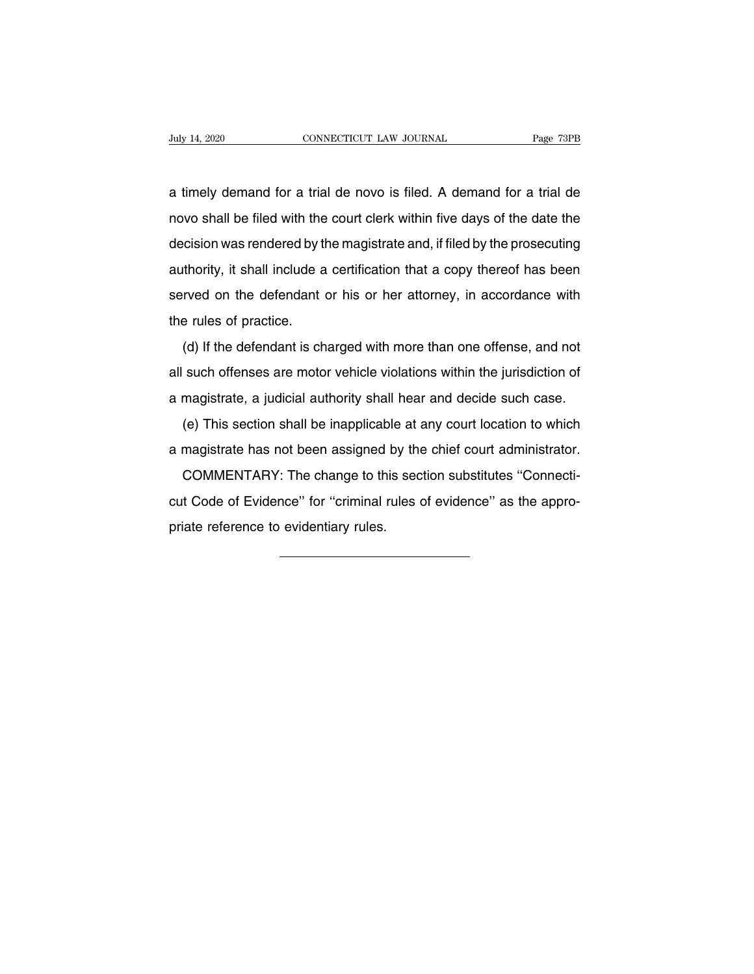A timely demand for a trial de novo is filed. A demand for a trial denovo shall be filed with the court clerk within five days of the date the novo shall be filed with the court clerk within five days of the date the<br>decision was rendered by the magistrate and, if filed by the prosecuting a timely demand for a trial de novo is filed. A demand for a trial de<br>novo shall be filed with the court clerk within five days of the date the<br>decision was rendered by the magistrate and, if filed by the prosecuting<br>autho a timely demand for a trial de novo is filed. A demand for a trial de<br>novo shall be filed with the court clerk within five days of the date the<br>decision was rendered by the magistrate and, if filed by the prosecuting<br>autho served on the defendant or his or here attending to the date the decision was rendered by the magistrate and, if filed by the prosecuting authority, it shall include a certification that a copy thereof has been served on t decision was rendered by the authority, it shall include a<br>served on the defendant of<br>the rules of practice.<br>(d) If the defendant is ch (d) If the defendant is charged with more than one offense, and not<br>such offenses are more than one offense, and not<br>such offenses are motor vehicle violations within the jurisdiction of

additionly, it shall include a scrimedition that a supply increasing secretion served on the defendant or his or her attorney, in accordance with the rules of practice.<br>
(d) If the defendant is charged with more than one o aboved on the defendant of the of fiel diterney, in decordance with<br>the rules of practice.<br>(d) If the defendant is charged with more than one offense, and not<br>all such offenses are motor vehicle violations within the juris (d) If the defendant is charged with more than one offense, and not<br>such offenses are motor vehicle violations within the jurisdiction of<br>magistrate, a judicial authority shall hear and decide such case.<br>(e) This section s all such offenses are motor vehicle violations within the jurisdiction of<br>a magistrate, a judicial authority shall hear and decide such case.<br>(e) This section shall be inapplicable at any court location to which<br>a magistra

magistrate, a judicial authority shall hear and decide such case.<br>(e) This section shall be inapplicable at any court location to which<br>magistrate has not been assigned by the chief court administrator.<br>COMMENTARY: The cha cut Code of Evidence'' for "criminal rules of evidence" as the appropriate reference to evidentiary rules.<br>
COMMENTARY: The change to this section substitutes "Connecticut Code of Evidence" for "criminal rules of evidence" a magistrate has not been assigned<br>COMMENTARY: The change to the<br>cut Code of Evidence" for "criminal<br>priate reference to evidentiary rules.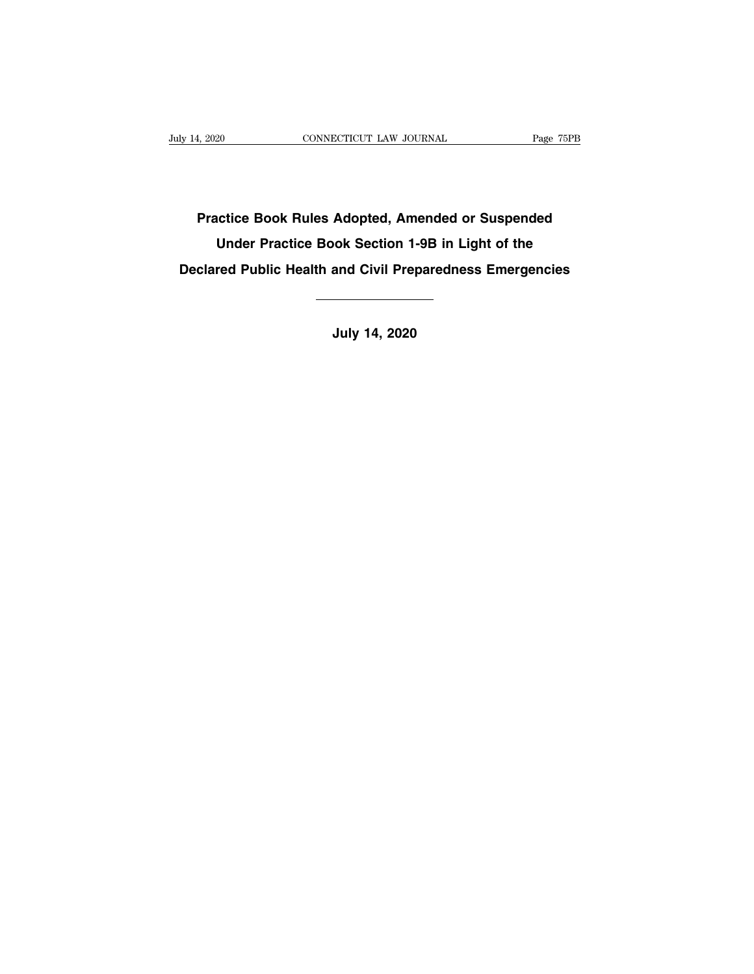**Practice Book Rules Adopted, Amended or Suspended** Under Book Rules Adopted, Amended or Suspended Under Practice Book Section 1-9B in Light of the<br>The Practice Book Section 1-9B in Light of the<br>The Public Health and Civil Preparedness Emergencies **Practice Book Rules Adopted, Amended or Suspended<br>Under Practice Book Section 1-9B in Light of the<br>Declared Public Health and Civil Preparedness Emergencies** Under Practice Book Section 1-9B in Light of the<br>red Public Health and Civil Preparedness Emerge<br><br>July 14, 2020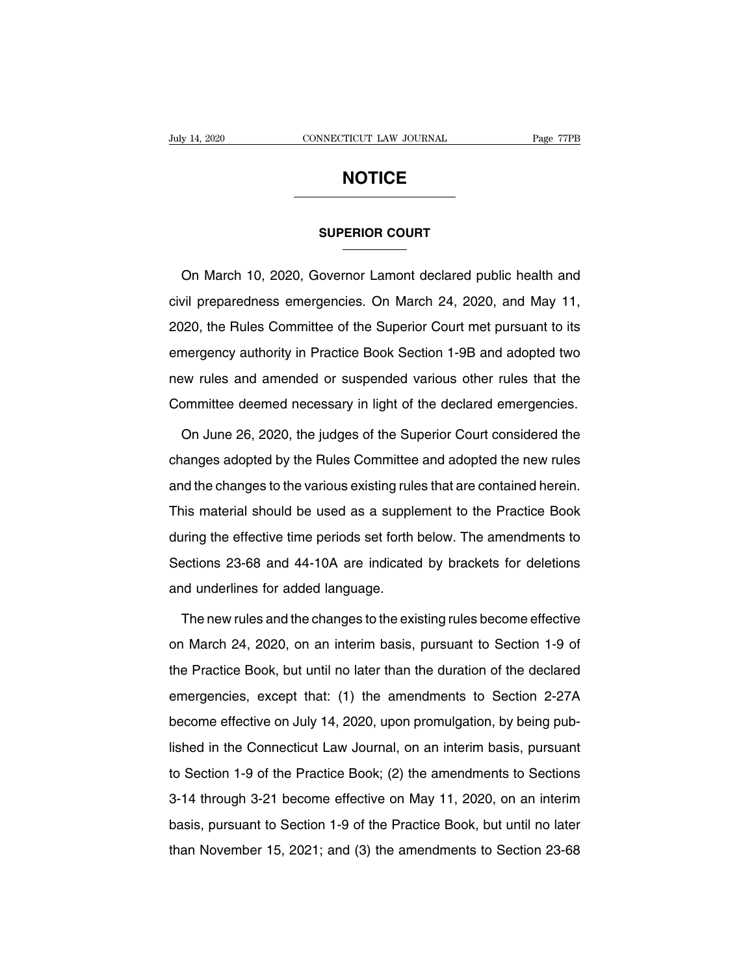## **NOTICE**

## **NOTICE**<br>SUPERIOR COURT

**SUPERIOR COURT<br>
SUPERIOR COURT**<br>
On March 10, 2020, Governor Lamont declared public health and<br>
vil preparedness emergencies. On March 24, 2020, and May 11, SUPERIOR COURT<br>
Con March 10, 2020, Governor Lamont declared public health and<br>
civil preparedness emergencies. On March 24, 2020, and May 11,<br>
2020, the Rules Committee of the Superior Court met pursuant to its SUPERIOR COURT<br>
2020, Governor Lamont declared public health and<br>
civil preparedness emergencies. On March 24, 2020, and May 11,<br>
2020, the Rules Committee of the Superior Court met pursuant to its<br>
emergency authority in On March 10, 2020, Governor Lamont declared public health and<br>civil preparedness emergencies. On March 24, 2020, and May 11,<br>2020, the Rules Committee of the Superior Court met pursuant to its<br>emergency authority in Practi civil preparedness emergencies. On March 24, 2020, and May 11,<br>2020, the Rules Committee of the Superior Court met pursuant to its<br>emergency authority in Practice Book Section 1-9B and adopted two<br>new rules and amended or EVEN propersenses emergencies. On material t, 2020, and may 11,<br>2020, the Rules Committee of the Superior Court met pursuant to its<br>emergency authority in Practice Book Section 1-9B and adopted two<br>new rules and amended or mergency authority in Practice Book Section 1-9B and adopted two<br>ew rules and amended or suspended various other rules that the<br>ommittee deemed necessary in light of the declared emergencies.<br>On June 26, 2020, the judges o

new rules and amended or suspended various other rules that the<br>Committee deemed necessary in light of the declared emergencies.<br>On June 26, 2020, the judges of the Superior Court considered the<br>changes adopted by the Rule Committee deemed necessary in light of the declared emergencies.<br>On June 26, 2020, the judges of the Superior Court considered the<br>changes adopted by the Rules Committee and adopted the new rules<br>and the changes to the var On June 26, 2020, the judges of the Superior Court considered the<br>changes adopted by the Rules Committee and adopted the new rules<br>and the changes to the various existing rules that are contained herein.<br>This material shou changes adopted by the Rules Committee and adopted the new rules<br>and the changes to the various existing rules that are contained herein.<br>This material should be used as a supplement to the Practice Book<br>during the effecti and the changes to the various existing rules that are contained herein.<br>This material should be used as a supplement to the Practice Book<br>during the effective time periods set forth below. The amendments to<br>Sections 23-68 This material should be used as a supple<br>during the effective time periods set forth<br>Sections 23-68 and 44-10A are indicated<br>and underlines for added language.<br>The new rules and the changes to the exi Iring the effective time periods set forth below. The amendments to<br>bections 23-68 and 44-10A are indicated by brackets for deletions<br>and underlines for added language.<br>The new rules and the changes to the existing rules b

Sections 23-68 and 44-10A are indicated by brackets for deletions<br>and underlines for added language.<br>The new rules and the changes to the existing rules become effective<br>on March 24, 2020, on an interim basis, pursuant to and underlines for added language.<br>The new rules and the changes to the existing rules become effective<br>on March 24, 2020, on an interim basis, pursuant to Section 1-9 of<br>the Practice Book, but until no later than the dura The new rules and the changes to the existing rules become effective<br>on March 24, 2020, on an interim basis, pursuant to Section 1-9 of<br>the Practice Book, but until no later than the duration of the declared<br>emergencies, e The new rules and the changes to the existing rules become effective<br>on March 24, 2020, on an interim basis, pursuant to Section 1-9 of<br>the Practice Book, but until no later than the duration of the declared<br>emergencies, e on materizity, 2020, on an interim basis, parolain to 000ton 1.0 of<br>the Practice Book, but until no later than the duration of the declared<br>emergencies, except that: (1) the amendments to Section 2-27A<br>become effective on emergencies, except that: (1) the amendments to Section 2-27A<br>become effective on July 14, 2020, upon promulgation, by being pub-<br>lished in the Connecticut Law Journal, on an interim basis, pursuant<br>to Section 1-9 of the P become effective on July 14, 2020, upon promulgation, by being pub-<br>lished in the Connecticut Law Journal, on an interim basis, pursuant<br>to Section 1-9 of the Practice Book; (2) the amendments to Sections<br>3-14 through 3-2 basis, pursuant of the Practice Book; (2) the amendments to Sections<br>3-14 through 3-21 become effective on May 11, 2020, on an interim<br>basis, pursuant to Section 1-9 of the Practice Book, but until no later<br>than November 1 to Section 1-9 of the Practice Book; (2) the amendments to Sections<br>3-14 through 3-21 become effective on May 11, 2020, on an interim<br>basis, pursuant to Section 1-9 of the Practice Book, but until no later<br>than November 15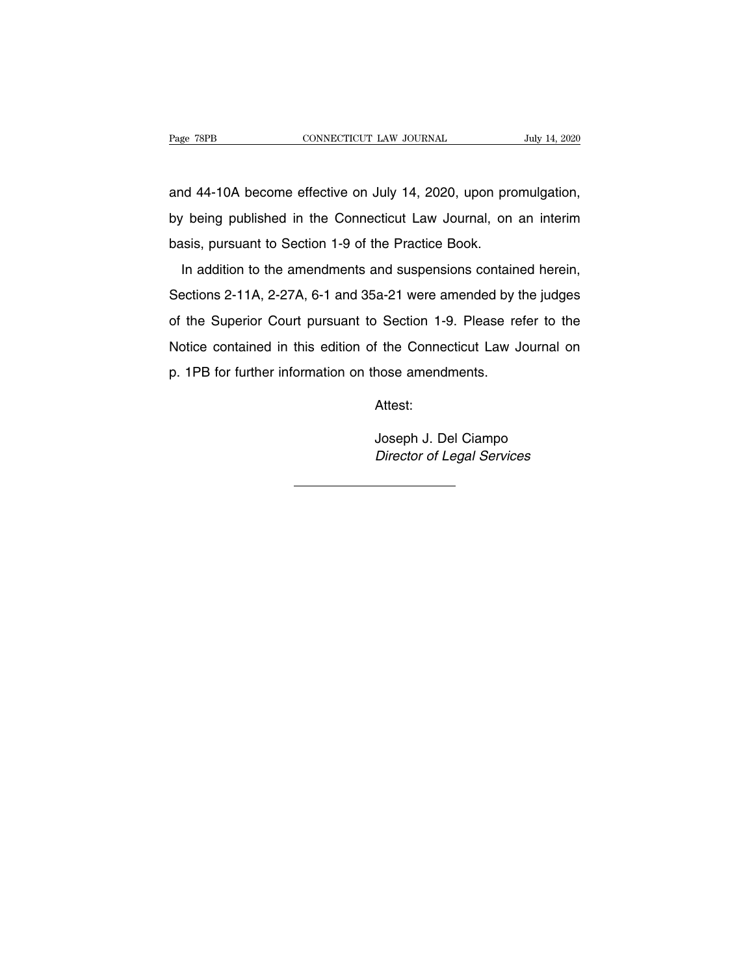Page 78PB<br>
CONNECTICUT LAW JOURNAL July 14, 2020<br>
and 44-10A become effective on July 14, 2020, upon promulgation,<br>
by being published in the Connecticut Law Journal, on an interim Page 78PB CONNECTICUT LAW JOURNAL July 14, 2020<br>and 44-10A become effective on July 14, 2020, upon promulgation,<br>by being published in the Connecticut Law Journal, on an interim<br>basis, pursuant to Section 1-9 of the Practi and 44-10A become effective on July 14, 2020, upon pro<br>by being published in the Connecticut Law Journal, on<br>basis, pursuant to Section 1-9 of the Practice Book.<br>In addition to the amendments and suspensions contain In addition to the amendments and suspensions contained herein,<br>In addition to the amendments and suspensions contained herein,<br>In addition to the amendments and suspensions contained herein,<br>Jections 2-11A, 2-27A, 6-1 and

by being published in the Connecticut Law Journal, on an interim<br>basis, pursuant to Section 1-9 of the Practice Book.<br>In addition to the amendments and suspensions contained herein,<br>Sections 2-11A, 2-27A, 6-1 and 35a-21 we basis, pursuant to Section 1-9 of the Practice Book.<br>In addition to the amendments and suspensions contained herein,<br>Sections 2-11A, 2-27A, 6-1 and 35a-21 were amended by the judges<br>of the Superior Court pursuant to Sectio In addition to the amendments and suspensions contained herein,<br>Sections 2-11A, 2-27A, 6-1 and 35a-21 were amended by the judges<br>of the Superior Court pursuant to Section 1-9. Please refer to the<br>Notice contained in this e Sections 2-11A, 2-27A, 6-1 and 35a-21 were amended by the judges<br>of the Superior Court pursuant to Section 1-9. Please refer to the<br>Notice contained in this edition of the Connecticut Law Journal on<br>p. 1PB for further info f the Connecticut Law Journal or<br>hose amendments.<br>Attest:<br>Joseph J. Del Ciampo<br>*Director of Legal Services* 

Attest:

Joseph J. Del Ciampo<br>Director of Legal Services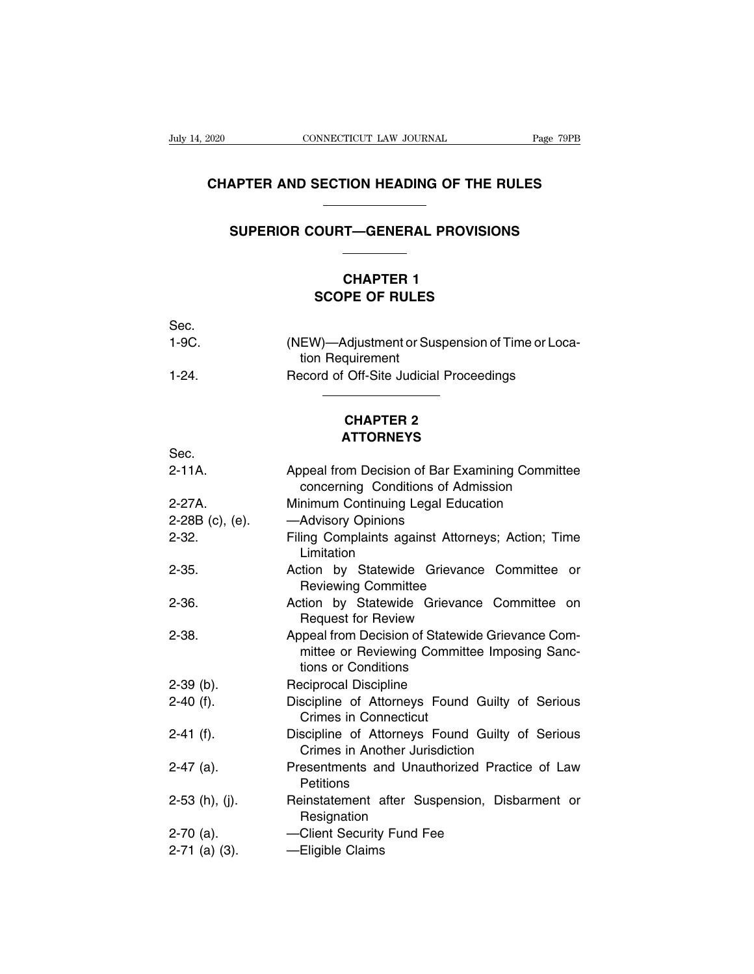## **CONNECTICUT LAW JOURNAL** Page 79PB<br> **CHAPTER AND SECTION HEADING OF THE RULES SUPER AND SECTION HEADING OF THE RULES<br>
SUPERIOR COURT—GENERAL PROVISIONS**

## **CHARRY CONTREADING OF THE<br>
CHAPTER 1<br>
CHAPTER 1<br>
PE OF RULES SCOPE OF RULES**<br>
SCOPE OF RULES<br>
SCOPE OF RULES CHAPTER 1<br>SCOPE OF RULES

|              | <b>CHAPTER 1</b><br><b>SCOPE OF RULES</b>                           |
|--------------|---------------------------------------------------------------------|
| Sec.         |                                                                     |
| $1-9C$ .     | (NEW)—Adjustment or Suspension of Time or Loca-<br>tion Requirement |
| $1-24.$      | Record of Off-Site Judicial Proceedings                             |
|              | <b>CHAPTER 2</b><br><b>ATTORNEYS</b>                                |
| $S_{\Omega}$ |                                                                     |

## **ATTORNEYS**

| 1-24.             | Record of Off-Site Judicial Proceedings                                                                                 |
|-------------------|-------------------------------------------------------------------------------------------------------------------------|
|                   | <b>CHAPTER 2</b><br><b>ATTORNEYS</b>                                                                                    |
| Sec.              |                                                                                                                         |
| $2 - 11A$ .       | Appeal from Decision of Bar Examining Committee<br>concerning Conditions of Admission                                   |
| $2-27A$ .         | Minimum Continuing Legal Education                                                                                      |
| $2-28B$ (c), (e). | -Advisory Opinions                                                                                                      |
| $2 - 32.$         | Filing Complaints against Attorneys; Action; Time<br>Limitation                                                         |
| $2 - 35.$         | Action by Statewide Grievance Committee or<br><b>Reviewing Committee</b>                                                |
| $2 - 36.$         | Action by Statewide Grievance Committee on<br><b>Request for Review</b>                                                 |
| $2 - 38.$         | Appeal from Decision of Statewide Grievance Com-<br>mittee or Reviewing Committee Imposing Sanc-<br>tions or Conditions |
| $2-39$ (b).       | Reciprocal Discipline                                                                                                   |
| $2-40$ (f).       | Discipline of Attorneys Found Guilty of Serious<br><b>Crimes in Connecticut</b>                                         |
| $2-41$ (f).       | Discipline of Attorneys Found Guilty of Serious<br>Crimes in Another Jurisdiction                                       |
| $2-47$ (a).       | Presentments and Unauthorized Practice of Law<br>Petitions                                                              |
| $2-53$ (h), (j).  | Reinstatement after Suspension, Disbarment or<br>Resignation                                                            |
| $2-70$ (a).       | -Client Security Fund Fee                                                                                               |
| $2-71$ (a) (3).   | -Eligible Claims                                                                                                        |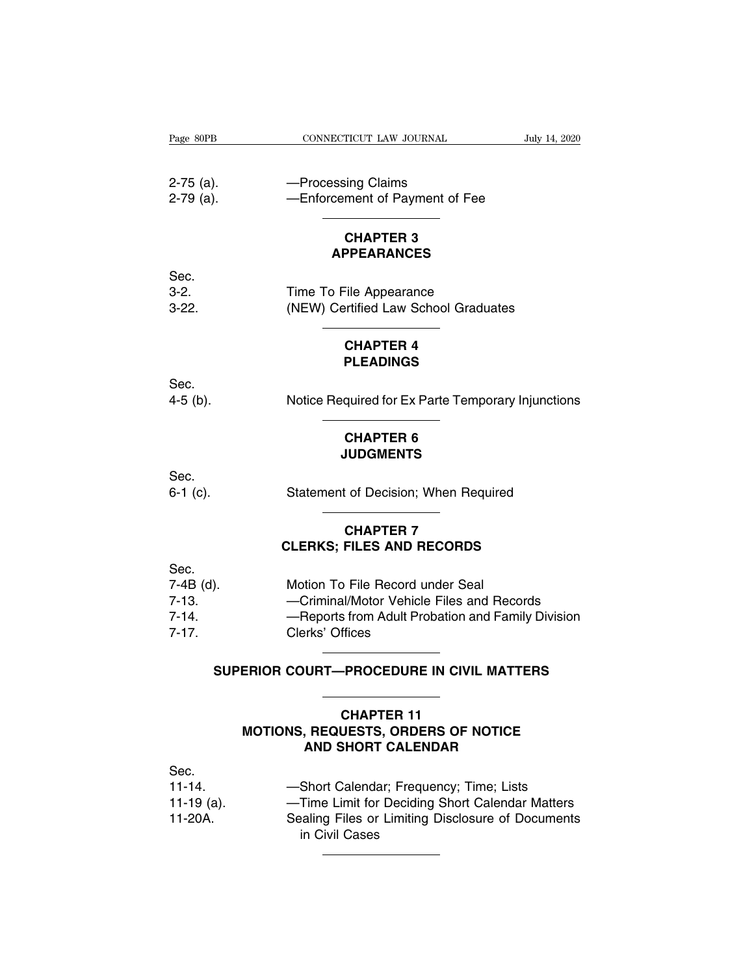| Page 80PB   | CONNECTICUT LAW JOURNAL                            | July 14, 2020 |
|-------------|----------------------------------------------------|---------------|
|             |                                                    |               |
| $2-75$ (a). | -Processing Claims                                 |               |
| $2-79$ (a). | -Enforcement of Payment of Fee                     |               |
|             | <b>CHAPTER 3</b>                                   |               |
|             | <b>APPEARANCES</b>                                 |               |
| Sec.        |                                                    |               |
| $3-2.$      | Time To File Appearance                            |               |
| $3-22.$     | (NEW) Certified Law School Graduates               |               |
|             | <b>CHAPTER 4</b>                                   |               |
|             | <b>PLEADINGS</b>                                   |               |
| Sec.        |                                                    |               |
| $4-5$ (b).  | Notice Required for Ex Parte Temporary Injunctions |               |
|             | <b>CHAPTER 6</b>                                   |               |
|             | <b>JUDGMENTS</b>                                   |               |
| Sec.        |                                                    |               |
| $6-1$ (c).  | Statement of Decision; When Required               |               |
|             | <b>CHAPTER 7</b>                                   |               |
|             | <b>CLERKS; FILES AND RECORDS</b>                   |               |
| Sec.        |                                                    |               |
| $7-4B$ (d). | Motion To File Record under Seal                   |               |
| $7-13.$     | -Criminal/Motor Vehicle Files and Records          |               |
| $7 - 14.$   | -Reports from Adult Probation and Family Division  |               |
| $7 - 17.$   | Clerks' Offices                                    |               |

|                                                        | <b>CLERKS: FILES AND RECORDS</b>                                                                                                                      |
|--------------------------------------------------------|-------------------------------------------------------------------------------------------------------------------------------------------------------|
| Sec.<br>7-4B (d).<br>$7 - 13.$<br>$7 - 14$<br>$7 - 17$ | Motion To File Record under Seal<br>-Criminal/Motor Vehicle Files and Records<br>-Reports from Adult Probation and Family Division<br>Clerks' Offices |
| SUPERIOR COURT—PROCEDURE IN CIVIL MATTERS              |                                                                                                                                                       |

## **AND SUPERIOR COURT—PROCEDURE IN CIVIL MATTERS**

## **CHAPTER 11**<br>MOTIONS, REQUESTS, ORDERS OF NOTICE ERIOR COURT—PROCEDURE IN CIVIL MATTERS<br>
CHAPTER 11<br>
MOTIONS, REQUESTS, ORDERS OF NOTICE<br>
AND SHORT CALENDAR AND SHORT CALENDAR

|                                                | <b>CHAPTER 11</b><br><b>MOTIONS, REQUESTS, ORDERS OF NOTICE</b><br><b>AND SHORT CALENDAR</b>                                                                      |  |
|------------------------------------------------|-------------------------------------------------------------------------------------------------------------------------------------------------------------------|--|
| Sec.<br>$11 - 14.$<br>11-19 $(a)$ .<br>11-20A. | -Short Calendar; Frequency; Time; Lists<br>-Time Limit for Deciding Short Calendar Matters<br>Sealing Files or Limiting Disclosure of Documents<br>in Civil Cases |  |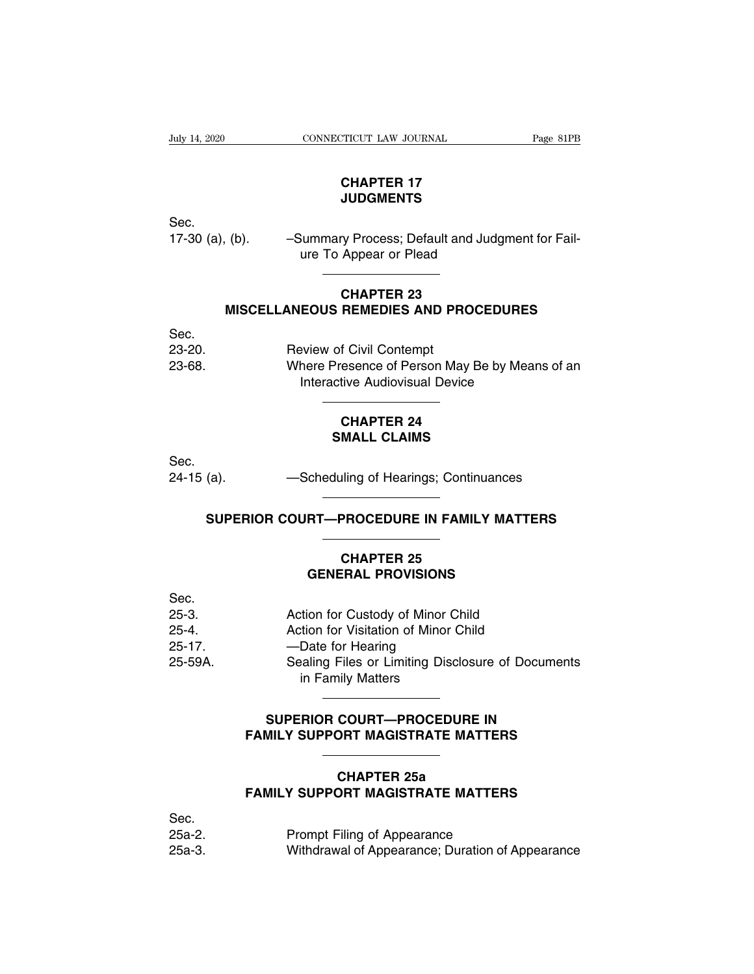July 14, 2020 CONNECTICUT LAW JOURNAL Page 81PB

## **CHAPTER 17<br>CHAPTER 17<br>JUDGMENTS JUDGMENTS**

Sec.

CHAPTER 17<br>
UDGMENTS<br>
Sec.<br>
17-30 (a), (b). – Summary Process; Default and Judgment for Fail-<br>
ure To Appear or Plead CHAPTER 17<br>JUDGMENTS<br>Summary Process; Default and Judg<br>ure To Appear or Plead **CODGMENTS**<br>
Superinter Conduction<br>
Appear or Plead<br>
CHAPTER 23<br>
REMEDIES AND PROCE (b). -Summary Process; Default and Judgment for Fail-<br>
ure To Appear or Plead<br> **CHAPTER 23**<br>
MISCELLANEOUS REMEDIES AND PROCEDURES

|            | ure to Appear or Plead                                                           |
|------------|----------------------------------------------------------------------------------|
|            | <b>CHAPTER 23</b><br><b>MISCELLANEOUS REMEDIES AND PROCEDURES</b>                |
| Sec.       |                                                                                  |
| $23 - 20.$ | <b>Review of Civil Contempt</b>                                                  |
| 23-68.     | Where Presence of Person May Be by Means of an<br>Interactive Audiovisual Device |
|            | <b>CHAPTER 24</b><br><b>SMALL CLAIMS</b>                                         |
| Sec.       |                                                                                  |

Sec. Theractive Audiovisual Device<br>
CHAPTER 24<br>
SMALL CLAIMS<br>
Sec.<br>
24-15 (a). —Scheduling of Hearings; Continuances SMALL CLAIMS<br>
(a). ——Scheduling of Hearings; Continuances<br>
SUPERIOR COURT—PROCEDURE IN FAMILY MATTERS

## 24-15 (a). ——Scheduling of Hearings; Continuances<br>
SUPERIOR COURT—PROCEDURE IN FAMILY MATTERS<br>
CHAPTER 25<br>
GENERAL PROVISIONS

## Chedding of Healings, Conditionness<br> **GENERAL PROVISIONS**<br> **GENERAL PROVISIONS**

|             | SUPERIUR GUURT—PROGEDURE IN FAMILY MATTERS                              |
|-------------|-------------------------------------------------------------------------|
|             | <b>CHAPTER 25</b>                                                       |
|             | <b>GENERAL PROVISIONS</b>                                               |
| Sec.        |                                                                         |
| $25-3.$     | Action for Custody of Minor Child                                       |
| $25 - 4$    | Action for Visitation of Minor Child                                    |
| $25 - 17$ . | -Date for Hearing                                                       |
| 25-59A.     | Sealing Files or Limiting Disclosure of Documents<br>in Family Matters  |
|             | SUPERIOR COURT-PROCEDURE IN<br><b>FAMILY SUPPORT MAGISTRATE MATTERS</b> |
|             |                                                                         |

## SUPERIOR COURT—PROCEDURE IN<br>
FAMILY SUPPORT MAGISTRATE MATTERS<br>
CHAPTER 25a<br>
FAMILY SUPPORT MAGISTRATE MATTERS

## **FAMILY SUPERIOR COURT—PROCEDURE IN<br>
FAMILY SUPPORT MAGISTRATE MATTERS<br>
CHAPTER 25a<br>
FAMILY SUPPORT MAGISTRATE MATTERS**

|         | , AMILI VVI I VIII MAVIVIIIA IL MAI LLIV                       |
|---------|----------------------------------------------------------------|
|         | <b>CHAPTER 25a</b><br><b>FAMILY SUPPORT MAGISTRATE MATTERS</b> |
| Sec.    |                                                                |
| $25a-2$ | Prompt Filing of Appearance                                    |
| $25a-3$ | Withdrawal of Appearance; Duration of Appearance               |
|         |                                                                |
|         |                                                                |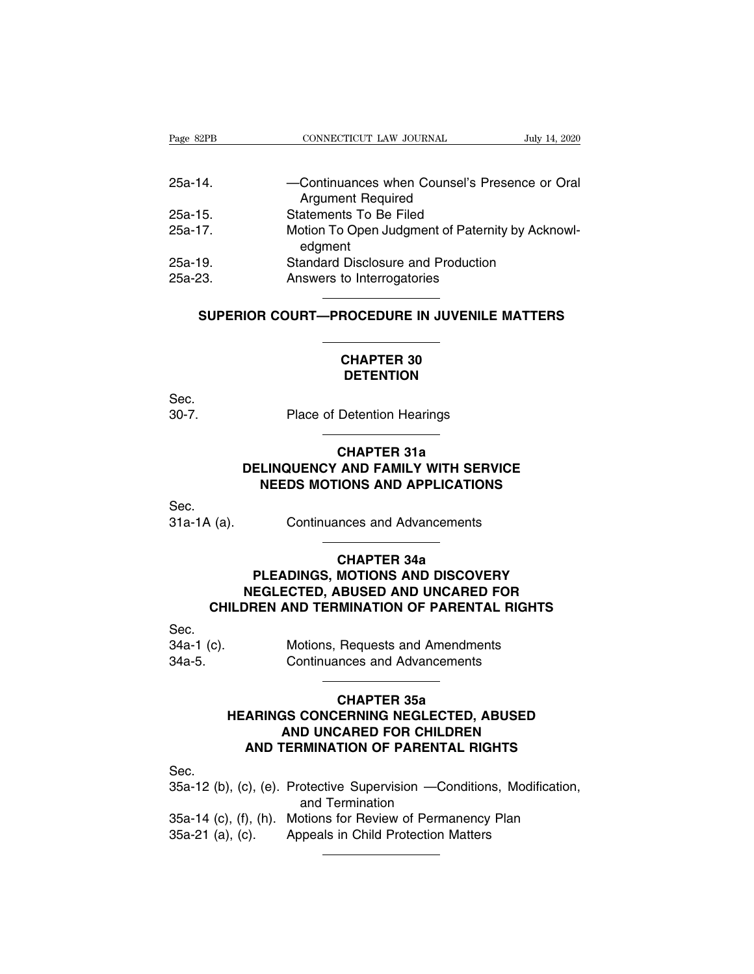| Page 82PB                                    | CONNECTICUT LAW JOURNAL<br>July 14, 2020                    |
|----------------------------------------------|-------------------------------------------------------------|
|                                              |                                                             |
| $25a-14$                                     | -Continuances when Counsel's Presence or Oral               |
|                                              | <b>Argument Required</b>                                    |
| $25a-15$                                     | Statements To Be Filed                                      |
| $25a-17.$                                    | Motion To Open Judgment of Paternity by Acknowl-<br>edgment |
| $25a-19.$                                    | <b>Standard Disclosure and Production</b>                   |
| 25a-23.                                      | Answers to Interrogatories                                  |
|                                              |                                                             |
| SUPERIOR COURT-PROCEDURE IN JUVENILE MATTERS |                                                             |
| <b>CHAPTER 30</b>                            |                                                             |
| <b>DETENTION</b>                             |                                                             |

## **DETENTION**

Sec.

CHAPTER 30<br>
CHAPTER 30<br>
DETENTION<br>
Sec.<br>
30-7. Place of Detention Hearings

## **CHAPTER 30<br>DETENTION<br>Detention Hearings<br>CHAPTER 31a<br>AND FAMILY WITH SER<br>IONS AND APPLICATION DETENTION<br>
Place of Detention Hearings<br>
CHAPTER 31a<br>
DELINQUENCY AND FAMILY WITH SERVICE<br>
NEEDS MOTIONS AND APPLICATIONS** Place of Detention Hearings<br> **CHAPTER 31a**<br> **CHAPTER 31a**<br> **NEEDS MOTIONS AND APPLICATIONS** CHAPTER 31a<br>DELINQUENCY AND FAMILY WITH SERVICE<br>NEEDS MOTIONS AND APPLICATIONS<br>Sec.<br>31a-1A (a). Continuances and Advancements

Sec.

## **AND FAMILY WITH SER<br>
IONS AND APPLICATION<br>
Inces and Advancements<br>
CHAPTER 34a<br>
MOTIONS AND DISCOVE<br>
RUSED AND UNCARED PLEDS MOTIONS AND APPLICATIONS<br>
Continuances and Advancements<br>
CHAPTER 34a<br>
PLEADINGS, MOTIONS AND DISCOVERY<br>
EGLECTED, ABUSED AND UNCARED FOR<br>
REN AND TERMINATION OF PARENTAL BIGHTS NEGLECTED, ABUSED AND UNCARED FOR<br>
DREADINGS, MOTIONS AND DISCOVERY<br>
NEGLECTED, ABUSED AND UNCARED FOR<br>
DREN AND TERMINATION OF PARENTAL RIGHTS** (a). Continuances and Advancements<br>
CHAPTER 34a<br>
PLEADINGS, MOTIONS AND DISCOVERY<br>
NEGLECTED, ABUSED AND UNCARED FOR<br>
CHILDREN AND TERMINATION OF PARENTAL RIGHTS CHAPTER 34a<br>
PLEADINGS, MOTIONS AND DISCOVERY<br>
NEGLECTED, ABUSED AND UNCARED FOR<br>
CHILDREN AND TERMINATION OF PARENTAL RIGHTS<br>
Sec.<br>
34a-1 (c). Motions, Requests and Amendments<br>
34a-5. Continuances and Advancements PLEADINGS, MOTIONS AND DISCOVERY<br>
NEGLECTED, ABUSED AND UNCARED FOR<br>
CHILDREN AND TERMINATION OF PARENTAL RIGHT<br>
Sec.<br>
34a-1 (c). Motions, Requests and Amendments<br>
34a-5. Continuances and Advancements

Sec.

| 34a-1 (c). | Motions, Requests and Amendments     |
|------------|--------------------------------------|
| 34a-5.     | <b>Continuances and Advancements</b> |

## **IMINATION OF PARENTA<br>
Requests and Amendmen<br>
nces and Advancements<br>
CHAPTER 35a<br>
ERNING NEGLECTED, A<br>
CARED FOR CHILDREN** Motions, Requests and Amendments<br>
Continuances and Advancements<br>
CHAPTER 35a<br>
HEARINGS CONCERNING NEGLECTED, ABUSED<br>
AND UNCARED FOR CHILDREN<br>
AND TERMINATION OF PARENTAL RIGHTS Motions, Requests and Amendments<br>
Continuances and Advancements<br> **CHAPTER 35a<br>
GIS CONCERNING NEGLECTED, ABUSED<br>
AND UNCARED FOR CHILDREN<br>
TERMINATION OF PARENTAL RIGHTS CONTINUANCES AND CONSUMING SCIENCE AND UNCARED FOR CHILDREN<br>
AND UNCARED FOR CHILDREN<br>
AND TERMINATION OF PARENTAL RIGHTS** CHAPTER 35a<br>
HEARINGS CONCERNING NEGLECTED, ABUSED<br>
AND UNCARED FOR CHILDREN<br>
Sec.<br>
35a-12 (b), (c), (e). Protective Supervision —Conditions, Modification,<br>
and Termination<br>
35a-14 (c) (f), (b). Motions for Beview of Perma

Sec.

**CONCERNING NEGLECTE<br>D UNCARED FOR CHILDF<br>RMINATION OF PARENTAI<br>otective Supervision —Con<br>and Termination<br>ptions for Review of Permanneals in Child Protection M** AND UNCARED FOR CHILDREN<br>
35a-12 (b), (c), (e). Protective Supervision —Conditions, Modification,<br>
35a-14 (c), (f), (h). Motions for Review of Permanency Plan<br>
35a-21 (a), (c). Appeals in Child Protection Matters **AND TERMINATION OF PARENTAL RIG**<br>
Sec.<br>
35a-12 (b), (c), (e). Protective Supervision —Condition<br>
and Termination<br>
35a-14 (c), (f), (h). Motions for Review of Permanency<br>
35a-21 (a), (c). Appeals in Child Protection Matter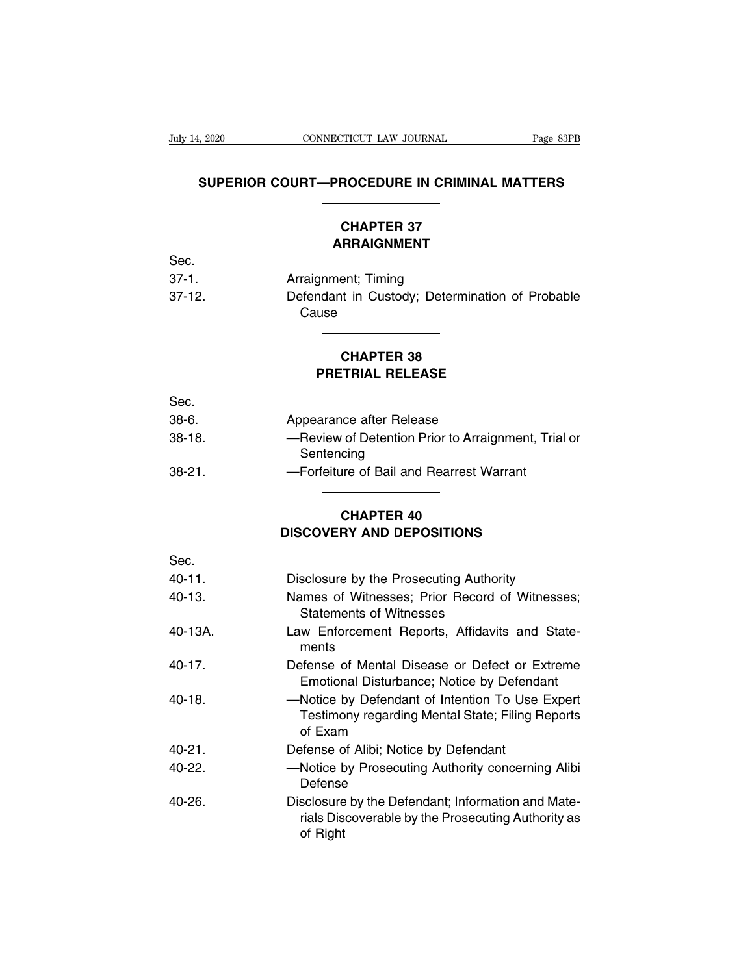## EXAMPLE CONDECTICUT LAW JOURNAL Page 83PB<br>
SUPERIOR COURT—PROCEDURE IN CRIMINAL MATTERS **CONNECTICUT LAW JOURNAL** Page 83<br> **CONNECTICUT LAW JOURNAL** Page 83<br> **CHAPTER 37**

## **ARRAIGNMENT**

|          | SUPERIUR COURT—PROGEDURE IN CRIMINAL MATTERS             |
|----------|----------------------------------------------------------|
|          | <b>CHAPTER 37</b>                                        |
|          | <b>ARRAIGNMENT</b>                                       |
| Sec.     |                                                          |
| $37-1.$  | Arraignment; Timing                                      |
| $37-12.$ | Defendant in Custody; Determination of Probable<br>Cause |
|          | <b>CHAPTER 38</b><br><b>PRETRIAL RELEASE</b>             |
| Sec.     |                                                          |

|          | <b>CHAPTER 38</b><br><b>PRETRIAL RELEASE</b>                      |
|----------|-------------------------------------------------------------------|
|          |                                                                   |
| Sec.     |                                                                   |
| $38-6.$  | Appearance after Release                                          |
| $38-18.$ | -Review of Detention Prior to Arraignment, Trial or<br>Sentencing |
| $38-21.$ | -Forfeiture of Bail and Rearrest Warrant                          |
|          | <b>CHAPTER 40</b>                                                 |
|          | <b>DISCOVERY AND DEPOSITIONS</b>                                  |
| Sec.     |                                                                   |

## —Porientire of Ball and Reafrest Warrant<br>
CHAPTER 40<br>
DISCOVERY AND DEPOSITIONS

|         | <b>CHAPTER 40</b>                                                                                                    |
|---------|----------------------------------------------------------------------------------------------------------------------|
|         | <b>DISCOVERY AND DEPOSITIONS</b>                                                                                     |
| Sec.    |                                                                                                                      |
| 40-11.  | Disclosure by the Prosecuting Authority                                                                              |
| 40-13.  | Names of Witnesses; Prior Record of Witnesses;<br><b>Statements of Witnesses</b>                                     |
| 40-13A. | Law Enforcement Reports, Affidavits and State-<br>ments                                                              |
| 40-17.  | Defense of Mental Disease or Defect or Extreme<br>Emotional Disturbance; Notice by Defendant                         |
| 40-18.  | -Notice by Defendant of Intention To Use Expert<br>Testimony regarding Mental State; Filing Reports<br>of Exam       |
| 40-21.  | Defense of Alibi; Notice by Defendant                                                                                |
| 40-22.  | -Notice by Prosecuting Authority concerning Alibi<br>Defense                                                         |
| 40-26.  | Disclosure by the Defendant; Information and Mate-<br>rials Discoverable by the Prosecuting Authority as<br>of Right |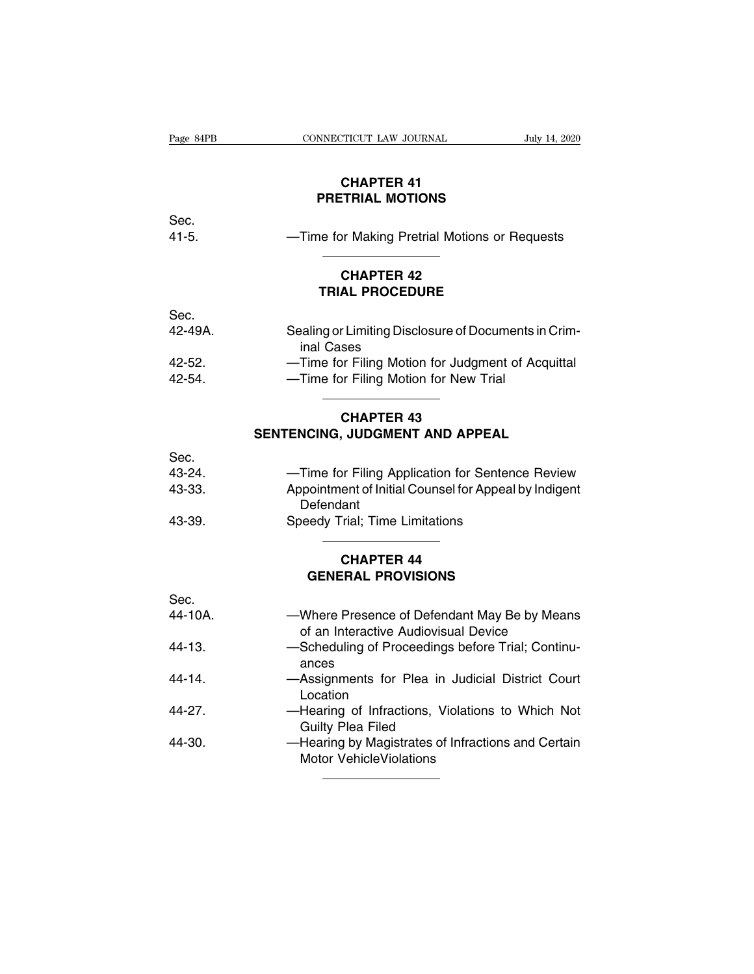| Page 84PB<br>CONNECTICUT LAW JOURNAL<br>July 14, 2020<br><b>CHAPTER 41</b><br><b>PRETRIAL MOTIONS</b><br>Sec.<br>$41 - 5.$<br>-Time for Making Pretrial Motions or Requests<br><b>CHAPTER 42</b><br><b>TRIAL PROCEDURE</b><br>Sec.<br>42-49A.<br>Sealing or Limiting Disclosure of Documents in Crim-<br>inal Cases<br>-Time for Filing Motion for Judgment of Acquittal<br>$42 - 52.$<br>42-54.<br>-Time for Filing Motion for New Trial<br><b>CHAPTER 43</b><br>SENTENCING, JUDGMENT AND APPEAL<br>Sec.<br>43-24.<br>-Time for Filing Application for Sentence Review<br>43-33.<br>Appointment of Initial Counsel for Appeal by Indigent<br>Defendant<br>43-39.<br>Speedy Trial; Time Limitations<br><b>CHAPTER 44</b><br><b>GENERAL PROVISIONS</b> |  |  |  |  |
|-------------------------------------------------------------------------------------------------------------------------------------------------------------------------------------------------------------------------------------------------------------------------------------------------------------------------------------------------------------------------------------------------------------------------------------------------------------------------------------------------------------------------------------------------------------------------------------------------------------------------------------------------------------------------------------------------------------------------------------------------------|--|--|--|--|
|                                                                                                                                                                                                                                                                                                                                                                                                                                                                                                                                                                                                                                                                                                                                                       |  |  |  |  |
|                                                                                                                                                                                                                                                                                                                                                                                                                                                                                                                                                                                                                                                                                                                                                       |  |  |  |  |
|                                                                                                                                                                                                                                                                                                                                                                                                                                                                                                                                                                                                                                                                                                                                                       |  |  |  |  |
|                                                                                                                                                                                                                                                                                                                                                                                                                                                                                                                                                                                                                                                                                                                                                       |  |  |  |  |
|                                                                                                                                                                                                                                                                                                                                                                                                                                                                                                                                                                                                                                                                                                                                                       |  |  |  |  |
|                                                                                                                                                                                                                                                                                                                                                                                                                                                                                                                                                                                                                                                                                                                                                       |  |  |  |  |
|                                                                                                                                                                                                                                                                                                                                                                                                                                                                                                                                                                                                                                                                                                                                                       |  |  |  |  |
|                                                                                                                                                                                                                                                                                                                                                                                                                                                                                                                                                                                                                                                                                                                                                       |  |  |  |  |
|                                                                                                                                                                                                                                                                                                                                                                                                                                                                                                                                                                                                                                                                                                                                                       |  |  |  |  |
|                                                                                                                                                                                                                                                                                                                                                                                                                                                                                                                                                                                                                                                                                                                                                       |  |  |  |  |
|                                                                                                                                                                                                                                                                                                                                                                                                                                                                                                                                                                                                                                                                                                                                                       |  |  |  |  |
|                                                                                                                                                                                                                                                                                                                                                                                                                                                                                                                                                                                                                                                                                                                                                       |  |  |  |  |
|                                                                                                                                                                                                                                                                                                                                                                                                                                                                                                                                                                                                                                                                                                                                                       |  |  |  |  |
|                                                                                                                                                                                                                                                                                                                                                                                                                                                                                                                                                                                                                                                                                                                                                       |  |  |  |  |
|                                                                                                                                                                                                                                                                                                                                                                                                                                                                                                                                                                                                                                                                                                                                                       |  |  |  |  |
|                                                                                                                                                                                                                                                                                                                                                                                                                                                                                                                                                                                                                                                                                                                                                       |  |  |  |  |
|                                                                                                                                                                                                                                                                                                                                                                                                                                                                                                                                                                                                                                                                                                                                                       |  |  |  |  |
|                                                                                                                                                                                                                                                                                                                                                                                                                                                                                                                                                                                                                                                                                                                                                       |  |  |  |  |
|                                                                                                                                                                                                                                                                                                                                                                                                                                                                                                                                                                                                                                                                                                                                                       |  |  |  |  |
|                                                                                                                                                                                                                                                                                                                                                                                                                                                                                                                                                                                                                                                                                                                                                       |  |  |  |  |
|                                                                                                                                                                                                                                                                                                                                                                                                                                                                                                                                                                                                                                                                                                                                                       |  |  |  |  |
|                                                                                                                                                                                                                                                                                                                                                                                                                                                                                                                                                                                                                                                                                                                                                       |  |  |  |  |
|                                                                                                                                                                                                                                                                                                                                                                                                                                                                                                                                                                                                                                                                                                                                                       |  |  |  |  |
|                                                                                                                                                                                                                                                                                                                                                                                                                                                                                                                                                                                                                                                                                                                                                       |  |  |  |  |
|                                                                                                                                                                                                                                                                                                                                                                                                                                                                                                                                                                                                                                                                                                                                                       |  |  |  |  |
|                                                                                                                                                                                                                                                                                                                                                                                                                                                                                                                                                                                                                                                                                                                                                       |  |  |  |  |
| Sec.                                                                                                                                                                                                                                                                                                                                                                                                                                                                                                                                                                                                                                                                                                                                                  |  |  |  |  |

| 43-39.     | Speedy Trial; Time Limitations                               |  |
|------------|--------------------------------------------------------------|--|
|            | <b>CHAPTER 44</b>                                            |  |
|            | <b>GENERAL PROVISIONS</b>                                    |  |
| Sec.       |                                                              |  |
| 44-10A.    | -Where Presence of Defendant May Be by Means                 |  |
|            | of an Interactive Audiovisual Device                         |  |
| $44 - 13.$ | -Scheduling of Proceedings before Trial; Continu-            |  |
|            | ances                                                        |  |
| $44 - 14$  | -Assignments for Plea in Judicial District Court<br>Location |  |
| 44-27.     | -Hearing of Infractions, Violations to Which Not             |  |
|            | <b>Guilty Plea Filed</b>                                     |  |
| 44-30.     | -Hearing by Magistrates of Infractions and Certain           |  |
|            | <b>Motor VehicleViolations</b>                               |  |
|            |                                                              |  |
|            |                                                              |  |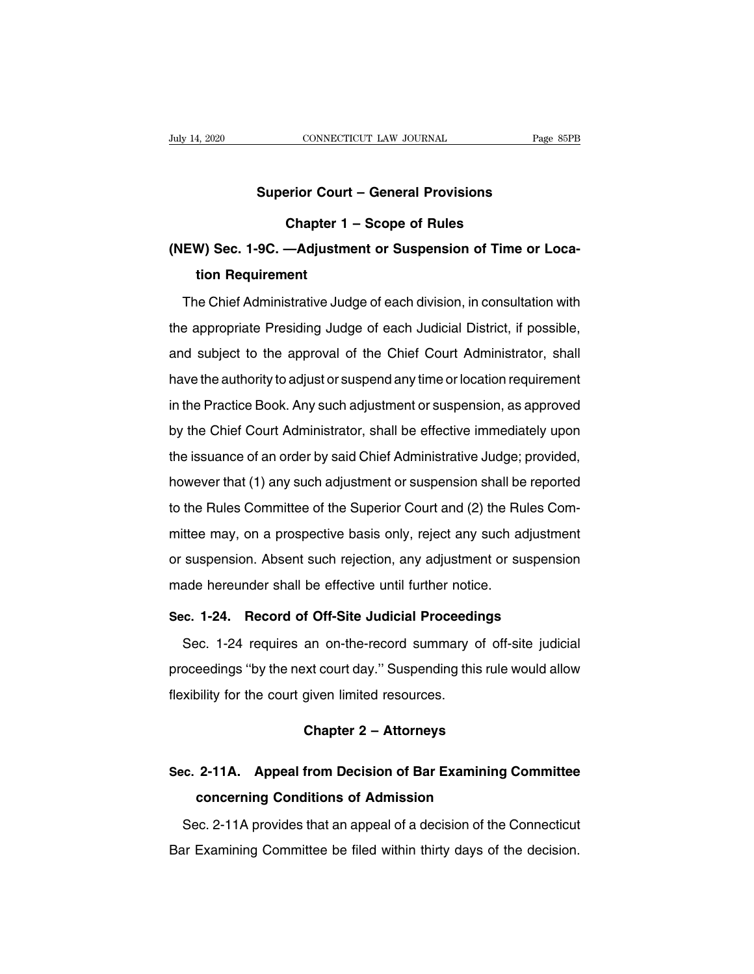# **CONNECTICUT LAW JOURNAL** Page 8<br> **Superior Court – General Provisions<br>
Chapter 1 – Scope of Rules**

## **CONNECTICUT LAW JOURNAL**<br>
Prior Court – General Provisions<br>
Chapter 1 – Scope of Rules<br>
—Adjustment or Suspension of Time o **(NEW) Sec. 1-9C. —Adjustment or Suspension of Time or Location Requirement Superior Cour<br>Chapter 1<br>W) Sec. 1-9C. —Adjustm<br>tion Requirement**<br>ne Chief Administrative Jud Chapter 1 – Scope of Rules<br>
EW) Sec. 1-9C. —Adjustment or Suspension of Time or Loca-<br>
tion Requirement<br>
The Chief Administrative Judge of each division, in consultation with<br>
e appropriate Presiding Judge of each Judicial

(NEW) Sec. 1-9C. —Adjustment or Suspension of Time or Location Requirement<br>The Chief Administrative Judge of each division, in consultation with<br>the appropriate Presiding Judge of each Judicial District, if possible,<br>and s and subject to the approval of the Chief Court Administration<br>and subject to the approval of the Chief Court Administrator, shall<br>have the authority to adjust or suspend any time or location requirement The Chief Administrative Judge of each division, in consultation with<br>the appropriate Presiding Judge of each Judicial District, if possible,<br>and subject to the approval of the Chief Court Administrator, shall<br>have the aut In the appropriate Presiding Judge of each Judicial District, if possible,<br>and subject to the approval of the Chief Court Administrator, shall<br>have the authority to adjust or suspend any time or location requirement<br>in the and subject to the approval of the Chief Court Administrator, shall<br>have the authority to adjust or suspend any time or location requirement<br>in the Practice Book. Any such adjustment or suspension, as approved<br>by the Chief have the authority to adjust or suspend any time or location requirement<br>in the Practice Book. Any such adjustment or suspension, as approved<br>by the Chief Court Administrator, shall be effective immediately upon<br>the issuan however that (1) any such adjustment or suspension, as approved<br>the Chief Court Administrator, shall be effective immediately upon<br>the issuance of an order by said Chief Administrative Judge; provided,<br>however that (1) any the Prides Cook. Any cach adjacement of eacpertsion, as approved<br>by the Chief Court Administrator, shall be effective immediately upon<br>the issuance of an order by said Chief Administrative Judge; provided,<br>however that (1) by the enter econt Administration, shall be enconvernmiolately apont<br>the issuance of an order by said Chief Administrative Judge; provided,<br>however that (1) any such adjustment or suspension shall be reported<br>to the Rules however that (1) any such adjustment or suspension shall be reported<br>to the Rules Committee of the Superior Court and (2) the Rules Com-<br>mittee may, on a prospective basis only, reject any such adjustment<br>or suspension. Ab mowever that (1) any such adjacement or suspension shall be<br>to the Rules Committee of the Superior Court and (2) the Ru<br>mittee may, on a prospective basis only, reject any such at<br>or suspension. Absent such rejection, any mittee may, on a prospective basis only, reject any such adjustme<br>or suspension. Absent such rejection, any adjustment or suspension<br>made hereunder shall be effective until further notice.<br>**Sec. 1-24. Record of Off-Site Ju** suspension. Absent such rejection, any adjustment or suspension<br>ade hereunder shall be effective until further notice.<br>c. 1-24. Record of Off-Site Judicial Proceedings<br>Sec. 1-24 requires an on-the-record summary of off-sit

made hereunder shall be effective until further notice.<br> **Sec. 1-24. Record of Off-Site Judicial Proceedings**<br>
Sec. 1-24 requires an on-the-record summary of off-site judicial<br>
proceedings "by the next court day." Suspendi Sec. 1-24. Record of Off-Site Judicial Proceedings<br>Sec. 1-24 requires an on-the-record summary of off-site judicial<br>proceedings "by the next court day." Suspending this rule would allow<br>flexibility for the court given limi proceedings "by the next court day." Suspending this rule would allow<br>flexibility for the court given limited resources.<br>**Chapter 2 – Attorneys**<br>**Sec. 2-11A.** Appeal from Decision of Bar Examining Committee

## Frococourigo By the next ceart day: Cappending the rate weard allow<br> **Sec.** 2-11A. Appeal from Decision of Bar Examining Committee<br>
concerning Conditions of Admission **chapter 2 – Attorneys<br>2-11A. Appeal from Decision of Bar Examining<br>concerning Conditions of Admission**<br>ec. 2-11A provides that an appeal of a decision of the Chapter 2 – Attorneys<br>C. 2-11A. Appeal from Decision of Bar Examining Committee<br>Concerning Conditions of Admission<br>Sec. 2-11A provides that an appeal of a decision of the Connecticut<br>The Examining Committee be filed within Sec. 2-11A. Appeal from Decision of Bar Examining Committee<br>concerning Conditions of Admission<br>Sec. 2-11A provides that an appeal of a decision of the Connecticut<br>Bar Examining Committee be filed within thirty days of the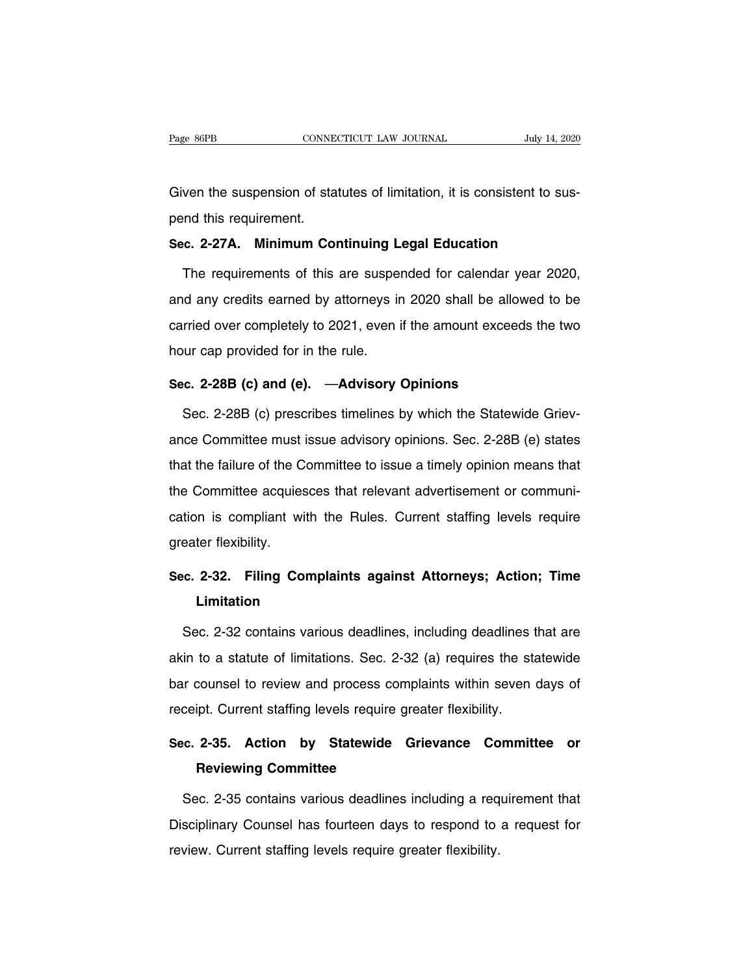Page 86PB<br>CONNECTICUT LAW JOURNAL July 14, 2020<br>Given the suspension of statutes of limitation, it is consistent to sus-<br>pend this requirement. Page 86PB<br>Given the suspension of sta<br>pend this requirement.<br>**Sec. 2-27A. Minimum Co**r Given the suspension of statutes of limitation, it is consistent to suspend this requirement.<br> **Sec. 2-27A. Minimum Continuing Legal Education**<br>
The requirements of this are suspended for calendar vear 2020

ven the suspension of statutes of limitation, it is consistent to sus-<br>nd this requirement.<br>c. 2-27A. Minimum Continuing Legal Education<br>The requirements of this are suspended for calendar year 2020,<br>d any credits earned b pend this requirement.<br>
Sec. 2-27A. Minimum Continuing Legal Education<br>
The requirements of this are suspended for calendar year 2020,<br>
and any credits earned by attorneys in 2020 shall be allowed to be<br>
carried over compl Sec. 2-27A. Minimum Continuing Legal Education<br>The requirements of this are suspended for calendar year 2020,<br>and any credits earned by attorneys in 2020 shall be allowed to be<br>carried over completely to 2021, even if the The requirements of this are suspe<br>and any credits earned by attorneys in<br>carried over completely to 2021, even in<br>hour cap provided for in the rule.<br>Sec. 2-28B (c) and (e)  $-$ Advisory and any credits earned by attorneys in 2020 shall be allow<br>carried over completely to 2021, even if the amount exceed<br>hour cap provided for in the rule.<br>**Sec. 2-28B (c) and (e).** —**Advisory Opinions**<br>Sec. 2-28B (c) prescri rried over completely to 2021, even if the amount exceeds the two<br>
ur cap provided for in the rule.<br>
c. 2-28B (c) and (e). —Advisory Opinions<br>
Sec. 2-28B (c) prescribes timelines by which the Statewide Griev-<br>
ce Committee

hour cap provided for in the rule.<br>
Sec. 2-28B (c) and (e). - - Advisory Opinions<br>
Sec. 2-28B (c) prescribes timelines by which the Statewide Griev-<br>
ance Committee must issue advisory opinions. Sec. 2-28B (e) states<br>
that Sec. 2-28B (c) and (e). —Advisory Opinions<br>Sec. 2-28B (c) prescribes timelines by which the Statewide Griev-<br>ance Committee must issue advisory opinions. Sec. 2-28B (e) states<br>that the failure of the Committee to issue a t Sec. 2-28B (c) prescribes timelines by which the Statewide Grievance Committee must issue advisory opinions. Sec. 2-28B (e) states that the failure of the Committee to issue a timely opinion means that the Committee acquie ance Committee must issue advisory opinions. Sec. 2-28B (e) states<br>that the failure of the Committee to issue a timely opinion means that<br>the Committee acquiesces that relevant advertisement or communi-<br>cation is compliant that the failure of the C<br>the Committee acquies<br>cation is compliant wi<br>greater flexibility. Ithe Committee acquiesces that relevant advertisement or communication is compliant with the Rules. Current staffing levels require<br>greater flexibility.<br>Sec. 2-32. Filing Complaints against Attorneys; Action; Time<br>Limitati

## **Limitation**

eater flexibility.<br> **C. 2-32. Filing Complaints against Attorneys; Action; Time<br>
Limitation**<br>
Sec. 2-32 contains various deadlines, including deadlines that are<br>
in to a statute of limitations. Sec. 2-32 (a) requires the s Sec. 2-32. Filing Complaints against Attorneys; Action; Time<br>Limitation<br>Sec. 2-32 contains various deadlines, including deadlines that are<br>akin to a statute of limitations. Sec. 2-32 (a) requires the statewide<br>bar counsel Limitation<br>Sec. 2-32 contains various deadlines, including deadlines that are<br>akin to a statute of limitations. Sec. 2-32 (a) requires the statewide<br>bar counsel to review and process complaints within seven days of<br>receipt Sec. 2-32 contains various deadlines, including deadlines to a statute of limitations. Sec. 2-32 (a) requires the state of the state of limitations. Sec. 2-32 (a) requires the state of the state of the state of the state o akin to a statute of limitations. Sec. 2-32 (a) requires the statewide<br>bar counsel to review and process complaints within seven days of<br>receipt. Current staffing levels require greater flexibility.<br>**Sec. 2-35. Action by S** review and process compt. Current staffing levels require of<br> **Reviewing Committee<br>
Reviewing Committee**<br>
Reviewing Committee<br>
Reviewing Committee

Seipt. Current staffing levels require greater flexibility.<br>
Sec. 2-35. Action by Statewide Grievance Committee or<br>
Reviewing Committee<br>
Sec. 2-35 contains various deadlines including a requirement that<br>
sciplinary Counsel Sec. 2-35. Action by Statewide Grievance Committee or<br>Reviewing Committee<br>Sec. 2-35 contains various deadlines including a requirement that<br>Disciplinary Counsel has fourteen days to respond to a request for<br>review. Current Reviewing Committee<br>Sec. 2-35 contains various deadlines including a requirement that<br>Disciplinary Counsel has fourteen days to respond to a request for<br>review. Current staffing levels require greater flexibility.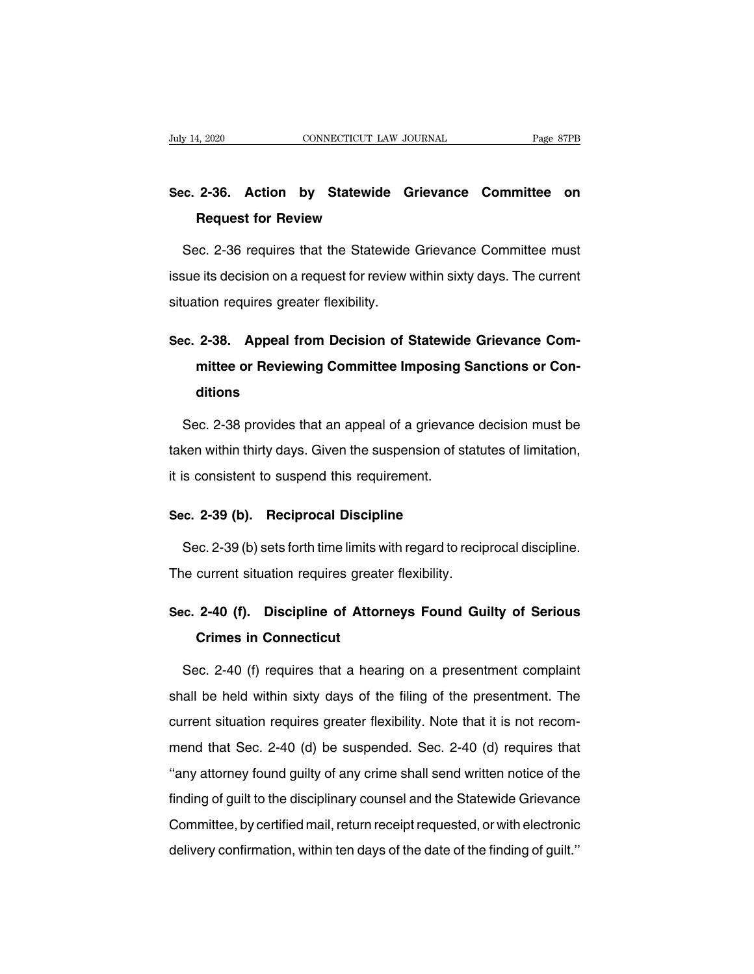## **Sec. 2-36. Action by Statewide Grievance Committee on Request for Review Statewide Gradien**<br> **Request for Review Statewide Gradiens Cratewide Crategory**<br> **Request for Review**

o. 2-36. Action by Statewide Grievance Committee on<br>Request for Review<br>Sec. 2-36 requires that the Statewide Grievance Committee must<br>sue its decision on a request for review within sixty days. The current Sec. 2-36. Action by Statewide Grievance Committee on<br>Request for Review<br>Sec. 2-36 requires that the Statewide Grievance Committee must<br>issue its decision on a request for review within sixty days. The current<br>situation re **Request for Review<br>Sec. 2-36 requires that the Statewide<br>issue its decision on a request for review v<br>situation requires greater flexibility.** Sec. 2-36 requires that the Statewide Grievance Committee must<br>
issue its decision on a request for review within sixty days. The current<br>
situation requires greater flexibility.<br>
Sec. 2-38. Appeal from Decision of Statewi

## **Franchiller is decision on a request for review within sixty days. The current tion requires greater flexibility.<br>
<b>2-38.** Appeal from Decision of Statewide Grievance Committee or Reviewing Committee Imposing Sanctions or **ditions** Sec. 2-38. Appeal from Decision of Statewide Grievance Committee or Reviewing Committee Imposing Sanctions or Conditions<br>Sec. 2-38 provides that an appeal of a grievance decision must be<br>sec. 2-38 provides that an appeal o

mittee or Reviewing Committee Imposing Sanctions or Conditions<br>Sec. 2-38 provides that an appeal of a grievance decision must be<br>taken within thirty days. Given the suspension of statutes of limitation,<br>it is consistent to ditions<br>Sec. 2-38 provides that an appeal of a grievance<br>taken within thirty days. Given the suspension of s<br>it is consistent to suspend this requirement. Sec. 2-38 provides that an appeal of a grievance<br>taken within thirty days. Given the suspension of state<br>it is consistent to suspend this requirement.<br>**Sec. 2-39 (b). Reciprocal Discipline**<br>Sec. 2-39 (b) sets forth time li

ken within thirty days. Given the suspension of statutes of limitation,<br>s consistent to suspend this requirement.<br>c. 2-39 (b). Reciprocal Discipline<br>Sec. 2-39 (b) sets forth time limits with regard to reciprocal discipline It is consistent to suspend this requirement.<br> **Sec. 2-39 (b). Reciprocal Discipline**<br>
Sec. 2-39 (b) sets forth time limits with regard to recip<br>
The current situation requires greater flexibility. **Sec. 2-39 (b). Reciprocal Discipline**<br>
Sec. 2-39 (b) sets forth time limits with regard to reciprocal discipline.<br>
The current situation requires greater flexibility.<br> **Sec. 2-40 (f). Discipline of Attorneys Found Guilty Crimes 1999 (b) sets forth time limits in Current situation requires great<br>
<b>2-40 (f). Discipline of Attor**<br> **Crimes in Connecticut**<br> **Crimes in Connecticut** 

ie current situation requires greater flexibility.<br>
C. 2-40 (f). Discipline of Attorneys Found Guilty of Serious<br>
Crimes in Connecticut<br>
Sec. 2-40 (f) requires that a hearing on a presentment complaint<br>
all be held within Sec. 2-40 (f). Discipline of Attorneys Found Guilty of Serious<br>Crimes in Connecticut<br>Sec. 2-40 (f) requires that a hearing on a presentment complaint<br>shall be held within sixty days of the filing of the presentment. The<br>cu **Crimes in Connecticut**<br>Sec. 2-40 (f) requires that a hearing on a presentment complaint<br>shall be held within sixty days of the filing of the presentment. The<br>current situation requires greater flexibility. Note that it is Sec. 2-40 (f) requires that a hearing on a presentment complaint<br>shall be held within sixty days of the filing of the presentment. The<br>current situation requires greater flexibility. Note that it is not recom-<br>mend that Se Shall be held within sixty days of the filing of a presentment. The<br>
current situation requires greater flexibility. Note that it is not recom-<br>
mend that Sec. 2-40 (d) be suspended. Sec. 2-40 (d) requires that<br>
"any attor Final is the disciplinary days of the limity of the presentation. The<br>current situation requires greater flexibility. Note that it is not recom-<br>mend that Sec. 2-40 (d) be suspended. Sec. 2-40 (d) requires that<br>"any attorn Example 1 and that Sec. 2-40 (d) be suspended. Sec. 2-40 (d) requires that<br>"any attorney found guilty of any crime shall send written notice of the<br>finding of guilt to the disciplinary counsel and the Statewide Grievance<br>C delivery confirmation, within ten days of the date of the finding of guilt to the disciplinary counsel and the Statewide Grievance<br>Committee, by certified mail, return receipt requested, or with electronic<br>delivery confir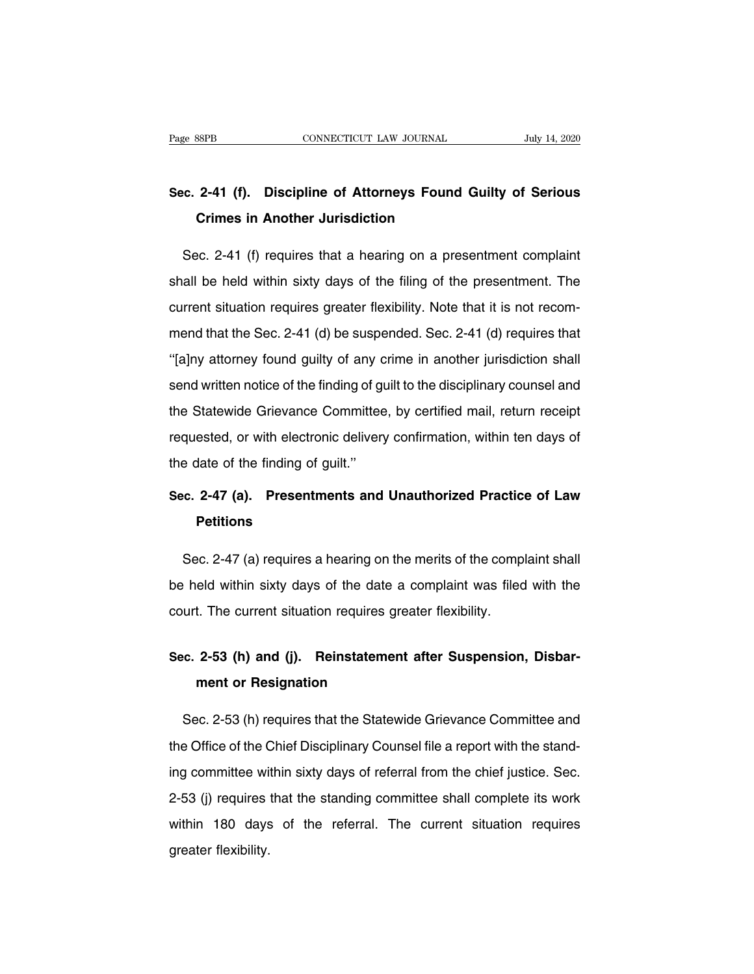## Page 88PB<br>
Sec. 2-41 (f). Discipline of Attorneys Found Guilty of Serious<br>
Crimes in Another Jurisdiction **CONNECTICUT LAW JOURNAL**<br> **C-41 (f). Discipline of Attorneys Found (**<br> **Crimes in Another Jurisdiction**

o. 2-41 (f). Discipline of Attorneys Found Guilty of Serious<br>Crimes in Another Jurisdiction<br>Sec. 2-41 (f) requires that a hearing on a presentment complaint<br>all be held within sixty days of the filing of the presentment. T Sec. 2-41 (f). Discipline of Attorneys Found Guilty of Serious<br>Crimes in Another Jurisdiction<br>Sec. 2-41 (f) requires that a hearing on a presentment complaint<br>shall be held within sixty days of the filing of the presentmen Crimes in Another Jurisdiction<br>Sec. 2-41 (f) requires that a hearing on a presentment complaint<br>shall be held within sixty days of the filing of the presentment. The<br>current situation requires greater flexibility. Note tha Sec. 2-41 (f) requires that a hearing on a presentment complaint<br>shall be held within sixty days of the filing of the presentment. The<br>current situation requires greater flexibility. Note that it is not recom-<br>mend that th Shall be held within sixty days of the filing of the presentment. The current situation requires greater flexibility. Note that it is not recommend that the Sec. 2-41 (d) be suspended. Sec. 2-41 (d) requires that "[a]ny at shall be first million requires greater flexibility. Note that it is not recom-<br>mend that the Sec. 2-41 (d) be suspended. Sec. 2-41 (d) requires that<br>"[a]ny attorney found guilty of any crime in another jurisdiction shall<br> the State Committee Grievance Grievance Committee, by certified mail, return receipt<br>relative fially attorney found guilty of any crime in another jurisdiction shall<br>send written notice of the finding of guilt to the disci "[a]ny attorney found guilty of any crime in another jurisdiction shall<br>
send written notice of the finding of guilt to the disciplinary counsel and<br>
the Statewide Grievance Committee, by certified mail, return receipt<br>
r the date of the finding of guiltern points and written notice of the finding of g<br>the Statewide Grievance Committee<br>requested, or with electronic deliver<br>the date of the finding of guilt."<br>Sec. 2-47 (a) Presentments and the Statewide Grievance Committee, by certified mail, return receipt<br>requested, or with electronic delivery confirmation, within ten days of<br>the date of the finding of guilt."<br>Sec. 2-47 (a). Presentments and Unauthorized P

## **Petitions**

e date of the finding of guilt."<br> **C. 2-47 (a).** Presentments and Unauthorized Practice of Law<br>
Petitions<br>
Sec. 2-47 (a) requires a hearing on the merits of the complaint shall<br>
held within sixty days of the date a complai Sec. 2-47 (a). Presentments and Unauthorized Practice of Law<br>Petitions<br>Sec. 2-47 (a) requires a hearing on the merits of the complaint shall<br>be held within sixty days of the date a complaint was filed with the<br>court. The c **Petitions**<br>Sec. 2-47 (a) requires a hearing on the merits of the comp<br>be held within sixty days of the date a complaint was filed<br>court. The current situation requires greater flexibility. Sec. 2-4/ (a) requires a hearing on the merits of the complaint shall<br>be held within sixty days of the date a complaint was filed with the<br>court. The current situation requires greater flexibility.<br>**Sec. 2-53 (h) and (j).** 

# eld within sixty days of the date a<br> **t.** The current situation requires group<br> **2-53 (h) and (j). Reinstatement or Resignation**

ec. 2-53 (h) and (j). Reinstatement after Suspension, Disbarment or Resignation<br>Sec. 2-53 (h) requires that the Statewide Grievance Committee and<br>e Office of the Chief Disciplinary Counsel file a report with the stand-Sec. 2-53 (h) and (j). Reinstatement after Suspension, Disbarment or Resignation<br>
Sec. 2-53 (h) requires that the Statewide Grievance Committee and<br>
the Office of the Chief Disciplinary Counsel file a report with the stand ment or Resignation<br>Sec. 2-53 (h) requires that the Statewide Grievance Committee and<br>the Office of the Chief Disciplinary Counsel file a report with the stand-<br>ing committee within sixty days of referral from the chief ju Sec. 2-53 (h) requires that the Statewide Grievance Committee and<br>the Office of the Chief Disciplinary Counsel file a report with the stand-<br>ing committee within sixty days of referral from the chief justice. Sec.<br>2-53 (j) the Office of the Chief Disciplinary Counsel file a report with the stand-<br>ing committee within sixty days of referral from the chief justice. Sec.<br>2-53 (j) requires that the standing committee shall complete its work<br>with are since of the computer the computer of the set of 2-53 (j) requires<br>within 180 days greater flexibility.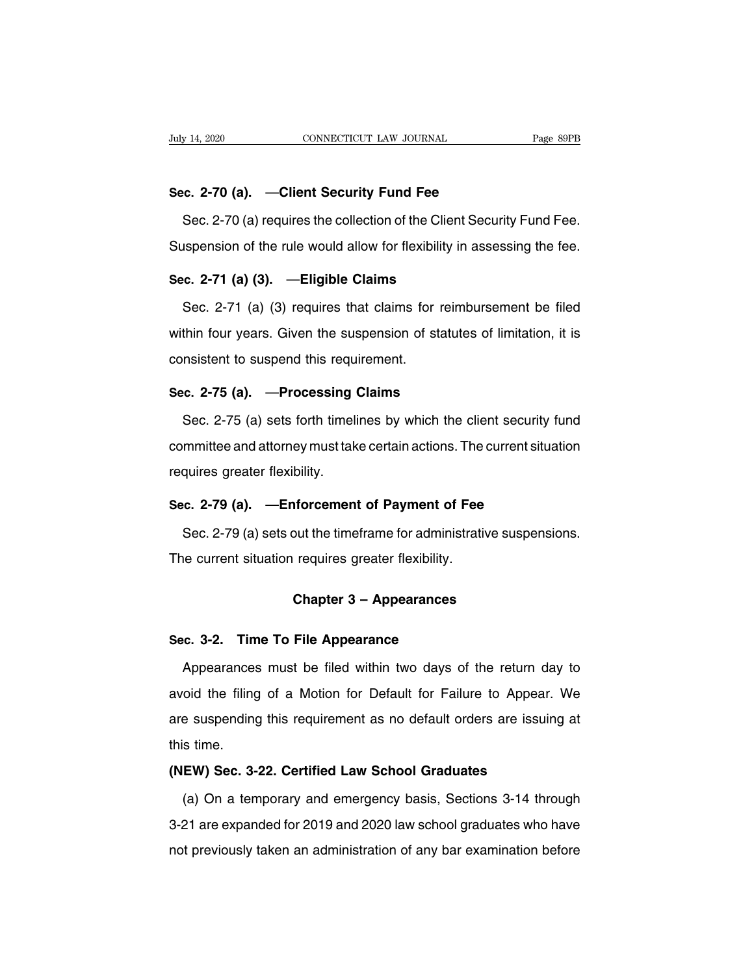**Sec. 2-70 (a).** —**Client Security Fund Fee** Sec. 2-70 (a). CONNECTICUT LAW JOURNAL Page 89PB<br>
Sec. 2-70 (a). Client Security Fund Fee<br>
Sec. 2-70 (a) requires the collection of the Client Security Fund Fee.<br>
Sec. 2-70 (a) requires the collection of the Client Securit Sec. 2-70 (a). —Client Security Fund Fee<br>Sec. 2-70 (a) requires the collection of the Client Security Fund Fee.<br>Suspension of the rule would allow for flexibility in assessing the fee.<br>Sec. 2-71 (a) (3) —Fligible Claims **Sec. 2-70 (a).** —**Client Security Fund Fee**<br>
Sec. 2-70 (a) requires the collection of the Client<br>
Suspension of the rule would allow for flexibility in<br> **Sec. 2-71 (a) (3).** —**Eligible Claims**<br>
Sec. 2-71 (a) (3) requires

Sec. 2-70 (a) requires the collection of the Client Security Fund Fee.<br>spension of the rule would allow for flexibility in assessing the fee.<br>c. 2-71 (a) (3). —Eligible Claims<br>Sec. 2-71 (a) (3) requires that claims for rei Suspension of the rule would allow for flexibility in assessing the fee.<br>
Sec. 2-71 (a) (3). —Eligible Claims<br>
Sec. 2-71 (a) (3) requires that claims for reimbursement be filed<br>
within four years. Given the suspension of s Sec. 2-71 (a) (3). — Eligible Claims<br>Sec. 2-71 (a) (3) requires that claims for<br>within four years. Given the suspension of st<br>consistent to suspend this requirement.<br>Sec. 2-75 (a). — Processing Claims Sec. 2-71 (a) (3) requires that claims for reim<br>within four years. Given the suspension of statute<br>consistent to suspend this requirement.<br>**Sec. 2-75 (a).** —**Processing Claims**<br>Sec. 2-75 (a) sets forth timelines by which t thin four years. Given the suspension of statutes of limitation, it is<br>nsistent to suspend this requirement.<br>c. 2-75 (a). —Processing Claims<br>Sec. 2-75 (a) sets forth timelines by which the client security fund<br>mmittee and

consistent to suspend this requirement.<br>
Sec. 2-75 (a). —Processing Claims<br>
Sec. 2-75 (a) sets forth timelines by which the client security fund<br>
committee and attorney must take certain actions. The current situation<br>
req Sec. 2-75 (a). —Processing<br>Sec. 2-75 (a) sets forth timeli<br>committee and attorney must tak<br>requires greater flexibility.<br>Sec. 2-79 (a). —Enforcement Sec. 2-75 (a) sets forth timelines by which the client security<br>committee and attorney must take certain actions. The current situ<br>requires greater flexibility.<br>**Sec. 2-79 (a).** —**Enforcement of Payment of Fee**<br>Sec. 2-79 ( mmittee and attorney must take certain actions. The current situation<br>quires greater flexibility.<br>c. 2-79 (a). —Enforcement of Payment of Fee<br>Sec. 2-79 (a) sets out the timeframe for administrative suspensions.<br>le current

requires greater flexibility.<br>Sec. 2-79 (a). —Enforcement of Payment of Fee<br>Sec. 2-79 (a) sets out the timeframe for administrativ<br>The current situation requires greater flexibility. **nforcement of Payment of Fee**<br>
but the timeframe for administrative sus<br>
requires greater flexibility.<br>
Chapter 3 – Appearances The current situation requires greater flexibility.<br> **Chapter 3 – Appearances**<br> **Sec. 3-2. Time To File Appearance**<br>
Appearances must be filed within two days of

Chapter 3 – Appearances<br>
Appearances must be filed within two days of the return day to<br>
Doid the filing of a Motion for Default for Failure to Appear. We Chapter 3 – Appearances<br>Sec. 3-2. Time To File Appearance<br>Appearances must be filed within two days of the return day to<br>avoid the filing of a Motion for Default for Failure to Appear. We<br>are suspending this requirement as Sec. 3-2. Time To File Appearance<br>Appearances must be filed within two days of the return day to<br>avoid the filing of a Motion for Default for Failure to Appear. We<br>are suspending this requirement as no default orders are i Sec. 3-2. Time To File Appearance<br>Appearances must be filed within two days of the return day to<br>avoid the filing of a Motion for Default for Failure to Appear. We<br>are suspending this requirement as no default orders are i Expedianced matrice meanwhilf we days of the fotall data<br>avoid the filing of a Motion for Default for Failure to Appear.<br>are suspending this requirement as no default orders are issuin<br>this time.<br>**(NEW) Sec. 3-22. Certifie** e suspending this requirement as no default orders are issuing at<br> **EW) Sec. 3-22. Certified Law School Graduates**<br>
(a) On a temporary and emergency basis, Sections 3-14 through<br>
21 are expanded for 2019 and 2020 law schoo

this time.<br>
(NEW) Sec. 3-22. Certified Law School Graduates<br>
(a) On a temporary and emergency basis, Sections 3-14 through<br>
3-21 are expanded for 2019 and 2020 law school graduates who have<br>
not previously taken an adminis (NEW) Sec. 3-22. Certified Law School Graduates<br>
(a) On a temporary and emergency basis, Sections 3-14 through<br>
3-21 are expanded for 2019 and 2020 law school graduates who have<br>
not previously taken an administration of a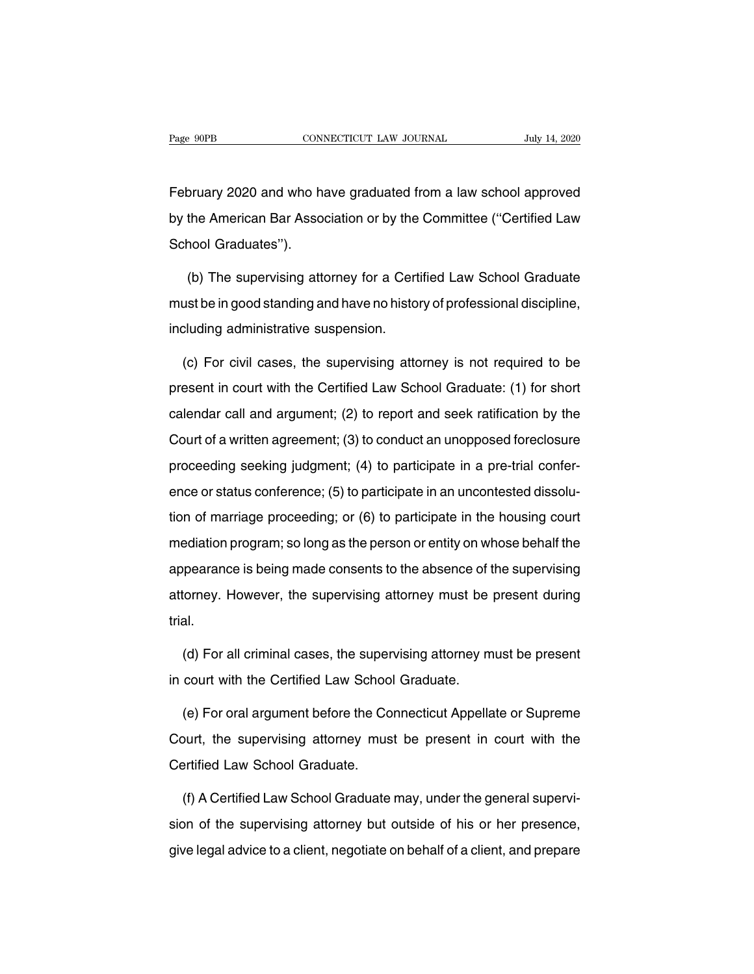Fage 90PB<br>
CONNECTICUT LAW JOURNAL<br>
February 2020 and who have graduated from a law school approved<br>
by the American Bar Association or by the Committee ("Certified Law Page 90PB CONNECTICUT LAW JOURNAL July 14, 2020<br>
February 2020 and who have graduated from a law school approved<br>
by the American Bar Association or by the Committee ("Certified Law<br>
School Graduates"). February 2020 and who has<br>by the American Bar Assoc<br>School Graduates'').<br>(b) The supervising after oruary 2020 and who have graduated from a law school approved<br>the American Bar Association or by the Committee ("Certified Law<br>nool Graduates").<br>(b) The supervising attorney for a Certified Law School Graduate<br>st be in goo

by the American Bar Association or by the Committee ("Certified Law<br>School Graduates").<br>(b) The supervising attorney for a Certified Law School Graduate<br>must be in good standing and have no history of professional discipli School Graduates").<br>
(b) The supervising attorney for a Certified Law School Graduate<br>
must be in good standing and have no history of professional discipline,<br>
including administrative suspension.<br>
(c) For civil cases, th (b) The supervising attorney for a Certified Law School Graduate<br>ust be in good standing and have no history of professional discipline,<br>cluding administrative suspension.<br>(c) For civil cases, the supervising attorney is n

must be in good standing and have no history of professional discipline,<br>including administrative suspension.<br>(c) For civil cases, the supervising attorney is not required to be<br>present in court with the Certified Law Scho including administrative suspension.<br>
(c) For civil cases, the supervising attorney is not required to be<br>
present in court with the Certified Law School Graduate: (1) for short<br>
calendar call and argument; (2) to report a (c) For civil cases, the supervising attorney is not required to be<br>present in court with the Certified Law School Graduate: (1) for short<br>calendar call and argument; (2) to report and seek ratification by the<br>Court of a w present in court with the Certified Law School Graduate: (1) for short calendar call and argument; (2) to report and seek ratification by the Court of a written agreement; (3) to conduct an unopposed foreclosure proceedin ence or status conference; (5) to report and seek ratification by the<br>Court of a written agreement; (3) to conduct an unopposed foreclosure<br>proceeding seeking judgment; (4) to participate in a pre-trial confer-<br>ence or sta Court of a written agreement; (3) to conduct an unopposed foreclosure<br>proceeding seeking judgment; (4) to participate in a pre-trial confer-<br>ence or status conference; (5) to participate in an uncontested dissolu-<br>tion of proceeding seeking judgment; (4) to participate in a pre-trial conference or status conference; (5) to participate in an uncontested dissolution of marriage proceeding; or (6) to participate in the housing court mediation ence or status conference; (5) to participate in an uncontested dissolution of marriage proceeding; or (6) to participate in the housing court mediation program; so long as the person or entity on whose behalf the appearan ation of marriage proceeding; or (6) to participate in an anotheored discolation of marriage proceeding; or (6) to participate in the housing court mediation program; so long as the person or entity on whose behalf the app trial. pearance is being made consents to the absence of the supervising<br>torney. However, the supervising attorney must be present during<br>al.<br>(d) For all criminal cases, the supervising attorney must be present<br>court with the Cer attorney. However, the supervising attorney must be<br>trial.<br>(d) For all criminal cases, the supervising attorney m<br>in court with the Certified Law School Graduate.<br>(e) For oral argument before the Connecticut Appells

(d) For all criminal cases, the supervising attorney must be present<br>court with the Certified Law School Graduate.<br>(e) For oral argument before the Connecticut Appellate or Supreme<br>purt, the supervising attorney must be pr (d) For all criminal cases, the supervising attorney must be present<br>in court with the Certified Law School Graduate.<br>(e) For oral argument before the Connecticut Appellate or Supreme<br>Court, the supervising attorney must b in court with the Certified Law Schoo<br>
(e) For oral argument before the Co<br>
Court, the supervising attorney mus<br>
Certified Law School Graduate.<br>
(f) A Certified Law School Graduate (e) For oral argument before the Connecticut Appellate or Supreme<br>burt, the supervising attorney must be present in court with the<br>ertified Law School Graduate.<br>(f) A Certified Law School Graduate may, under the general su

Court, the supervising attorney must be present in court with the<br>Certified Law School Graduate.<br>(f) A Certified Law School Graduate may, under the general supervi-<br>sion of the supervising attorney but outside of his or he Certified Law School Graduate.<br>
(f) A Certified Law School Graduate may, under the general supervision of the supervising attorney but outside of his or her presence,<br>
give legal advice to a client, negotiate on behalf of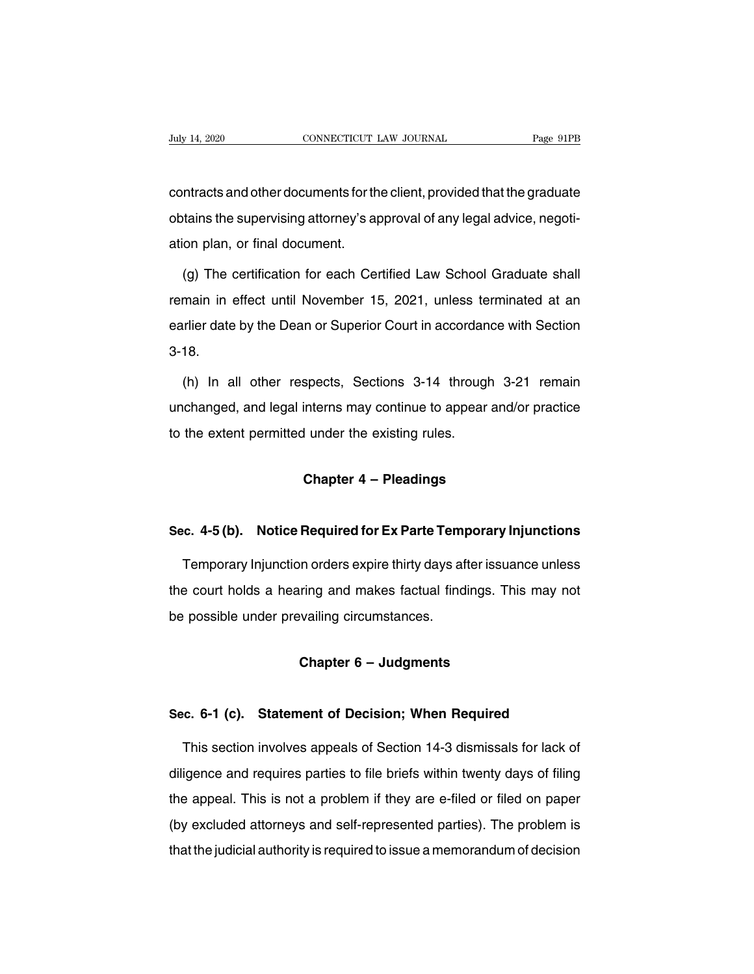Figure 2020<br>CONNECTICUT LAW JOURNAL Page 91PB<br>Contracts and other documents for the client, provided that the graduate<br>Obtains the supervising attorney's approval of any legal advice, negoti-July 14, 2020 CONNECTICUT LAW JOURNAL Page 91PB<br>
contracts and other documents for the client, provided that the graduate<br>
obtains the supervising attorney's approval of any legal advice, negoti-<br>
ation plan, or final docu contracts and other documents for the<br>obtains the supervising attorney's ap<br>ation plan, or final document.<br>(a) The certification for each Ce ntracts and other documents for the client, provided that the graduate<br>tains the supervising attorney's approval of any legal advice, negoti-<br>on plan, or final document.<br>(g) The certification for each Certified Law School

obtains the supervising attorney's approval of any legal advice, negotiation plan, or final document.<br>
(g) The certification for each Certified Law School Graduate shall<br>
remain in effect until November 15, 2021, unless te earlier date by the Dean or Superior Court in accordance with Section<br>3-18.<br>2021, unless terminated at an<br>3-18. 3-18. (main in effect until November 15, 2021, unless terminated at an<br>
unitier date by the Dean or Superior Court in accordance with Section<br>
18.<br>
(h) In all other respects, Sections 3-14 through 3-21 remain<br>
changed, and legal

earlier date by the Dean or Superior Court in accordance with Section<br>3-18.<br>(h) In all other respects, Sections 3-14 through 3-21 remain<br>unchanged, and legal interns may continue to appear and/or practice<br>to the extent per 3-18.<br>(h) In all other respects, Sections 3-14 through<br>unchanged, and legal interns may continue to appear<br>to the extent permitted under the existing rules. spects, Sections 3-14 through 3-<br>interns may continue to appear and<br>I under the existing rules.<br>**Chapter 4 – Pleadings** 

# **Sec. 4-5 (b). Notice Required for Ex Parte Temporary Injunctions**<br> **Sec. 4-5 (b). Notice Required for Ex Parte Temporary Injunctions**<br> **Temporary Injunction erders expire thirty days after issuance upless**

Chapter 4 – Pleadings<br>
C. 4-5 (b). Notice Required for Ex Parte Temporary Injunctions<br>
Temporary Injunction orders expire thirty days after issuance unless<br>
Export holds a hearing and makes factual findings. This may not Sec. 4-5 (b). Notice Required for Ex Parte Temporary Injunctions<br>Temporary Injunction orders expire thirty days after issuance unless<br>the court holds a hearing and makes factual findings. This may not<br>be possible under pre Sec. 4-5 (b). Notice Required for Ex Parte Temp<br>Temporary Injunction orders expire thirty days af<br>the court holds a hearing and makes factual find<br>be possible under prevailing circumstances. **Chapter 6 – Judgments**<br>
Chapter 6 – Judgments<br>
Chapter 6 – Judgments

# **Sec. 6-1 (c). Statement of Decision; When Required**<br>This section involves anneals of Section 14-3 dismissals for lack of

Chapter 6 – Judgments<br>
Example 15 Co. 6-1 (c). Statement of Decision; When Required<br>
This section involves appeals of Section 14-3 dismissals for lack of<br>
igence and requires parties to file briefs within twenty days of fi Sec. 6-1 (c). Statement of Decision; When Required<br>This section involves appeals of Section 14-3 dismissals for lack of<br>diligence and requires parties to file briefs within twenty days of filing<br>the appeal. This is not a p Sec. 6-1 (c). Statement of Decision; When Required<br>This section involves appeals of Section 14-3 dismissals for lack of<br>diligence and requires parties to file briefs within twenty days of filing<br>the appeal. This is not a p This section involves appeals of Section 14-3 dismissals for lack of diligence and requires parties to file briefs within twenty days of filing the appeal. This is not a problem if they are e-filed or filed on paper (by ex This section involves appeals of Section 14-3 dismissals for lack of diligence and requires parties to file briefs within twenty days of filing the appeal. This is not a problem if they are e-filed or filed on paper (by ex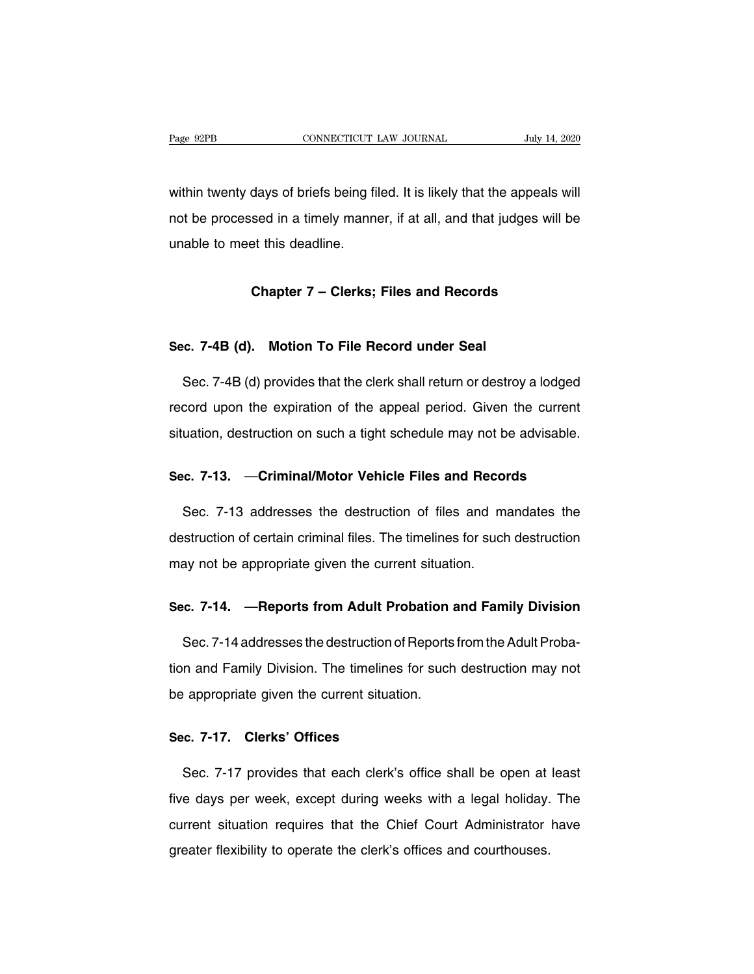Page 92PB<br>
CONNECTICUT LAW JOURNAL<br>
Within twenty days of briefs being filed. It is likely that the appeals will<br>
not be processed in a timely manner, if at all, and that judges will be Page 92PB CONNECTICUT LAW JOURNAL July 14, 2020<br>within twenty days of briefs being filed. It is likely that the appeals will<br>not be processed in a timely manner, if at all, and that judges will be<br>unable to meet this deadl within twenty days of briefs being fi<br>not be processed in a timely manner<br>unable to meet this deadline. Chapter 7 – Clerks; Files and Records<br>
Chapter 7 – Clerks; Files and Records<br>
Chapter 7 – Clerks; Files and Records

# **Sec. 7-4B (d). Motion To File Record under Seal**<br>Sec. 7-4B (d). Motion To File Record under Seal

Chapter 7 – Clerks; Files and Records<br>
Sec. 7-4B (d). Motion To File Record under Seal<br>
Sec. 7-4B (d) provides that the clerk shall return or destroy a lodged<br>
cord upon the expiration of the appeal period. Given the curre Sec. 7-4B (d). Motion To File Record under Seal<br>Sec. 7-4B (d) provides that the clerk shall return or destroy a lodged<br>record upon the expiration of the appeal period. Given the current<br>situation, destruction on such a tig Sec. 7-4B (d). Motion To File Record under Seal<br>Sec. 7-4B (d) provides that the clerk shall return or destroy a lodged<br>record upon the expiration of the appeal period. Given the current<br>situation, destruction on such a tig Sec. 7-4B (d) provides that the clerk shall return or destroy a lodged<br>record upon the expiration of the appeal period. Given the current<br>situation, destruction on such a tight schedule may not be advisable.<br>**Sec. 7-13.** —

Sec. 1998. The expansion of the deplacement of the destruction and the destruction of such a tight schedule may not be advisable.<br>
Sec. 7-13. —Criminal/Motor Vehicle Files and Records<br>
Sec. 7-13 addresses the destruction o Sec. 7-13. — Criminal/Motor Vehicle Files and Records<br>Sec. 7-13 addresses the destruction of files and mandates the<br>destruction of certain criminal files. The timelines for such destruction<br>may not be appropriate given the Sec. 7-13. — Criminal/Motor Vehicle Files and Recor<br>Sec. 7-13 addresses the destruction of files and mateus destruction of certain criminal files. The timelines for such<br>may not be appropriate given the current situation. Sec. 7-13 addresses the destruction of files and mandates the<br>destruction of certain criminal files. The timelines for such destruction<br>may not be appropriate given the current situation.<br>Sec. 7-14. —**Reports from Adult Pr** 

Sec. 7-14. — Reports from Adult Probation and Family Division<br>Sec. 7-14. — Reports from Adult Probation and Family Division<br>Sec. 7-14 addresses the destruction of Reports from the Adult Proba-<br>n and Family Division. The ti Sec. 7-14. — Reports from Adult Probation and Family Division.<br>Sec. 7-14 addresses the destruction of Reports from the Adult Proba-<br>tion and Family Division. The timelines for such destruction may not<br>be appropriate given Sec. 7-14. — Reports from Adult Probation a<br>Sec. 7-14 addresses the destruction of Reports<br>tion and Family Division. The timelines for such<br>be appropriate given the current situation. Sec. 7-14 addresses the destruction of<br>tion and Family Division. The timelines<br>be appropriate given the current situation<br>Sec. 7-17. Clerks' Offices

Sec. 7-17. Clerks' Offices<br>Sec. 7-17. Clerks' Offices<br>Sec. 7-17 provides that each clerk's office shall be open at least<br>e days per week, except during weeks with a legal holiday. The Sec. 7-17. Clerks' Offices<br>Sec. 7-17 provides that each clerk's office shall be open at least<br>five days per week, except during weeks with a legal holiday. The<br>current situation requires that the Chief Court Administrator Sec. 7-17. Clerks' Offices<br>Sec. 7-17 provides that each clerk's office shall be open at least<br>five days per week, except during weeks with a legal holiday. The<br>current situation requires that the Chief Court Administrator Sec. 7-17 provides that each clerk's office shall be open at least<br>five days per week, except during weeks with a legal holiday. The<br>current situation requires that the Chief Court Administrator have<br>greater flexibility to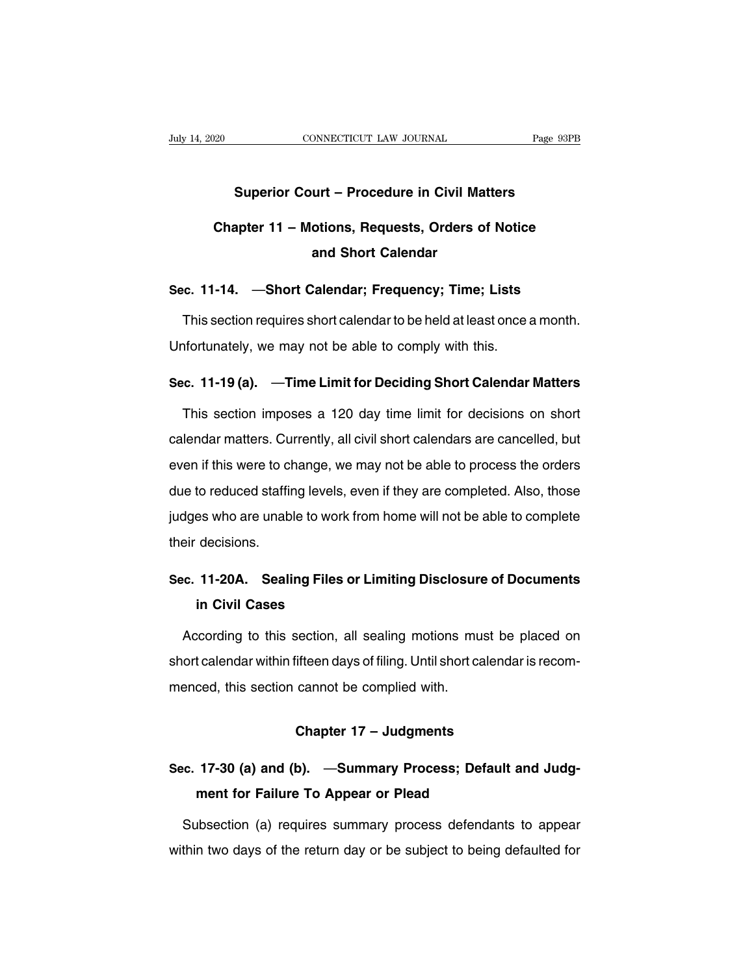## CONNECTICUT LAW JOURNAL Page 93PB<br> **Superior Court – Procedure in Civil Matters**<br> **Superior Court – Procedure in Civil Matters CONNECTICUT LAW JOURNAL** Page 93PB<br> **Chapter 11 – Motions, Requests, Orders of Notice**<br> **Chapter 11 – Motions, Requests, Orders of Notice**<br> **and Short Calendar** urt – Procedure in Civil Ma<br>Thomas, Requests, Orders of<br>Alendar Frequester Time Superior Court – Procedure in Civil Matters<br>Chapter 11 – Motions, Requests, Orders of Notice<br>and Short Calendar<br>Sec. 11-14. —Short Calendar; Frequency; Time; Lists<br>This section requires short calendar to be held at least o

Chapter 11 – Motions, Requests, Orders of Notice<br>and Short Calendar<br>c. 11-14. —Short Calendar; Frequency; Time; Lists<br>This section requires short calendar to be held at least once a month.<br>hfortunately, we may not be able and Short Calendar<br>Sec. 11-14. —Short Calendar; Frequency; Time; Lists<br>This section requires short calendar to be held at least once a<br>Unfortunately, we may not be able to comply with this. Sec. 11-14. —Short Calendar; Frequency; Time; Lists<br>
This section requires short calendar to be held at least once a month.<br>
Unfortunately, we may not be able to comply with this.<br>
Sec. 11-19 (a). —Time Limit for Deciding

This section requires short calendar to be held at least once a month.<br>nfortunately, we may not be able to comply with this.<br>c. 11-19 (a). —Time Limit for Deciding Short Calendar Matters<br>This section imposes a 120 day time Unfortunately, we may not be able to comply with this.<br>Sec. 11-19 (a). —Time Limit for Deciding Short Calendar Matters<br>This section imposes a 120 day time limit for decisions on short<br>calendar matters. Currently, all civil Sec. 11-19 (a). —Time Limit for Deciding Short Calendar Matters<br>This section imposes a 120 day time limit for decisions on short<br>calendar matters. Currently, all civil short calendars are cancelled, but<br>even if this were t This section imposes a 120 day time limit for decisions on short<br>calendar matters. Currently, all civil short calendars are cancelled, but<br>even if this were to change, we may not be able to process the orders<br>due to reduce rms socion imposes a 125 day and mint for decisions on chord<br>calendar matters. Currently, all civil short calendars are cancelled, but<br>even if this were to change, we may not be able to process the orders<br>due to reduced st Examinar matters. But<br>
due to reduced staffir<br>
judges who are unab<br>
their decisions. due to reduced staffing levels, even if they are completed. Also, those judges who are unable to work from home will not be able to complete their decisions.<br>Sec. 11-20A. Sealing Files or Limiting Disclosure of Documents<br>i **in Civil Cases**<br>**in Civil Cases**<br>**in Civil Cases**<br>**in Civil Cases**<br>**cording to this section, all** 

eir decisions.<br> **Ec. 11-20A. Sealing Files or Limiting Disclosure of Documents<br>
in Civil Cases**<br>
According to this section, all sealing motions must be placed on<br>
ort calendar within fifteen days of filing. Until short cal Sec. 11-20A. Sealing Files or Limiting Disclosure of Documents<br>in Civil Cases<br>According to this section, all sealing motions must be placed on<br>short calendar within fifteen days of filing. Until short calendar is recom-<br>me in Civil Cases<br>According to this section, all sealing motions mu<br>short calendar within fifteen days of filing. Until short ca<br>menced, this section cannot be complied with. **Chapter 17 – Judgments**<br> **Chapter 17 – Judgments**<br> **Chapter 17 – Judgments** 

## menced, this section cannot be complied with.<br> **Chapter 17 – Judgments**<br>
Sec. 17-30 (a) and (b). —Summary Process; Default and Judg-<br>
ment for Failure To Appear or Plead **Chapter 17 – Judgments<br>17-30 (a) and (b). —Summary Process; Defaul<br>ment for Failure To Appear or Plead<br>physical (a) requires summary process defendant**

Chapter 17 – Judgments<br>
Subsection (a) and (b). —Summary Process; Default and Judg-<br>
ment for Failure To Appear or Plead<br>
Subsection (a) requires summary process defendants to appear<br>
thin two days of the return day or be Sec. 17-30 (a) and (b). —Summary Process; Default and Judg-<br>ment for Failure To Appear or Plead<br>Subsection (a) requires summary process defendants to appear<br>within two days of the return day or be subject to being defaulte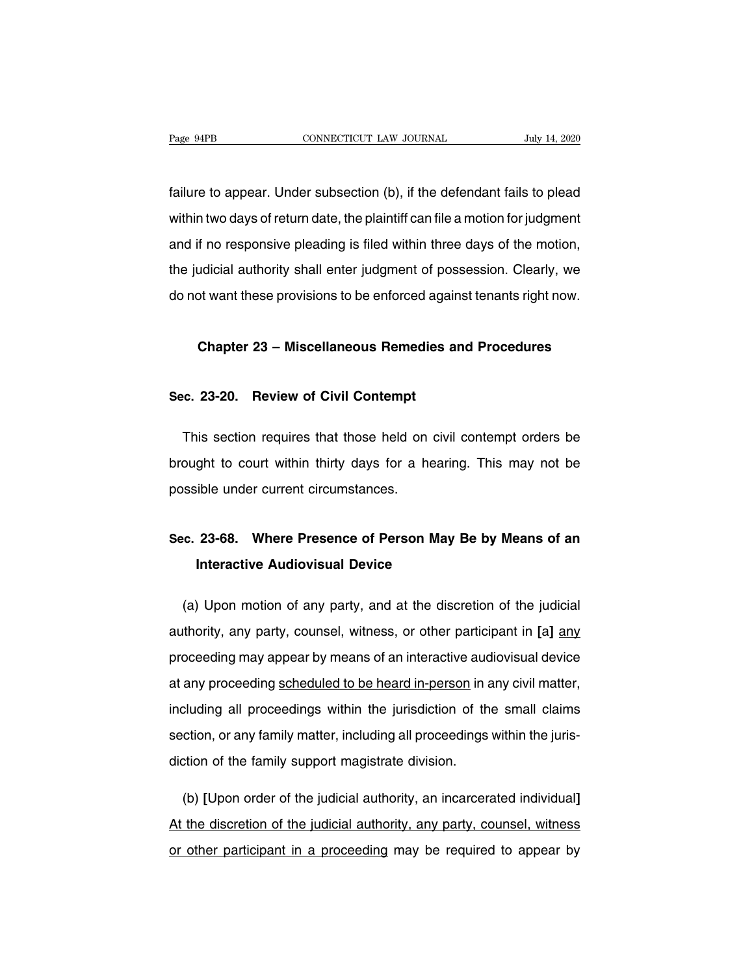failure to appear. Under subsection (b), if the defendant fails to plead Page 94PB CONNECTICUT LAW JOURNAL July 14, 2020<br>
failure to appear. Under subsection (b), if the defendant fails to plead<br>
within two days of return date, the plaintiff can file a motion for judgment<br>
and if no responsive failure to appear. Under subsection (b), if the defendant fails to plead<br>within two days of return date, the plaintiff can file a motion for judgment<br>and if no responsive pleading is filed within three days of the motion,<br> failure to appear. Under subsection (b), if the defendant fails to plead<br>within two days of return date, the plaintiff can file a motion for judgment<br>and if no responsive pleading is filed within three days of the motion,<br> do not want these provisions to be enforced against tenants right now.<br>And if no responsive pleading is filed within three days of the motion,<br>the judicial authority shall enter judgment of possession. Clearly, we<br>do not w Let the responsive pieading to the whill three days of the motion,<br>udicial authority shall enter judgment of possession. Clearly, we<br>of want these provisions to be enforced against tenants right now.<br>**Chapter 23 – Miscella** 

# **Chapter 23 – Miscellaneous Remedies a**<br>**Sec. 23-20. Review of Civil Contempt**

Chapter 23 – Miscellaneous Remedies and Procedures<br>
.c. 23-20. Review of Civil Contempt<br>
This section requires that those held on civil contempt orders be<br>
ought to court within thirty days for a hearing. This may not be Sec. 23-20. Review of Civil Contempt<br>This section requires that those held on civil contempt orders be<br>brought to court within thirty days for a hearing. This may not be<br>possible under current circumstances. Sec. 23-20. Review of Civil Contempt<br>This section requires that those held on<br>brought to court within thirty days for a ha<br>possible under current circumstances. Fins section requires that those held on civil contempt ofders be<br>brought to court within thirty days for a hearing. This may not be<br>possible under current circumstances.<br>Sec. 23-68. Where Presence of Person May Be by Mean

# **Interactive Audiovisual Device Audiovisual Device**<br> **Interactive Audiovisual Device**<br> **Interactive Audiovisual Device**

inc. 23-68. Where Presence of Person May Be by Means of an<br>Interactive Audiovisual Device<br>(a) Upon motion of any party, and at the discretion of the judicial<br>Ithority, any party, counsel, witness, or other participant in [ **acc. 23-68. Where Presence of Person May Be by Means of an<br>Interactive Audiovisual Device<br>(a) Upon motion of any party, and at the discretion of the judicial<br>authority, any party, counsel, witness, or other participant in** Interactive Audiovisual Device<br>
(a) Upon motion of any party, and at the discretion of the judicial<br>
authority, any party, counsel, witness, or other participant in [a] any<br>
proceeding may appear by means of an interactive (a) Upon motion of any party, and at the discretion of the judicial<br>authority, any party, counsel, witness, or other participant in [a] any<br>proceeding may appear by means of an interactive audiovisual device<br>at any proceed authority, any party, counsel, witness, or other participant in [a] any<br>proceeding may appear by means of an interactive audiovisual device<br>at any proceeding scheduled to be heard in-person in any civil matter,<br>including a search, any party, coalisel, indiced, or caller participant in [a] any<br>proceeding may appear by means of an interactive audiovisual device<br>at any proceeding scheduled to be heard in-person in any civil matter,<br>including al at any proceeding scheduled to be heard in-person in a<br>including all proceedings within the jurisdiction of th<br>section, or any family matter, including all proceedings<br>diction of the family support magistrate division. Internal proceedings within the jurisdiction of the small claims<br>
(b), or any family matter, including all proceedings within the juris-<br>
(b) [Upon order of the judicial authority, an incarcerated individual]<br>
the discreti

section, or any family matter, including all proceedings within the juris-<br>diction of the family support magistrate division.<br>(b) [Upon order of the judicial authority, an incarcerated individual]<br>At the discretion of the diction of the family support magistrate division.<br>
(b) [Upon order of the judicial authority, an incarcerated individual]<br>
At the discretion of the judicial authority, any party, counsel, witness<br>
or other participant in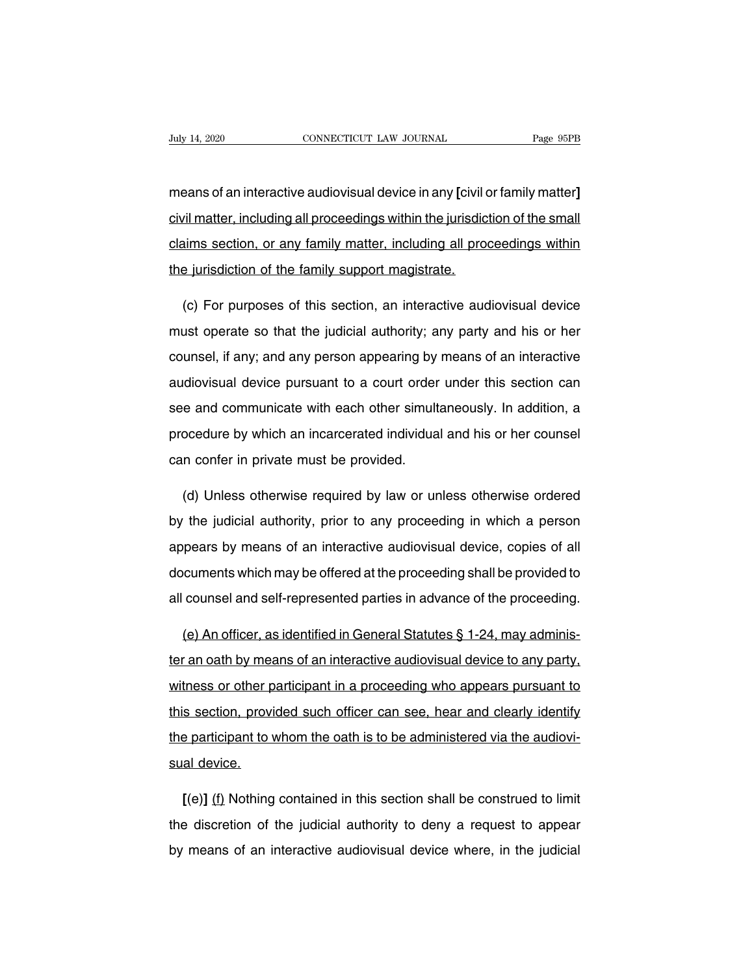Fage 95PB<br>means of an interactive audiovisual device in any **[**civil or family matter**]**<br>civil matter, including all proceedings within the jurisdiction of the small CONNECTICUT LAW JOURNAL Page 95PB<br>means of an interactive audiovisual device in any [civil or family matter]<br>civil matter, including all proceedings within the jurisdiction of the small<br>claims section, or any family matter means of an interactive audiovisual device in any [civil or family matter]<br>civil matter, including all proceedings within the jurisdiction of the small<br>claims section, or any family matter, including all proceedings within means of an interactive audiovisual device in any [civil dotation of the family matter, including all production of the family support magistrate. vil matter, including all proceedings within the jurisdiction of the small<br>aims section, or any family matter, including all proceedings within<br>e jurisdiction of the family support magistrate.<br>(c) For purposes of this sect

claims section, or any family matter, including all proceedings within<br>the jurisdiction of the family support magistrate.<br>(c) For purposes of this section, an interactive audiovisual device<br>must operate so that the judicia the jurisdiction of the family support magistrate.<br>
(c) For purposes of this section, an interactive audiovisual device<br>
must operate so that the judicial authority; any party and his or her<br>
counsel, if any; and any perso (c) For purposes of this section, an interactive audiovisual device<br>must operate so that the judicial authority; any party and his or her<br>counsel, if any; and any person appearing by means of an interactive<br>audiovisual dev (c) Tor parpecee of this econom, an interactive didiovidual device<br>must operate so that the judicial authority; any party and his or her<br>counsel, if any; and any person appearing by means of an interactive<br>audiovisual devi procedure by and any person appearing by means of an interactive audiovisual device pursuant to a court order under this section can see and communicate with each other simultaneously. In addition, a procedure by which an coursol, if any, and any person appearing by<br>audiovisual device pursuant to a court order<br>see and communicate with each other simult<br>procedure by which an incarcerated individua<br>can confer in private must be provided. (d) Unless otherwise required by law or unless otherwise ordered<br>
(d) Unless otherwise required by law or unless otherwise ordered<br>
(d) Unless otherwise required by law or unless otherwise ordered<br>
the judicial authority,

procedure by which an incarcerated individual and his or her counsel<br>can confer in private must be provided.<br>(d) Unless otherwise required by law or unless otherwise ordered<br>by the judicial authority, prior to any proceedi can confer in private must be provided.<br>
(d) Unless otherwise required by law or unless otherwise ordered<br>
by the judicial authority, prior to any proceeding in which a person<br>
appears by means of an interactive audiovisua (d) Unless otherwise required by law or unless otherwise ordered<br>by the judicial authority, prior to any proceeding in which a person<br>appears by means of an interactive audiovisual device, copies of all<br>documents which may by the judicial authority, prior to any proceeding in which a person<br>appears by means of an interactive audiovisual device, copies of all<br>documents which may be offered at the proceeding shall be provided to<br>all counsel a appears by means of an interactive audiovisual device, copies of all documents which may be offered at the proceeding shall be provided to all counsel and self-represented parties in advance of the proceeding.<br>(e) An offi

documents which may be offered at the proceeding shall be provided to<br>all counsel and self-represented parties in advance of the proceeding.<br>(e) An officer, as identified in General Statutes § 1-24, may adminis-<br>ter an oat all counsel and self-represented parties in advance of the proceeding.<br>
(e) An officer, as identified in General Statutes § 1-24, may adminis-<br>
ter an oath by means of an interactive audiovisual device to any party,<br>
witne (e) An officer, as identified in General Statutes § 1-24, may adminis-<br>ter an oath by means of an interactive audiovisual device to any party,<br>witness or other participant in a proceeding who appears pursuant to<br>this secti ter an oath by means of an interactive audiovisual device to any party, witness or other participant in a proceeding who appears pursuant to this section, provided such officer can see, hear and clearly identify the parti witness or other p<br>this section, provi<br>the participant to v<br>sual device. **Example 10 section, provided such officer can see, hear and clearly identify**<br>**Example: participant to whom the oath is to be administered via the audiovi-<br>al device.<br><b>[**(e)] <u>(f)</u> Nothing contained in this section shall

the participant to whom the oath is to be administered via the audiovisual device.<br>
[(e)] (f) Nothing contained in this section shall be construed to limit<br>
the discretion of the judicial authority to deny a request to app sual device.<br>
[(e)] (f) Nothing contained in this section shall be construed to limit<br>
the discretion of the judicial authority to deny a request to appear<br>
by means of an interactive audiovisual device where, in the judic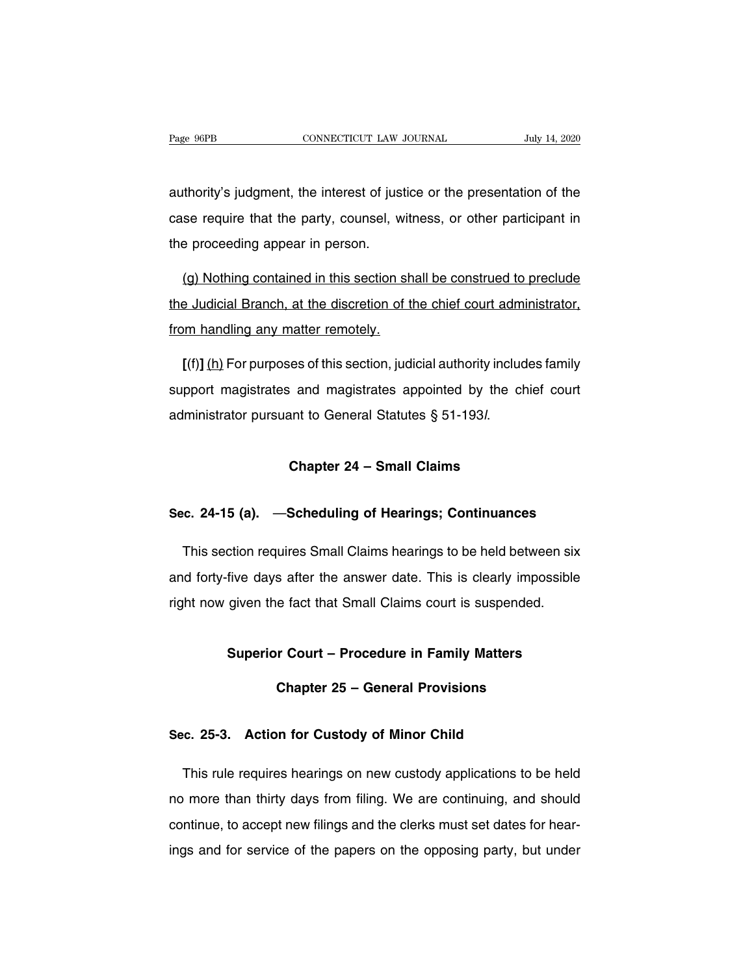Page 96PB<br>
CONNECTICUT LAW JOURNAL<br>
authority's judgment, the interest of justice or the presentation of the<br>
case require that the party, counsel, witness, or other participant in Page 96PB CONNECTICUT LAW JOURNAL July 14, 2020<br>authority's judgment, the interest of justice or the presentation of the<br>case require that the party, counsel, witness, or other participant in<br>the proceeding appear in perso authority's judgment, the interest of just<br>case require that the party, counsel, we<br>the proceeding appear in person. (thority's judgment, the interest of justice or the presentation of the<br>se require that the party, counsel, witness, or other participant in<br>e proceeding appear in person.<br>(g) Nothing contained in this section shall be con

case require that the party, counsel, witness, or other participant in<br>the proceeding appear in person.<br>(g) Nothing contained in this section shall be construed to preclude<br>the Judicial Branch, at the discretion of the chi the proceeding appear in person.<br>
(g) Nothing contained in this section sh<br>
the Judicial Branch, at the discretion of the<br>
from handling any matter remotely.<br>
[(6)] (b) For purposes of this section, judi (g) Nothing contained in this section shall be construed to preclude<br>
a Judicial Branch, at the discretion of the chief court administrator,<br>
Im handling any matter remotely.<br> **[**(f)] <u>(h)</u> For purposes of this section, ju

the Judicial Branch, at the discretion of the chief court administrator,<br>from handling any matter remotely.<br>[(f)] (h) For purposes of this section, judicial authority includes family<br>support magistrates and magistrates app from handling any matter remotely.<br>
[(f)] (h) For purposes of this section, judicial authority includ<br>
support magistrates and magistrates appointed by the ch<br>
administrator pursuant to General Statutes § 51-193*l*.<br> **Chap** 

# administrator pursuant to General Statutes § 51-193/.<br> **Chapter 24 – Small Claims**<br>
Sec. 24-15 (a). —Scheduling of Hearings; Continuances

Chapter 24 – Small Claims<br>C. 24-15 (a). —Scheduling of Hearings; Continuances<br>This section requires Small Claims hearings to be held between six<br>d forty-five days after the answer date. This is clearly impossible Sec. 24-15 (a). —Scheduling of Hearings; Continuances<br>This section requires Small Claims hearings to be held between six<br>and forty-five days after the answer date. This is clearly impossible<br>right now given the fact that S Sec. 24-15 (a). —Scheduling of Hearings; Continuances<br>This section requires Small Claims hearings to be held between six<br>and forty-five days after the answer date. This is clearly impossible<br>right now given the fact that S Five days after the answer date. This is clearly impossible<br>given the fact that Small Claims court is suspended.<br>**Superior Court – Procedure in Family Matters**<br>**Chapter 25 – General Provisions** e fact that Small Claims court is suspended.<br> **Chapter 25 – General Provisions**<br> **Chapter 25 – General Provisions** 

**Superior Court – Procedure in Family Matters<br>
Chapter 25 – General Provisions<br>
Sec. 25-3. Action for Custody of Minor Child** 

Chapter 25 – General Provisions<br>
E. 25-3. Action for Custody of Minor Child<br>
This rule requires hearings on new custody applications to be held<br>
This rule requires hearings on new custody applications to be held<br>
This rule Sec. 25-3. Action for Custody of Minor Child<br>This rule requires hearings on new custody applications to be held<br>no more than thirty days from filing. We are continuing, and should<br>continue, to accept new filings and the cl Sec. 25-3. Action for Custody of Minor Child<br>This rule requires hearings on new custody applications to be held<br>no more than thirty days from filing. We are continuing, and should<br>continue, to accept new filings and the cl This rule requires hearings on new custody applications to be held<br>no more than thirty days from filing. We are continuing, and should<br>continue, to accept new filings and the clerks must set dates for hear-<br>ings and for se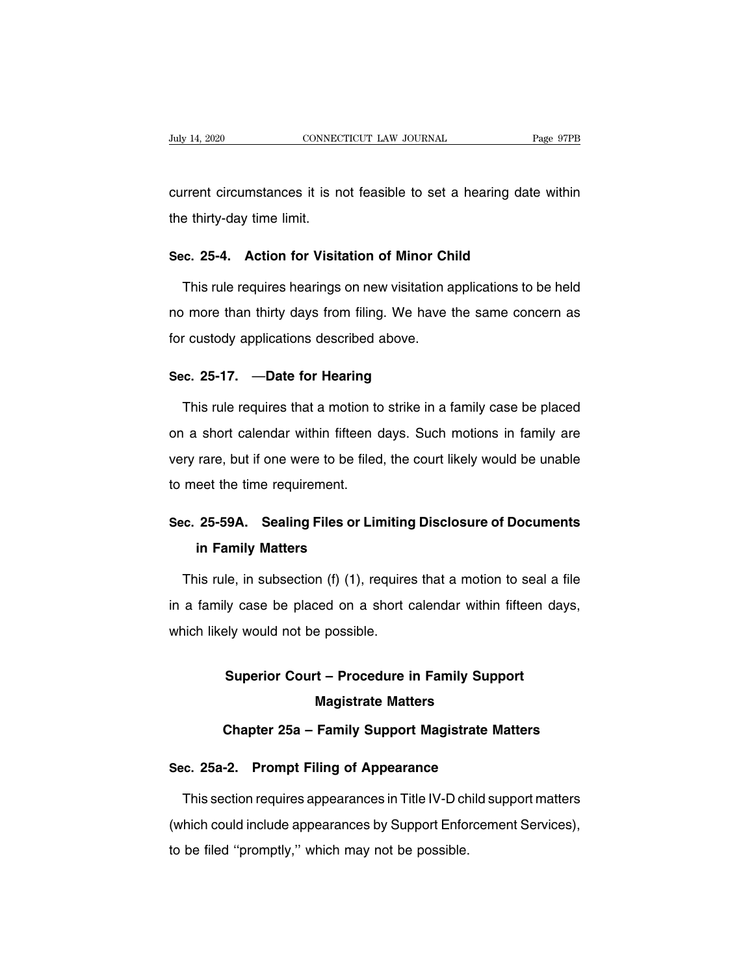CONNECTICUT LAW JOURNAL Page 97PB<br>
current circumstances it is not feasible to set a hearing date within<br>
the thirty-day time limit. July 14, 2020 CONNECT<br>
CONNECT CONNECT CONNECT CONNECT CONNECT CONNECT CONNECT CONNECT CONNECT CONNECT CONNECT CONNECT CONNECT CONNECT CONNECT CONNECT CONNECT CONNECT CONNECT CONNECT CONNECT CONNECT CONNECT CONNECT CONNECT **Sec.** 25-4. Action for Visitation of Minor Child<br>This rule requires hearings on new visitation applications to be<br>This rule requires hearings on new visitation applications to be

rrent circumstances it is not feasible to set a hearing date within<br>
e thirty-day time limit.<br> **c. 25-4. Action for Visitation of Minor Child**<br>
This rule requires hearings on new visitation applications to be held<br>
i more the thirty-day time limit.<br>
Sec. 25-4. Action for Visitation of Minor Child<br>
This rule requires hearings on new visitation applications to be held<br>
no more than thirty days from filing. We have the same concern as<br>
for cus Sec. 25-4. Action for Visitation of Minor Ch<br>This rule requires hearings on new visitation a<br>no more than thirty days from filing. We have the custody applications described above. This rule requires hearings on new visitation<br>no more than thirty days from filing. We have<br>for custody applications described above.<br>**Sec. 25-17.** —**Date for Hearing**<br>This rule requires that a motion to strike in a

more than thirty days from filing. We have the same concern as<br>  $r$  custody applications described above.<br> **c. 25-17.** —**Date for Hearing**<br>
This rule requires that a motion to strike in a family case be placed<br>
a short ca for custody applications described above.<br>
Sec. 25-17. —Date for Hearing<br>
This rule requires that a motion to strike in a family case be placed<br>
on a short calendar within fifteen days. Such motions in family are<br>
very rar Sec. 25-17. —Date for Hearing<br>This rule requires that a motion to strike in a family case be placed<br>on a short calendar within fifteen days. Such motions in family are<br>very rare, but if one were to be filed, the court like This rule requires that a motion to<br>on a short calendar within fifteen c<br>very rare, but if one were to be filed<br>to meet the time requirement. on a short calendar within fifteen days. Such motions in family are<br>very rare, but if one were to be filed, the court likely would be unable<br>to meet the time requirement.<br>**Sec. 25-59A.** Sealing Files or Limiting Disclosure Frame, but if one were to be file<br> **in Family Matters**<br> **in Family Matters**<br> **iin Family Matters**<br> **iiin Family Matters** 

meet the time requirement.<br> **EXEC 25-59A.** Sealing Files or Limiting Disclosure of Documents<br>
in Family Matters<br>
This rule, in subsection (f) (1), requires that a motion to seal a file<br>
a family case be placed on a short c Sec. 25-59A. Sealing Files or Limiting Disclosure of Documents<br>in Family Matters<br>This rule, in subsection (f) (1), requires that a motion to seal a file<br>in a family case be placed on a short calendar within fifteen days,<br>w in Family Matters<br>This rule, in subsection (f) (1), require<br>in a family case be placed on a short of<br>which likely would not be possible. Ie, in subsection (f) (1), requires that a motion to seal a fly case be placed on a short calendar within fifteen day<br>Ely would not be possible.<br>**Superior Court – Procedure in Family Support**<br>**Magistrate Matters** 

## which likely would not be possible.<br> **Superior Court – Procedure in Family Support<br>
Magistrate Matters<br>
Chapter 25a – Family Support Magistrate Matters Superior Court – Procedure in Family Support<br>
Magistrate Matters<br>
Chapter 25a – Family Support Magistrate Matters<br>
Chapter 25a – Family Support Magistrate Matters Superior Court – Procedure in Family Supp<br>Magistrate Matters<br>Chapter 25a – Family Support Magistrate Ma<br>Sec. 25a-2. Prompt Filing of Appearance<br>This section requires appearances in Title IV-D child sur**

Magistrate Matters<br>Chapter 25a – Family Support Magistrate Matters<br>c. 25a-2. Prompt Filing of Appearance<br>This section requires appearances in Title IV-D child support matters<br>hich could include appearances by Support Enfor Chapter 25a – Family Support Magistrate Matters<br>
Sec. 25a-2. Prompt Filing of Appearance<br>
This section requires appearances in Title IV-D child support matters<br>
(which could include appearances by Support Enforcement Servi Sec. 25a-2. Prompt Filing of Appearance<br>This section requires appearances in Title IV-D ch<br>(which could include appearances by Support Enfor<br>to be filed "promptly," which may not be possible.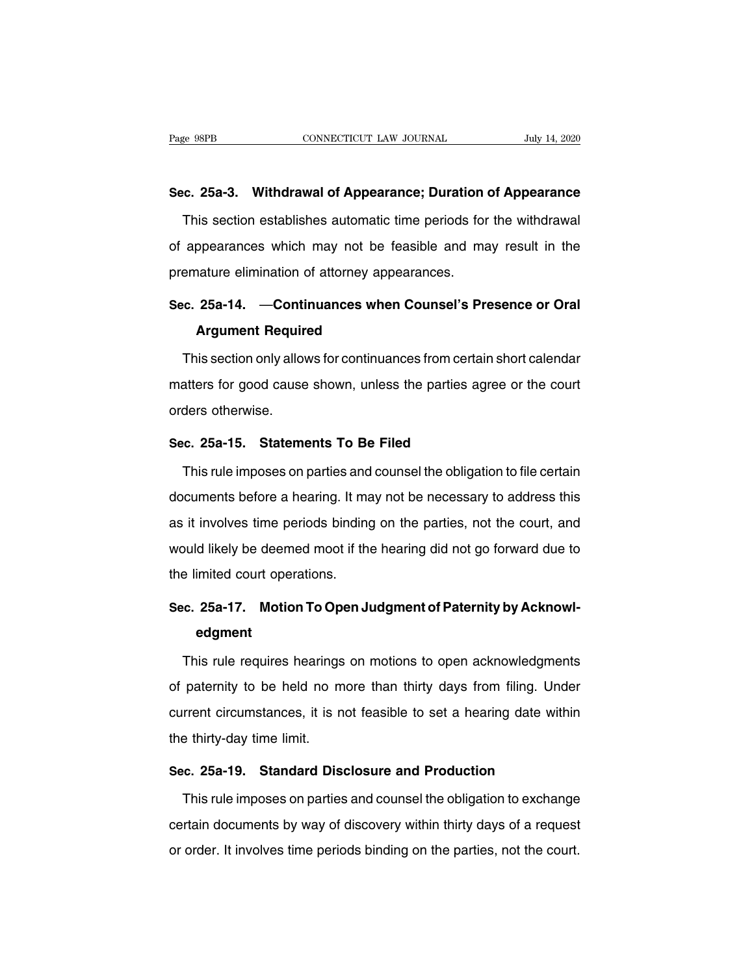Page 98PB **CONNECTICUT LAW JOURNAL** July 14, 2020<br> **Sec. 25a-3. Withdrawal of Appearance; Duration of Appearance**<br>
This section establishes automatic time periods for the withdrawal This section establishes automatic time periods for the withdrawal appearances which may not be feasible and may result in the Sec. 25a-3. Withdrawal of Appearance; Duration of Appearance<br>This section establishes automatic time periods for the withdrawal<br>of appearances which may not be feasible and may result in the<br>premature elimination of attorn Sec. 25a-3. Withdrawal of Appearance; Duration<br>This section establishes automatic time periods for<br>of appearances which may not be feasible and ma<br>premature elimination of attorney appearances.<br>Sec. 25a-14. —Continuances w This section establishes automatic time periods for the withdrawal<br>of appearances which may not be feasible and may result in the<br>premature elimination of attorney appearances.<br>Sec. 25a-14. —Continuances when Counsel's Pre of appearances which may not be feasible and may result in the<br>premature elimination of attorney appearances.<br>**Sec. 25a-14.** —**Continuances when Counsel's Presence or Oral**<br>**Argument Required**<br>This section only allows for

emature elimination of attorney appearances.<br> **C. 25a-14. —Continuances when Counsel's Presence or Oral<br>
Argument Required**<br>
This section only allows for continuances from certain short calendar<br>
atters for good cause show Sec. 25a-14. —Continuances when Counsel's Presence or Oral<br>Argument Required<br>This section only allows for continuances from certain short calendar<br>matters for good cause shown, unless the parties agree or the court<br>orders **Argument Requir<br>This section only allot<br>matters for good cause<br>orders otherwise.**<br>Sec. 25a-15. Stateme This section only allows for continuances from certain<br>
matters for good cause shown, unless the parties ag<br>
orders otherwise.<br> **Sec. 25a-15. Statements To Be Filed**<br>
This rule imposes on parties and counsel the obligat The same of the court<br>ders otherwise.<br>This rule imposes on parties and counsel the obligation to file certain<br>Counsels before a hearing. It may not be necessary to address this

orders otherwise.<br>
Sec. 25a-15. Statements To Be Filed<br>
This rule imposes on parties and counsel the obligation to file certain<br>
documents before a hearing. It may not be necessary to address this<br>
as it involves time peri Sec. 25a-15. Statements To Be Filed<br>This rule imposes on parties and counsel the obligation to file certain<br>documents before a hearing. It may not be necessary to address this<br>as it involves time periods binding on the par This rule imposes on parties and counsel the obligation to file certain<br>documents before a hearing. It may not be necessary to address this<br>as it involves time periods binding on the parties, not the court, and<br>would likel the limited imposes of partics and<br>documents before a hearing. It mas<br>as it involves time periods binding<br>would likely be deemed moot if the<br>the limited court operations. as it involves time periods binding on the parties, not the court, and<br>would likely be deemed moot if the hearing did not go forward due to<br>the limited court operations.<br>**Sec. 25a-17.** Motion To Open Judgment of Paternity

## **edgment**

Example in inited court operations.<br>
Fig. 25a-17. Motion To Open Judgment of Paternity by Acknowl-<br>
edgment<br>
This rule requires hearings on motions to open acknowledgments<br>
paternity to be held no more than thirty days fro Sec. 25a-17. Motion To Open Judgment of Paternity by Acknowledgment<br>This rule requires hearings on motions to open acknowledgments<br>of paternity to be held no more than thirty days from filing. Under<br>current circumstances, edgment<br>This rule requires hearings on motions to open acknowledgments<br>of paternity to be held no more than thirty days from filing. Under<br>current circumstances, it is not feasible to set a hearing date within<br>the thirty-d This rule requires hearings<br>of paternity to be held no m<br>current circumstances, it is n<br>the thirty-day time limit.<br>Sec. 25a-19 Standard Dis of paternity to be held no more than thirty days from filing. Under<br>
current circumstances, it is not feasible to set a hearing date with<br>
the thirty-day time limit.<br> **Sec. 25a-19. Standard Disclosure and Production**<br>
This rrent circumstances, it is not feasible to set a hearing date within<br>
e thirty-day time limit.<br> **c. 25a-19. Standard Disclosure and Production**<br>
This rule imposes on parties and counsel the obligation to exchange<br>
rtain do

the thirty-day time limit.<br>Sec. 25a-19. Standard Disclosure and Production<br>This rule imposes on parties and counsel the obligation to exchange<br>certain documents by way of discovery within thirty days of a request<br>or order. Sec. 25a-19. Standard Disclosure and Production<br>This rule imposes on parties and counsel the obligation to exchange<br>certain documents by way of discovery within thirty days of a request<br>or order. It involves time periods b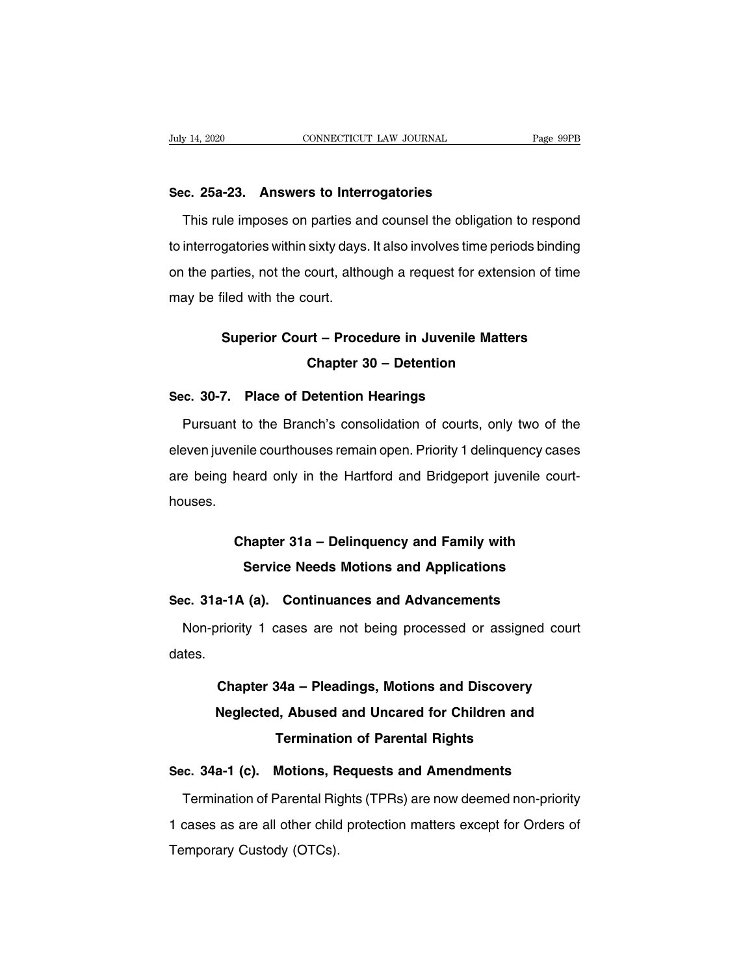**Sec. 25a-23. Answers to Interrogatories** This rule imposes on parties and counsel the obligation to respond<br>interrogatories and counsel the obligation to respond<br>interrogatories within sixty days. It also involves time periods binding Sec. 25a-23. Answers to Interrogatories<br>This rule imposes on parties and counsel the obligation to respond<br>to interrogatories within sixty days. It also involves time periods binding<br>on the parties, not the court, although Sec. 25a-23. Answers to Interrogatories<br>This rule imposes on parties and counsel the obligation to respond<br>to interrogatories within sixty days. It also involves time periods binding<br>on the parties, not the court, although This rule imposes on parties ar<br>to interrogatories within sixty days<br>on the parties, not the court, altho<br>may be filed with the court. gatories within sixty days. It also involves time periods binding<br>arties, not the court, although a request for extension of time<br>iled with the court.<br>**Superior Court – Procedure in Juvenile Matters<br>Chapter 30 – Detention Court, although a request for extension<br>
ourt.<br>
<b>rt – Procedure in Juvenile Matters<br>
Chapter 30 – Detention<br>
Netention Hearings** 

# may be filed with the court.<br> **Superior Court – Procedure in Juvenile Manual Chapter 30 – Detention<br>
Sec. 30-7. Place of Detention Hearings<br>
Pursuant to the Branch's consolidation of courts, c**

Superior Court – Procedure in Juvenile Matters<br>
Chapter 30 – Detention<br>
c. 30-7. Place of Detention Hearings<br>
Pursuant to the Branch's consolidation of courts, only two of the<br>
even juvenile courthouses remain open. Priori **Chapter 30 – Detention<br>Sec. 30-7. Place of Detention Hearings<br>Pursuant to the Branch's consolidation of courts, only two of the<br>eleven juvenile courthouses remain open. Priority 1 delinquency cases<br>are being heard only in** Sec. 30-7. Place of Detention Hearings<br>Pursuant to the Branch's consolidation of courts, only two of the<br>eleven juvenile courthouses remain open. Priority 1 delinquency cases<br>are being heard only in the Hartford and Bridge houses. Fille courthouses remain open. Priority 1 delinquency cases<br>
heard only in the Hartford and Bridgeport juvenile court-<br> **Chapter 31a – Delinquency and Family with<br>
Service Needs Motions and Applications** Exard only in the Hartford and Bridgeport juvenile court<br> **Service Needs Motions and Applications**<br> **Service Needs Motions and Applications**<br> **Service Needs Motions and Advancements** 

# nouses.<br> **Chapter 31a – Delinquency and Family with**<br> **Service Needs Motions and Applications<br>
Sec. 31a-1A (a). Continuances and Advancements<br>
Non-priority 1 cases are not being processed or assigned cou**

Chapter 31a – Delinquency and Family with<br>Service Needs Motions and Applications<br>c. 31a-1A (a). Continuances and Advancements<br>Non-priority 1 cases are not being processed or assigned court<br>tes. dates. **a-1A (a). Continuances and Advancements**<br>priority 1 cases are not being processed or assigned court<br>Chapter 34a – Pleadings, Motions and Discovery<br>Neglected, Abused and Uncared for Children and

## Priority 1 cases are not being processed or assigned court<br> **Chapter 34a – Pleadings, Motions and Discovery<br>
Neglected, Abused and Uncared for Children and<br>
Termination of Parental Rights Theory of Preadings, Motions and Discovery<br>Theory Allen and September 2016**<br>Termination of Parental Rights<br>Motions, Requests and Amendments Chapter 34a – Pleadings, Motions and Discovery<br>
Neglected, Abused and Uncared for Children and<br>
Termination of Parental Rights<br>
Sec. 34a-1 (c). Motions, Requests and Amendments<br>
Termination of Parental Rights (TPRs) are no

Neglected, Abused and Uncared for Children and<br>
Termination of Parental Rights<br>
c. 34a-1 (c). Motions, Requests and Amendments<br>
Termination of Parental Rights (TPRs) are now deemed non-priority<br>
cases as are all other chil Termination of Parental Rights<br>
1 cases as are all other child protection matters except for Orders of<br>
1 cases as are all other child protection matters except for Orders of<br>
1 cases as are all other child protection matt Sec. 34a-1 (c). Motions, Requests and Amendments<br>Termination of Parental Rights (TPRs) are now deemed non-priority<br>1 cases as are all other child protection matters except for Orders of<br>Temporary Custody (OTCs).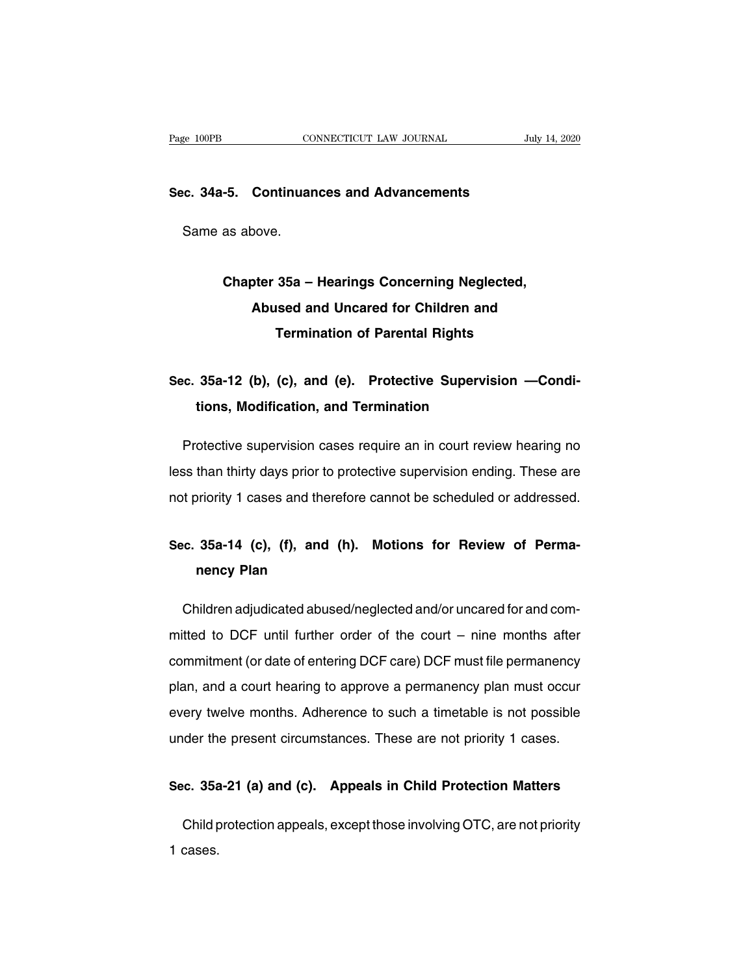## Page 100PB **CONNECTICUT LAW JOURNAL** July<br>Sec. 34a-5. Continuances and Advancements se 100PB comes comes comes comes comes comes comes comes comes comes comes comes comes comes comes comes comes comes comes comes comes comes comes comes comes comes comes comes comes comes comes comes comes comes comes com

## **-5. Continuances and Advancements<br>as above.<br>Chapter 35a – Hearings Concerning Neglected,<br>Abused and Uncared for Children and Procedure: Abuse: Abused and Uncared for Children and<br>Abused and Uncared for Children and<br>Termination of Parental Rights Termination State Poison**<br>1954 – Hearings Concerning Neglected,<br>Termination of Parental Rights Chapter 35a – Hearings Concerning Neglected,<br>
Abused and Uncared for Children and<br>
Termination of Parental Rights<br>
Sec. 35a-12 (b), (c), and (e). Protective Supervision —Condi-<br>
tions, Modification, and Termination

# Abused and Uncared for Unitaren and<br>
Termination of Parental Rights<br>
35a-12 (b), (c), and (e). Protective Supervisidens, Modification, and Termination

e. 35a-12 (b), (c), and (e). Protective Supervision —Conditions, Modification, and Termination<br>Protective supervision cases require an in court review hearing no<br>ss than thirty days prior to protective supervision ending. Sec. 35a-12 (b), (c), and (e). Protective Supervision —Conditions, Modification, and Termination<br>
Protective supervision cases require an in court review hearing no<br>
less than thirty days prior to protective supervision en tions, Modification, and Termination<br>Protective supervision cases require an in court review hearing no<br>less than thirty days prior to protective supervision ending. These are<br>not priority 1 cases and therefore cannot be s Protective supervision cases require an in court review nearing no<br>less than thirty days prior to protective supervision ending. These are<br>not priority 1 cases and therefore cannot be scheduled or addressed.<br>Sec. 35a-14 (c

## than thirty days prior to priority 1 cases and there<br>**35a-14 (c), (f), and (nency Plan** Sec. 35a-14 (c), (f), and (h). Motions for Review of Perma-<br>nency Plan<br>Children adjudicated abused/neglected and/or uncared for and com-<br>mitted to DCF until further order of the court – nine months after

Sec. 35a-14 (c), (f), and (h). Motions for Review of Perma-<br>nency Plan<br>Children adjudicated abused/neglected and/or uncared for and com-<br>mitted to DCF until further order of the court – nine months after<br>commitment (or dat nency Plan<br>Children adjudicated abused/neglected and/or uncared for and com-<br>mitted to DCF until further order of the court – nine months after<br>commitment (or date of entering DCF care) DCF must file permanency<br>plan, and a Children adjudicated abused/neglected and/or uncared for and com-<br>mitted to DCF until further order of the court – nine months after<br>commitment (or date of entering DCF care) DCF must file permanency<br>plan, and a court hear exampled to DCF until further order of the court – nine months after<br>commitment (or date of entering DCF care) DCF must file permanency<br>plan, and a court hearing to approve a permanency plan must occur<br>every twelve months. Example 18 Detail and the present circumstances. These are not priority 1 cases.<br>
The months are not been a time the present circumstances. These are not priority 1 cases. plan, and a court nearing to approve a permanency plan must occur<br>every twelve months. Adherence to such a timetable is not possible<br>under the present circumstances. These are not priority 1 cases.<br>**Sec. 35a-21 (a) and (c)** 

der the present circumstances. These are not priority 1 cases.<br> **c. 35a-21 (a) and (c). Appeals in Child Protection Matters**<br>
Child protection appeals, except those involving OTC, are not priority<br>
cases. Sec. 35a-21 (a) and (c). Appeals in Child Protection Matters<br>Child protection appeals, except those involving OTC, are not priority<br>1 cases.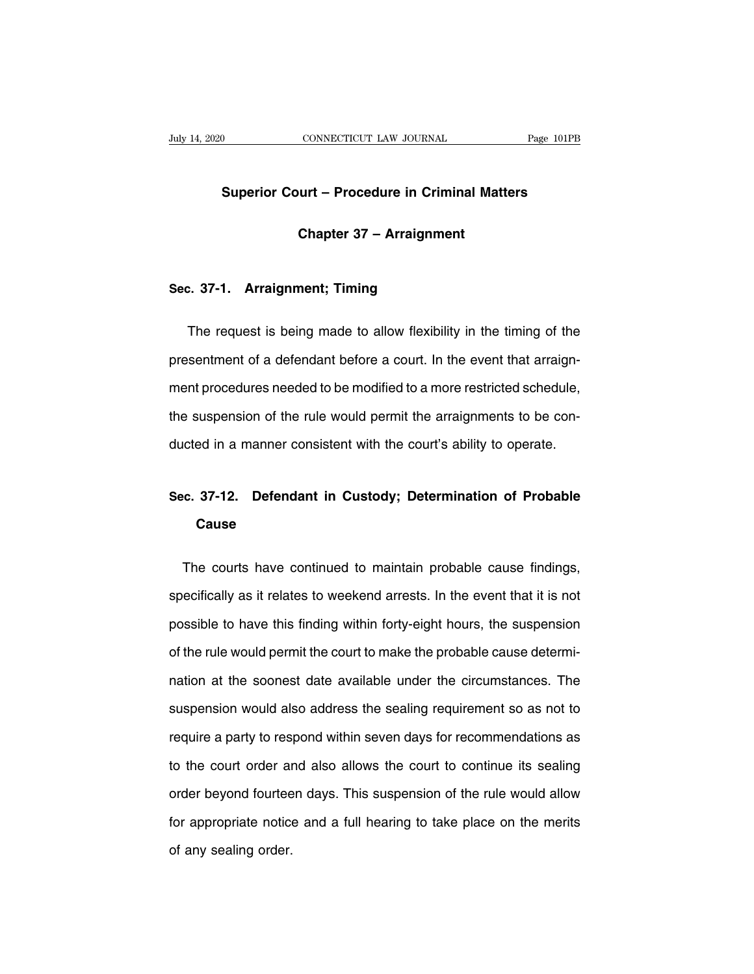## **CONNECTICUT LAW JOURNAL** Page 101PB<br> **Superior Court – Procedure in Criminal Matters CONNECTICUT LAW JOURNAL**<br> **Chapter 37 – Arraignment**<br> **Chapter 37 – Arraignment** Superior Court – Procedure in Crim<br>Chapter 37 – Arraignme<br>Sec. 37-1. Arraignment; Timing

Chapter 37 – Arraignment<br>
2. 37-1. Arraignment; Timing<br>
The request is being made to allow flexibility in the timing of the<br>
sentment of a defendant before a court. In the event that arraign-Sec. 37-1. Arraignment; Timing<br>The request is being made to allow flexibility in the timing of the<br>presentment of a defendant before a court. In the event that arraign-<br>ment procedures needed to be modified to a more restr ment procedures needed to be modified to a more restricted schedule,<br>the suspension of the rule would permit the arraignment procedures needed to be modified to a more restricted schedule,<br>the suspension of the rule would The request is being made to allow flexibility in the timing of the presentment of a defendant before a court. In the event that arraignment procedures needed to be modified to a more restricted schedule, the suspension of presentment of a defendant before a court. In the event that arraignment procedures needed to be modified to a more restricted schedule, the suspension of the rule would permit the arraignments to be conducted in a manner the suspension of the rule would permit the arraignments to be con-<br>ducted in a manner consistent with the court's ability to operate.<br>Sec. 37-12. Defendant in Custody; Determination of Probable<br>Cause

## **Cause** inc. 37-12. Defendant in Custody; Determination of Probable<br>Cause<br>The courts have continued to maintain probable cause findings,<br>ecifically as it relates to weekend arrests. In the event that it is not

Sec. 37-12. Detendant in Custody; Determination of Probable<br>Cause<br>The courts have continued to maintain probable cause findings,<br>specifically as it relates to weekend arrests. In the event that it is not<br>possible to have t The courts have continued to maintain probable cause findings,<br>specifically as it relates to weekend arrests. In the event that it is not<br>possible to have this finding within forty-eight hours, the suspension<br>of the rule w The courts have continued to maintain probable cause findings, specifically as it relates to weekend arrests. In the event that it is not possible to have this finding within forty-eight hours, the suspension of the rule w specifically as it relates to weekend arrests. In the event that it is not<br>possible to have this finding within forty-eight hours, the suspension<br>of the rule would permit the court to make the probable cause determi-<br>natio possible to have this finding within forty-eight hours, the suspension<br>of the rule would permit the court to make the probable cause determi-<br>nation at the soonest date available under the circumstances. The<br>suspension wou of the rule would permit the court to make the probable cause determination at the soonest date available under the circumstances. The suspension would also address the sealing requirement so as not to require a party to r nation at the soonest date available under the circumstances. The<br>suspension would also address the sealing requirement so as not to<br>require a party to respond within seven days for recommendations as<br>to the court order an suspension would also address the sealing requirement so as not to<br>require a party to respond within seven days for recommendations as<br>to the court order and also allows the court to continue its sealing<br>order beyond fourt require a party to respond within seven days for recommendations as<br>to the court order and also allows the court to continue its sealing<br>order beyond fourteen days. This suspension of the rule would allow<br>for appropriate n to the court order ar<br>order beyond fourtee<br>for appropriate notice<br>of any sealing order.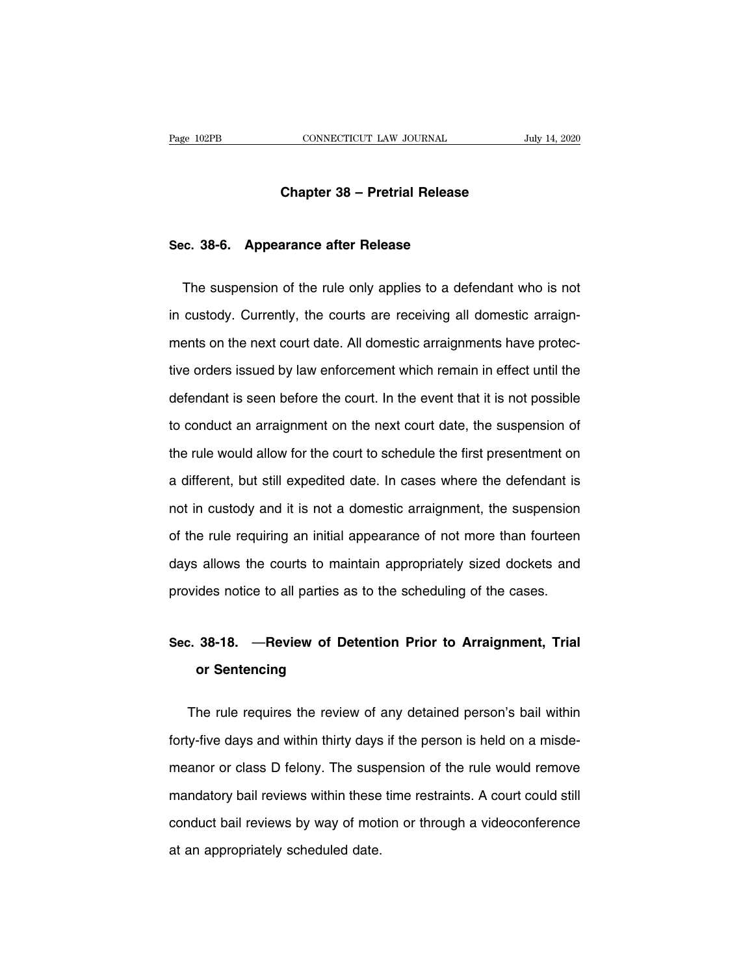# **CONNECTICUT LAW JOURNAL** July<br> **Chapter 38 – Pretrial Release**

# **Chapter 38 – Pretrial Release<br>Sec. 38-6. Appearance after Release**

Chapter 38 – Pretrial Release<br>
E. 38-6. Appearance after Release<br>
The suspension of the rule only applies to a defendant who is not<br>
custody. Currently, the courts are receiving all domestic arraign-Sec. 38-6. Appearance after Release<br>The suspension of the rule only applies to a defendant who is not<br>in custody. Currently, the courts are receiving all domestic arraign-<br>ments on the next court date. All domestic arraign Sec. 38-6. Appearance arter Helease<br>The suspension of the rule only applies to a defendant who is not<br>in custody. Currently, the courts are receiving all domestic arraign-<br>ments on the next court date. All domestic arraign The suspension of the rule only applies to a defendant who is not<br>in custody. Currently, the courts are receiving all domestic arraign-<br>ments on the next court date. All domestic arraignments have protec-<br>tive orders issue in custody. Currently, the courts are receiving all domestic arraignments on the next court date. All domestic arraignments have protective orders issued by law enforcement which remain in effect until the defendant is see ments on the next court date. All domestic arraignments have protective orders issued by law enforcement which remain in effect until the defendant is seen before the court. In the event that it is not possible to conduct tive orders issued by law enforcement which remain in effect until the<br>defendant is seen before the court. In the event that it is not possible<br>to conduct an arraignment on the next court date, the suspension of<br>the rule w defendant is seen before the court. In the event that it is not possible<br>to conduct an arraignment on the next court date, the suspension of<br>the rule would allow for the court to schedule the first presentment on<br>a differe to conduct an arraignment on the next court date, the suspension of<br>the rule would allow for the court to schedule the first presentment on<br>a different, but still expedited date. In cases where the defendant is<br>not in cust the rule would allow for the court to schedule the first presentment on<br>a different, but still expedited date. In cases where the defendant is<br>not in custody and it is not a domestic arraignment, the suspension<br>of the rule a different, but still expedited date. In cases where the defendant is<br>not in custody and it is not a domestic arraignment, the suspension<br>of the rule requiring an initial appearance of not more than fourteen<br>days allows t not in custody and it is not a domestic arraignment, the suspension<br>of the rule requiring an initial appearance of not more than fourteen<br>days allows the courts to maintain appropriately sized dockets and<br>provides notice t days allows the courts to maintain appropriately sized dockets and<br>provides notice to all parties as to the scheduling of the cases.<br>Sec. 38-18. —Review of Detention Prior to Arraignment, Trial<br>or Sentencing

## provides notice to all parties as to the scheduling of the cases.<br>Sec. 38-18. — Review of Detention Prior to Arraignment, Trial<br>or Sentencing on 188-18. — Review of Detention Prior to Arraignment, Trial<br>or Sentencing<br>The rule requires the review of any detained person's bail within<br>y-five days and within thirty days if the person is held on a misde-

Sec. 38-18. — Heview of Detention Prior to Arraignment, Trial<br>or Sentencing<br>The rule requires the review of any detained person's bail within<br>forty-five days and within thirty days if the person is held on a misde-<br>meanor or sentencing<br>The rule requires the review of any detained person's bail within<br>forty-five days and within thirty days if the person is held on a misde-<br>meanor or class D felony. The suspension of the rule would remove<br>man The rule requires the review of any detained person's bail within<br>forty-five days and within thirty days if the person is held on a misde-<br>meanor or class D felony. The suspension of the rule would remove<br>mandatory bail re forty-five days and within thirty days if the person is held on a misde-<br>meanor or class D felony. The suspension of the rule would remove<br>mandatory bail reviews within these time restraints. A court could still<br>conduct ba meanor or class D felony. The susp<br>mandatory bail reviews within these<br>conduct bail reviews by way of moti<br>at an appropriately scheduled date.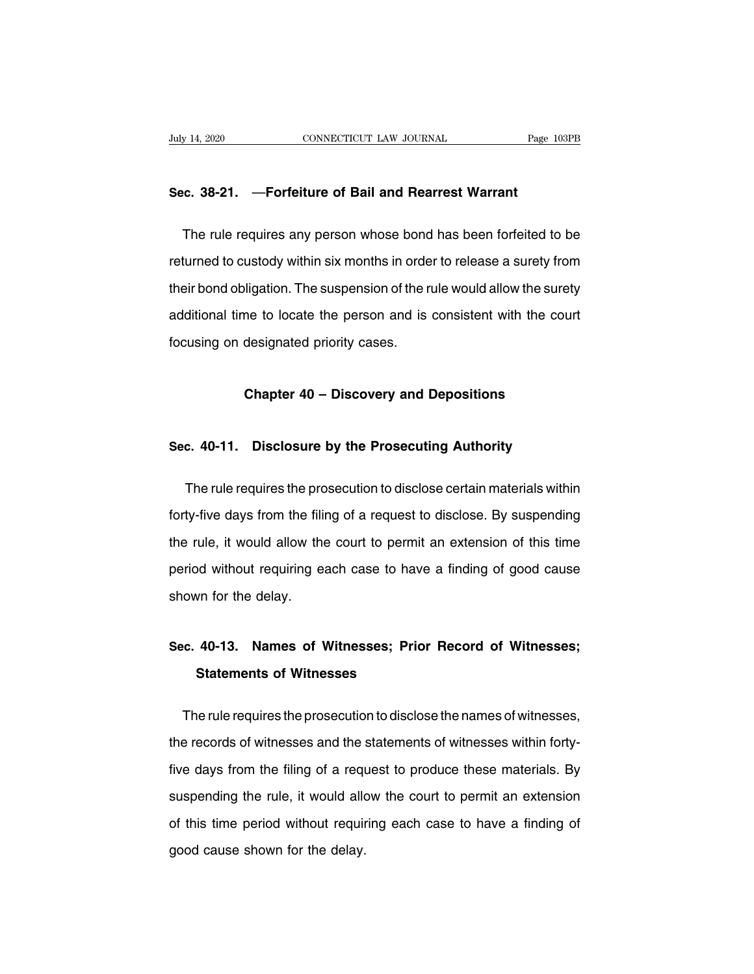# **Sec. 38-21.** —**Forfeiture of Bail and Rearrest Warrant**

THE REAT CONSIDENTITY VAN JOURNAL THE PAGE 103PB<br>
The rule requires any person whose bond has been forfeited to be<br>
turned to custody within six months in order to release a surety from Sec. 38-21. — Forfeiture of Bail and Rearrest Warrant<br>The rule requires any person whose bond has been forfeited to be<br>returned to custody within six months in order to release a surety from<br>their bond obligation. The susp Sec. 38-21. —Forfeiture of Bail and Rearrest Warrant<br>The rule requires any person whose bond has been forfeited to be<br>returned to custody within six months in order to release a surety from<br>their bond obligation. The suspe The rule requires any person whose bond has been forfeited to be<br>returned to custody within six months in order to release a surety from<br>their bond obligation. The suspension of the rule would allow the surety<br>additional t returned to custody within six months in orde<br>their bond obligation. The suspension of the r<br>additional time to locate the person and is<br>focusing on designated priority cases. The to locate the person and is consistent with the cour<br>designated priority cases.<br>**Chapter 40 – Discovery and Depositions** 

# **Sec.** 40-11. Disclosure by the Prosecuting Authority<br>Sec. 40-11. Disclosure by the Prosecuting Authority

Chapter 40 – Discovery and Depositions<br>
c. 40-11. Disclosure by the Prosecuting Authority<br>
The rule requires the prosecution to disclose certain materials within<br>
ty-five days from the filing of a request to disclose. By s Sec. 40-11. Disclosure by the Prosecuting Authority<br>The rule requires the prosecution to disclose certain materials within<br>forty-five days from the filing of a request to disclose. By suspending<br>the rule, it would allow th Sec. 40-11. Disclosure by the Prosecuting Authority<br>The rule requires the prosecution to disclose certain materials within<br>forty-five days from the filing of a request to disclose. By suspending<br>the rule, it would allow th The rule requires the prosecution to disclose certain materials within<br>forty-five days from the filing of a request to disclose. By suspending<br>the rule, it would allow the court to permit an extension of this time<br>period w forty-five days from the filli<br>the rule, it would allow the<br>period without requiring es<br>shown for the delay. **Sec.** 40-13. Names of Witnesses; Prior Record of Witnesses;<br>Sec. 40-13. Names of Witnesses; Prior Record of Witnesses;<br>Statements of Witnesses

# **Statements of Witnesses**<br>
Statements of Witnesses; Prionor<br>
Statements of Witnesses<br>
Statements of Witnesses

o. 40-13. Names of Witnesses; Prior Record of Witnesses;<br>Statements of Witnesses<br>The rule requires the prosecution to disclose the names of witnesses,<br>a records of witnesses and the statements of witnesses within forty-Sec. 40-13. Names of Witnesses; Prior Record of Witnesses;<br>Statements of Witnesses<br>The rule requires the prosecution to disclose the names of witnesses,<br>the records of witnesses and the statements of witnesses within forty Statements of Witnesses<br>The rule requires the prosecution to disclose the names of witnesses,<br>the records of witnesses and the statements of witnesses within forty-<br>five days from the filing of a request to produce these m The rule requires the prosecution to disclose the names of witnesses,<br>the records of witnesses and the statements of witnesses within forty-<br>five days from the filing of a request to produce these materials. By<br>suspending the records of witnesses and the statements of witnesses within forty-<br>five days from the filing of a request to produce these materials. By<br>suspending the rule, it would allow the court to permit an extension<br>of this time five days from the filing of a requ<br>suspending the rule, it would alle<br>of this time period without requir<br>good cause shown for the delay.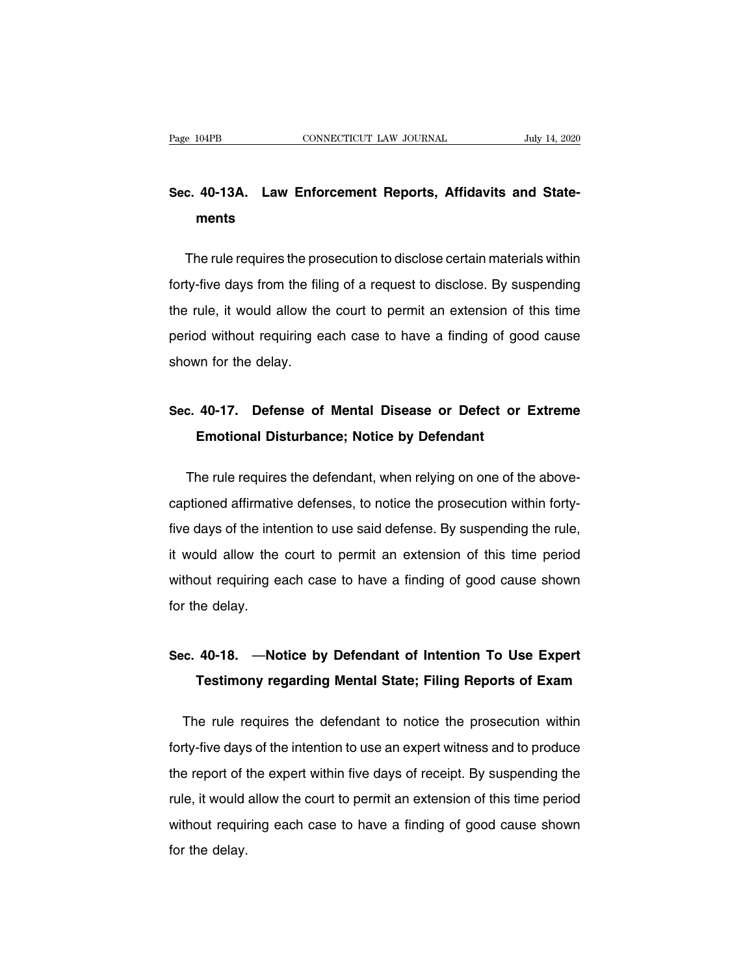## Page 104PB CONNECTICUT LAW JOURNAL July 14, 2020<br> **Sec. 40-13A.** Law Enforcement Reports, Affidavits and State-<br>
ments **ments**

c. 40-13A. Law Enforcement Reports, Affidavits and State-<br>ments<br>The rule requires the prosecution to disclose certain materials within<br>ty-five days from the filing of a request to disclose. By suspending Sec. 40-13A. Law Enforcement Reports, Affidavits and State-<br>ments<br>The rule requires the prosecution to disclose certain materials within<br>forty-five days from the filing of a request to disclose. By suspending<br>the rule, it ments<br>The rule requires the prosecution to disclose certain materials within<br>forty-five days from the filing of a request to disclose. By suspending<br>the rule, it would allow the court to permit an extension of this time<br>pe The rule requires the prosecution to disclose certain materials within<br>forty-five days from the filing of a request to disclose. By suspending<br>the rule, it would allow the court to permit an extension of this time<br>period w Friends requires the preforty-five days from the fill<br>the rule, it would allow the<br>period without requiring eshown for the delay. The Fule, it would allow the court to perfilit an extension of this time<br>period without requiring each case to have a finding of good cause<br>shown for the delay.<br>**Sec. 40-17.** Defense of Mental Disease or Defect or Extreme<br>

# In the delay.<br>
What for the delay.<br> **Emotional Disturbance; Notice by Defendant**<br> **Emotional Disturbance; Notice by Defendant**

c. 40-17. Defense of Mental Disease or Defect or Extreme<br>Emotional Disturbance; Notice by Defendant<br>The rule requires the defendant, when relying on one of the above-<br>prioned affirmative defenses, to notice the prosecution Sec. 40-17. Defense of Mental Disease or Defect or Extreme<br>Emotional Disturbance; Notice by Defendant<br>The rule requires the defendant, when relying on one of the above-<br>captioned affirmative defenses, to notice the prosecu **Emotional Disturbance; Notice by Defendant**<br>The rule requires the defendant, when relying on one of the above-<br>captioned affirmative defenses, to notice the prosecution within forty-<br>five days of the intention to use said The rule requires the defendant, when relying on one of the above-<br>captioned affirmative defenses, to notice the prosecution within forty-<br>five days of the intention to use said defense. By suspending the rule,<br>it would al rife rate requires the defenses, to notice the prosecution within forty-<br>five days of the intention to use said defense. By suspending the rule,<br>it would allow the court to permit an extension of this time period<br>without r For the internal discreption of the internal state internal discreption of the internal discreption of the delay.<br>For the delay. It would allow the court to permit an extension of this time period<br>without requiring each case to have a finding of good cause shown<br>for the delay.<br>Sec. 40-18. —Notice by Defendant of Intention To Use Expert<br>Testimony reg

# Juli Fequiling each case to have a linding of good cause shown<br>the delay.<br>**Testimony regarding Mental State; Filing Reports of Exam**

inc. 40-18. —Notice by Defendant of Intention To Use Expert<br>Testimony regarding Mental State; Filing Reports of Exam<br>The rule requires the defendant to notice the prosecution within<br>ty-five days of the intention to use an Sec. 40-18. —Notice by Defendant of Intention To Use Expert<br>Testimony regarding Mental State; Filing Reports of Exam<br>The rule requires the defendant to notice the prosecution within<br>forty-five days of the intention to use Testimony regarding Mental State; Filing Reports of Exam<br>The rule requires the defendant to notice the prosecution within<br>forty-five days of the intention to use an expert witness and to produce<br>the report of the expert wi The rule requires the defendant to notice the prosecution within<br>forty-five days of the intention to use an expert witness and to produce<br>the report of the expert within five days of receipt. By suspending the<br>rule, it wou forty-five days of the intention to use an expert witness and to produce<br>the report of the expert within five days of receipt. By suspending the<br>rule, it would allow the court to permit an extension of this time period<br>wit forty the day.<br>the report of t<br>rule, it would<br>without requit<br>for the delay.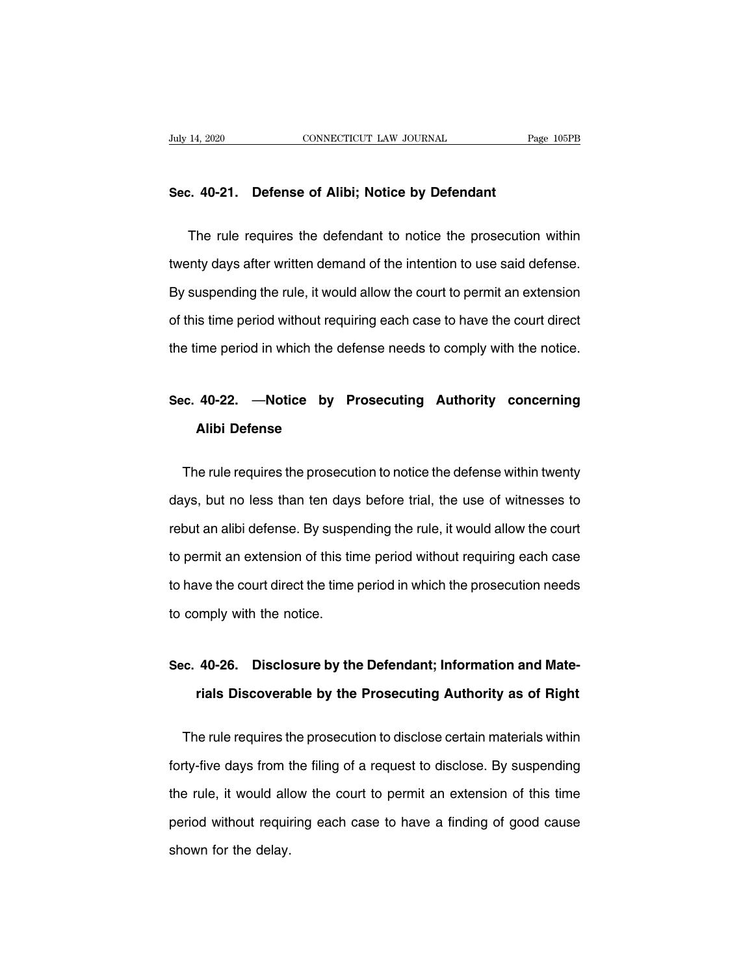# **Sec. 40-21. Defense of Alibi; Notice by Defendant**

The rule requires the defendant to notice the prosecution within<br>The rule requires the defendant to notice the prosecution within<br>thy days after written demand of the intention to use said defense. Sec. 40-21. Defense of Alibi; Notice by Defendant<br>The rule requires the defendant to notice the prosecution within<br>twenty days after written demand of the intention to use said defense.<br>By suspending the rule, it would all Sec. 40-21. Deterise of Alibi; Notice by Deteriaant<br>The rule requires the defendant to notice the prosecution within<br>twenty days after written demand of the intention to use said defense.<br>By suspending the rule, it would a The rule requires the defendant to notice the prosecution within<br>twenty days after written demand of the intention to use said defense.<br>By suspending the rule, it would allow the court to permit an extension<br>of this time p twenty days after written demand of the intention to use said defense.<br>By suspending the rule, it would allow the court to permit an extension<br>of this time period without requiring each case to have the court direct<br>the ti of this time period without requiring each case to have the court direct<br>the time period in which the defense needs to comply with the notice.<br>Sec. 40-22. —**Notice by Prosecuting Authority concerning**<br>Alibi Defense

## ime period in which the de<br>**40-22.** —**Notice by I**<br>**Alibi Defense** o. 40-22. —Notice by Prosecuting Authority concerning<br>Alibi Defense<br>The rule requires the prosecution to notice the defense within twenty<br>ys, but no less than ten days before trial, the use of witnesses to

Alibi Defense<br>
Alibi Defense<br>
The rule requires the prosecution to notice the defense within twenty<br>
days, but no less than ten days before trial, the use of witnesses to<br>
rebut an alibi defense. By suspending the rule, it The rule requires the prosecution to notice the defense within twenty<br>days, but no less than ten days before trial, the use of witnesses to<br>rebut an alibi defense. By suspending the rule, it would allow the court<br>to permit The rule requires the prosecution to notice the defense within twenty<br>days, but no less than ten days before trial, the use of witnesses to<br>rebut an alibi defense. By suspending the rule, it would allow the court<br>to permit days, but no less than ten days before trial, the use of witnesses to<br>rebut an alibi defense. By suspending the rule, it would allow the court<br>to permit an extension of this time period without requiring each case<br>to have rebut an alibi defense. By suspe<br>to permit an extension of this tir<br>to have the court direct the time<br>to comply with the notice. **Sec. 40-26. Disclosure by the Defendant; Information and Mate-**<br> **Sec. 40-26. Disclosure by the Defendant; Information and Mate-**<br> **Sec. 40-26. Disclosure by the Defendant; Information and Mate-**<br> **Sec. 40-26. Discoverabl** 

## bmply with the notice.<br>40-26. Disclosure by the Defendant; Information and Materials Discoverable by the Prosecuting Authority as of Right inc. 40-26. Disclosure by the Defendant; Information and Mate-<br>
rials Discoverable by the Prosecuting Authority as of Right<br>
The rule requires the prosecution to disclose certain materials within<br>
rty-five days from the fi

sec. 40-20. Disclosure by the Detendant, information and mate-<br>rials Discoverable by the Prosecuting Authority as of Right<br>The rule requires the prosecution to disclose certain materials within<br>forty-five days from the fil The rule requires the prosecution to disclose certain materials within<br>forty-five days from the filing of a request to disclose. By suspending<br>the rule, it would allow the court to permit an extension of this time<br>period w The rule requires the prosecution to disclose certain materials within<br>forty-five days from the filing of a request to disclose. By suspending<br>the rule, it would allow the court to permit an extension of this time<br>period w forty-five days from t<br>the rule, it would alk<br>period without requin<br>shown for the delay.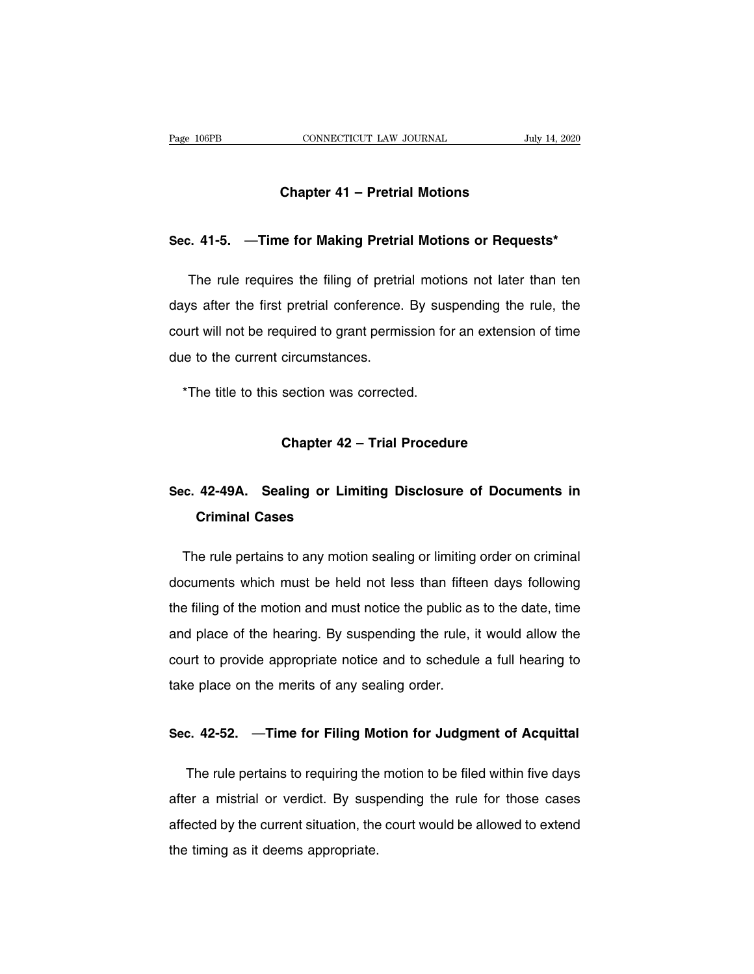# **CONNECTICUT LAW JOURNAL** July<br> **Chapter 41 – Pretrial Motions**

# **Sec.** 41-5. —Time for Making Pretrial Motions or Requests\*

Chapter 41 – Pretrial Motions<br>
2. 41-5. — Time for Making Pretrial Motions or Requests\*<br>
The rule requires the filing of pretrial motions not later than ten<br>
2. The rule requires the filing of pretrial motions not later th Sec. 41-5. —Time for Making Pretrial Motions or Requests\*<br>The rule requires the filing of pretrial motions not later than ten<br>days after the first pretrial conference. By suspending the rule, the<br>court will not be required Sec. 41-5. —Time for Making Pretrial Motions or Requests\*<br>The rule requires the filing of pretrial motions not later than ten<br>days after the first pretrial conference. By suspending the rule, the<br>court will not be required The rule requires the filing of pretri<br>days after the first pretrial conference.<br>court will not be required to grant permi-<br>due to the current circumstances. the title to the first pretrial conference. By sust<br>urt will not be required to grant permission for<br>the to the current circumstances.<br>\*The title to this section was corrected. circumstances.<br>section was corrected.<br>**Chapter 42 – Trial Procedure** 

## The title to this section was corrected.<br> **Sec.** 42-49A. Sealing or Limiting Disclosure of Documents in<br>
Criminal Cases **Chapter 42 -<br>42-49A. Sealing or Limi<br>Criminal Cases**

on 42-49A. Sealing or Limiting Disclosure of Documents in<br>Criminal Cases<br>The rule pertains to any motion sealing or limiting order on criminal<br>cuments which must be held not less than fifteen days following Sec. 42-49A. Sealing or Limiting Disclosure of Documents in<br>Criminal Cases<br>The rule pertains to any motion sealing or limiting order on criminal<br>documents which must be held not less than fifteen days following<br>the filing **Criminal Cases**<br>The rule pertains to any motion sealing or limiting order on criminal<br>documents which must be held not less than fifteen days following<br>the filing of the motion and must notice the public as to the date, t The rule pertains to any motion sealing or limiting order on criminal<br>documents which must be held not less than fifteen days following<br>the filing of the motion and must notice the public as to the date, time<br>and place of columents which must be held not less than fifteen days following<br>the filing of the motion and must notice the public as to the date, time<br>and place of the hearing. By suspending the rule, it would allow the<br>court to provi documents which must be held not less than fifteen days following<br>the filing of the motion and must notice the public as to the date, time<br>and place of the hearing. By suspending the rule, it would allow the<br>court to provi and place of the hearing. By susperiding the rule, it would allow the<br>court to provide appropriate notice and to schedule a full hearing to<br>take place on the merits of any sealing order.<br>Sec. 42-52. —**Time for Filing Motio** 

The place on the merits of any sealing order.<br> **C. 42-52.** — **Time for Filing Motion for Judgment of Acquittal**<br>
The rule pertains to requiring the motion to be filed within five days<br>
For a mistrial or verdict. By suspend Sec. 42-52. —Time for Filing Motion for Judgment of Acquittal<br>The rule pertains to requiring the motion to be filed within five days<br>after a mistrial or verdict. By suspending the rule for those cases<br>affected by the curre Sec. 42-52. —Time for Filing Motion for Judgment of Acquittal<br>The rule pertains to requiring the motion to be filed within five days<br>after a mistrial or verdict. By suspending the rule for those cases<br>affected by the curre The rule pertains to requiring the<br>after a mistrial or verdict. By susp<br>affected by the current situation, the<br>the timing as it deems appropriate.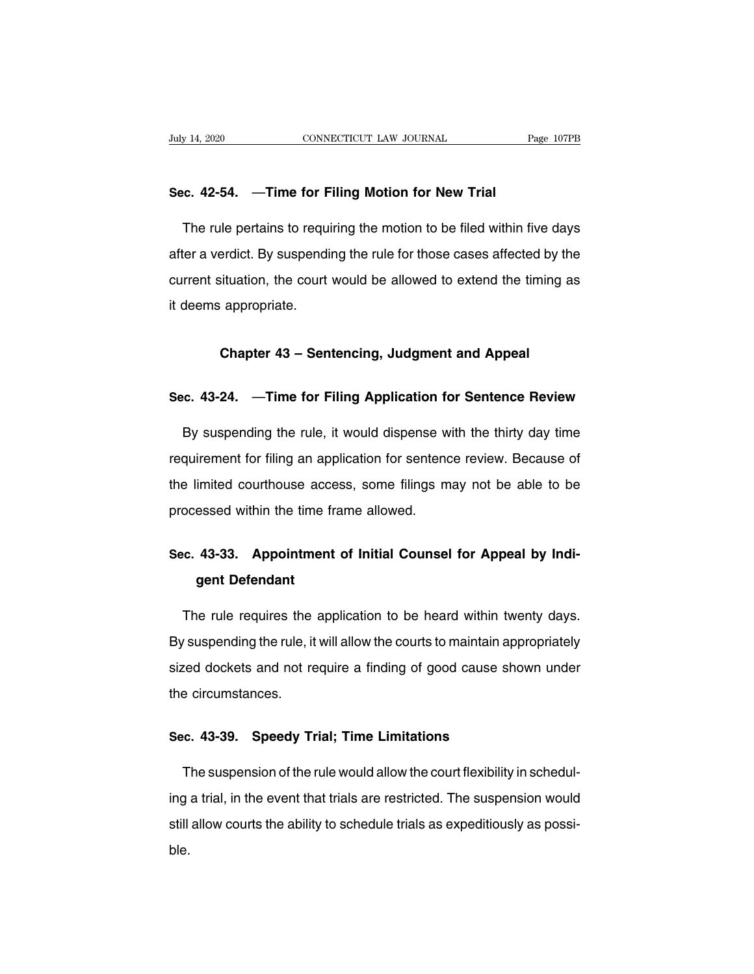# **Suly 14, 2020** CONNECTICUT LAW JOURNAL<br> **Sec. 42-54.** —**Time for Filing Motion for New Trial**<br>
The will portaine to requiring the motion to be filed within the motion

The rule pertains to requiring **Motion for New Trial**<br>The rule pertains to requiring the motion to be filed within five days<br>The rule pertains to requiring the motion to be filed within five days<br>ter a verdict. By suspendi Sec. 42-54. —Time for Filing Motion for New Trial<br>The rule pertains to requiring the motion to be filed within five days<br>after a verdict. By suspending the rule for those cases affected by the<br>current situation, the court Sec. 42-54. —Time for Filing Motion for New Trial<br>The rule pertains to requiring the motion to be filed within five days<br>after a verdict. By suspending the rule for those cases affected by the<br>current situation, the court The rule pertains to requin<br>after a verdict. By suspending<br>current situation, the court<br>it deems appropriate. **Example 13 Separation**, the court would be allowed to extend the timing<br> **Chapter 43 – Sentencing, Judgment and Appeal**<br> **Chapter 43 – Sentencing, Judgment and Appeal Chapter 43 – Sentencing, Judgment and Appeal<br>
Sec. 43-24. —Time for Filing Application for Sentence Review<br>
Dy exercediate the wide it would diagonal with the thirty downting** 

Chapter 43 – Sentencing, Judgment and Appeal<br>c. 43-24. —Time for Filing Application for Sentence Review<br>By suspending the rule, it would dispense with the thirty day time<br>quirement for filing an application for sentence re Sec. 43-24. —Time for Filing Application for Sentence Review.<br>By suspending the rule, it would dispense with the thirty day time<br>requirement for filing an application for sentence review. Because of<br>the limited courthouse Sec. 43-24. — Time for Filing Application for Sentence Review<br>By suspending the rule, it would dispense with the thirty day time<br>requirement for filing an application for sentence review. Because of<br>the limited courthouse By suspending the rule, it would dispense w<br>requirement for filing an application for sentend<br>the limited courthouse access, some filings m<br>processed within the time frame allowed. requirement for filing an application for sentence review. Because of<br>the limited courthouse access, some filings may not be able to be<br>processed within the time frame allowed.<br>**Sec. 43-33.** Appointment of Initial Counsel

# imited courthouse acce<br>essed within the time fr<br>**43-33. Appointment**<br>**gent Defendant**

The rule requires the application to be heard within twenty days.<br>The rule requires the application to be heard within twenty days.<br>The rule requires the application to be heard within twenty days. Sec. 43-33. Appointment of Initial Counsel for Appeal by Indi-<br>gent Defendant<br>The rule requires the application to be heard within twenty days.<br>By suspending the rule, it will allow the courts to maintain appropriately<br>siz shift the rule requires the application to be heard within twenty days.<br>By suspending the rule, it will allow the courts to maintain appropriately<br>sized dockets and not require a finding of good cause shown under<br>the circu The rule requires the<br>By suspending the rule, it<br>sized dockets and not re<br>the circumstances. By suspending the rule, it will allow the courts to maintain ap<br>sized dockets and not require a finding of good cause sh<br>the circumstances.<br>Sec. 43-39. Speedy Trial; Time Limitations

The suspension of the rule would allow the court flexibility in schedul-<br>The suspension of the rule would allow the court flexibility in schedul-<br>The suspension of the rule would allow the court flexibility in schedul-<br>The Sec. 43-39. Speedy Trial; Time Limitations<br>The suspension of the rule would allow the court flexibility in schedul-<br>ing a trial, in the event that trials are restricted. The suspension would<br>still allow courts the ability Sec. 43-39. Speedy Trial; Time Limitations<br>The suspension of the rule would allow the court flexibility in schedul-<br>ing a trial, in the event that trials are restricted. The suspension would<br>still allow courts the ability ble.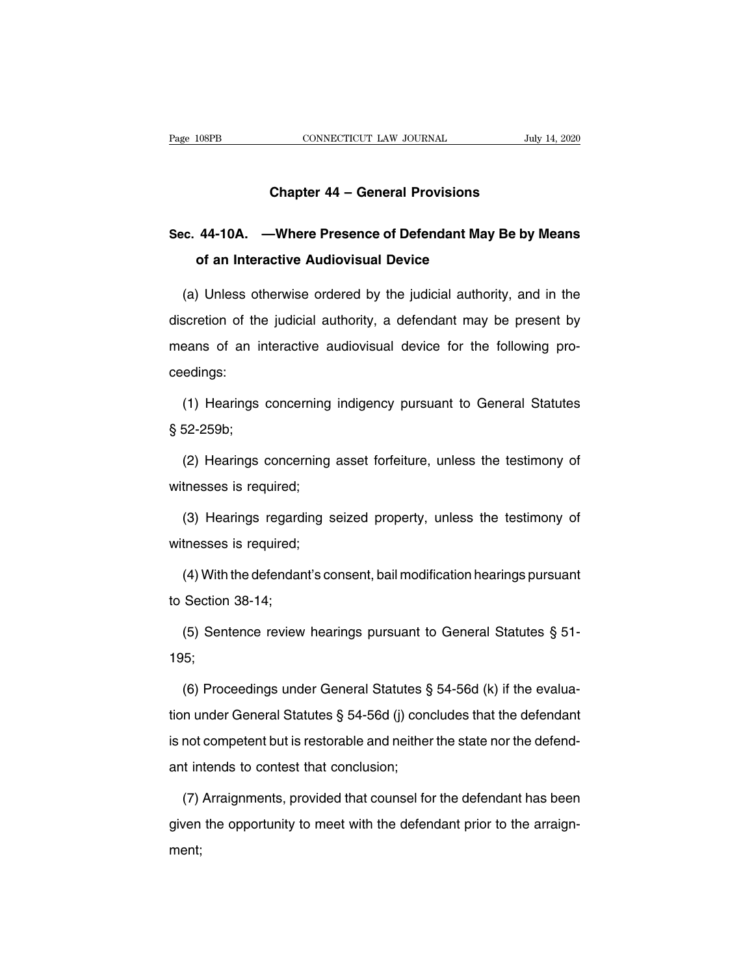# **CONNECTICUT LAW JOURNAL** July July 1

## Page 108PB **CONNECTICUT LAW JOURNAL** July 14, 2020<br> **Chapter 44 – General Provisions**<br>
Sec. 44-10A. —Where Presence of Defendant May Be by Means<br>
of an Interactive Audiovisual Device **Chapter 44 – General Provisions<br>44-10A. —Where Presence of Defendant May<br>of an Interactive Audiovisual Device**

(a) Unless otherwise ordered by the judicial authority, and in the scretion of the judicial authority, a defendant may be present by Sec. 44-10A. —Where Presence of Defendant May Be by Means<br>of an Interactive Audiovisual Device<br>(a) Unless otherwise ordered by the judicial authority, and in the<br>discretion of the judicial authority, a defendant may be pre of an Interactive Audiovisual Device<br>
(a) Unless otherwise ordered by the judicial authority, and in the<br>
discretion of the judicial authority, a defendant may be present by<br>
means of an interactive audiovisual device for ceedings: Scretion of the judicial authority, a defendant may be present by<br>eans of an interactive audiovisual device for the following pro-<br>edings:<br>(1) Hearings concerning indigency pursuant to General Statutes<br>52-259b; means of an in<br>ceedings:<br>(1) Hearings<br>§ 52-259b;<br>(2) Hearings o

edings:<br>(1) Hearings concerning indigency pursuant to General Statutes<br>52-259b;<br>(2) Hearings concerning asset forfeiture, unless the testimony of<br>tnesses is required; (1) Hearings concerning<br>§ 52-259b;<br>(2) Hearings concerning<br>witnesses is required;<br>(3) Hearings regarding s 52-259b;<br>(2) Hearings concerning asset forfeiture, unless the testimony of<br>tnesses is required;<br>(3) Hearings regarding seized property, unless the testimony of<br>tnesses is required; (2) Hearings concerning<br>witnesses is required;<br>(3) Hearings regarding s<br>witnesses is required;<br>(4) With the defendant's co

tnesses is required;<br>(3) Hearings regarding seized property, unless the testimony of<br>tnesses is required;<br>(4) With the defendant's consent, bail modification hearings pursuant<br>Section 38-14; (3) Hearings regardi<br>witnesses is required;<br>(4) With the defendan<br>to Section 38-14;<br>(5) Sentence review

tnesses is required;<br>(4) With the defendant's consent, bail modification hearings pursuant<br>Section 38-14;<br>(5) Sentence review hearings pursuant to General Statutes § 51-<br>5;

195; to Section 38-14;<br>
(5) Sentence review hearings pursuant to General Statutes § 51-<br>
195;<br>
(6) Proceedings under General Statutes § 54-56d (k) if the evalua-<br>
tion under General Statutes § 54-56d (j) concludes that the def

(5) Sentence review hearings pursuant to General Statutes § 51-<br>195;<br>(6) Proceedings under General Statutes § 54-56d (k) if the evalua-<br>tion under General Statutes § 54-56d (j) concludes that the defendant<br>is not competen 195;<br>
(6) Proceedings under General Statutes § 54-56d (k) if the evaluation under General Statutes § 54-56d (j) concludes that the defendant<br>
is not competent but is restorable and neither the state nor the defend-<br>
ant i (6) Proceedings under General Statutes §<br>tion under General Statutes § 54-56d (j) contest that conclusion;<br>ant intends to contest that conclusion;<br>(7) Arraignments, provided that counsel fo In under General Statutes § 54-56d (j) concludes that the defendant<br>not competent but is restorable and neither the state nor the defend-<br>it intends to contest that conclusion;<br>(7) Arraignments, provided that counsel for t

is not competent but is restorable and neither the state nor the defend-<br>ant intends to contest that conclusion;<br>(7) Arraignments, provided that counsel for the defendant has been<br>given the opportunity to meet with the def ment;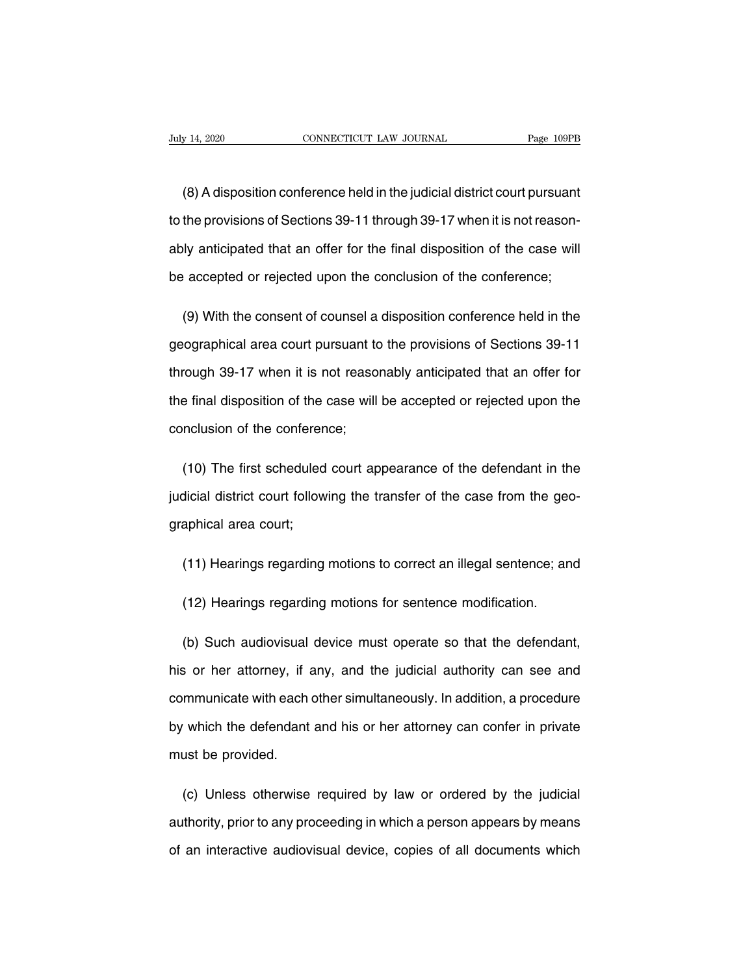(8) A disposition conference held in the judicial district court pursuant<br>the provisions of Sections 39-11 through 39-17 when it is not reason-Tudy 14, 2020 CONNECTICUT LAW JOURNAL Page 109PB<br>
(8) A disposition conference held in the judicial district court pursuant<br>
to the provisions of Sections 39-11 through 39-17 when it is not reason-<br>
ably anticipated that a (8) A disposition conference held in the judicial district court pursuant<br>to the provisions of Sections 39-11 through 39-17 when it is not reason-<br>ably anticipated that an offer for the final disposition of the case will<br>b (8) A disposition conference held in the judicial district court pursuant<br>to the provisions of Sections 39-11 through 39-17 when it is not reason-<br>ably anticipated that an offer for the final disposition of the case will<br>b the provisions of Sections 39-11 through 39-17 when it is not reason-<br>ly anticipated that an offer for the final disposition of the case will<br>accepted or rejected upon the conclusion of the conference;<br>(9) With the consent

ably anticipated that an offer for the final disposition of the case will<br>be accepted or rejected upon the conclusion of the conference;<br>(9) With the consent of counsel a disposition conference held in the<br>geographical are be accepted or rejected upon the conclusion of the conference;<br>
(9) With the consent of counsel a disposition conference held in the<br>
geographical area court pursuant to the provisions of Sections 39-11<br>
through 39-17 when (9) With the consent of counsel a disposition conference held in the geographical area court pursuant to the provisions of Sections 39-11 through 39-17 when it is not reasonably anticipated that an offer for the final disp geographical area court pursuant to<br>through 39-17 when it is not reasor<br>the final disposition of the case will<br>conclusion of the conference; rough 39-17 when it is not reasonably anticipated that an offer for<br>e final disposition of the case will be accepted or rejected upon the<br>nclusion of the conference;<br>(10) The first scheduled court appearance of the defenda

the final disposition of the case will be accepted or rejected upon the<br>conclusion of the conference;<br>(10) The first scheduled court appearance of the defendant in the<br>judicial district court following the transfer of the conclusion of the conferen<br>
(10) The first scheduled<br>
judicial district court follow<br>
graphical area court; (10) The first scheduled court appearance of the defendant in the<br>dicial district court following the transfer of the case from the geo-<br>aphical area court;<br>(11) Hearings regarding motions to correct an illegal sentence; a aphical area court;<br>(11) Hearings regarding motions to correct an illegal sentence; an<br>(12) Hearings regarding motions for sentence modification.

(11) Hearings regarding motions to correct an illegal sentence; and<br>(12) Hearings regarding motions for sentence modification.<br>(b) Such audiovisual device must operate so that the defendant,<br>s or her attorney, if any, and (12) Hearings regarding motions for sentence modification.<br>
(b) Such audiovisual device must operate so that the defendant,<br>
his or her attorney, if any, and the judicial authority can see and<br>
communicate with each other (12) Hearings regarding motions for sentence modification.<br>
(b) Such audiovisual device must operate so that the defendant,<br>
his or her attorney, if any, and the judicial authority can see and<br>
communicate with each other (b) Such audiovisual device must operate so that the defendant,<br>his or her attorney, if any, and the judicial authority can see and<br>communicate with each other simultaneously. In addition, a procedure<br>by which the defendan his or her attorney, if a<br>communicate with each<br>by which the defendant<br>must be provided. mmunicate with each other simultaneously. In addition, a procedure<br>
which the defendant and his or her attorney can confer in private<br>
ust be provided.<br>
(c) Unless otherwise required by law or ordered by the judicial<br>
thor

by which the defendant and his or her attorney can confer in private<br>must be provided.<br>(c) Unless otherwise required by law or ordered by the judicial<br>authority, prior to any proceeding in which a person appears by means<br>o must be provided.<br>
(c) Unless otherwise required by law or ordered by the judicial<br>
authority, prior to any proceeding in which a person appears by means<br>
of an interactive audiovisual device, copies of all documents which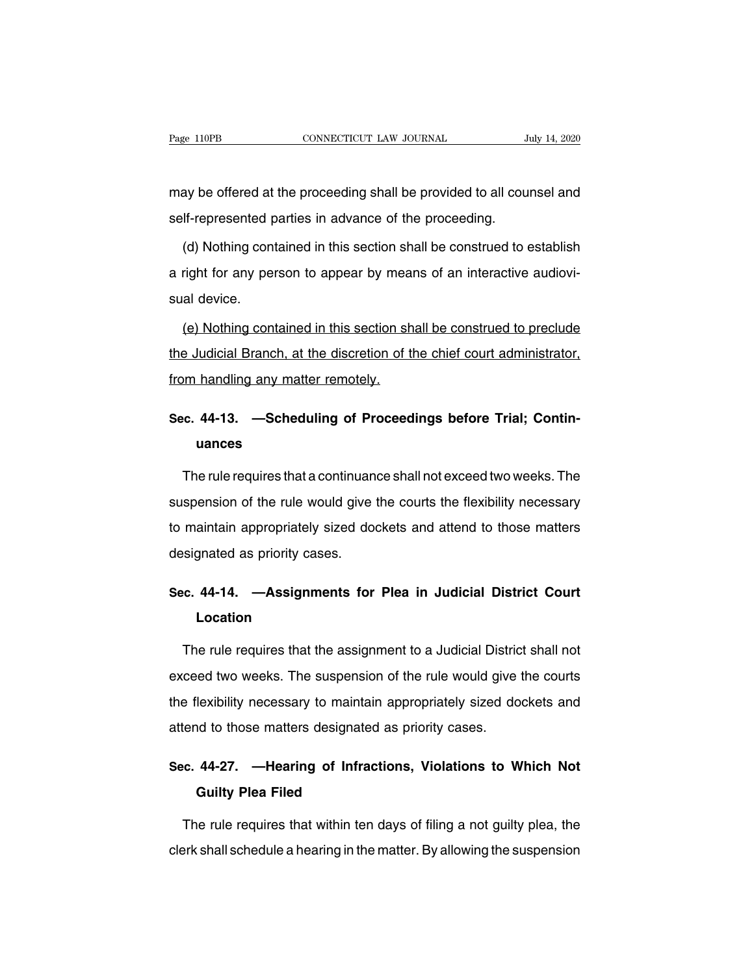Page 110PB CONNECTICUT LAW JOURNAL July 14, 2020<br>may be offered at the proceeding shall be provided to all counsel and<br>self-represented parties in advance of the proceeding. Page 110PB CONNECTICUT LAW JOURNAL<br>
The provided to all courself-represented parties in advance of the proceeding.<br>
(d) Nothing contained in this section shall be construed to  $\epsilon$ 

(d) approached the proceeding shall be provided to all counsel and<br>If-represented parties in advance of the proceeding.<br>(d) Nothing contained in this section shall be construed to establish<br>right for any person to appear b may be offered at the proceeding shall be provided to all counsel and<br>self-represented parties in advance of the proceeding.<br>(d) Nothing contained in this section shall be construed to establish<br>a right for any person to a self-represented p<br>
(d) Nothing con<br>
a right for any pe<br>
sual device.<br>
(e) Nothing con (d) Nothing contained in this section shall be construed to establish<br>right for any person to appear by means of an interactive audiovi-<br>al device.<br>(e) Nothing contained in this section shall be construed to preclude<br>a Jud

a right for any person to appear by means of an interactive audiovisual device.<br>
(e) Nothing contained in this section shall be construed to preclude<br>
the Judicial Branch, at the discretion of the chief court administrator sual device.<br>
(e) Nothing contained in this section sh<br>
the Judicial Branch, at the discretion of the Vietnam handling any matter remotely. (e) Nothing contained in this section shall be construed to preclude<br>the Judicial Branch, at the discretion of the chief court administrator,<br>from handling any matter remotely.<br>Sec. 44-13. —Scheduling of Proceedings before

## **uances**

Im handling any matter remotely.<br>
Fig. 44-13. —Scheduling of Proceedings before Trial; Contin-<br>
uances<br>
The rule requires that a continuance shall not exceed two weeks. The<br>
spension of the rule would give the courts the f Sec. 44-13. —Scheduling of Proceedings before Trial; Contin-<br>uances<br>The rule requires that a continuance shall not exceed two weeks. The<br>suspension of the rule would give the courts the flexibility necessary<br>to maintain ap uances<br>The rule requires that a continuance shall not exceed two weeks. The<br>suspension of the rule would give the courts the flexibility necessary<br>to maintain appropriately sized dockets and attend to those matters<br>designa The rule requires that a continuance shall not exceed two weeks. The<br>suspension of the rule would give the courts the flexibility necessary<br>to maintain appropriately sized dockets and attend to those matters<br>designated as suspension of the rule would give the courts the flexibility necessary<br>to maintain appropriately sized dockets and attend to those matters<br>designated as priority cases.<br>**Sec. 44-14. —Assignments for Plea in Judicial Distri** 

## **Location**

isignated as priority cases.<br> **c. 44-14. —Assignments for Plea in Judicial District Court**<br> **Location**<br>
The rule requires that the assignment to a Judicial District shall not<br>
ceed two weeks. The suspension of the rule wou Sec. 44-14. —Assignments for Plea in Judicial District Court<br>
Location<br>
The rule requires that the assignment to a Judicial District shall not<br>
exceed two weeks. The suspension of the rule would give the courts<br>
the flexib Location<br>The rule requires that the assignment to a Judicial District shall not<br>exceed two weeks. The suspension of the rule would give the courts<br>the flexibility necessary to maintain appropriately sized dockets and<br>atten The rule requires that the assignment to a Judicial District shall not exceed two weeks. The suspension of the rule would give the courts the flexibility necessary to maintain appropriately sized dockets and attend to thos exceed two weeks. The suspension of the rule would give the courts<br>the flexibility necessary to maintain appropriately sized dockets and<br>attend to those matters designated as priority cases.<br>**Sec. 44-27. —Hearing of Infrac Exibility necessary to maintain<br>
Ind to those matters designated<br>
<b>Guilty Plea Filed<br>
Recruise that within ten** 

rend to those matters designated as priority cases.<br> **C. 44-27.** —**Hearing of Infractions, Violations to Which Not**<br> **Guilty Plea Filed**<br>
The rule requires that within ten days of filing a not guilty plea, the<br>
prk shall s Sec. 44-27. — Hearing of Infractions, Violations to Which Not<br>Guilty Plea Filed<br>The rule requires that within ten days of filing a not guilty plea, the<br>clerk shall schedule a hearing in the matter. By allowing the suspensi